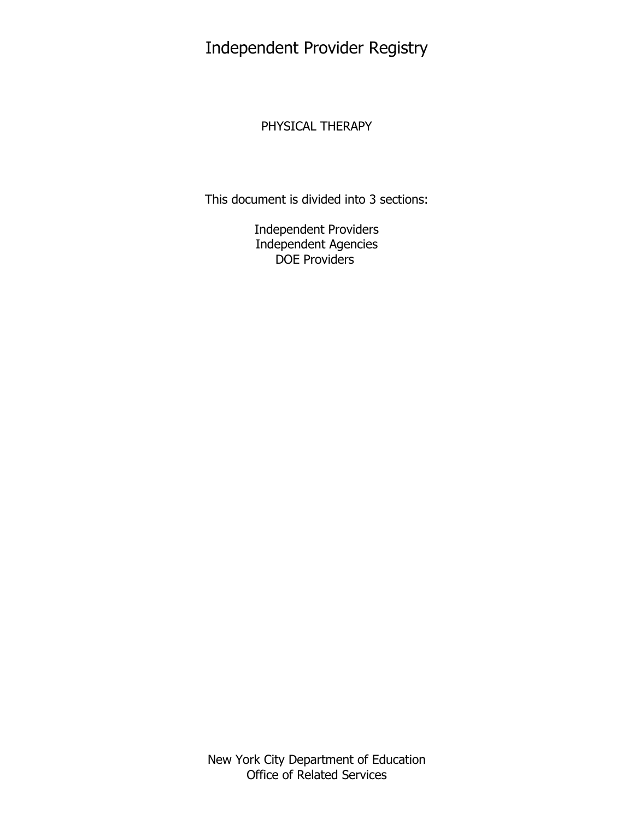Independent Provider Registry

# PHYSICAL THERAPY

This document is divided into 3 sections:

Independent Providers Independent Agencies DOE Providers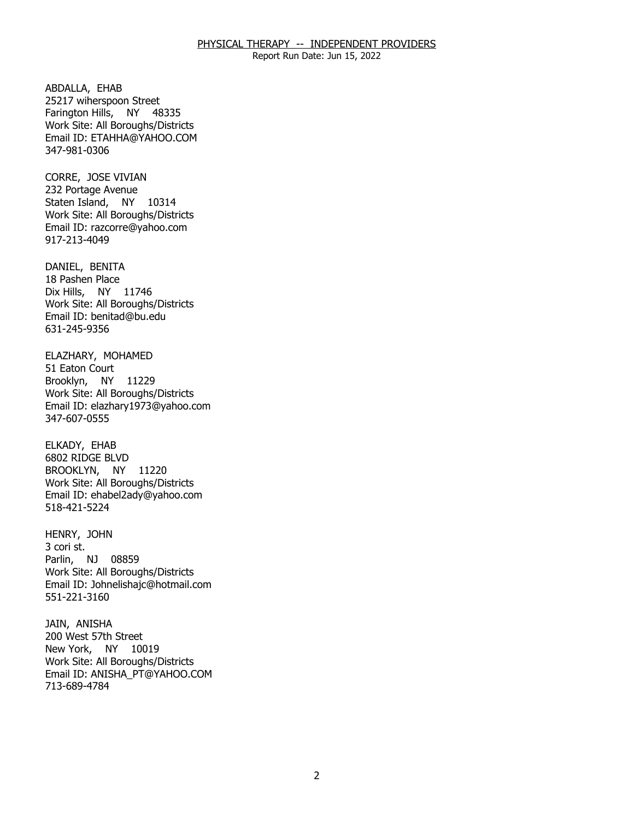Report Run Date: Jun 15, 2022

ABDALLA, EHAB Farington Hills, NY 48335 25217 wiherspoon Street Work Site: All Boroughs/Districts Email ID: [ETAHHA@YAHOO.COM](mailto:ETAHHA@YAHOO.COM) 347-981-0306

CORRE, JOSE VIVIAN Staten Island, NY 10314 232 Portage Avenue Work Site: All Boroughs/Districts Email ID: [razcorre@yahoo.com](mailto:razcorre@yahoo.com)  917-213-4049

DANIEL, BENITA Dix Hills, NY 11746 18 Pashen Place Work Site: All Boroughs/Districts Email ID: [benitad@bu.edu](mailto:benitad@bu.edu) 631-245-9356

ELAZHARY, MOHAMED<br>51 Eaton Court Brooklyn, NY 11229 Work Site: All Boroughs/Districts Email ID: [elazhary1973@yahoo.com](mailto:elazhary1973@yahoo.com)  347-607-0555

ELKADY, EHAB BROOKLYN, NY 11220 6802 RIDGE BLVD Work Site: All Boroughs/Districts Email ID: [ehabel2ady@yahoo.com](mailto:ehabel2ady@yahoo.com) 518-421-5224

HENRY, JOHN<br>3 cori st. Parlin, NJ 08859 Work Site: All Boroughs/Districts Email ID: [Johnelishajc@hotmail.com](mailto:Johnelishajc@hotmail.com) 551-221-3160

JAIN, ANISHA New York, NY 10019 200 West 57th Street Work Site: All Boroughs/Districts Email ID: [ANISHA\\_PT@YAHOO.COM](mailto:ANISHA_PT@YAHOO.COM) 713-689-4784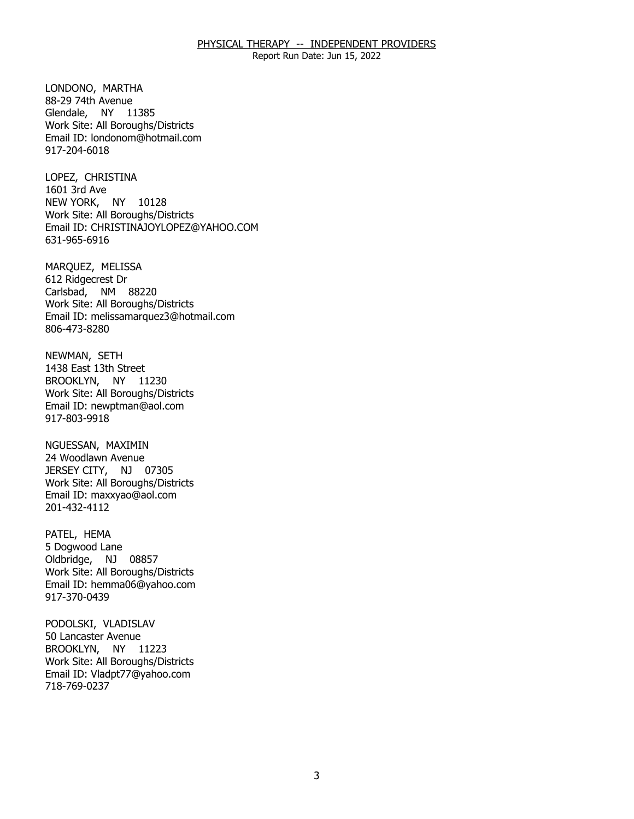Report Run Date: Jun 15, 2022

LONDONO, MARTHA Glendale, NY 11385 88-29 74th Avenue Work Site: All Boroughs/Districts Email ID: [londonom@hotmail.com](mailto:londonom@hotmail.com)  917-204-6018

LOPEZ, CHRISTINA<br>1601 3rd Ave NEW YORK, NY 10128 Work Site: All Boroughs/Districts Email ID: [CHRISTINAJOYLOPEZ@YAHOO.COM](mailto:CHRISTINAJOYLOPEZ@YAHOO.COM)  631-965-6916

MARQUEZ, MELISSA<br>612 Ridgecrest Dr Carlsbad, NM 88220 Work Site: All Boroughs/Districts Email ID: [melissamarquez3@hotmail.com](mailto:melissamarquez3@hotmail.com)  806-473-8280

NEWMAN, SETH BROOKLYN, NY 11230 1438 East 13th Street Work Site: All Boroughs/Districts Email ID: [newptman@aol.com](mailto:newptman@aol.com)  917-803-9918

NGUESSAN, MAXIMIN JERSEY CITY, NJ 07305 24 Woodlawn Avenue Work Site: All Boroughs/Districts Email ID: [maxxyao@aol.com](mailto:maxxyao@aol.com)  201-432-4112

PATEL, HEMA Oldbridge, NJ 08857 5 Dogwood Lane Work Site: All Boroughs/Districts Email ID: [hemma06@yahoo.com](mailto:hemma06@yahoo.com)  917-370-0439

PODOLSKI, VLADISLAV<br>50 Lancaster Avenue BROOKLYN, NY 11223 Work Site: All Boroughs/Districts Email ID: [Vladpt77@yahoo.com](mailto:Vladpt77@yahoo.com)  718-769-0237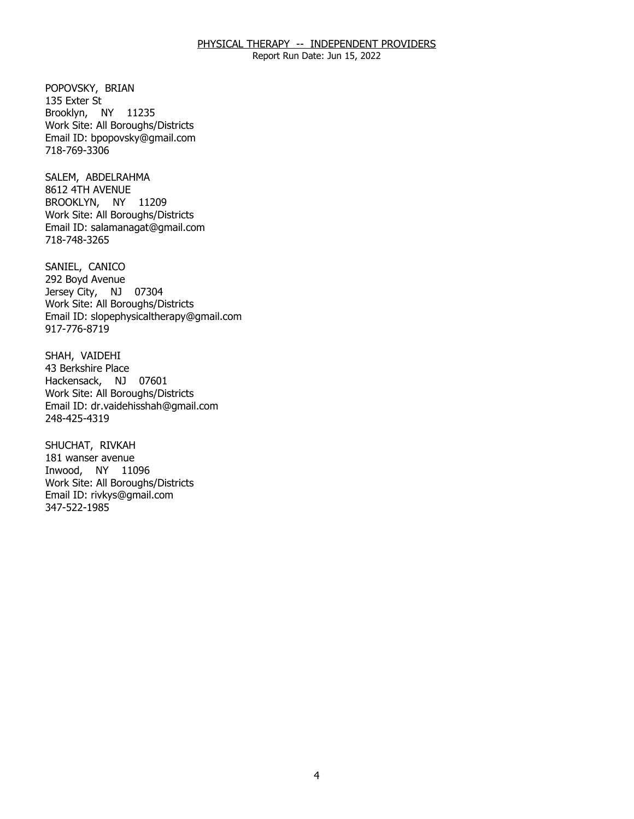Report Run Date: Jun 15, 2022

POPOVSKY, BRIAN<br>135 Exter St Brooklyn, NY 11235 Work Site: All Boroughs/Districts Email ID: [bpopovsky@gmail.com](mailto:bpopovsky@gmail.com) 718-769-3306

SALEM, ABDELRAHMA<br>8612 4TH AVENUE BROOKLYN, NY 11209 Work Site: All Boroughs/Districts Email ID: [salamanagat@gmail.com](mailto:salamanagat@gmail.com) 718-748-3265

SANIEL, CANICO Jersey City, NJ 07304 292 Boyd Avenue Work Site: All Boroughs/Districts Email ID: [slopephysicaltherapy@gmail.com](mailto:slopephysicaltherapy@gmail.com)  917-776-8719

SHAH, VAIDEHI<br>43 Berkshire Place Hackensack, NJ 07601 Work Site: All Boroughs/Districts Email ID: [dr.vaidehisshah@gmail.com](mailto:dr.vaidehisshah@gmail.com)  248-425-4319

SHUCHAT, RIVKAH Inwood, NY 11096 181 wanser avenue Work Site: All Boroughs/Districts Email ID: [rivkys@gmail.com](mailto:rivkys@gmail.com)  347-522-1985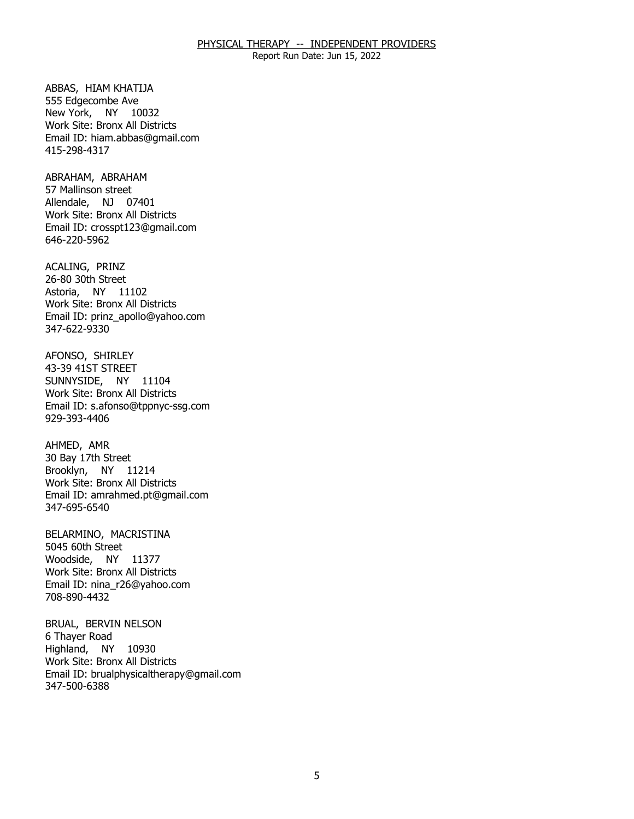Report Run Date: Jun 15, 2022

ABBAS, HIAM KHATIJA<br>555 Edgecombe Ave New York, NY 10032 Work Site: Bronx All Districts Email ID: [hiam.abbas@gmail.com](mailto:hiam.abbas@gmail.com)  415-298-4317

ABRAHAM, ABRAHAM Allendale, NJ 07401 57 Mallinson street Work Site: Bronx All Districts Email ID: [crosspt123@gmail.com](mailto:crosspt123@gmail.com) 646-220-5962

ACALING, PRINZ Astoria, NY 11102 26-80 30th Street Work Site: Bronx All Districts Email ID: [prinz\\_apollo@yahoo.com](mailto:prinz_apollo@yahoo.com) 347-622-9330

AFONSO, SHIRLEY<br>43-39 41ST STREET SUNNYSIDE, NY 11104 Work Site: Bronx All Districts Email ID: [s.afonso@tppnyc-ssg.com](mailto:s.afonso@tppnyc-ssg.com)  929-393-4406

AHMED, AMR Brooklyn, NY 11214 30 Bay 17th Street Work Site: Bronx All Districts Email ID: [amrahmed.pt@gmail.com](mailto:amrahmed.pt@gmail.com) 347-695-6540

BELARMINO, MACRISTINA<br>5045 60th Street Woodside, NY 11377 Work Site: Bronx All Districts Email ID: [nina\\_r26@yahoo.com](mailto:nina_r26@yahoo.com)  708-890-4432

BRUAL, BERVIN NELSON<br>6 Thayer Road Highland, NY 10930 Work Site: Bronx All Districts Email ID: [brualphysicaltherapy@gmail.com](mailto:brualphysicaltherapy@gmail.com) 347-500-6388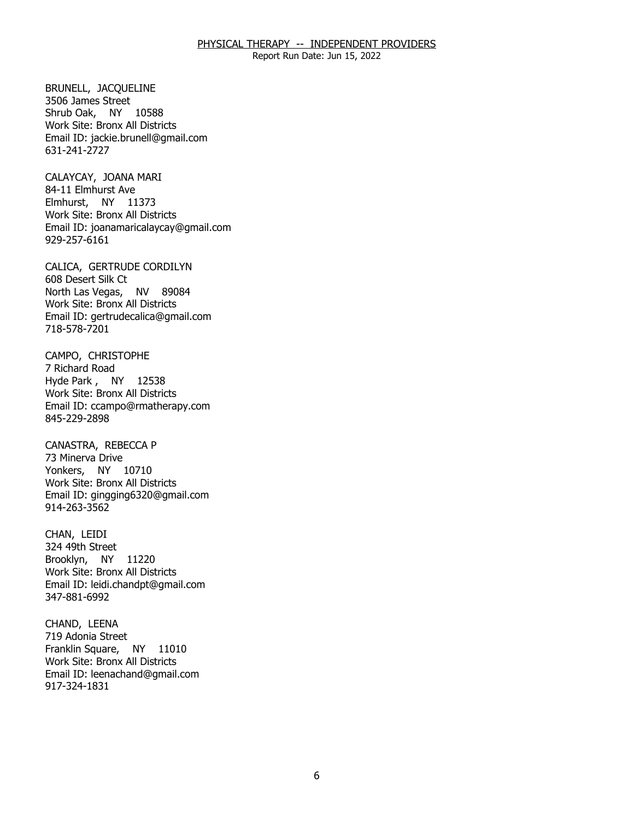Report Run Date: Jun 15, 2022

 BRUNELL, JACQUELINE 3506 James Street Shrub Oak, NY 10588 Work Site: Bronx All Districts Email ID: [jackie.brunell@gmail.com](mailto:jackie.brunell@gmail.com)  631-241-2727

CALAYCAY, JOANA MARI<br>84-11 Elmhurst Ave Elmhurst, NY 11373 Work Site: Bronx All Districts Email ID: [joanamaricalaycay@gmail.com](mailto:joanamaricalaycay@gmail.com) 929-257-6161

CALICA, GERTRUDE CORDILYN<br>608 Desert Silk Ct North Las Vegas, NV 89084 Work Site: Bronx All Districts Email ID: [gertrudecalica@gmail.com](mailto:gertrudecalica@gmail.com) 718-578-7201

CAMPO, CHRISTOPHE<br>7 Richard Road Hyde Park , NY 12538 Work Site: Bronx All Districts Email ID: [ccampo@rmatherapy.com](mailto:ccampo@rmatherapy.com) 845-229-2898

CANASTRA, REBECCA P<br>73 Minerva Drive Yonkers, NY 10710 Work Site: Bronx All Districts Email ID: [gingging6320@gmail.com](mailto:gingging6320@gmail.com)  914-263-3562

CHAN, LEIDI Brooklyn, NY 11220 324 49th Street Work Site: Bronx All Districts Email ID: [leidi.chandpt@gmail.com](mailto:leidi.chandpt@gmail.com) 347-881-6992

CHAND, LEENA Franklin Square, NY 11010 719 Adonia Street Work Site: Bronx All Districts Email ID: [leenachand@gmail.com](mailto:leenachand@gmail.com) 917-324-1831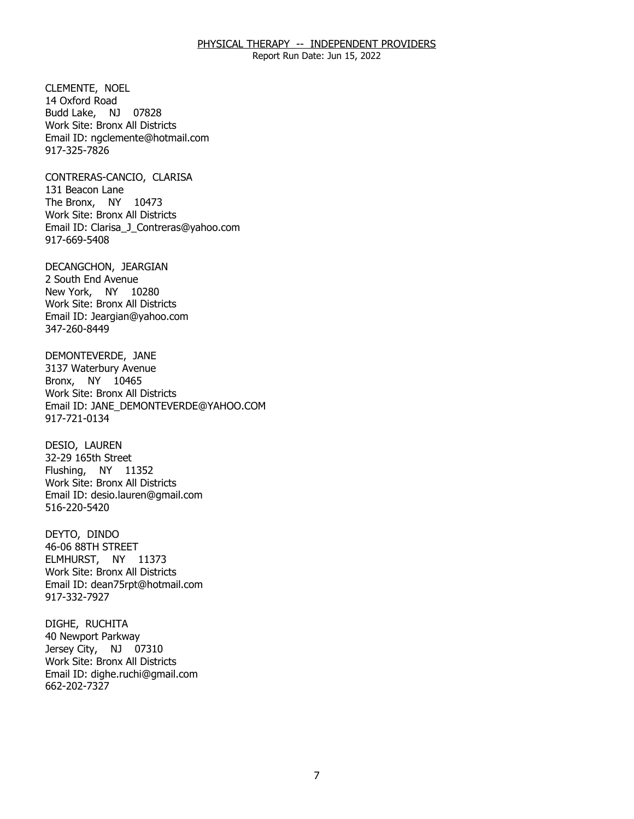Report Run Date: Jun 15, 2022

CLEMENTE, NOEL Budd Lake, NJ 07828 14 Oxford Road Work Site: Bronx All Districts Email ID: [ngclemente@hotmail.com](mailto:ngclemente@hotmail.com) 917-325-7826

 CONTRERAS-CANCIO, CLARISA 131 Beacon Lane The Bronx, NY 10473 Work Site: Bronx All Districts Email ID: [Clarisa\\_J\\_Contreras@yahoo.com](mailto:Clarisa_J_Contreras@yahoo.com)  917-669-5408

DECANGCHON, JEARGIAN<br>2 South End Avenue New York, NY 10280 Work Site: Bronx All Districts Email ID: [Jeargian@yahoo.com](mailto:Jeargian@yahoo.com) 347-260-8449

DEMONTEVERDE, JANE<br>3137 Waterbury Avenue Bronx, NY 10465 Work Site: Bronx All Districts Email ID: [JANE\\_DEMONTEVERDE@YAHOO.COM](mailto:JANE_DEMONTEVERDE@YAHOO.COM)  917-721-0134

DESIO, LAUREN Flushing, NY 11352 32-29 165th Street Work Site: Bronx All Districts Email ID: [desio.lauren@gmail.com](mailto:desio.lauren@gmail.com)  516-220-5420

DEYTO, DINDO ELMHURST, NY 11373 46-06 88TH STREET Work Site: Bronx All Districts Email ID: [dean75rpt@hotmail.com](mailto:dean75rpt@hotmail.com) 917-332-7927

DIGHE, RUCHITA Jersey City, NJ 07310 40 Newport Parkway Work Site: Bronx All Districts Email ID: [dighe.ruchi@gmail.com](mailto:dighe.ruchi@gmail.com) 662-202-7327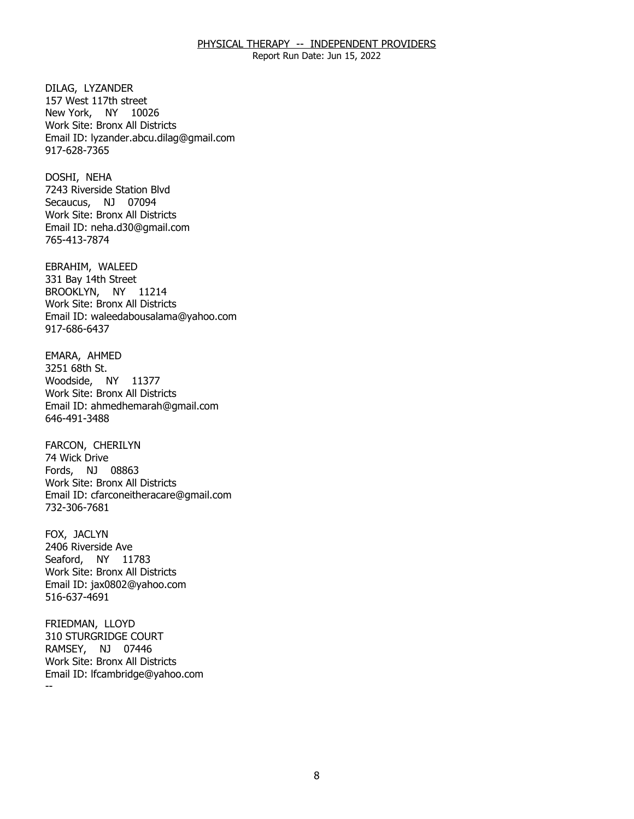Report Run Date: Jun 15, 2022

DILAG, LYZANDER New York, NY 10026 157 West 117th street Work Site: Bronx All Districts Email ID: [lyzander.abcu.dilag@gmail.com](mailto:lyzander.abcu.dilag@gmail.com) 917-628-7365

DOSHI, NEHA Secaucus, NJ 07094 7243 Riverside Station Blvd Work Site: Bronx All Districts Email ID: [neha.d30@gmail.com](mailto:neha.d30@gmail.com) 765-413-7874

EBRAHIM, WALEED BROOKLYN, NY 11214 331 Bay 14th Street Work Site: Bronx All Districts Email ID: [waleedabousalama@yahoo.com](mailto:waleedabousalama@yahoo.com)  917-686-6437

EMARA, AHMED<br>3251 68th St. Woodside, NY 11377 Work Site: Bronx All Districts Email ID: [ahmedhemarah@gmail.com](mailto:ahmedhemarah@gmail.com) 646-491-3488

 FARCON, CHERILYN 74 Wick Drive Fords, NJ 08863 Work Site: Bronx All Districts Email ID: [cfarconeitheracare@gmail.com](mailto:cfarconeitheracare@gmail.com)  732-306-7681

FOX, JACLYN Seaford, NY 11783 2406 Riverside Ave Work Site: Bronx All Districts Email ID: [jax0802@yahoo.com](mailto:jax0802@yahoo.com)  516-637-4691

FRIEDMAN, LLOYD RAMSEY, NJ 07446 -- **310 STURGRIDGE COURT** Work Site: Bronx All Districts Email ID: [lfcambridge@yahoo.com](mailto:lfcambridge@yahoo.com) 

8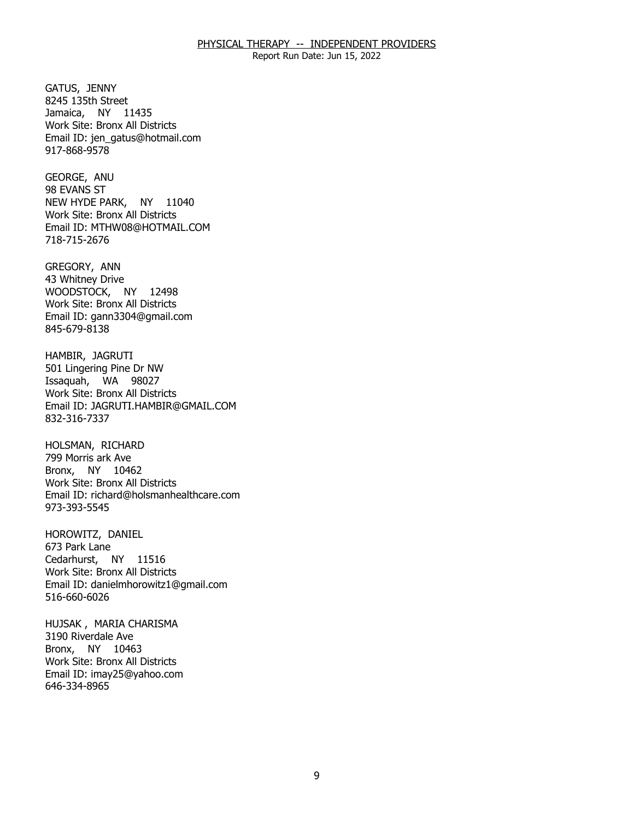Report Run Date: Jun 15, 2022

GATUS, JENNY Jamaica, NY 11435 8245 135th Street Work Site: Bronx All Districts Email ID: [jen\\_gatus@hotmail.com](mailto:jen_gatus@hotmail.com) 917-868-9578

GEORGE, ANU<br>98 EVANS ST NEW HYDE PARK, NY 11040 Work Site: Bronx All Districts Email ID: [MTHW08@HOTMAIL.COM](mailto:MTHW08@HOTMAIL.COM) 718-715-2676

GREGORY, ANN WOODSTOCK, NY 12498 43 Whitney Drive Work Site: Bronx All Districts Email ID: [gann3304@gmail.com](mailto:gann3304@gmail.com) 845-679-8138

HAMBIR, JAGRUTI Issaquah, WA 98027 501 Lingering Pine Dr NW Work Site: Bronx All Districts Email ID: [JAGRUTI.HAMBIR@GMAIL.COM](mailto:JAGRUTI.HAMBIR@GMAIL.COM) 832-316-7337

HOLSMAN, RICHARD Bronx, NY 10462 799 Morris ark Ave Work Site: Bronx All Districts Email ID: [richard@holsmanhealthcare.com](mailto:richard@holsmanhealthcare.com)  973-393-5545

HOROWITZ, DANIEL<br>673 Park Lane Cedarhurst, NY 11516 Work Site: Bronx All Districts Email ID: [danielmhorowitz1@gmail.com](mailto:danielmhorowitz1@gmail.com)  516-660-6026

HUJSAK , MARIA CHARISMA<br>3190 Riverdale Ave Bronx, NY 10463 Work Site: Bronx All Districts Email ID: [imay25@yahoo.com](mailto:imay25@yahoo.com)  646-334-8965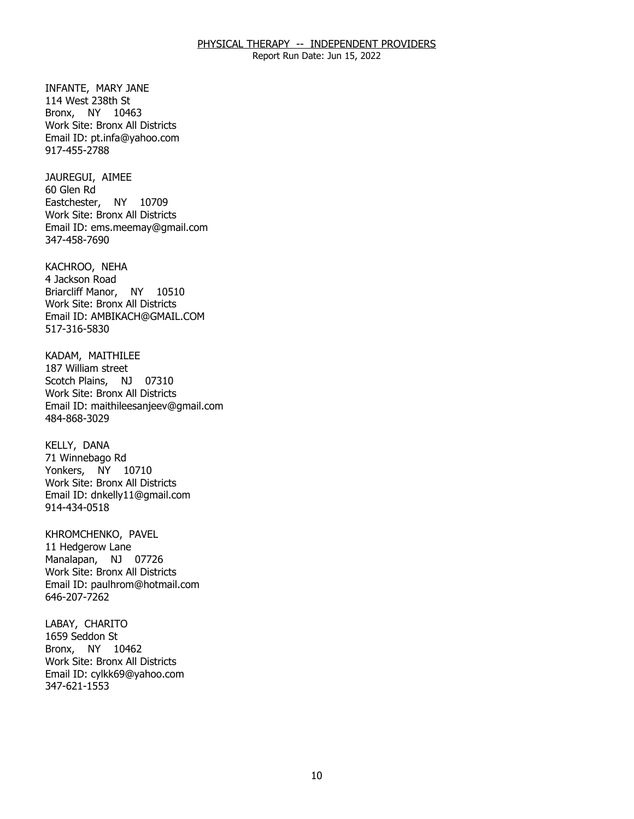Report Run Date: Jun 15, 2022

 INFANTE, MARY JANE 114 West 238th St Bronx, NY 10463 Work Site: Bronx All Districts Email ID: [pt.infa@yahoo.com](mailto:pt.infa@yahoo.com) 917-455-2788

JAUREGUI, AIMEE<br>60 Glen Rd Eastchester, NY 10709 Work Site: Bronx All Districts Email ID: [ems.meemay@gmail.com](mailto:ems.meemay@gmail.com)  347-458-7690

KACHROO, NEHA<br>4 Jackson Road Briarcliff Manor, NY 10510 Work Site: Bronx All Districts Email ID: [AMBIKACH@GMAIL.COM](mailto:AMBIKACH@GMAIL.COM)  517-316-5830

KADAM, MAITHILEE<br>187 William street Scotch Plains, NJ 07310 Work Site: Bronx All Districts Email ID: [maithileesanjeev@gmail.com](mailto:maithileesanjeev@gmail.com)  484-868-3029

KELLY, DANA Yonkers, NY 10710 71 Winnebago Rd Work Site: Bronx All Districts Email ID: [dnkelly11@gmail.com](mailto:dnkelly11@gmail.com) 914-434-0518

KHROMCHENKO, PAVEL<br>11 Hedgerow Lane Manalapan, NJ 07726 Work Site: Bronx All Districts Email ID: [paulhrom@hotmail.com](mailto:paulhrom@hotmail.com)  646-207-7262

LABAY, CHARITO<br>1659 Seddon St Bronx, NY 10462 Work Site: Bronx All Districts Email ID: [cylkk69@yahoo.com](mailto:cylkk69@yahoo.com)  347-621-1553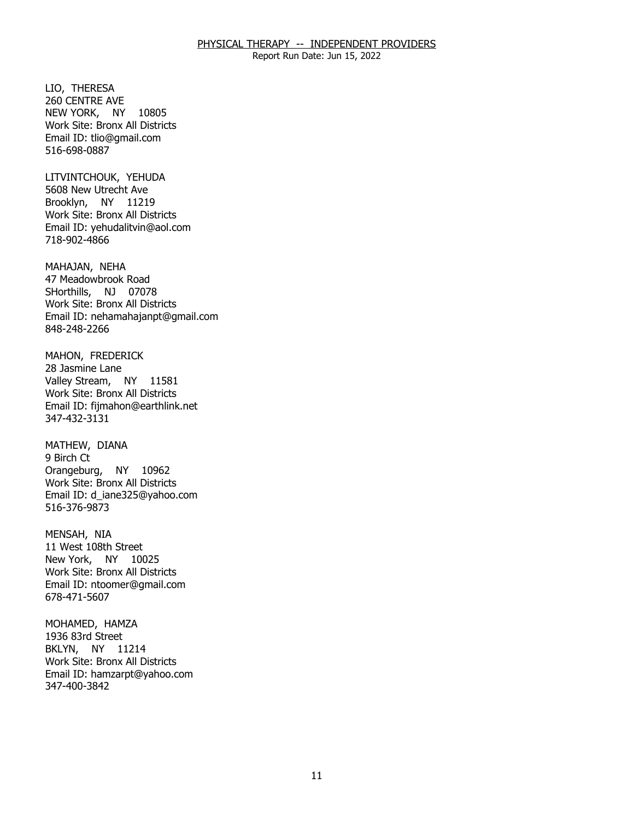Report Run Date: Jun 15, 2022

LIO, THERESA NEW YORK, NY 10805 260 CENTRE AVE Work Site: Bronx All Districts Email ID: [tlio@gmail.com](mailto:tlio@gmail.com)  516-698-0887

LITVINTCHOUK, YEHUDA Brooklyn, NY 11219 5608 New Utrecht Ave Work Site: Bronx All Districts Email ID: [yehudalitvin@aol.com](mailto:yehudalitvin@aol.com) 718-902-4866

MAHAJAN, NEHA SHorthills, NJ 07078 47 Meadowbrook Road Work Site: Bronx All Districts Email ID: [nehamahajanpt@gmail.com](mailto:nehamahajanpt@gmail.com)  848-248-2266

MAHON, FREDERICK<br>28 Jasmine Lane Valley Stream, NY 11581 Work Site: Bronx All Districts Email ID: [fijmahon@earthlink.net](mailto:fijmahon@earthlink.net)  347-432-3131

MATHEW, DIANA<br>9 Birch Ct Orangeburg, NY 10962 Work Site: Bronx All Districts Email ID: [d\\_iane325@yahoo.com](mailto:d_iane325@yahoo.com)  516-376-9873

MENSAH, NIA New York, NY 10025 11 West 108th Street Work Site: Bronx All Districts Email ID: [ntoomer@gmail.com](mailto:ntoomer@gmail.com) 678-471-5607

MOHAMED, HAMZA<br>1936 83rd Street BKLYN, NY 11214 Work Site: Bronx All Districts Email ID: [hamzarpt@yahoo.com](mailto:hamzarpt@yahoo.com) 347-400-3842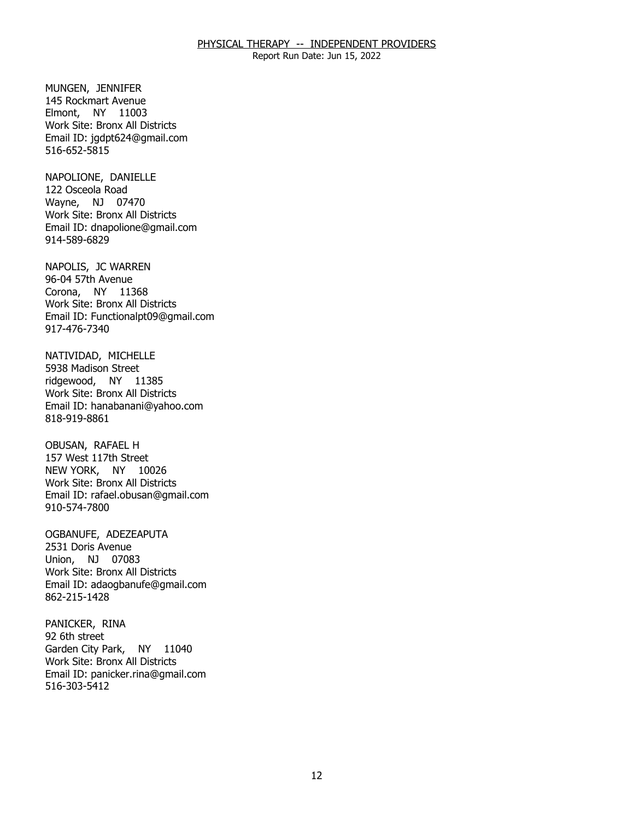Report Run Date: Jun 15, 2022

MUNGEN, JENNIFER Elmont, NY 11003 145 Rockmart Avenue Work Site: Bronx All Districts Email ID: [jgdpt624@gmail.com](mailto:jgdpt624@gmail.com) 516-652-5815

NAPOLIONE, DANIELLE<br>122 Osceola Road Wayne, NJ 07470 Work Site: Bronx All Districts Email ID: [dnapolione@gmail.com](mailto:dnapolione@gmail.com) 914-589-6829

NAPOLIS, JC WARREN<br>96-04 57th Avenue Corona, NY 11368 Work Site: Bronx All Districts Email ID: [Functionalpt09@gmail.com](mailto:Functionalpt09@gmail.com) 917-476-7340

NATIVIDAD, MICHELLE<br>5938 Madison Street ridgewood, NY 11385 Work Site: Bronx All Districts Email ID: [hanabanani@yahoo.com](mailto:hanabanani@yahoo.com) 818-919-8861

OBUSAN, RAFAEL H NEW YORK, NY 10026 157 West 117th Street Work Site: Bronx All Districts Email ID: [rafael.obusan@gmail.com](mailto:rafael.obusan@gmail.com)  910-574-7800

OGBANUFE, ADEZEAPUTA<br>2531 Doris Avenue Union, NJ 07083 Work Site: Bronx All Districts Email ID: [adaogbanufe@gmail.com](mailto:adaogbanufe@gmail.com)  862-215-1428

PANICKER, RINA<br>92 6th street Garden City Park, NY 11040 Work Site: Bronx All Districts Email ID: [panicker.rina@gmail.com](mailto:panicker.rina@gmail.com) 516-303-5412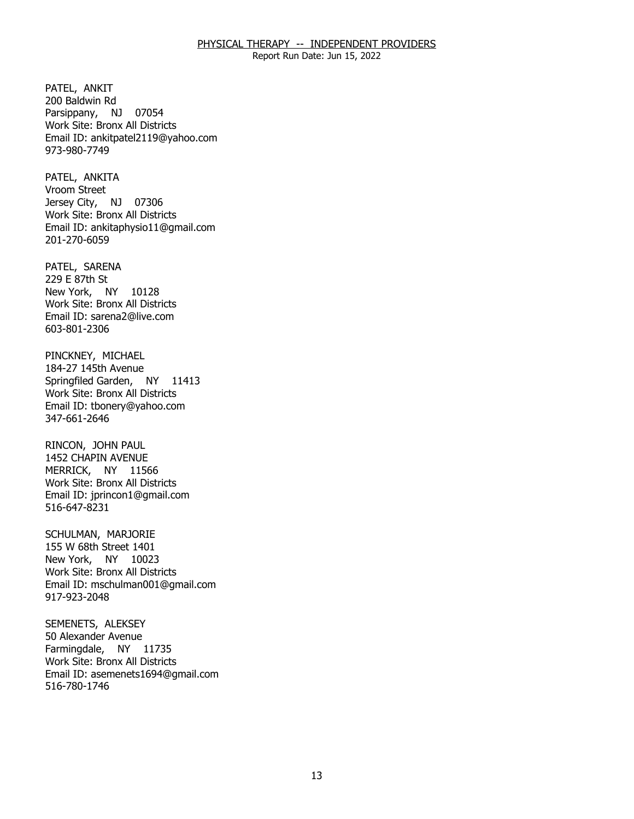Report Run Date: Jun 15, 2022

PATEL, ANKIT Parsippany, NJ 07054 200 Baldwin Rd Work Site: Bronx All Districts Email ID: [ankitpatel2119@yahoo.com](mailto:ankitpatel2119@yahoo.com) 973-980-7749

PATEL, ANKITA<br>Vroom Street Jersey City, NJ 07306 Work Site: Bronx All Districts Email ID: [ankitaphysio11@gmail.com](mailto:ankitaphysio11@gmail.com) 201-270-6059

PATEL, SARENA<br>229 E 87th St New York, NY 10128 Work Site: Bronx All Districts Email ID: [sarena2@live.com](mailto:sarena2@live.com) 603-801-2306

 PINCKNEY, MICHAEL 184-27 145th Avenue Springfiled Garden, NY 11413 Work Site: Bronx All Districts Email ID: [tbonery@yahoo.com](mailto:tbonery@yahoo.com)  347-661-2646

RINCON, JOHN PAUL MERRICK, NY 11566 1452 CHAPIN AVENUE Work Site: Bronx All Districts Email ID: [jprincon1@gmail.com](mailto:jprincon1@gmail.com) 516-647-8231

SCHULMAN, MARJORIE New York, NY 10023 155 W 68th Street 1401 Work Site: Bronx All Districts Email ID: [mschulman001@gmail.com](mailto:mschulman001@gmail.com)  917-923-2048

SEMENETS, ALEKSEY<br>50 Alexander Avenue Farmingdale, NY 11735 Work Site: Bronx All Districts Email ID: [asemenets1694@gmail.com](mailto:asemenets1694@gmail.com) 516-780-1746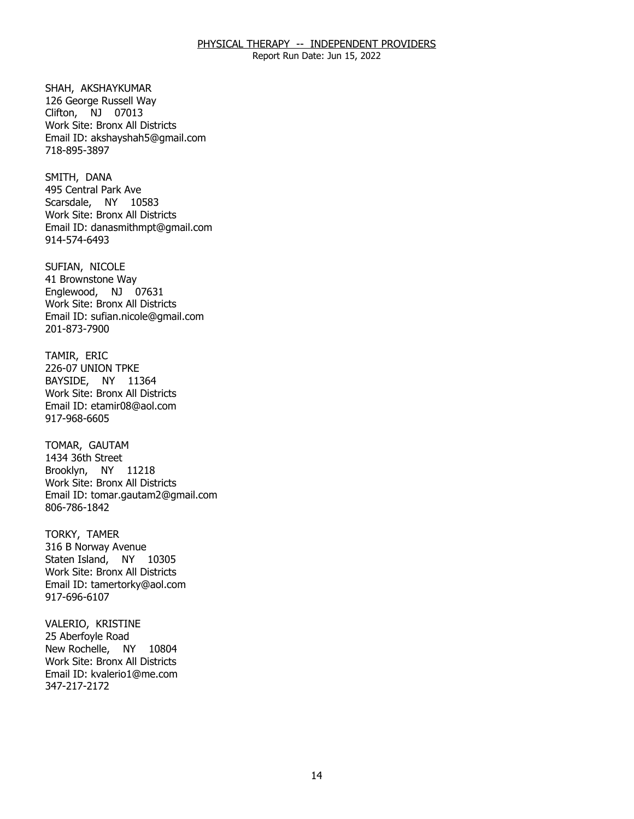Report Run Date: Jun 15, 2022

SHAH, AKSHAYKUMAR Clifton, NJ 07013 126 George Russell Way Work Site: Bronx All Districts Email ID: [akshayshah5@gmail.com](mailto:akshayshah5@gmail.com) 718-895-3897

SMITH, DANA Scarsdale, NY 10583 495 Central Park Ave Work Site: Bronx All Districts Email ID: [danasmithmpt@gmail.com](mailto:danasmithmpt@gmail.com) 914-574-6493

SUFIAN, NICOLE Englewood, NJ 07631 41 Brownstone Way Work Site: Bronx All Districts Email ID: [sufian.nicole@gmail.com](mailto:sufian.nicole@gmail.com) 201-873-7900

TAMIR, ERIC BAYSIDE, NY 11364 226-07 UNION TPKE Work Site: Bronx All Districts Email ID: [etamir08@aol.com](mailto:etamir08@aol.com)  917-968-6605

TOMAR, GAUTAM Brooklyn, NY 11218 1434 36th Street Work Site: Bronx All Districts Email ID: [tomar.gautam2@gmail.com](mailto:tomar.gautam2@gmail.com) 806-786-1842

TORKY, TAMER Staten Island, NY 10305 316 B Norway Avenue Work Site: Bronx All Districts Email ID: [tamertorky@aol.com](mailto:tamertorky@aol.com)  917-696-6107

VALERIO, KRISTINE<br>25 Aberfoyle Road New Rochelle, NY 10804 Work Site: Bronx All Districts Email ID: [kvalerio1@me.com](mailto:kvalerio1@me.com)  347-217-2172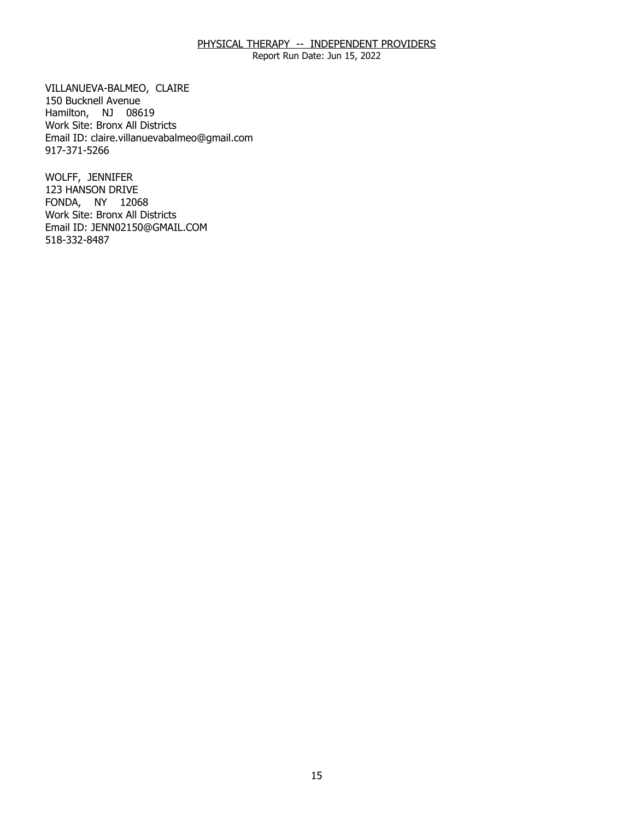Report Run Date: Jun 15, 2022

 VILLANUEVA-BALMEO, CLAIRE 150 Bucknell Avenue Hamilton, NJ 08619 Work Site: Bronx All Districts Email ID: [claire.villanuevabalmeo@gmail.com](mailto:claire.villanuevabalmeo@gmail.com) 917-371-5266

WOLFF, JENNIFER FONDA, NY 12068 123 HANSON DRIVE Work Site: Bronx All Districts Email ID: [JENN02150@GMAIL.COM](mailto:JENN02150@GMAIL.COM) 518-332-8487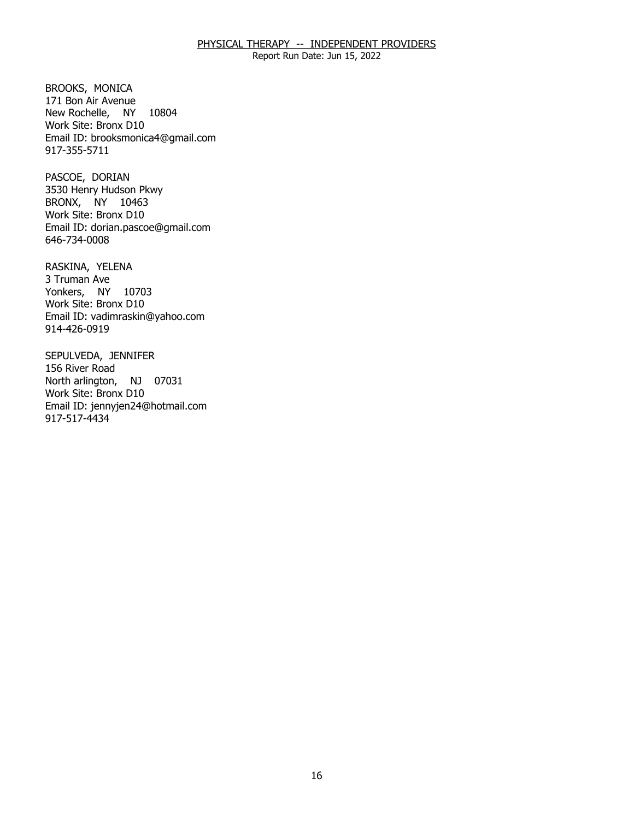Report Run Date: Jun 15, 2022

BROOKS, MONICA New Rochelle, NY 10804 171 Bon Air Avenue Work Site: Bronx D10 Email ID: [brooksmonica4@gmail.com](mailto:brooksmonica4@gmail.com)  917-355-5711

PASCOE, DORIAN BRONX, NY 10463 3530 Henry Hudson Pkwy Work Site: Bronx D10 Email ID: [dorian.pascoe@gmail.com](mailto:dorian.pascoe@gmail.com)  646-734-0008

RASKINA, YELENA<br>3 Truman Ave Yonkers, NY 10703 Work Site: Bronx D10 Email ID: [vadimraskin@yahoo.com](mailto:vadimraskin@yahoo.com)  914-426-0919

SEPULVEDA, JENNIFER<br>156 River Road North arlington, NJ 07031 Work Site: Bronx D10 Email ID: [jennyjen24@hotmail.com](mailto:jennyjen24@hotmail.com)  917-517-4434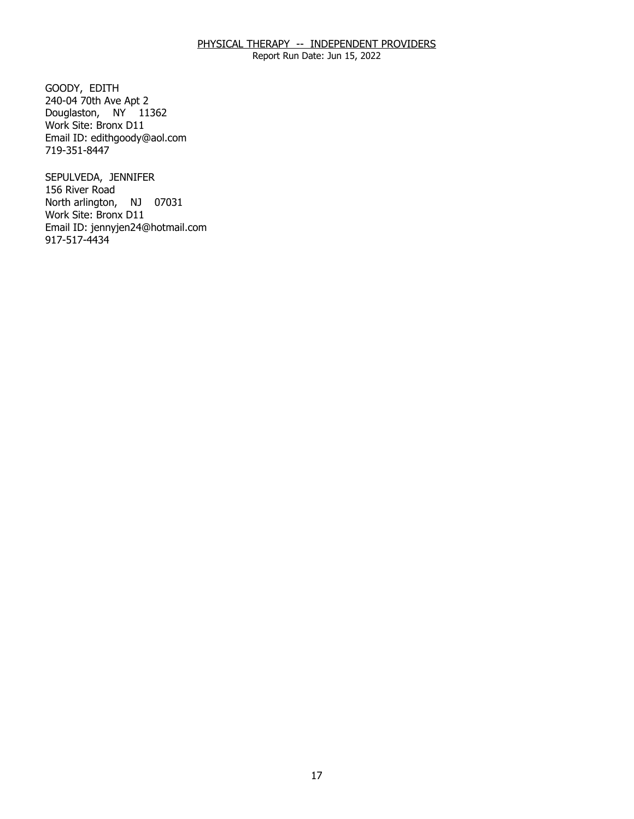Report Run Date: Jun 15, 2022

GOODY, EDITH Douglaston, NY 11362 240-04 70th Ave Apt 2 Work Site: Bronx D11 Email ID: [edithgoody@aol.com](mailto:edithgoody@aol.com) 719-351-8447

SEPULVEDA, JENNIFER<br>156 River Road North arlington, NJ 07031 Work Site: Bronx D11 Email ID: [jennyjen24@hotmail.com](mailto:jennyjen24@hotmail.com)  917-517-4434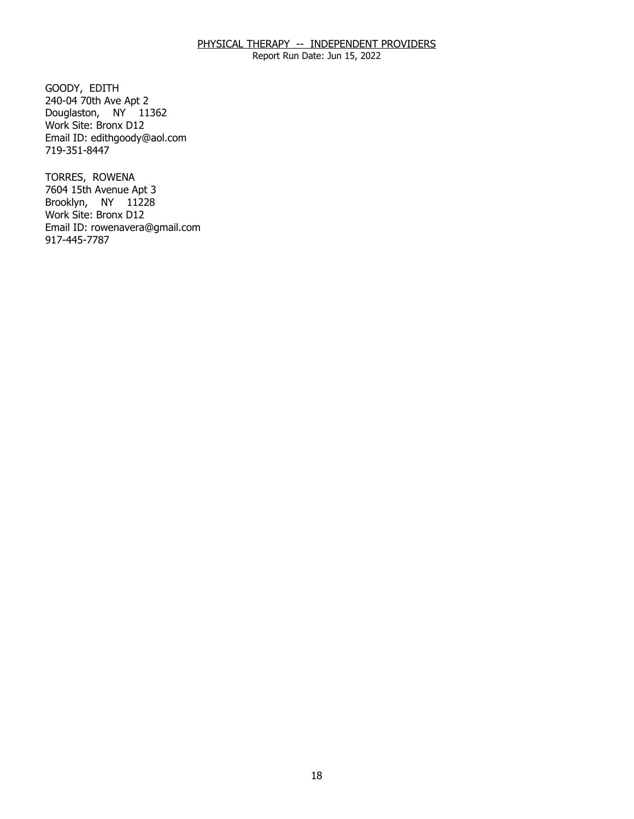Report Run Date: Jun 15, 2022

GOODY, EDITH Douglaston, NY 11362 240-04 70th Ave Apt 2 Work Site: Bronx D12 Email ID: [edithgoody@aol.com](mailto:edithgoody@aol.com) 719-351-8447

TORRES, ROWENA Brooklyn, NY 11228 7604 15th Avenue Apt 3 Work Site: Bronx D12 Email ID: [rowenavera@gmail.com](mailto:rowenavera@gmail.com)  917-445-7787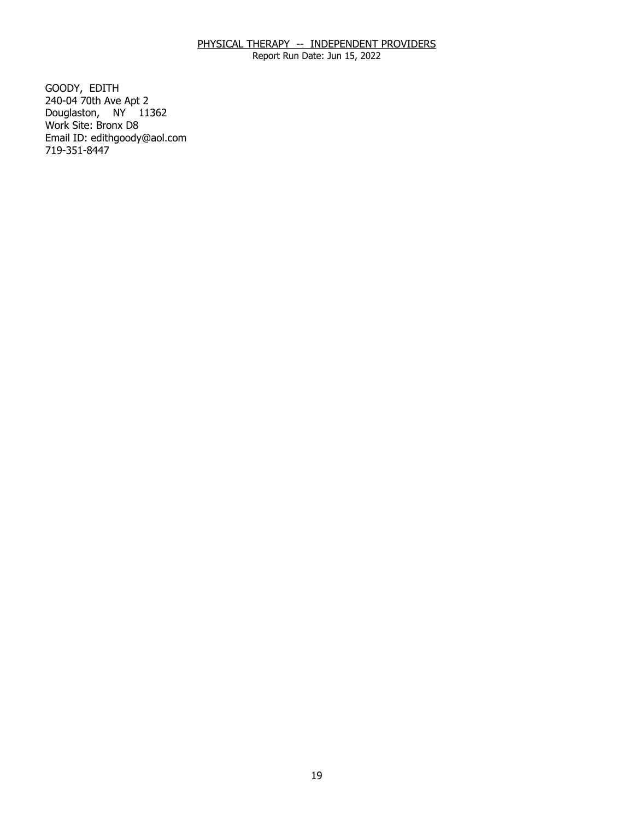Report Run Date: Jun 15, 2022

GOODY, EDITH Douglaston, NY 11362 240-04 70th Ave Apt 2 Work Site: Bronx D8 Email ID: [edithgoody@aol.com](mailto:edithgoody@aol.com) 719-351-8447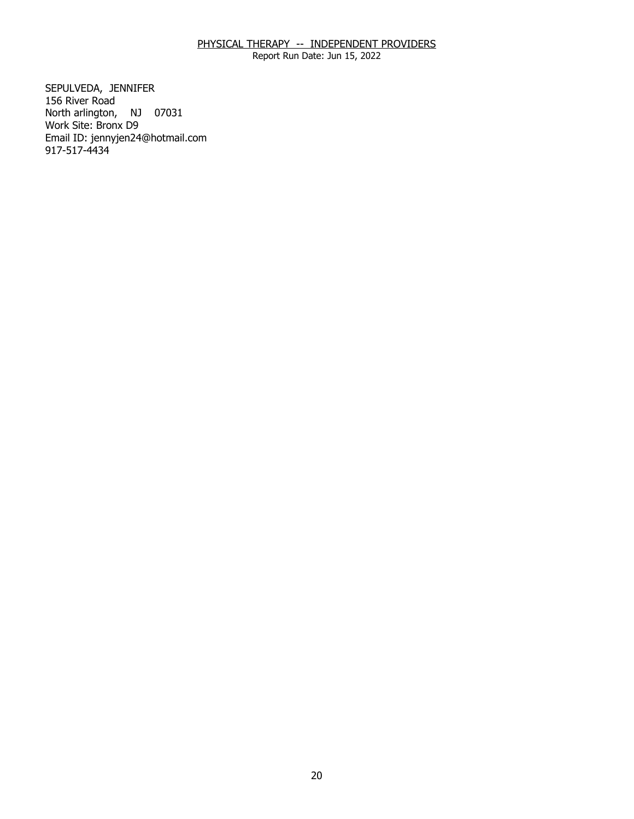Report Run Date: Jun 15, 2022

SEPULVEDA, JENNIFER<br>156 River Road North arlington, NJ 07031 Work Site: Bronx D9 Email ID: [jennyjen24@hotmail.com](mailto:jennyjen24@hotmail.com)  917-517-4434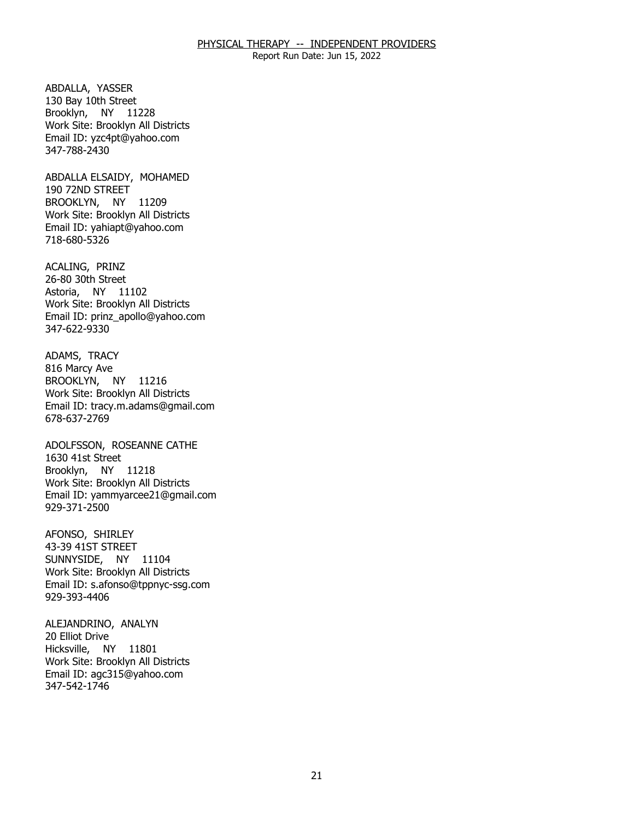Report Run Date: Jun 15, 2022

ABDALLA, YASSER Brooklyn, NY 11228 130 Bay 10th Street Work Site: Brooklyn All Districts Email ID: [yzc4pt@yahoo.com](mailto:yzc4pt@yahoo.com)  347-788-2430

ABDALLA ELSAIDY, MOHAMED<br>190 72ND STREET BROOKLYN, NY 11209 Work Site: Brooklyn All Districts Email ID: [yahiapt@yahoo.com](mailto:yahiapt@yahoo.com) 718-680-5326

ACALING, PRINZ Astoria, NY 11102 26-80 30th Street Work Site: Brooklyn All Districts Email ID: [prinz\\_apollo@yahoo.com](mailto:prinz_apollo@yahoo.com) 347-622-9330

ADAMS, TRACY<br>816 Marcy Ave BROOKLYN, NY 11216 Work Site: Brooklyn All Districts Email ID: [tracy.m.adams@gmail.com](mailto:tracy.m.adams@gmail.com) 678-637-2769

 ADOLFSSON, ROSEANNE CATHE 1630 41st Street Brooklyn, NY 11218 Work Site: Brooklyn All Districts Email ID: [yammyarcee21@gmail.com](mailto:yammyarcee21@gmail.com) 929-371-2500

AFONSO, SHIRLEY SUNNYSIDE, NY 11104 43-39 41ST STREET Work Site: Brooklyn All Districts Email ID: [s.afonso@tppnyc-ssg.com](mailto:s.afonso@tppnyc-ssg.com)  929-393-4406

ALEJANDRINO, ANALYN<br>20 Elliot Drive Hicksville, NY 11801 Work Site: Brooklyn All Districts Email ID: [agc315@yahoo.com](mailto:agc315@yahoo.com)  347-542-1746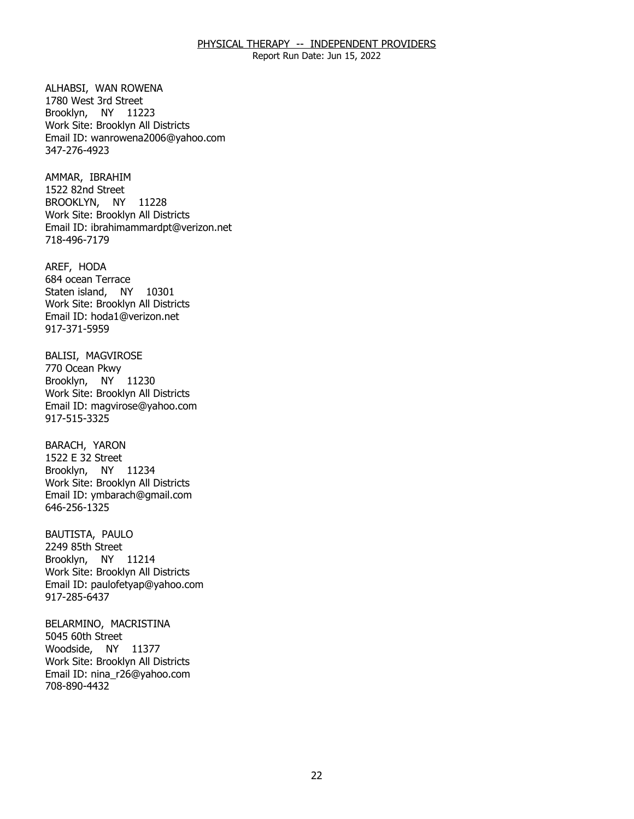Report Run Date: Jun 15, 2022

ALHABSI, WAN ROWENA Brooklyn, NY 11223 1780 West 3rd Street Work Site: Brooklyn All Districts Email ID: [wanrowena2006@yahoo.com](mailto:wanrowena2006@yahoo.com)  347-276-4923

AMMAR, IBRAHIM BROOKLYN, NY 11228 1522 82nd Street Work Site: Brooklyn All Districts Email ID: [ibrahimammardpt@verizon.net](mailto:ibrahimammardpt@verizon.net) 718-496-7179

AREF, HODA Staten island, NY 10301 684 ocean Terrace Work Site: Brooklyn All Districts Email ID: [hoda1@verizon.net](mailto:hoda1@verizon.net) 917-371-5959

BALISI, MAGVIROSE<br>770 Ocean Pkwy Brooklyn, NY 11230 Work Site: Brooklyn All Districts Email ID: [magvirose@yahoo.com](mailto:magvirose@yahoo.com) 917-515-3325

BARACH, YARON Brooklyn, NY 11234 1522 E 32 Street Work Site: Brooklyn All Districts Email ID: [ymbarach@gmail.com](mailto:ymbarach@gmail.com) 646-256-1325

BAUTISTA, PAULO Brooklyn, NY 11214 2249 85th Street Work Site: Brooklyn All Districts Email ID: [paulofetyap@yahoo.com](mailto:paulofetyap@yahoo.com)  917-285-6437

BELARMINO, MACRISTINA<br>5045 60th Street Woodside, NY 11377 Work Site: Brooklyn All Districts Email ID: [nina\\_r26@yahoo.com](mailto:nina_r26@yahoo.com)  708-890-4432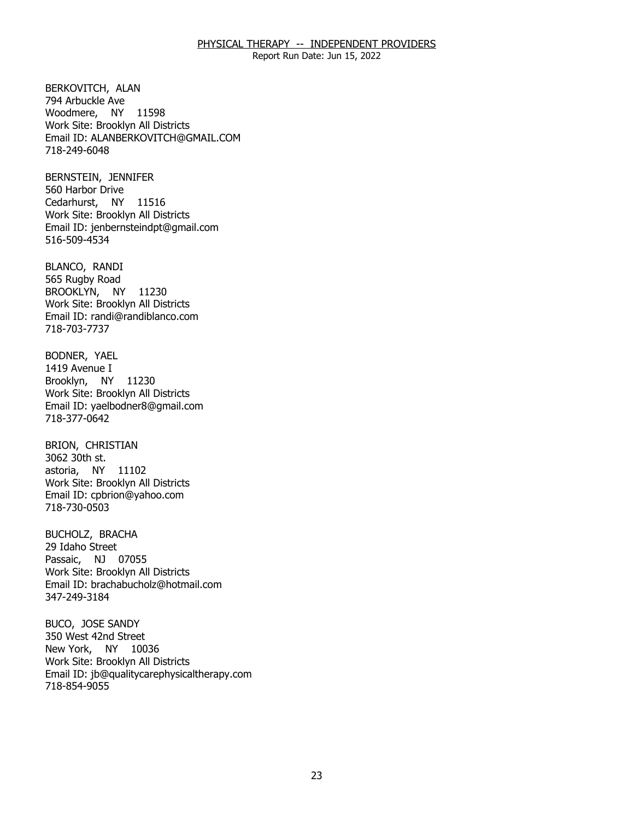Report Run Date: Jun 15, 2022

BERKOVITCH, ALAN<br>794 Arbuckle Ave Woodmere, NY 11598 Work Site: Brooklyn All Districts Email ID: [ALANBERKOVITCH@GMAIL.COM](mailto:ALANBERKOVITCH@GMAIL.COM)  718-249-6048

BERNSTEIN, JENNIFER<br>560 Harbor Drive Cedarhurst, NY 11516 Work Site: Brooklyn All Districts Email ID: [jenbernsteindpt@gmail.com](mailto:jenbernsteindpt@gmail.com) 516-509-4534

BLANCO, RANDI BROOKLYN, NY 11230 565 Rugby Road Work Site: Brooklyn All Districts Email ID: [randi@randiblanco.com](mailto:randi@randiblanco.com)  718-703-7737

BODNER, YAEL<br>1419 Avenue I Brooklyn, NY 11230 Work Site: Brooklyn All Districts Email ID: [yaelbodner8@gmail.com](mailto:yaelbodner8@gmail.com) 718-377-0642

BRION, CHRISTIAN<br>3062 30th st. astoria, NY 11102 Work Site: Brooklyn All Districts Email ID: [cpbrion@yahoo.com](mailto:cpbrion@yahoo.com)  718-730-0503

BUCHOLZ, BRACHA<br>29 Idaho Street Passaic, NJ 07055 Work Site: Brooklyn All Districts Email ID: [brachabucholz@hotmail.com](mailto:brachabucholz@hotmail.com) 347-249-3184

BUCO, JOSE SANDY<br>350 West 42nd Street New York, NY 10036 Work Site: Brooklyn All Districts Email ID: [jb@qualitycarephysicaltherapy.com](mailto:jb@qualitycarephysicaltherapy.com) 718-854-9055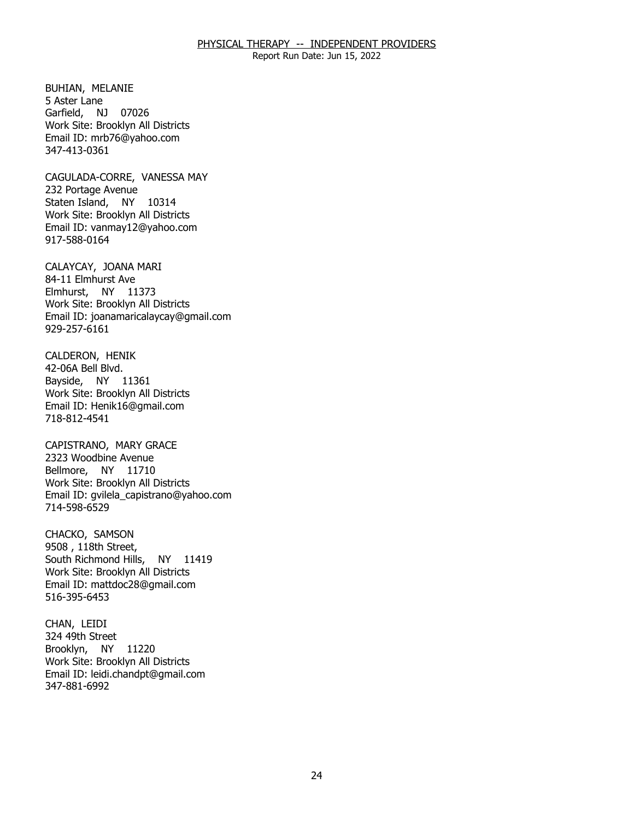Report Run Date: Jun 15, 2022

BUHIAN, MELANIE<br>5 Aster Lane Garfield, NJ 07026 Work Site: Brooklyn All Districts Email ID: [mrb76@yahoo.com](mailto:mrb76@yahoo.com)  347-413-0361

CAGULADA-CORRE, VANESSA MAY<br>232 Portage Avenue Staten Island, NY 10314 Work Site: Brooklyn All Districts Email ID: [vanmay12@yahoo.com](mailto:vanmay12@yahoo.com) 917-588-0164

CALAYCAY, JOANA MARI<br>84-11 Elmhurst Ave Elmhurst, NY 11373 Work Site: Brooklyn All Districts Email ID: [joanamaricalaycay@gmail.com](mailto:joanamaricalaycay@gmail.com) 929-257-6161

CALDERON, HENIK<br>42-06A Bell Blvd. Bayside, NY 11361 Work Site: Brooklyn All Districts Email ID: [Henik16@gmail.com](mailto:Henik16@gmail.com) 718-812-4541

CAPISTRANO, MARY GRACE<br>2323 Woodbine Avenue Bellmore, NY 11710 Work Site: Brooklyn All Districts Email ID: [gvilela\\_capistrano@yahoo.com](mailto:gvilela_capistrano@yahoo.com)  714-598-6529

CHACKO, SAMSON South Richmond Hills, NY 11419 9508, 118th Street, Work Site: Brooklyn All Districts Email ID: [mattdoc28@gmail.com](mailto:mattdoc28@gmail.com) 516-395-6453

CHAN, LEIDI Brooklyn, NY 11220 324 49th Street Work Site: Brooklyn All Districts Email ID: [leidi.chandpt@gmail.com](mailto:leidi.chandpt@gmail.com) 347-881-6992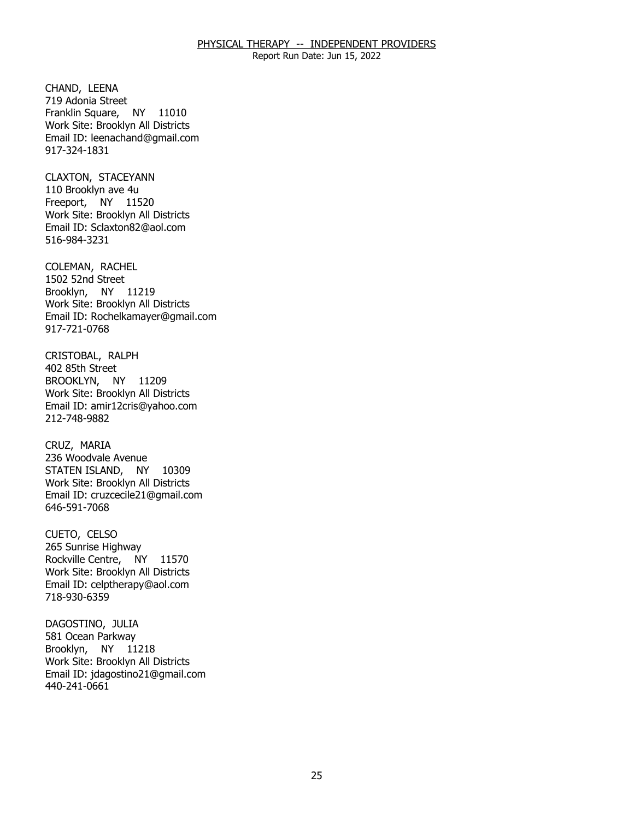Report Run Date: Jun 15, 2022

CHAND, LEENA Franklin Square, NY 11010 719 Adonia Street Work Site: Brooklyn All Districts Email ID: [leenachand@gmail.com](mailto:leenachand@gmail.com) 917-324-1831

CLAXTON, STACEYANN Freeport, NY 11520 110 Brooklyn ave 4u Work Site: Brooklyn All Districts Email ID: [Sclaxton82@aol.com](mailto:Sclaxton82@aol.com) 516-984-3231

COLEMAN, RACHEL<br>1502 52nd Street Brooklyn, NY 11219 Work Site: Brooklyn All Districts Email ID: [Rochelkamayer@gmail.com](mailto:Rochelkamayer@gmail.com) 917-721-0768

CRISTOBAL, RALPH<br>402 85th Street BROOKLYN, NY 11209 Work Site: Brooklyn All Districts Email ID: [amir12cris@yahoo.com](mailto:amir12cris@yahoo.com)  212-748-9882

CRUZ, MARIA STATEN ISLAND, NY 10309 236 Woodvale Avenue Work Site: Brooklyn All Districts Email ID: [cruzcecile21@gmail.com](mailto:cruzcecile21@gmail.com)  646-591-7068

CUETO, CELSO Rockville Centre, NY 11570 265 Sunrise Highway Work Site: Brooklyn All Districts Email ID: [celptherapy@aol.com](mailto:celptherapy@aol.com)  718-930-6359

DAGOSTINO, JULIA Brooklyn, NY 11218 581 Ocean Parkway Work Site: Brooklyn All Districts Email ID: [jdagostino21@gmail.com](mailto:jdagostino21@gmail.com)  440-241-0661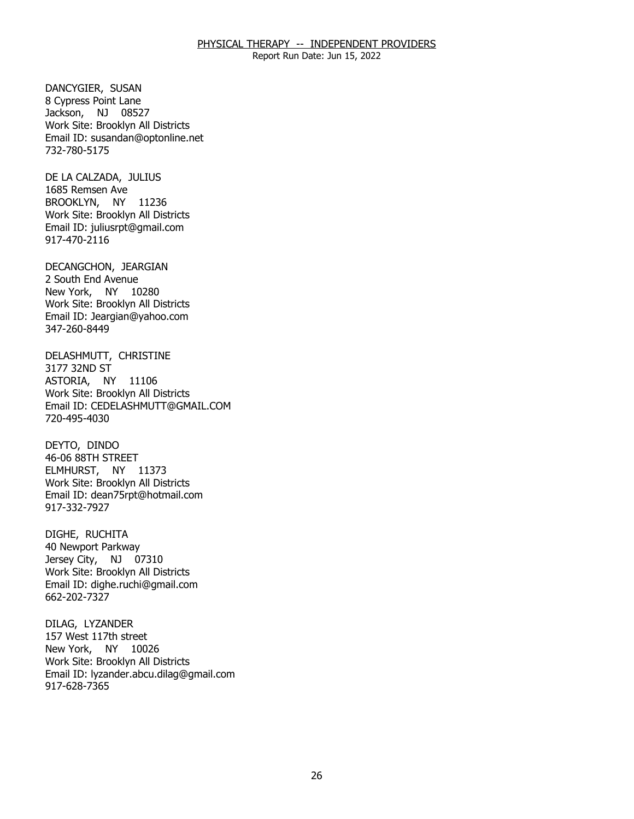Report Run Date: Jun 15, 2022

DANCYGIER, SUSAN Jackson, NJ 08527 8 Cypress Point Lane Work Site: Brooklyn All Districts Email ID: [susandan@optonline.net](mailto:susandan@optonline.net)  732-780-5175

DE LA CALZADA, JULIUS<br>1685 Remsen Ave BROOKLYN, NY 11236 Work Site: Brooklyn All Districts Email ID: [juliusrpt@gmail.com](mailto:juliusrpt@gmail.com)  917-470-2116

DECANGCHON, JEARGIAN<br>2 South End Avenue New York, NY 10280 Work Site: Brooklyn All Districts Email ID: [Jeargian@yahoo.com](mailto:Jeargian@yahoo.com) 347-260-8449

DELASHMUTT, CHRISTINE<br>3177 32ND ST ASTORIA, NY 11106 Work Site: Brooklyn All Districts Email ID: [CEDELASHMUTT@GMAIL.COM](mailto:CEDELASHMUTT@GMAIL.COM) 720-495-4030

DEYTO, DINDO ELMHURST, NY 11373 46-06 88TH STREET Work Site: Brooklyn All Districts Email ID: [dean75rpt@hotmail.com](mailto:dean75rpt@hotmail.com) 917-332-7927

DIGHE, RUCHITA Jersey City, NJ 07310 40 Newport Parkway Work Site: Brooklyn All Districts Email ID: [dighe.ruchi@gmail.com](mailto:dighe.ruchi@gmail.com) 662-202-7327

DILAG, LYZANDER New York, NY 10026 157 West 117th street Work Site: Brooklyn All Districts Email ID: [lyzander.abcu.dilag@gmail.com](mailto:lyzander.abcu.dilag@gmail.com) 917-628-7365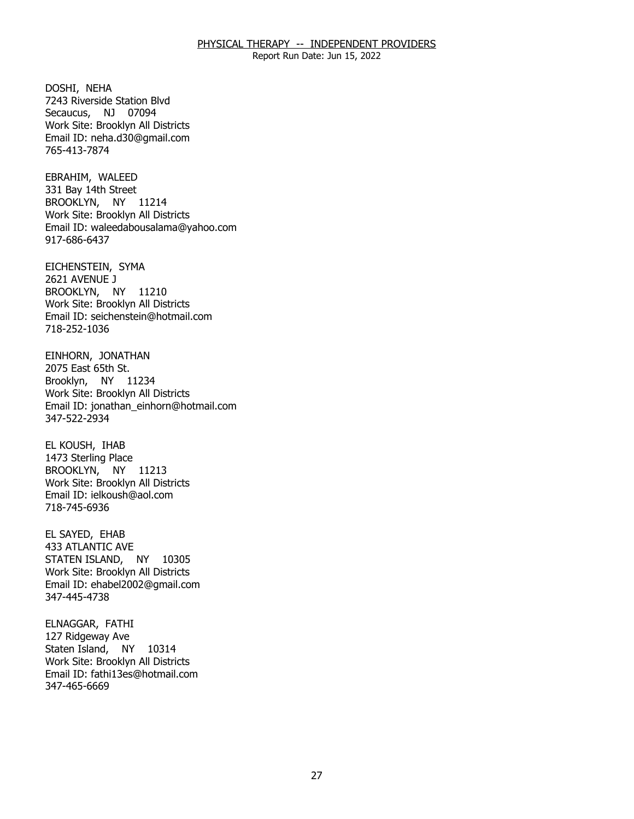Report Run Date: Jun 15, 2022

DOSHI, NEHA Secaucus, NJ 07094 7243 Riverside Station Blvd Work Site: Brooklyn All Districts Email ID: [neha.d30@gmail.com](mailto:neha.d30@gmail.com) 765-413-7874

EBRAHIM, WALEED BROOKLYN, NY 11214 331 Bay 14th Street Work Site: Brooklyn All Districts Email ID: [waleedabousalama@yahoo.com](mailto:waleedabousalama@yahoo.com)  917-686-6437

EICHENSTEIN, SYMA<br>2621 AVENUE J BROOKLYN, NY 11210 Work Site: Brooklyn All Districts Email ID: [seichenstein@hotmail.com](mailto:seichenstein@hotmail.com) 718-252-1036

EINHORN, JONATHAN<br>2075 East 65th St. Brooklyn, NY 11234 Work Site: Brooklyn All Districts Email ID: [jonathan\\_einhorn@hotmail.com](mailto:jonathan_einhorn@hotmail.com)  347-522-2934

EL KOUSH, IHAB BROOKLYN, NY 11213 1473 Sterling Place Work Site: Brooklyn All Districts Email ID: [ielkoush@aol.com](mailto:ielkoush@aol.com) 718-745-6936

EL SAYED, EHAB STATEN ISLAND, NY 10305 433 ATLANTIC AVE Work Site: Brooklyn All Districts Email ID: [ehabel2002@gmail.com](mailto:ehabel2002@gmail.com) 347-445-4738

ELNAGGAR, FATHI<br>127 Ridgeway Ave Staten Island, NY 10314 Work Site: Brooklyn All Districts Email ID: [fathi13es@hotmail.com](mailto:fathi13es@hotmail.com) 347-465-6669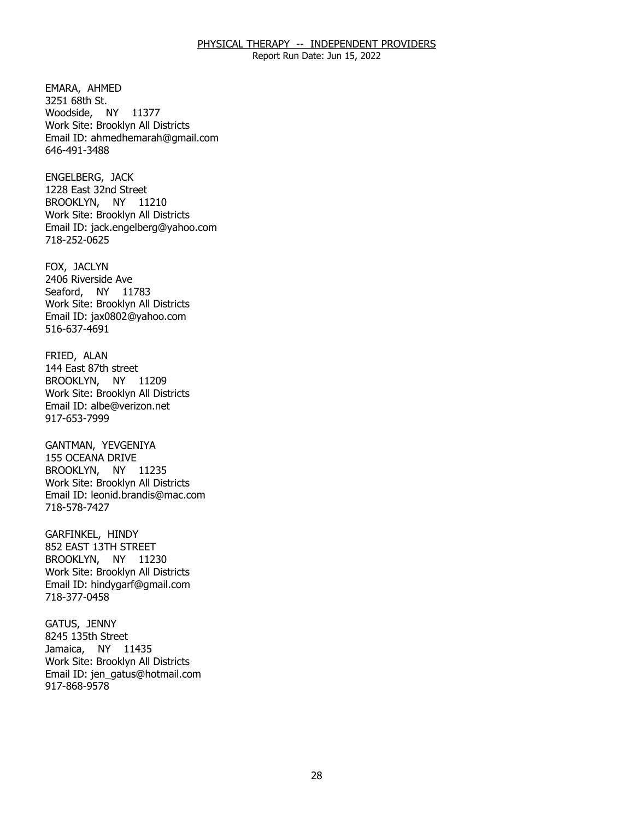Report Run Date: Jun 15, 2022

EMARA, AHMED<br>3251 68th St. Woodside, NY 11377 Work Site: Brooklyn All Districts Email ID: [ahmedhemarah@gmail.com](mailto:ahmedhemarah@gmail.com) 646-491-3488

ENGELBERG, JACK BROOKLYN, NY 11210 1228 East 32nd Street Work Site: Brooklyn All Districts Email ID: [jack.engelberg@yahoo.com](mailto:jack.engelberg@yahoo.com)  718-252-0625

FOX, JACLYN Seaford, NY 11783 2406 Riverside Ave Work Site: Brooklyn All Districts Email ID: [jax0802@yahoo.com](mailto:jax0802@yahoo.com)  516-637-4691

FRIED, ALAN BROOKLYN, NY 11209 144 East 87th street Work Site: Brooklyn All Districts Email ID: [albe@verizon.net](mailto:albe@verizon.net) 917-653-7999

GANTMAN, YEVGENIYA BROOKLYN, NY 11235 155 OCEANA DRIVE Work Site: Brooklyn All Districts Email ID: [leonid.brandis@mac.com](mailto:leonid.brandis@mac.com) 718-578-7427

GARFINKEL, HINDY BROOKLYN, NY 11230 852 EAST 13TH STREET Work Site: Brooklyn All Districts Email ID: [hindygarf@gmail.com](mailto:hindygarf@gmail.com)  718-377-0458

GATUS, JENNY Jamaica, NY 11435 8245 135th Street Work Site: Brooklyn All Districts Email ID: [jen\\_gatus@hotmail.com](mailto:jen_gatus@hotmail.com) 917-868-9578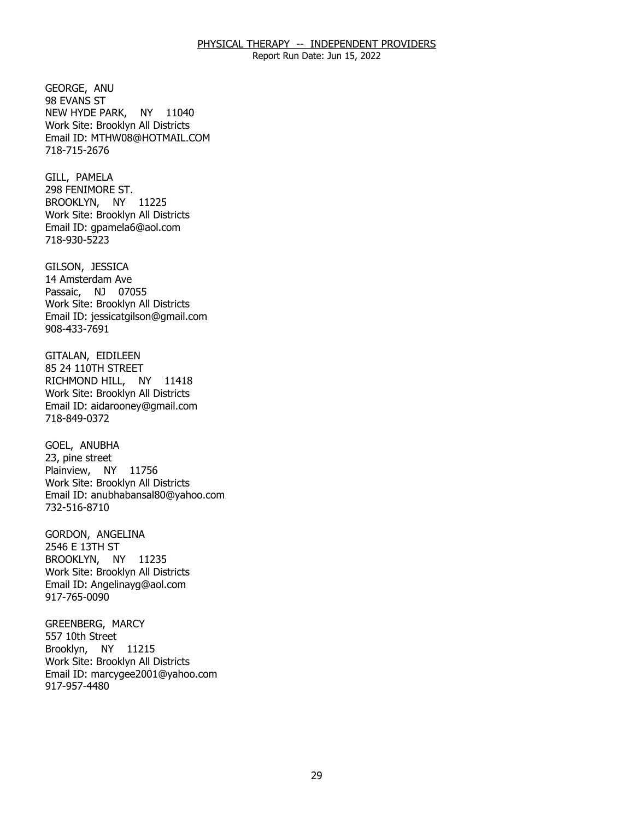Report Run Date: Jun 15, 2022

GEORGE, ANU<br>98 EVANS ST NEW HYDE PARK, NY 11040 Work Site: Brooklyn All Districts Email ID: [MTHW08@HOTMAIL.COM](mailto:MTHW08@HOTMAIL.COM) 718-715-2676

GILL, PAMELA BROOKLYN, NY 11225 298 FENIMORE ST. Work Site: Brooklyn All Districts Email ID: [gpamela6@aol.com](mailto:gpamela6@aol.com) 718-930-5223

GILSON, JESSICA Passaic, NJ 07055 14 Amsterdam Ave Work Site: Brooklyn All Districts Email ID: [jessicatgilson@gmail.com](mailto:jessicatgilson@gmail.com) 908-433-7691

GITALAN, EIDILEEN<br>85 24 110TH STREET RICHMOND HILL, NY 11418 Work Site: Brooklyn All Districts Email ID: [aidarooney@gmail.com](mailto:aidarooney@gmail.com)  718-849-0372

GOEL, ANUBHA Plainview, NY 11756 23, pine street Work Site: Brooklyn All Districts Email ID: [anubhabansal80@yahoo.com](mailto:anubhabansal80@yahoo.com) 732-516-8710

GORDON, ANGELINA<br>2546 E 13TH ST BROOKLYN, NY 11235 Work Site: Brooklyn All Districts Email ID: [Angelinayg@aol.com](mailto:Angelinayg@aol.com)  917-765-0090

GREENBERG, MARCY<br>557 10th Street Brooklyn, NY 11215 Work Site: Brooklyn All Districts Email ID: [marcygee2001@yahoo.com](mailto:marcygee2001@yahoo.com)  917-957-4480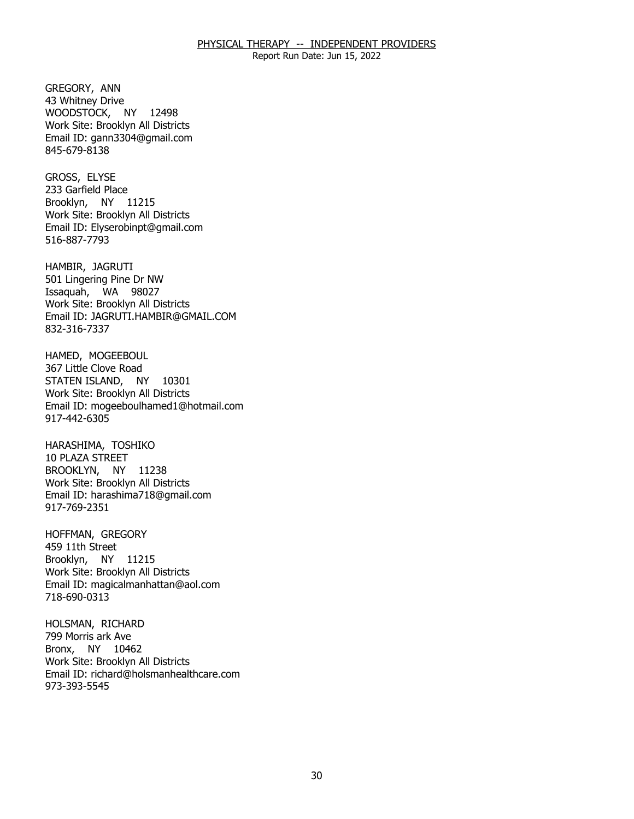Report Run Date: Jun 15, 2022

GREGORY, ANN WOODSTOCK, NY 12498 43 Whitney Drive Work Site: Brooklyn All Districts Email ID: [gann3304@gmail.com](mailto:gann3304@gmail.com) 845-679-8138

GROSS, ELYSE Brooklyn, NY 11215 233 Garfield Place Work Site: Brooklyn All Districts Email ID: [Elyserobinpt@gmail.com](mailto:Elyserobinpt@gmail.com) 516-887-7793

HAMBIR, JAGRUTI Issaquah, WA 98027 501 Lingering Pine Dr NW Work Site: Brooklyn All Districts Email ID: [JAGRUTI.HAMBIR@GMAIL.COM](mailto:JAGRUTI.HAMBIR@GMAIL.COM) 832-316-7337

HAMED, MOGEEBOUL<br>367 Little Clove Road STATEN ISLAND, NY 10301 Work Site: Brooklyn All Districts Email ID: [mogeeboulhamed1@hotmail.com](mailto:mogeeboulhamed1@hotmail.com) 917-442-6305

HARASHIMA, TOSHIKO<br>10 PLAZA STREET BROOKLYN, NY 11238 Work Site: Brooklyn All Districts Email ID: [harashima718@gmail.com](mailto:harashima718@gmail.com) 917-769-2351

HOFFMAN, GREGORY<br>459 11th Street Brooklyn, NY 11215 Work Site: Brooklyn All Districts Email ID: [magicalmanhattan@aol.com](mailto:magicalmanhattan@aol.com)  718-690-0313

HOLSMAN, RICHARD<br>799 Morris ark Ave Bronx, NY 10462 Work Site: Brooklyn All Districts Email ID: [richard@holsmanhealthcare.com](mailto:richard@holsmanhealthcare.com)  973-393-5545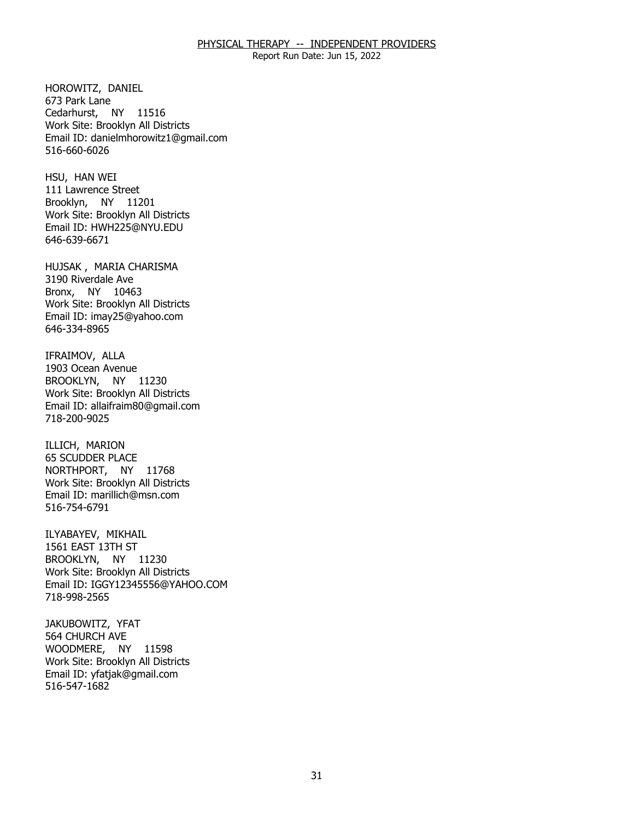Report Run Date: Jun 15, 2022

HOROWITZ, DANIEL<br>673 Park Lane Cedarhurst, NY 11516 Work Site: Brooklyn All Districts Email ID: [danielmhorowitz1@gmail.com](mailto:danielmhorowitz1@gmail.com)  516-660-6026

HSU, HAN WEI Brooklyn, NY 11201 111 Lawrence Street Work Site: Brooklyn All Districts Email ID: [HWH225@NYU.EDU](mailto:HWH225@NYU.EDU)  646-639-6671

HUJSAK , MARIA CHARISMA<br>3190 Riverdale Ave Bronx, NY 10463 Work Site: Brooklyn All Districts Email ID: [imay25@yahoo.com](mailto:imay25@yahoo.com)  646-334-8965

IFRAIMOV, ALLA BROOKLYN, NY 11230 1903 Ocean Avenue Work Site: Brooklyn All Districts Email ID: [allaifraim80@gmail.com](mailto:allaifraim80@gmail.com) 718-200-9025

ILLICH, MARION NORTHPORT, NY 11768 65 SCUDDER PLACE Work Site: Brooklyn All Districts Email ID: [marillich@msn.com](mailto:marillich@msn.com)  516-754-6791

ILYABAYEV, MIKHAIL BROOKLYN, NY 11230 1561 EAST 13TH ST Work Site: Brooklyn All Districts Email ID: [IGGY12345556@YAHOO.COM](mailto:IGGY12345556@YAHOO.COM) 718-998-2565

JAKUBOWITZ, YFAT<br>564 CHURCH AVE WOODMERE, NY 11598 Work Site: Brooklyn All Districts Email ID: [yfatjak@gmail.com](mailto:yfatjak@gmail.com) 516-547-1682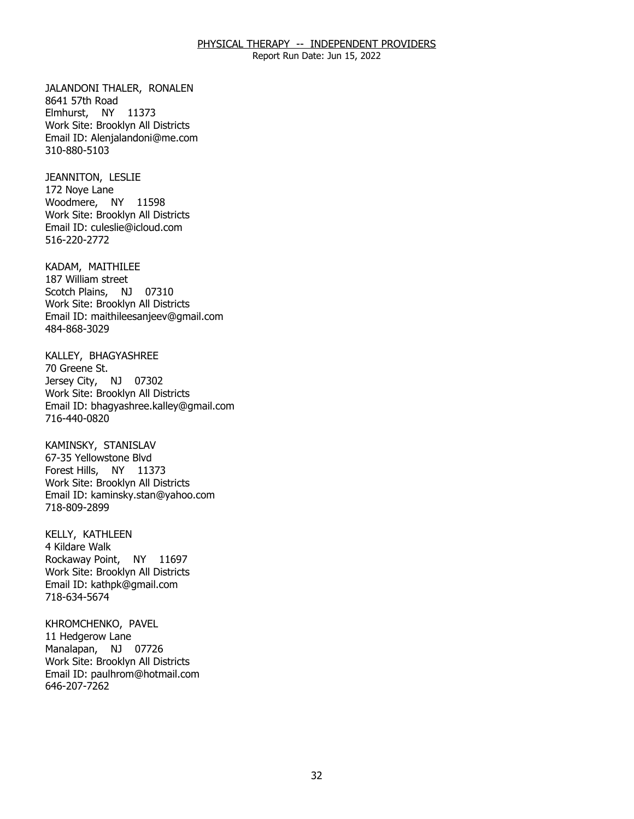Report Run Date: Jun 15, 2022

JALANDONI THALER, RONALEN<br>8641 57th Road Elmhurst, NY 11373 Work Site: Brooklyn All Districts Email ID: [Alenjalandoni@me.com](mailto:Alenjalandoni@me.com) 310-880-5103

JEANNITON, LESLIE<br>172 Noye Lane Woodmere, NY 11598 Work Site: Brooklyn All Districts Email ID: [culeslie@icloud.com](mailto:culeslie@icloud.com) 516-220-2772

KADAM, MAITHILEE<br>187 William street Scotch Plains, NJ 07310 Work Site: Brooklyn All Districts Email ID: [maithileesanjeev@gmail.com](mailto:maithileesanjeev@gmail.com)  484-868-3029

KALLEY, BHAGYASHREE<br>70 Greene St. Jersey City, NJ 07302 Work Site: Brooklyn All Districts Email ID: [bhagyashree.kalley@gmail.com](mailto:bhagyashree.kalley@gmail.com)  716-440-0820

KAMINSKY, STANISLAV Forest Hills, NY 11373 67-35 Yellowstone Blvd Work Site: Brooklyn All Districts Email ID: [kaminsky.stan@yahoo.com](mailto:kaminsky.stan@yahoo.com)  718-809-2899

KELLY, KATHLEEN<br>4 Kildare Walk Rockaway Point, NY 11697 Work Site: Brooklyn All Districts Email ID: [kathpk@gmail.com](mailto:kathpk@gmail.com)  718-634-5674

KHROMCHENKO, PAVEL<br>11 Hedgerow Lane Manalapan, NJ 07726 Work Site: Brooklyn All Districts Email ID: [paulhrom@hotmail.com](mailto:paulhrom@hotmail.com)  646-207-7262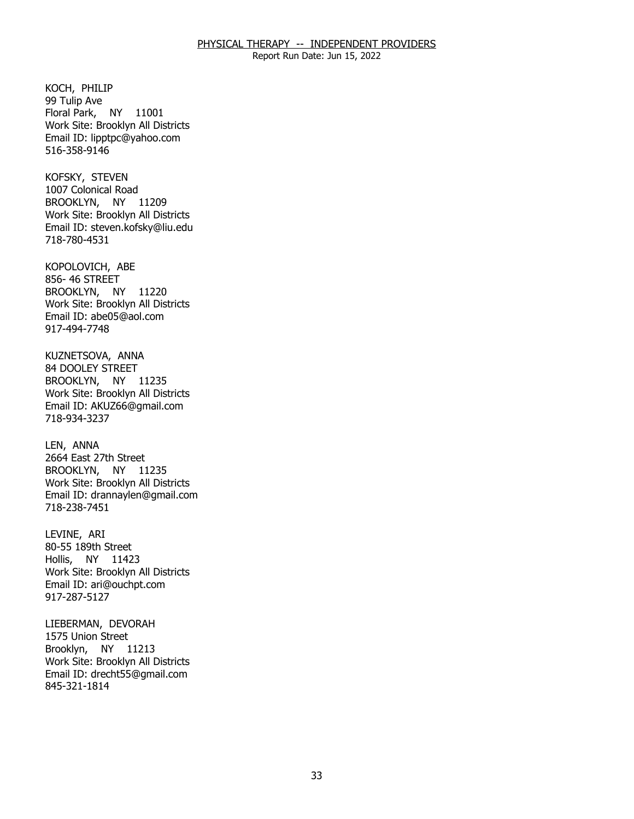Report Run Date: Jun 15, 2022

KOCH, PHILIP Floral Park, NY 11001 99 Tulip Ave Work Site: Brooklyn All Districts Email ID: [lipptpc@yahoo.com](mailto:lipptpc@yahoo.com) 516-358-9146

KOFSKY, STEVEN BROOKLYN, NY 11209 1007 Colonical Road Work Site: Brooklyn All Districts Email ID: [steven.kofsky@liu.edu](mailto:steven.kofsky@liu.edu) 718-780-4531

KOPOLOVICH, ABE<br>856- 46 STREET BROOKLYN, NY 11220 Work Site: Brooklyn All Districts Email ID: [abe05@aol.com](mailto:abe05@aol.com) 917-494-7748

KUZNETSOVA, ANNA<br>84 DOOLEY STREET BROOKLYN, NY 11235 Work Site: Brooklyn All Districts Email ID: [AKUZ66@gmail.com](mailto:AKUZ66@gmail.com) 718-934-3237

LEN, ANNA BROOKLYN, NY 11235 2664 East 27th Street Work Site: Brooklyn All Districts Email ID: [drannaylen@gmail.com](mailto:drannaylen@gmail.com) 718-238-7451

LEVINE, ARI Hollis, NY 11423 80-55 189th Street Work Site: Brooklyn All Districts Email ID: [ari@ouchpt.com](mailto:ari@ouchpt.com)  917-287-5127

LIEBERMAN, DEVORAH<br>1575 Union Street Brooklyn, NY 11213 Work Site: Brooklyn All Districts Email ID: [drecht55@gmail.com](mailto:drecht55@gmail.com) 845-321-1814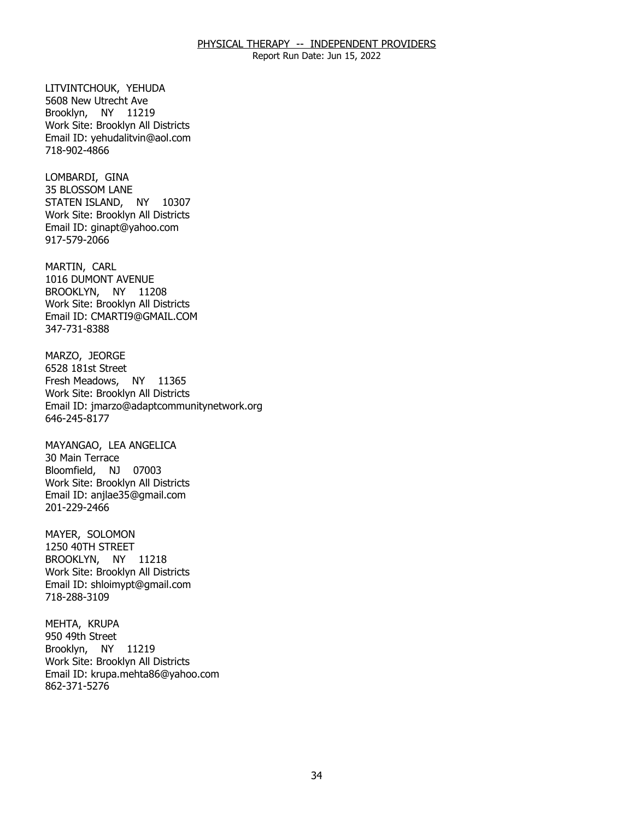Report Run Date: Jun 15, 2022

LITVINTCHOUK, YEHUDA<br>5608 New Utrecht Ave Brooklyn, NY 11219 Work Site: Brooklyn All Districts Email ID: [yehudalitvin@aol.com](mailto:yehudalitvin@aol.com) 718-902-4866

LOMBARDI, GINA STATEN ISLAND, NY 10307 35 BLOSSOM LANE Work Site: Brooklyn All Districts Email ID: [ginapt@yahoo.com](mailto:ginapt@yahoo.com)  917-579-2066

MARTIN, CARL BROOKLYN, NY 11208 1016 DUMONT AVENUE Work Site: Brooklyn All Districts Email ID: [CMARTI9@GMAIL.COM](mailto:CMARTI9@GMAIL.COM)  347-731-8388

MARZO, JEORGE Fresh Meadows, NY 11365 6528 181st Street Work Site: Brooklyn All Districts Email ID: [jmarzo@adaptcommunitynetwork.org](mailto:jmarzo@adaptcommunitynetwork.org)  646-245-8177

MAYANGAO, LEA ANGELICA<br>30 Main Terrace Bloomfield, NJ 07003 Work Site: Brooklyn All Districts Email ID: [anjlae35@gmail.com](mailto:anjlae35@gmail.com)  201-229-2466

MAYER, SOLOMON BROOKLYN, NY 11218 1250 40TH STREET Work Site: Brooklyn All Districts Email ID: [shloimypt@gmail.com](mailto:shloimypt@gmail.com)  718-288-3109

MEHTA, KRUPA<br>950 49th Street Brooklyn, NY 11219 Work Site: Brooklyn All Districts Email ID: [krupa.mehta86@yahoo.com](mailto:krupa.mehta86@yahoo.com)  862-371-5276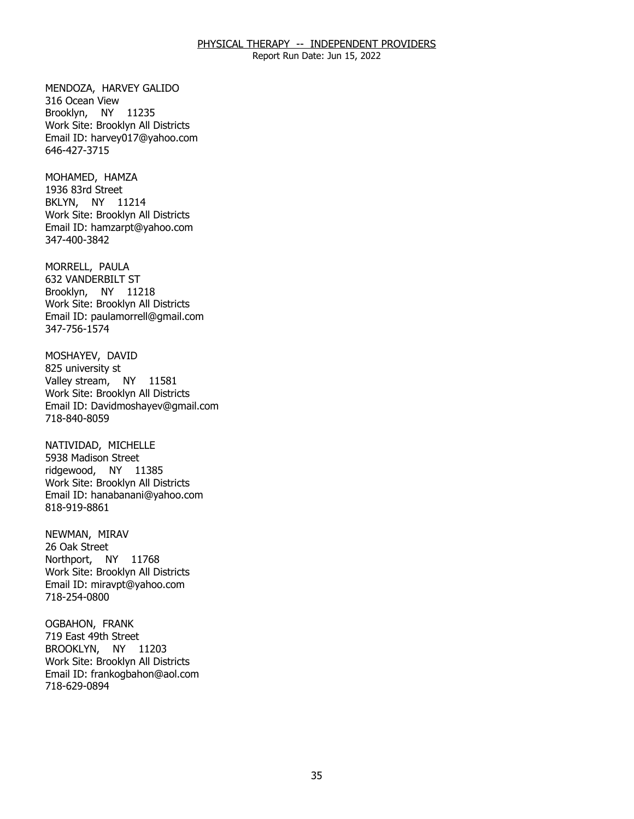Report Run Date: Jun 15, 2022

MENDOZA, HARVEY GALIDO<br>316 Ocean View Brooklyn, NY 11235 Work Site: Brooklyn All Districts Email ID: [harvey017@yahoo.com](mailto:harvey017@yahoo.com) 646-427-3715

MOHAMED, HAMZA<br>1936 83rd Street BKLYN, NY 11214 Work Site: Brooklyn All Districts Email ID: [hamzarpt@yahoo.com](mailto:hamzarpt@yahoo.com) 347-400-3842

MORRELL, PAULA Brooklyn, NY 11218 632 VANDERBILT ST Work Site: Brooklyn All Districts Email ID: [paulamorrell@gmail.com](mailto:paulamorrell@gmail.com)  347-756-1574

MOSHAYEV, DAVID<br>825 university st Valley stream, NY 11581 Work Site: Brooklyn All Districts Email ID: [Davidmoshayev@gmail.com](mailto:Davidmoshayev@gmail.com) 718-840-8059

NATIVIDAD, MICHELLE<br>5938 Madison Street ridgewood, NY 11385 Work Site: Brooklyn All Districts Email ID: [hanabanani@yahoo.com](mailto:hanabanani@yahoo.com) 818-919-8861

NEWMAN, MIRAV<br>26 Oak Street Northport, NY 11768 Work Site: Brooklyn All Districts Email ID: [miravpt@yahoo.com](mailto:miravpt@yahoo.com)  718-254-0800

OGBAHON, FRANK BROOKLYN, NY 11203 719 East 49th Street Work Site: Brooklyn All Districts Email ID: [frankogbahon@aol.com](mailto:frankogbahon@aol.com) 718-629-0894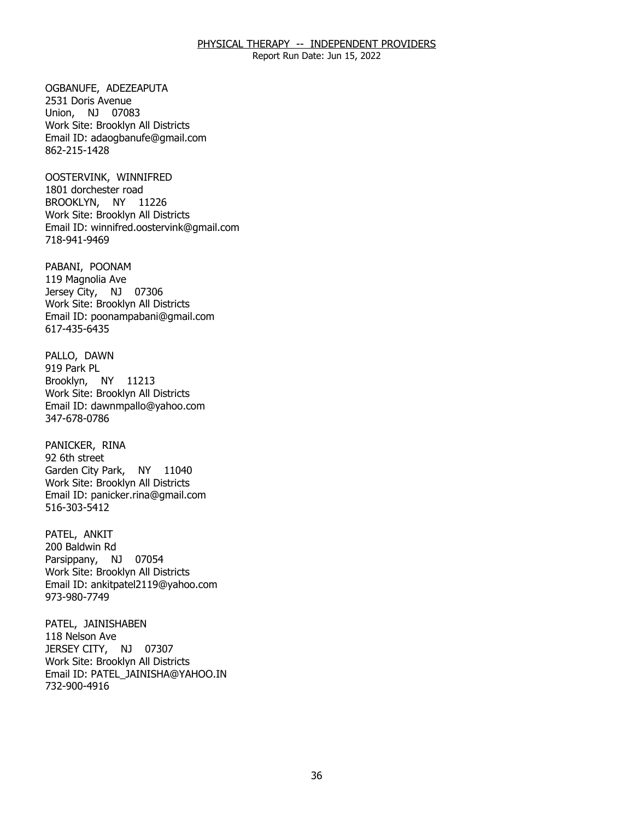Report Run Date: Jun 15, 2022

OGBANUFE, ADEZEAPUTA<br>2531 Doris Avenue Union, NJ 07083 Work Site: Brooklyn All Districts Email ID: [adaogbanufe@gmail.com](mailto:adaogbanufe@gmail.com)  862-215-1428

 OOSTERVINK, WINNIFRED 1801 dorchester road BROOKLYN, NY 11226 Work Site: Brooklyn All Districts Email ID: [winnifred.oostervink@gmail.com](mailto:winnifred.oostervink@gmail.com) 718-941-9469

PABANI, POONAM Jersey City, NJ 07306 119 Magnolia Ave Work Site: Brooklyn All Districts Email ID: [poonampabani@gmail.com](mailto:poonampabani@gmail.com) 617-435-6435

PALLO, DAWN<br>919 Park PL Brooklyn, NY 11213 Work Site: Brooklyn All Districts Email ID: [dawnmpallo@yahoo.com](mailto:dawnmpallo@yahoo.com) 347-678-0786

PANICKER, RINA<br>92 6th street Garden City Park, NY 11040 Work Site: Brooklyn All Districts Email ID: [panicker.rina@gmail.com](mailto:panicker.rina@gmail.com) 516-303-5412

PATEL, ANKIT Parsippany, NJ 07054 200 Baldwin Rd Work Site: Brooklyn All Districts Email ID: [ankitpatel2119@yahoo.com](mailto:ankitpatel2119@yahoo.com) 973-980-7749

PATEL, JAINISHABEN<br>118 Nelson Ave JERSEY CITY, NJ 07307 Work Site: Brooklyn All Districts Email ID: [PATEL\\_JAINISHA@YAHOO.IN](mailto:PATEL_JAINISHA@YAHOO.IN) 732-900-4916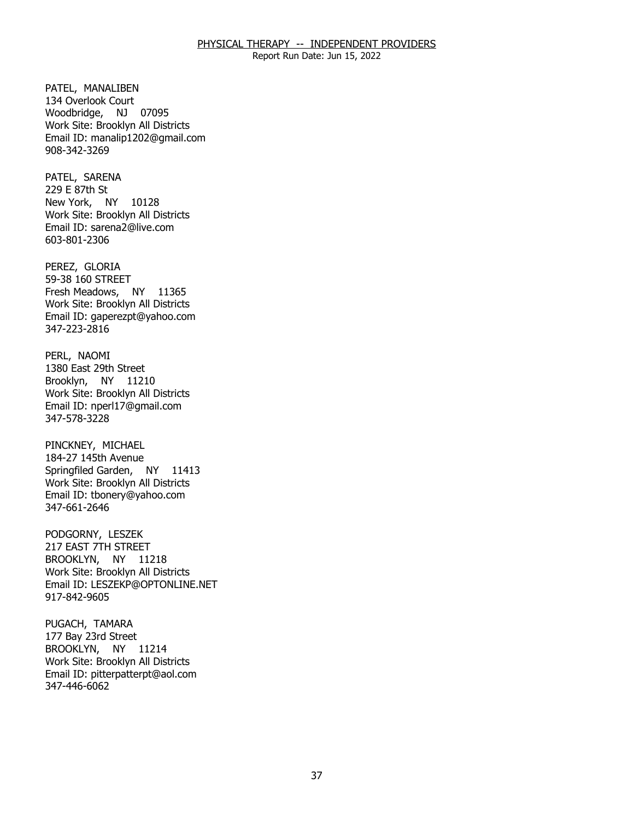Report Run Date: Jun 15, 2022

PATEL, MANALIBEN Woodbridge, NJ 07095 134 Overlook Court Work Site: Brooklyn All Districts Email ID: [manalip1202@gmail.com](mailto:manalip1202@gmail.com)  908-342-3269

PATEL, SARENA<br>229 E 87th St New York, NY 10128 Work Site: Brooklyn All Districts Email ID: [sarena2@live.com](mailto:sarena2@live.com) 603-801-2306

PEREZ, GLORIA Fresh Meadows, NY 11365 59-38 160 STREET Work Site: Brooklyn All Districts Email ID: [gaperezpt@yahoo.com](mailto:gaperezpt@yahoo.com)  347-223-2816

PERL, NAOMI Brooklyn, NY 11210 1380 East 29th Street Work Site: Brooklyn All Districts Email ID: [nperl17@gmail.com](mailto:nperl17@gmail.com) 347-578-3228

PINCKNEY, MICHAEL Springfiled Garden, NY 11413 184-27 145th Avenue Work Site: Brooklyn All Districts Email ID: [tbonery@yahoo.com](mailto:tbonery@yahoo.com)  347-661-2646

PODGORNY, LESZEK BROOKLYN, NY 11218 217 EAST 7TH STREET Work Site: Brooklyn All Districts Email ID: [LESZEKP@OPTONLINE.NET](mailto:LESZEKP@OPTONLINE.NET) 917-842-9605

PUGACH, TAMARA BROOKLYN, NY 11214 177 Bay 23rd Street Work Site: Brooklyn All Districts Email ID: [pitterpatterpt@aol.com](mailto:pitterpatterpt@aol.com)  347-446-6062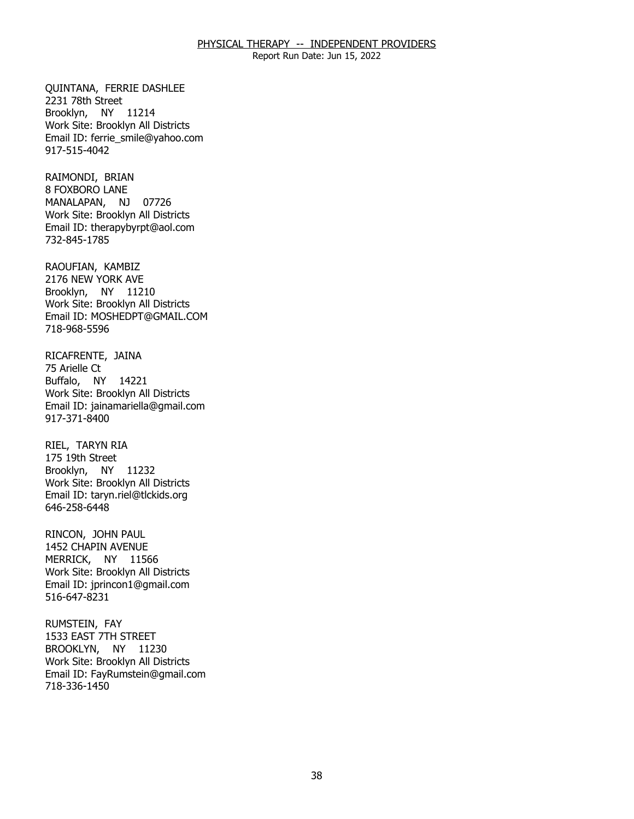Report Run Date: Jun 15, 2022

QUINTANA, FERRIE DASHLEE<br>2231 78th Street Brooklyn, NY 11214 Work Site: Brooklyn All Districts Email ID: [ferrie\\_smile@yahoo.com](mailto:ferrie_smile@yahoo.com) 917-515-4042

RAIMONDI, BRIAN MANALAPAN, NJ 07726 **8 FOXBORO LANE** Work Site: Brooklyn All Districts Email ID: [therapybyrpt@aol.com](mailto:therapybyrpt@aol.com)  732-845-1785

RAOUFIAN, KAMBIZ Brooklyn, NY 11210 2176 NEW YORK AVE Work Site: Brooklyn All Districts Email ID: [MOSHEDPT@GMAIL.COM](mailto:MOSHEDPT@GMAIL.COM)  718-968-5596

RICAFRENTE, JAINA<br>75 Arielle Ct Buffalo, NY 14221 Work Site: Brooklyn All Districts Email ID: [jainamariella@gmail.com](mailto:jainamariella@gmail.com) 917-371-8400

RIEL, TARYN RIA Brooklyn, NY 11232 175 19th Street Work Site: Brooklyn All Districts Email ID: [taryn.riel@tlckids.org](mailto:taryn.riel@tlckids.org) 646-258-6448

RINCON, JOHN PAUL MERRICK, NY 11566 1452 CHAPIN AVENUE Work Site: Brooklyn All Districts Email ID: [jprincon1@gmail.com](mailto:jprincon1@gmail.com) 516-647-8231

RUMSTEIN, FAY BROOKLYN, NY 11230 1533 EAST 7TH STREET Work Site: Brooklyn All Districts Email ID: [FayRumstein@gmail.com](mailto:FayRumstein@gmail.com)  718-336-1450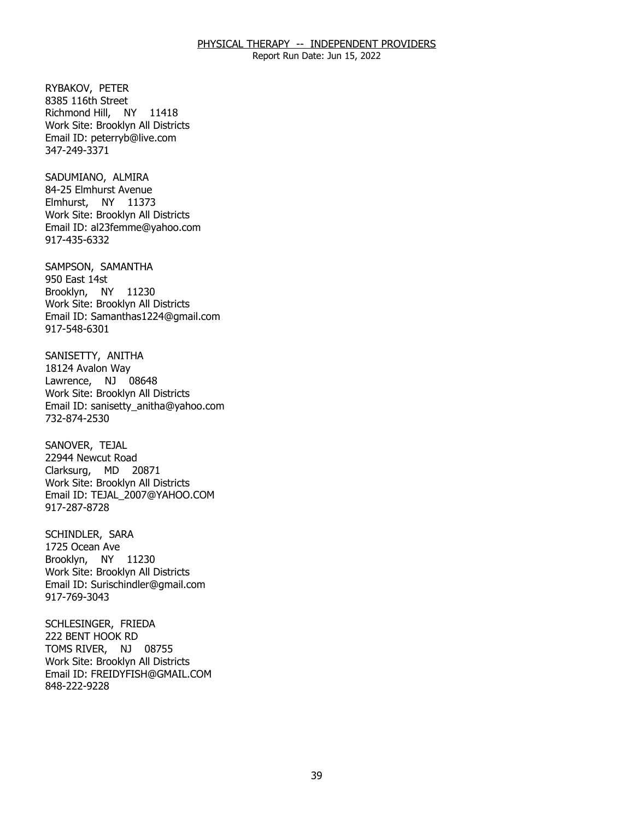Report Run Date: Jun 15, 2022

RYBAKOV, PETER Richmond Hill, NY 11418 8385 116th Street Work Site: Brooklyn All Districts Email ID: [peterryb@live.com](mailto:peterryb@live.com) 347-249-3371

SADUMIANO, ALMIRA Elmhurst, NY 11373 84-25 Elmhurst Avenue Work Site: Brooklyn All Districts Email ID: [al23femme@yahoo.com](mailto:al23femme@yahoo.com) 917-435-6332

SAMPSON, SAMANTHA<br>950 East 14st Brooklyn, NY 11230 Work Site: Brooklyn All Districts Email ID: [Samanthas1224@gmail.com](mailto:Samanthas1224@gmail.com)  917-548-6301

SANISETTY, ANITHA<br>18124 Avalon Way Lawrence, NJ 08648 Work Site: Brooklyn All Districts Email ID: [sanisetty\\_anitha@yahoo.com](mailto:sanisetty_anitha@yahoo.com)  732-874-2530

SANOVER, TEJAL Clarksurg, MD 20871 22944 Newcut Road Work Site: Brooklyn All Districts Email ID: [TEJAL\\_2007@YAHOO.COM](mailto:TEJAL_2007@YAHOO.COM) 917-287-8728

SCHINDLER, SARA<br>1725 Ocean Ave Brooklyn, NY 11230 Work Site: Brooklyn All Districts Email ID: [Surischindler@gmail.com](mailto:Surischindler@gmail.com) 917-769-3043

 SCHLESINGER, FRIEDA 222 BENT HOOK RD TOMS RIVER, NJ 08755 Work Site: Brooklyn All Districts Email ID: [FREIDYFISH@GMAIL.COM](mailto:FREIDYFISH@GMAIL.COM) 848-222-9228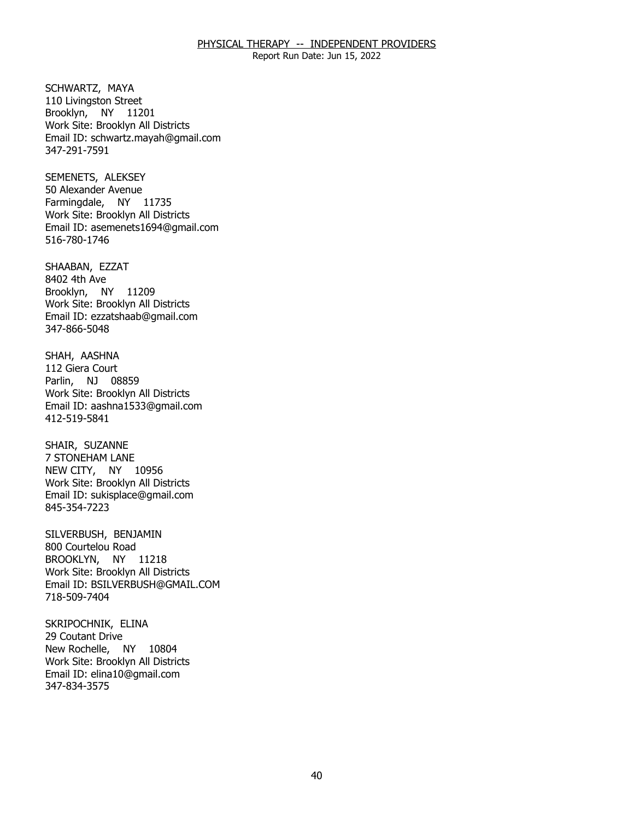Report Run Date: Jun 15, 2022

SCHWARTZ, MAYA Brooklyn, NY 11201 110 Livingston Street Work Site: Brooklyn All Districts Email ID: [schwartz.mayah@gmail.com](mailto:schwartz.mayah@gmail.com) 347-291-7591

SEMENETS, ALEKSEY Farmingdale, NY 11735 50 Alexander Avenue Work Site: Brooklyn All Districts Email ID: [asemenets1694@gmail.com](mailto:asemenets1694@gmail.com) 516-780-1746

SHAABAN, EZZAT<br>8402 4th Ave Brooklyn, NY 11209 Work Site: Brooklyn All Districts Email ID: [ezzatshaab@gmail.com](mailto:ezzatshaab@gmail.com) 347-866-5048

SHAH, AASHNA<br>112 Giera Court Parlin, NJ 08859 Work Site: Brooklyn All Districts Email ID: [aashna1533@gmail.com](mailto:aashna1533@gmail.com) 412-519-5841

SHAIR, SUZANNE NEW CITY, NY 10956 **7 STONEHAM LANE** Work Site: Brooklyn All Districts Email ID: [sukisplace@gmail.com](mailto:sukisplace@gmail.com)  845-354-7223

SILVERBUSH, BENJAMIN<br>800 Courtelou Road BROOKLYN, NY 11218 Work Site: Brooklyn All Districts Email ID: [BSILVERBUSH@GMAIL.COM](mailto:BSILVERBUSH@GMAIL.COM)  718-509-7404

SKRIPOCHNIK, ELINA<br>29 Coutant Drive New Rochelle, NY 10804 Work Site: Brooklyn All Districts Email ID: [elina10@gmail.com](mailto:elina10@gmail.com)  347-834-3575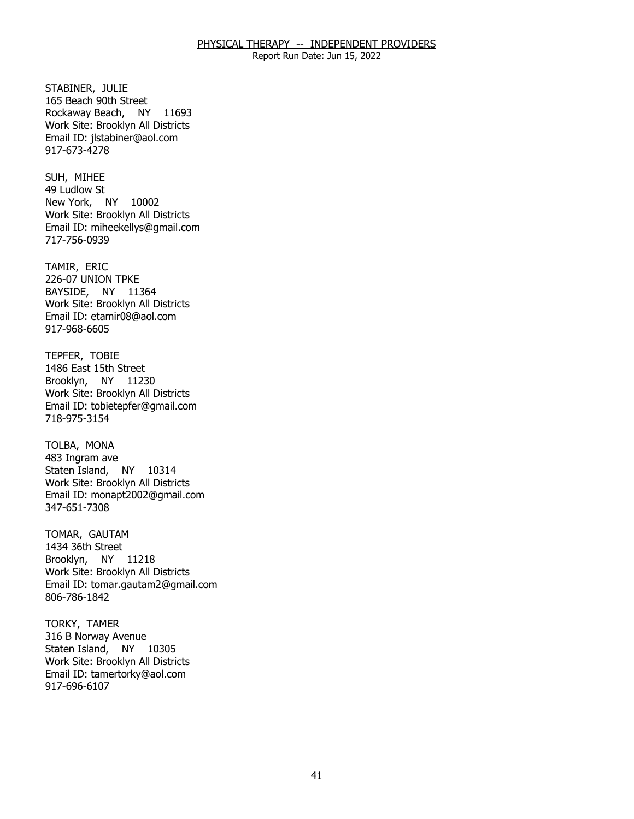Report Run Date: Jun 15, 2022

STABINER, JULIE Rockaway Beach, NY 11693 165 Beach 90th Street Work Site: Brooklyn All Districts Email ID: [jlstabiner@aol.com](mailto:jlstabiner@aol.com)  917-673-4278

SUH, MIHEE New York, NY 10002 49 Ludlow St Work Site: Brooklyn All Districts Email ID: [miheekellys@gmail.com](mailto:miheekellys@gmail.com) 717-756-0939

TAMIR, ERIC BAYSIDE, NY 11364 226-07 UNION TPKE Work Site: Brooklyn All Districts Email ID: [etamir08@aol.com](mailto:etamir08@aol.com)  917-968-6605

 TEPFER, TOBIE Brooklyn, NY 11230 1486 East 15th Street Work Site: Brooklyn All Districts Email ID: [tobietepfer@gmail.com](mailto:tobietepfer@gmail.com) 718-975-3154

TOLBA, MONA Staten Island, NY 10314 483 Ingram ave Work Site: Brooklyn All Districts Email ID: [monapt2002@gmail.com](mailto:monapt2002@gmail.com)  347-651-7308

TOMAR, GAUTAM Brooklyn, NY 11218 1434 36th Street Work Site: Brooklyn All Districts Email ID: [tomar.gautam2@gmail.com](mailto:tomar.gautam2@gmail.com) 806-786-1842

TORKY, TAMER Staten Island, NY 10305 316 B Norway Avenue Work Site: Brooklyn All Districts Email ID: [tamertorky@aol.com](mailto:tamertorky@aol.com)  917-696-6107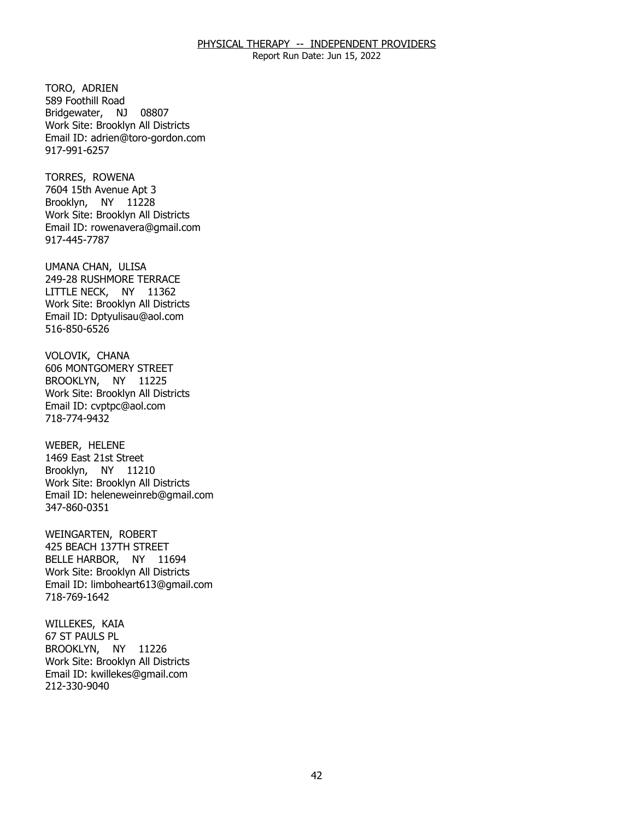Report Run Date: Jun 15, 2022

TORO, ADRIEN Bridgewater, NJ 08807 589 Foothill Road Work Site: Brooklyn All Districts Email ID: [adrien@toro-gordon.com](mailto:adrien@toro-gordon.com) 917-991-6257

TORRES, ROWENA Brooklyn, NY 11228 7604 15th Avenue Apt 3 Work Site: Brooklyn All Districts Email ID: [rowenavera@gmail.com](mailto:rowenavera@gmail.com)  917-445-7787

UMANA CHAN, ULISA LITTLE NECK, NY 11362 249-28 RUSHMORE TERRACE Work Site: Brooklyn All Districts Email ID: [Dptyulisau@aol.com](mailto:Dptyulisau@aol.com) 516-850-6526

VOLOVIK, CHANA BROOKLYN, NY 11225 606 MONTGOMERY STREET Work Site: Brooklyn All Districts Email ID: [cvptpc@aol.com](mailto:cvptpc@aol.com) 718-774-9432

WEBER, HELENE Brooklyn, NY 11210 1469 East 21st Street Work Site: Brooklyn All Districts Email ID: [heleneweinreb@gmail.com](mailto:heleneweinreb@gmail.com) 347-860-0351

WEINGARTEN, ROBERT BELLE HARBOR, NY 11694 425 BEACH 137TH STREET Work Site: Brooklyn All Districts Email ID: [limboheart613@gmail.com](mailto:limboheart613@gmail.com)  718-769-1642

WILLEKES, KAIA<br>67 ST PAULS PL BROOKLYN, NY 11226 Work Site: Brooklyn All Districts Email ID: [kwillekes@gmail.com](mailto:kwillekes@gmail.com) 212-330-9040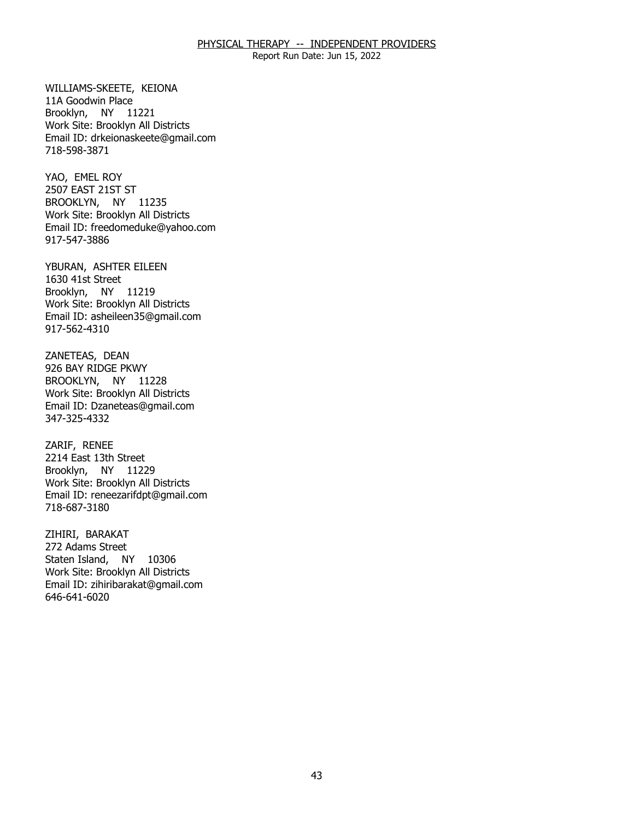Report Run Date: Jun 15, 2022

 WILLIAMS-SKEETE, KEIONA 11A Goodwin Place Brooklyn, NY 11221 Work Site: Brooklyn All Districts Email ID: [drkeionaskeete@gmail.com](mailto:drkeionaskeete@gmail.com)  718-598-3871

YAO, EMEL ROY BROOKLYN, NY 11235 2507 EAST 21ST ST Work Site: Brooklyn All Districts Email ID: [freedomeduke@yahoo.com](mailto:freedomeduke@yahoo.com) 917-547-3886

YBURAN, ASHTER EILEEN<br>1630 41st Street Brooklyn, NY 11219 Work Site: Brooklyn All Districts Email ID: [asheileen35@gmail.com](mailto:asheileen35@gmail.com) 917-562-4310

ZANETEAS, DEAN BROOKLYN, NY 11228 926 BAY RIDGE PKWY Work Site: Brooklyn All Districts Email ID: [Dzaneteas@gmail.com](mailto:Dzaneteas@gmail.com)  347-325-4332

ZARIF, RENEE Brooklyn, NY 11229 2214 East 13th Street Work Site: Brooklyn All Districts Email ID: [reneezarifdpt@gmail.com](mailto:reneezarifdpt@gmail.com) 718-687-3180

ZIHIRI, BARAKAT Staten Island, NY 10306 272 Adams Street Work Site: Brooklyn All Districts Email ID: [zihiribarakat@gmail.com](mailto:zihiribarakat@gmail.com)  646-641-6020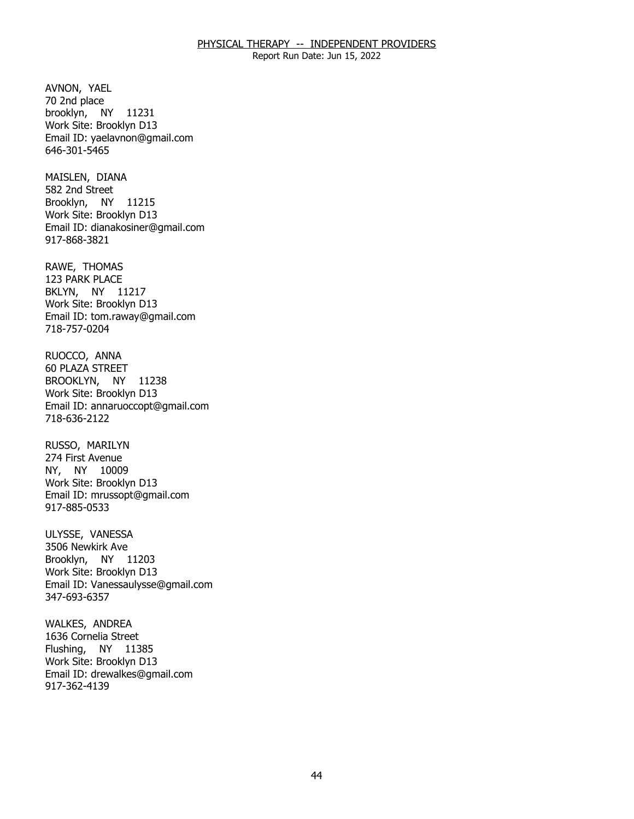Report Run Date: Jun 15, 2022

AVNON, YAEL<br>70 2nd place brooklyn, NY 11231 Work Site: Brooklyn D13 Email ID: [yaelavnon@gmail.com](mailto:yaelavnon@gmail.com)  646-301-5465

MAISLEN, DIANA Brooklyn, NY 11215 582 2nd Street Work Site: Brooklyn D13 Email ID: [dianakosiner@gmail.com](mailto:dianakosiner@gmail.com)  917-868-3821

RAWE, THOMAS BKLYN, NY 11217 123 PARK PLACE Work Site: Brooklyn D13 Email ID: [tom.raway@gmail.com](mailto:tom.raway@gmail.com)  718-757-0204

RUOCCO, ANNA BROOKLYN, NY 11238 **60 PLAZA STREET** Work Site: Brooklyn D13 Email ID: [annaruoccopt@gmail.com](mailto:annaruoccopt@gmail.com) 718-636-2122

RUSSO, MARILYN NY, NY 10009 274 First Avenue Work Site: Brooklyn D13 Email ID: [mrussopt@gmail.com](mailto:mrussopt@gmail.com) 917-885-0533

ULYSSE, VANESSA Brooklyn, NY 11203 3506 Newkirk Ave Work Site: Brooklyn D13 Email ID: [Vanessaulysse@gmail.com](mailto:Vanessaulysse@gmail.com) 347-693-6357

WALKES, ANDREA<br>1636 Cornelia Street Flushing, NY 11385 Work Site: Brooklyn D13 Email ID: [drewalkes@gmail.com](mailto:drewalkes@gmail.com) 917-362-4139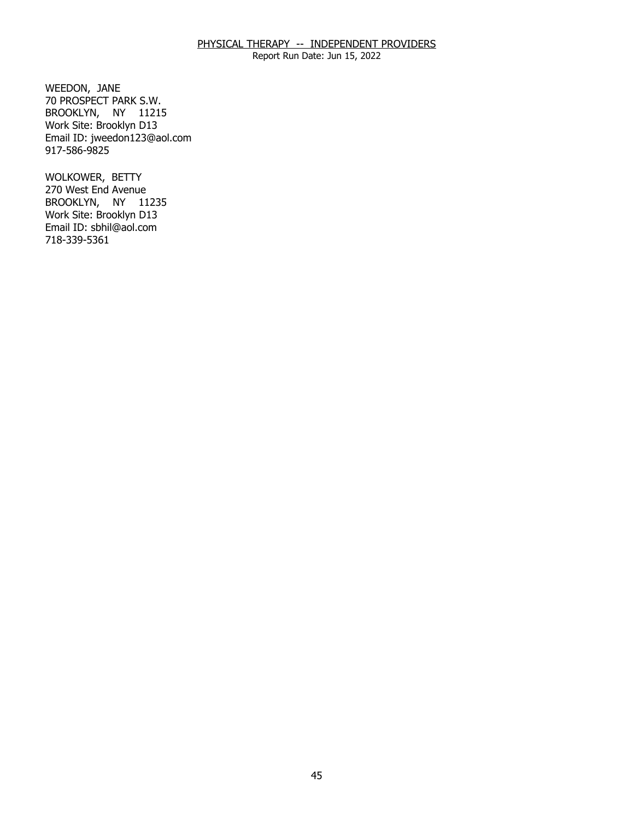Report Run Date: Jun 15, 2022

WEEDON, JANE BROOKLYN, NY 11215 70 PROSPECT PARK S.W. Work Site: Brooklyn D13 Email ID: [jweedon123@aol.com](mailto:jweedon123@aol.com) 917-586-9825

WOLKOWER, BETTY BROOKLYN, NY 11235 270 West End Avenue Work Site: Brooklyn D13 Email ID: [sbhil@aol.com](mailto:sbhil@aol.com)  718-339-5361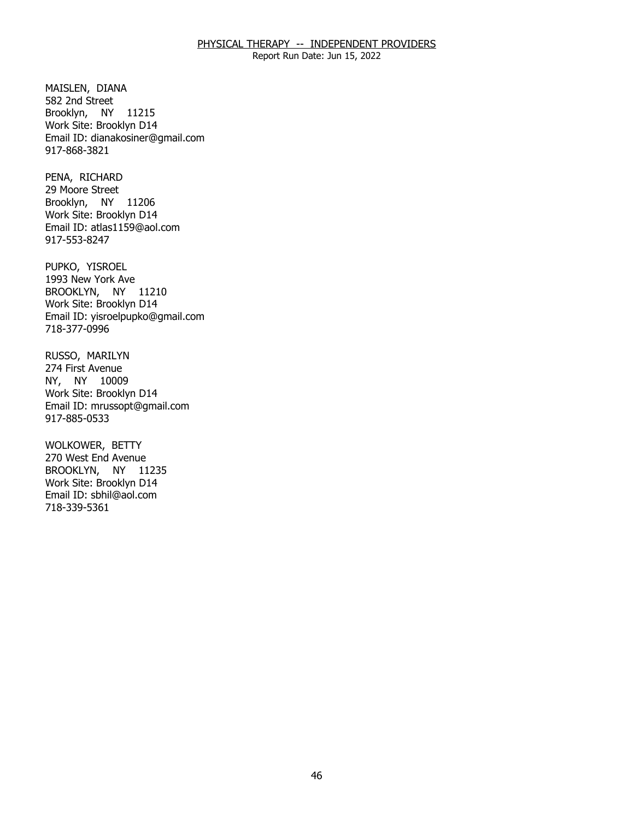Report Run Date: Jun 15, 2022

MAISLEN, DIANA<br>582 2nd Street Brooklyn, NY 11215 Work Site: Brooklyn D14 Email ID: [dianakosiner@gmail.com](mailto:dianakosiner@gmail.com)  917-868-3821

PENA, RICHARD Brooklyn, NY 11206 29 Moore Street Work Site: Brooklyn D14 Email ID: [atlas1159@aol.com](mailto:atlas1159@aol.com)  917-553-8247

PUPKO, YISROEL BROOKLYN, NY 11210 1993 New York Ave Work Site: Brooklyn D14 Email ID: [yisroelpupko@gmail.com](mailto:yisroelpupko@gmail.com)  718-377-0996

RUSSO, MARILYN<br>274 First Avenue NY, NY 10009 Work Site: Brooklyn D14 Email ID: [mrussopt@gmail.com](mailto:mrussopt@gmail.com) 917-885-0533

WOLKOWER, BETTY BROOKLYN, NY 11235 270 West End Avenue Work Site: Brooklyn D14 Email ID: [sbhil@aol.com](mailto:sbhil@aol.com)  718-339-5361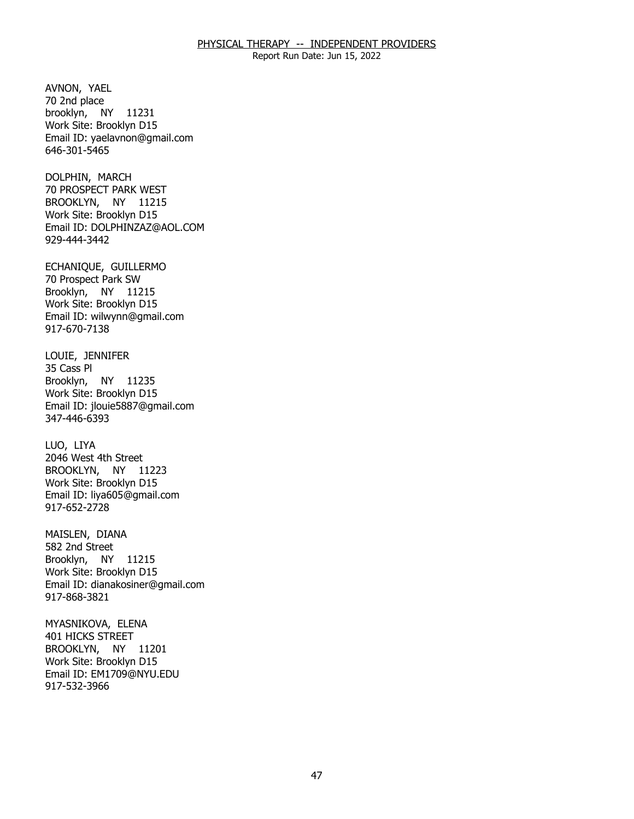Report Run Date: Jun 15, 2022

AVNON, YAEL<br>70 2nd place brooklyn, NY 11231 Work Site: Brooklyn D15 Email ID: [yaelavnon@gmail.com](mailto:yaelavnon@gmail.com)  646-301-5465

DOLPHIN, MARCH BROOKLYN, NY 11215 70 PROSPECT PARK WEST Work Site: Brooklyn D15 Email ID: [DOLPHINZAZ@AOL.COM](mailto:DOLPHINZAZ@AOL.COM)  929-444-3442

ECHANIQUE, GUILLERMO<br>70 Prospect Park SW Brooklyn, NY 11215 Work Site: Brooklyn D15 Email ID: [wilwynn@gmail.com](mailto:wilwynn@gmail.com)  917-670-7138

LOUIE, JENNIFER<br>35 Cass Pl Brooklyn, NY 11235 Work Site: Brooklyn D15 Email ID: [jlouie5887@gmail.com](mailto:jlouie5887@gmail.com)  347-446-6393

LUO, LIYA BROOKLYN, NY 11223 2046 West 4th Street Work Site: Brooklyn D15 Email ID: [liya605@gmail.com](mailto:liya605@gmail.com) 917-652-2728

MAISLEN, DIANA<br>582 2nd Street Brooklyn, NY 11215 Work Site: Brooklyn D15 Email ID: [dianakosiner@gmail.com](mailto:dianakosiner@gmail.com)  917-868-3821

MYASNIKOVA, ELENA<br>401 HICKS STREET BROOKLYN, NY 11201 Work Site: Brooklyn D15 Email ID: [EM1709@NYU.EDU](mailto:EM1709@NYU.EDU) 917-532-3966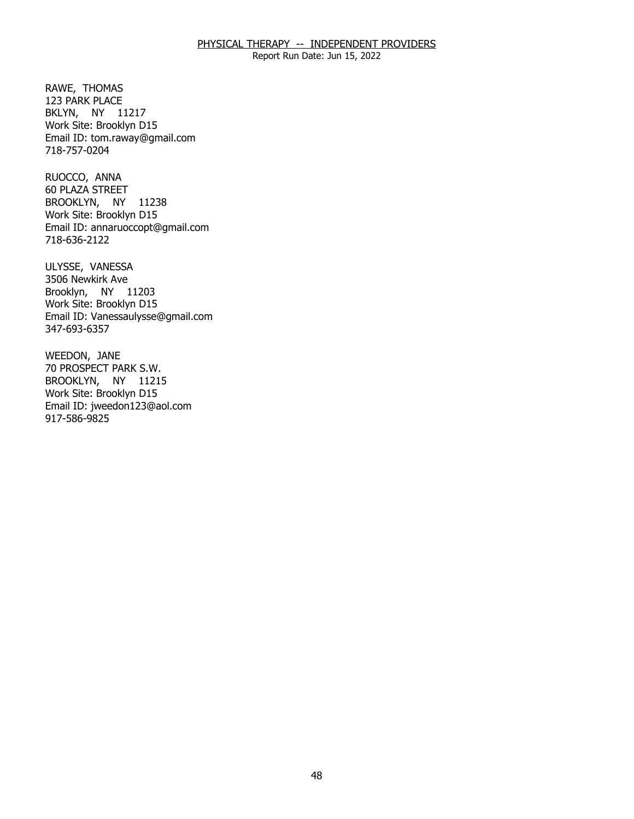Report Run Date: Jun 15, 2022

RAWE, THOMAS BKLYN, NY 11217 123 PARK PLACE Work Site: Brooklyn D15 Email ID: [tom.raway@gmail.com](mailto:tom.raway@gmail.com)  718-757-0204

RUOCCO, ANNA BROOKLYN, NY 11238 60 PLAZA STREET Work Site: Brooklyn D15 Email ID: [annaruoccopt@gmail.com](mailto:annaruoccopt@gmail.com) 718-636-2122

ULYSSE, VANESSA<br>3506 Newkirk Ave Brooklyn, NY 11203 Work Site: Brooklyn D15 Email ID: [Vanessaulysse@gmail.com](mailto:Vanessaulysse@gmail.com) 347-693-6357

WEEDON, JANE BROOKLYN, NY 11215 70 PROSPECT PARK S.W. Work Site: Brooklyn D15 Email ID: [jweedon123@aol.com](mailto:jweedon123@aol.com) 917-586-9825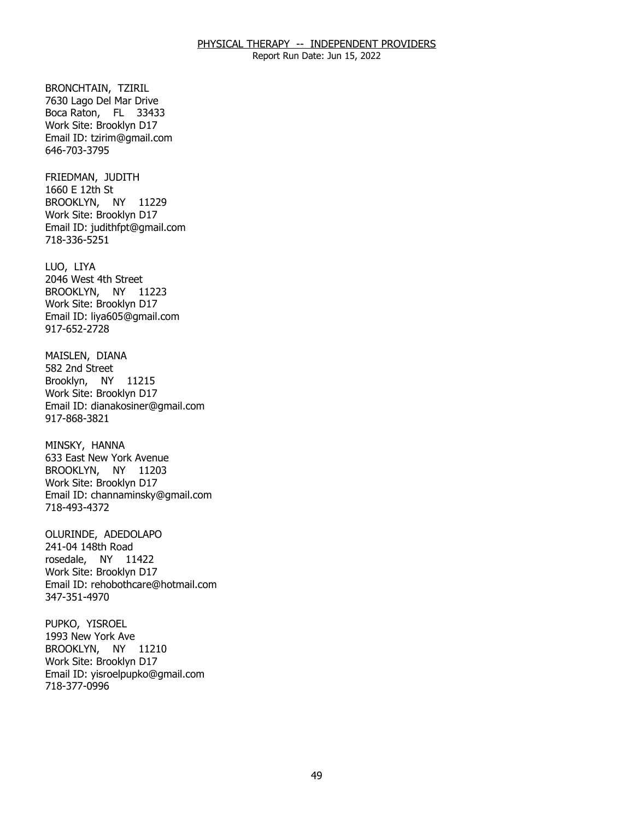Report Run Date: Jun 15, 2022

BRONCHTAIN, TZIRIL Boca Raton, FL 33433 7630 Lago Del Mar Drive Work Site: Brooklyn D17 Email ID: [tzirim@gmail.com](mailto:tzirim@gmail.com)  646-703-3795

FRIEDMAN, JUDITH<br>1660 E 12th St BROOKLYN, NY 11229 Work Site: Brooklyn D17 Email ID: [judithfpt@gmail.com](mailto:judithfpt@gmail.com) 718-336-5251

LUO, LIYA BROOKLYN, NY 11223 2046 West 4th Street Work Site: Brooklyn D17 Email ID: [liya605@gmail.com](mailto:liya605@gmail.com) 917-652-2728

MAISLEN, DIANA<br>582 2nd Street Brooklyn, NY 11215 Work Site: Brooklyn D17 Email ID: [dianakosiner@gmail.com](mailto:dianakosiner@gmail.com)  917-868-3821

MINSKY, HANNA BROOKLYN, NY 11203 633 East New York Avenue Work Site: Brooklyn D17 Email ID: [channaminsky@gmail.com](mailto:channaminsky@gmail.com)  718-493-4372

OLURINDE, ADEDOLAPO<br>241-04 148th Road rosedale, NY 11422 Work Site: Brooklyn D17 Email ID: [rehobothcare@hotmail.com](mailto:rehobothcare@hotmail.com)  347-351-4970

PUPKO, YISROEL BROOKLYN, NY 11210 1993 New York Ave Work Site: Brooklyn D17 Email ID: [yisroelpupko@gmail.com](mailto:yisroelpupko@gmail.com)  718-377-0996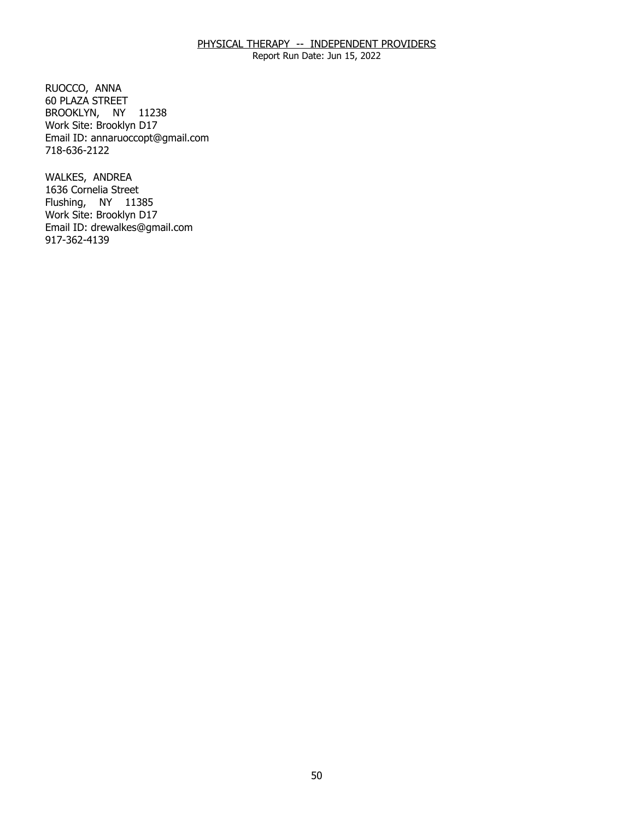Report Run Date: Jun 15, 2022

RUOCCO, ANNA BROOKLYN, NY 11238 60 PLAZA STREET Work Site: Brooklyn D17 Email ID: [annaruoccopt@gmail.com](mailto:annaruoccopt@gmail.com) 718-636-2122

WALKES, ANDREA Flushing, NY 11385 1636 Cornelia Street Work Site: Brooklyn D17 Email ID: [drewalkes@gmail.com](mailto:drewalkes@gmail.com) 917-362-4139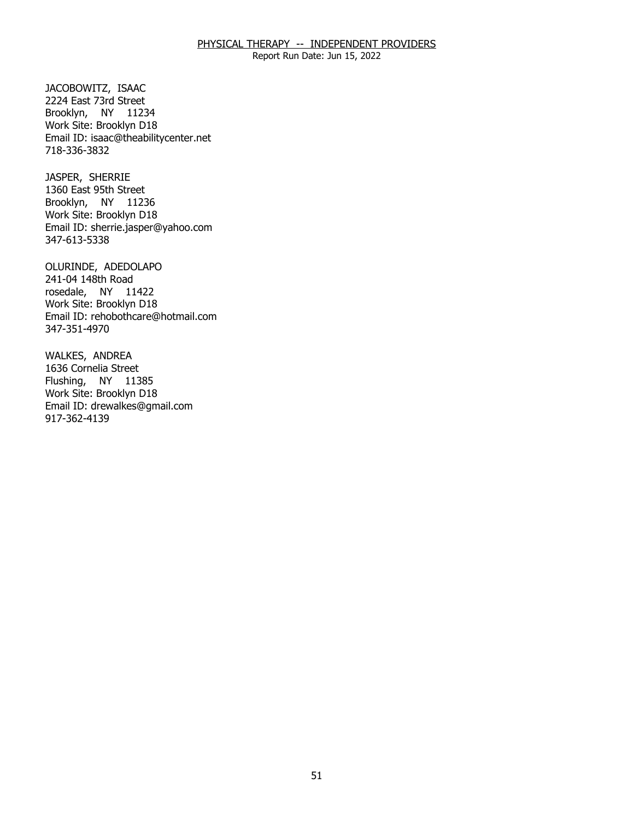Report Run Date: Jun 15, 2022

JACOBOWITZ, ISAAC Brooklyn, NY 11234 2224 East 73rd Street Work Site: Brooklyn D18 Email ID: [isaac@theabilitycenter.net](mailto:isaac@theabilitycenter.net)  718-336-3832

JASPER, SHERRIE Brooklyn, NY 11236 1360 East 95th Street Work Site: Brooklyn D18 Email ID: [sherrie.jasper@yahoo.com](mailto:sherrie.jasper@yahoo.com) 347-613-5338

OLURINDE, ADEDOLAPO<br>241-04 148th Road rosedale, NY 11422 Work Site: Brooklyn D18 Email ID: [rehobothcare@hotmail.com](mailto:rehobothcare@hotmail.com)  347-351-4970

WALKES, ANDREA Flushing, NY 11385 1636 Cornelia Street Work Site: Brooklyn D18 Email ID: [drewalkes@gmail.com](mailto:drewalkes@gmail.com) 917-362-4139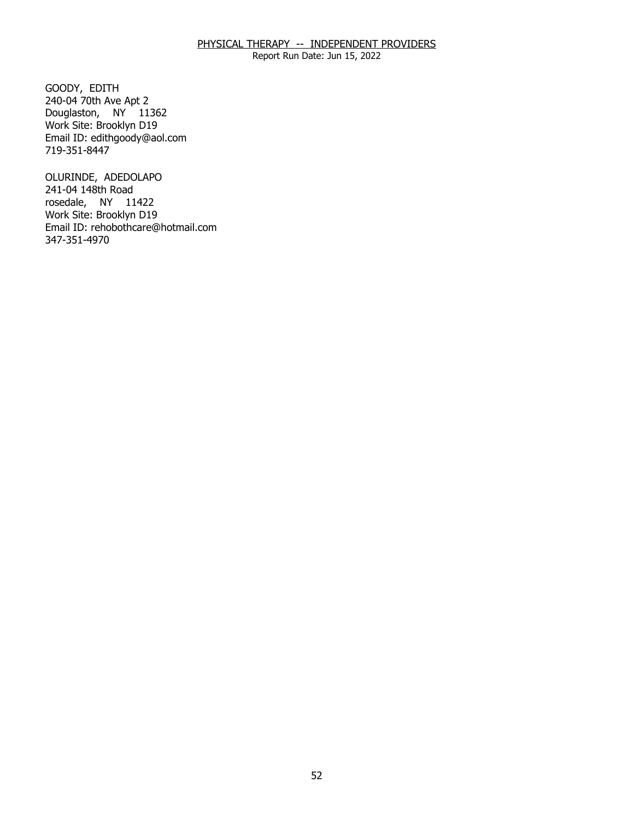Report Run Date: Jun 15, 2022

GOODY, EDITH Douglaston, NY 11362 240-04 70th Ave Apt 2 Work Site: Brooklyn D19 Email ID: [edithgoody@aol.com](mailto:edithgoody@aol.com) 719-351-8447

OLURINDE, ADEDOLAPO<br>241-04 148th Road rosedale, NY 11422 Work Site: Brooklyn D19 Email ID: [rehobothcare@hotmail.com](mailto:rehobothcare@hotmail.com)  347-351-4970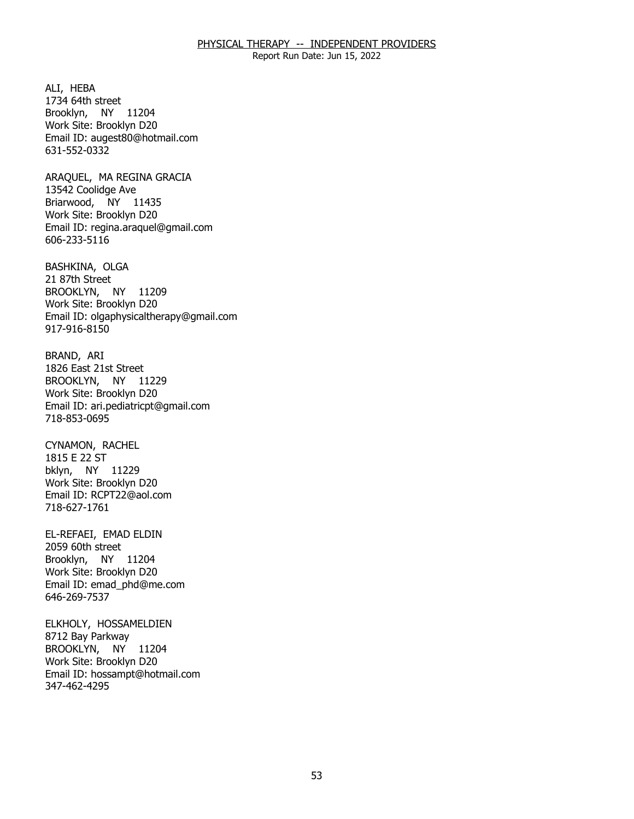Report Run Date: Jun 15, 2022

ALI, HEBA Brooklyn, NY 11204 1734 64th street Work Site: Brooklyn D20 Email ID: [augest80@hotmail.com](mailto:augest80@hotmail.com) 631-552-0332

 ARAQUEL, MA REGINA GRACIA 13542 Coolidge Ave Briarwood, NY 11435 Work Site: Brooklyn D20 Email ID: [regina.araquel@gmail.com](mailto:regina.araquel@gmail.com)  606-233-5116

BASHKINA, OLGA<br>21 87th Street BROOKLYN, NY 11209 Work Site: Brooklyn D20 Email ID: [olgaphysicaltherapy@gmail.com](mailto:olgaphysicaltherapy@gmail.com) 917-916-8150

BRAND, ARI BROOKLYN, NY 11229 1826 East 21st Street Work Site: Brooklyn D20 Email ID: [ari.pediatricpt@gmail.com](mailto:ari.pediatricpt@gmail.com)  718-853-0695

CYNAMON, RACHEL<br>1815 E 22 ST bklyn, NY 11229 Work Site: Brooklyn D20 Email ID: [RCPT22@aol.com](mailto:RCPT22@aol.com)  718-627-1761

EL-REFAEI, EMAD ELDIN<br>2059 60th street Brooklyn, NY 11204 Work Site: Brooklyn D20 Email ID: [emad\\_phd@me.com](mailto:emad_phd@me.com)  646-269-7537

ELKHOLY, HOSSAMELDIEN<br>8712 Bay Parkway BROOKLYN, NY 11204 Work Site: Brooklyn D20 Email ID: [hossampt@hotmail.com](mailto:hossampt@hotmail.com) 347-462-4295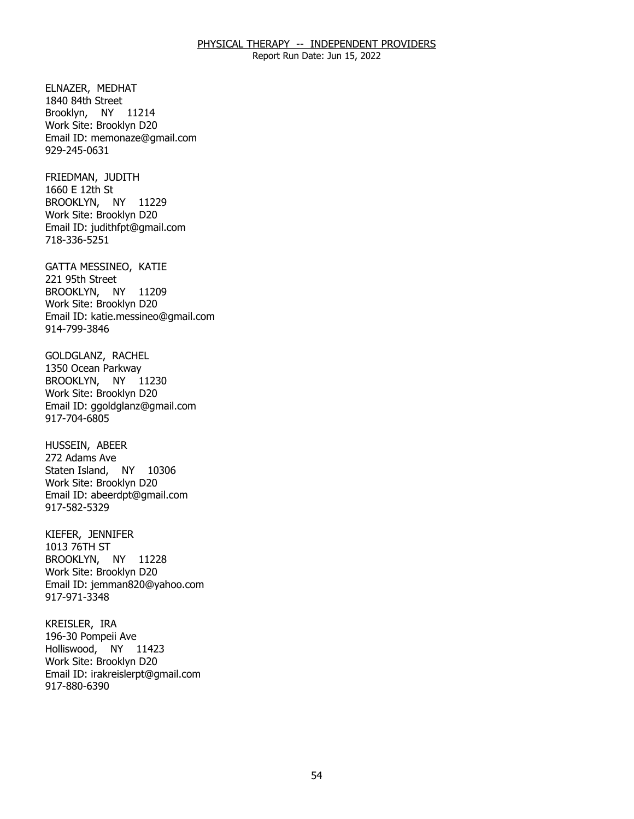Report Run Date: Jun 15, 2022

ELNAZER, MEDHAT Brooklyn, NY 11214 1840 84th Street Work Site: Brooklyn D20 Email ID: [memonaze@gmail.com](mailto:memonaze@gmail.com) 929-245-0631

FRIEDMAN, JUDITH<br>1660 E 12th St BROOKLYN, NY 11229 Work Site: Brooklyn D20 Email ID: [judithfpt@gmail.com](mailto:judithfpt@gmail.com) 718-336-5251

GATTA MESSINEO, KATIE<br>221 95th Street BROOKLYN, NY 11209 Work Site: Brooklyn D20 Email ID: [katie.messineo@gmail.com](mailto:katie.messineo@gmail.com) 914-799-3846

GOLDGLANZ, RACHEL<br>1350 Ocean Parkway BROOKLYN, NY 11230 Work Site: Brooklyn D20 Email ID: [ggoldglanz@gmail.com](mailto:ggoldglanz@gmail.com)  917-704-6805

HUSSEIN, ABEER<br>272 Adams Ave Staten Island, NY 10306 Work Site: Brooklyn D20 Email ID: [abeerdpt@gmail.com](mailto:abeerdpt@gmail.com)  917-582-5329

 KIEFER, JENNIFER BROOKLYN, NY 11228 1013 76TH ST Work Site: Brooklyn D20 Email ID: [jemman820@yahoo.com](mailto:jemman820@yahoo.com) 917-971-3348

KREISLER, IRA Holliswood, NY 11423 196-30 Pompeii Ave Work Site: Brooklyn D20 Email ID: [irakreislerpt@gmail.com](mailto:irakreislerpt@gmail.com)  917-880-6390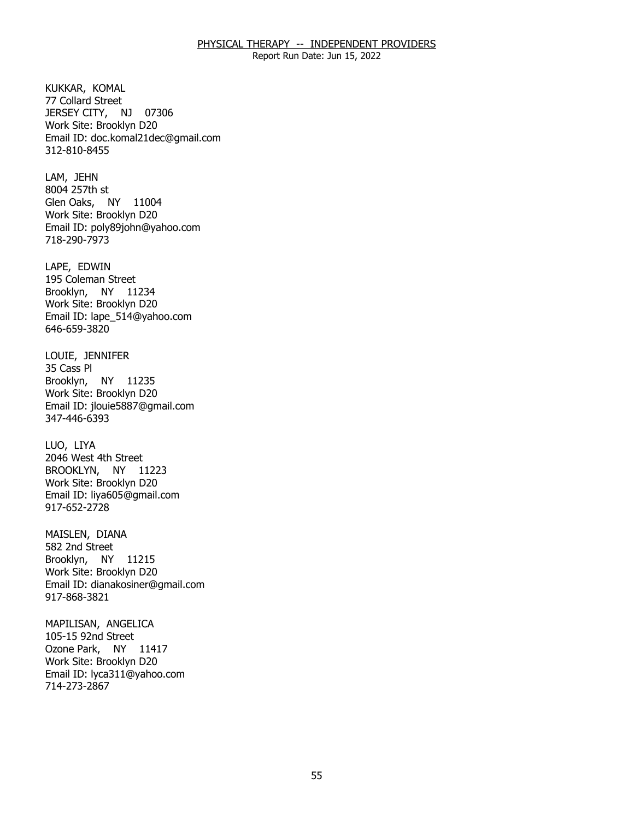Report Run Date: Jun 15, 2022

KUKKAR, KOMAL JERSEY CITY, NJ 07306 77 Collard Street Work Site: Brooklyn D20 Email ID: [doc.komal21dec@gmail.com](mailto:doc.komal21dec@gmail.com) 312-810-8455

LAM, JEHN Glen Oaks, NY 11004 8004 257th st Work Site: Brooklyn D20 Email ID: [poly89john@yahoo.com](mailto:poly89john@yahoo.com)  718-290-7973

LAPE, EDWIN Brooklyn, NY 11234 195 Coleman Street Work Site: Brooklyn D20 Email ID: [lape\\_514@yahoo.com](mailto:lape_514@yahoo.com) 646-659-3820

LOUIE, JENNIFER<br>35 Cass Pl Brooklyn, NY 11235 Work Site: Brooklyn D20 Email ID: [jlouie5887@gmail.com](mailto:jlouie5887@gmail.com)  347-446-6393

LUO, LIYA BROOKLYN, NY 11223 2046 West 4th Street Work Site: Brooklyn D20 Email ID: [liya605@gmail.com](mailto:liya605@gmail.com) 917-652-2728

MAISLEN, DIANA<br>582 2nd Street Brooklyn, NY 11215 Work Site: Brooklyn D20 Email ID: [dianakosiner@gmail.com](mailto:dianakosiner@gmail.com)  917-868-3821

MAPILISAN, ANGELICA<br>105-15 92nd Street Ozone Park, NY 11417 Work Site: Brooklyn D20 Email ID: [lyca311@yahoo.com](mailto:lyca311@yahoo.com)  714-273-2867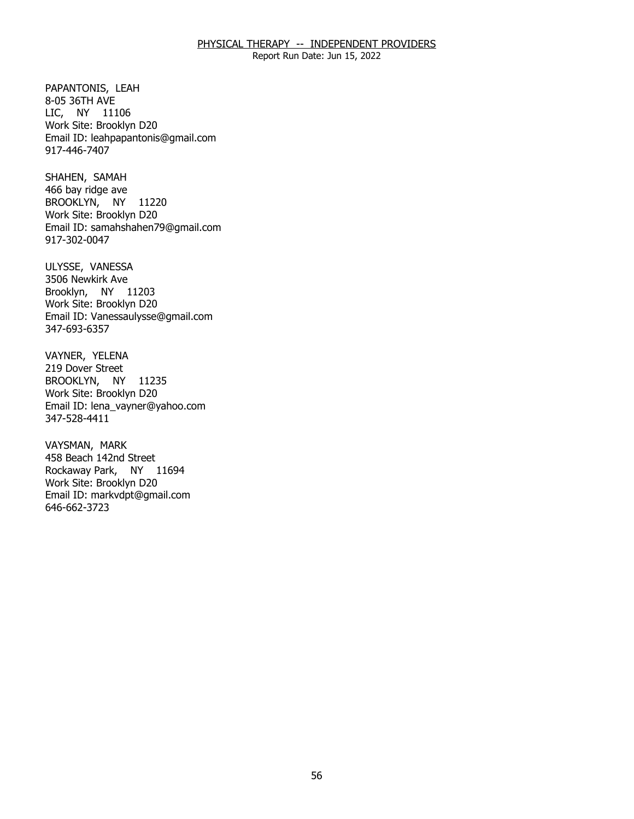Report Run Date: Jun 15, 2022

PAPANTONIS, LEAH<br>8-05 36TH AVE LIC, NY 11106 Work Site: Brooklyn D20 Email ID: [leahpapantonis@gmail.com](mailto:leahpapantonis@gmail.com)  917-446-7407

SHAHEN, SAMAH BROOKLYN, NY 11220 466 bay ridge ave Work Site: Brooklyn D20 Email ID: [samahshahen79@gmail.com](mailto:samahshahen79@gmail.com)  917-302-0047

ULYSSE, VANESSA<br>3506 Newkirk Ave Brooklyn, NY 11203 Work Site: Brooklyn D20 Email ID: [Vanessaulysse@gmail.com](mailto:Vanessaulysse@gmail.com) 347-693-6357

VAYNER, YELENA<br>219 Dover Street BROOKLYN, NY 11235 Work Site: Brooklyn D20 Email ID: [lena\\_vayner@yahoo.com](mailto:lena_vayner@yahoo.com)  347-528-4411

VAYSMAN, MARK Rockaway Park, NY 11694 458 Beach 142nd Street Work Site: Brooklyn D20 Email ID: [markvdpt@gmail.com](mailto:markvdpt@gmail.com)  646-662-3723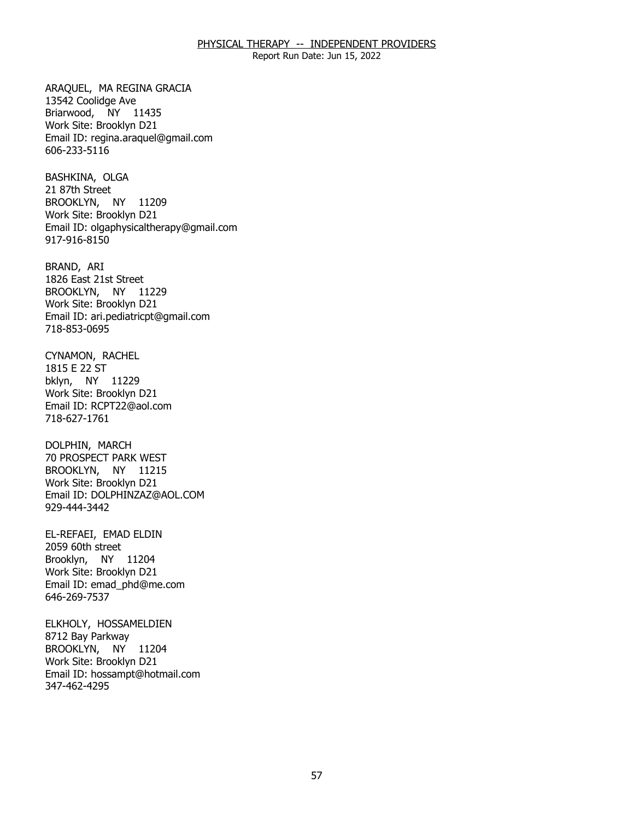Report Run Date: Jun 15, 2022

 ARAQUEL, MA REGINA GRACIA 13542 Coolidge Ave Briarwood, NY 11435 Work Site: Brooklyn D21 Email ID: [regina.araquel@gmail.com](mailto:regina.araquel@gmail.com)  606-233-5116

BASHKINA, OLGA<br>21 87th Street BROOKLYN, NY 11209 Work Site: Brooklyn D21 Email ID: [olgaphysicaltherapy@gmail.com](mailto:olgaphysicaltherapy@gmail.com) 917-916-8150

BRAND, ARI BROOKLYN, NY 11229 1826 East 21st Street Work Site: Brooklyn D21 Email ID: [ari.pediatricpt@gmail.com](mailto:ari.pediatricpt@gmail.com)  718-853-0695

CYNAMON, RACHEL<br>1815 E 22 ST bklyn, NY 11229 Work Site: Brooklyn D21 Email ID: [RCPT22@aol.com](mailto:RCPT22@aol.com)  718-627-1761

DOLPHIN, MARCH BROOKLYN, NY 11215 70 PROSPECT PARK WEST Work Site: Brooklyn D21 Email ID: [DOLPHINZAZ@AOL.COM](mailto:DOLPHINZAZ@AOL.COM)  929-444-3442

EL-REFAEI, EMAD ELDIN<br>2059 60th street Brooklyn, NY 11204 Work Site: Brooklyn D21 Email ID: [emad\\_phd@me.com](mailto:emad_phd@me.com)  646-269-7537

ELKHOLY, HOSSAMELDIEN<br>8712 Bay Parkway BROOKLYN, NY 11204 Work Site: Brooklyn D21 Email ID: [hossampt@hotmail.com](mailto:hossampt@hotmail.com) 347-462-4295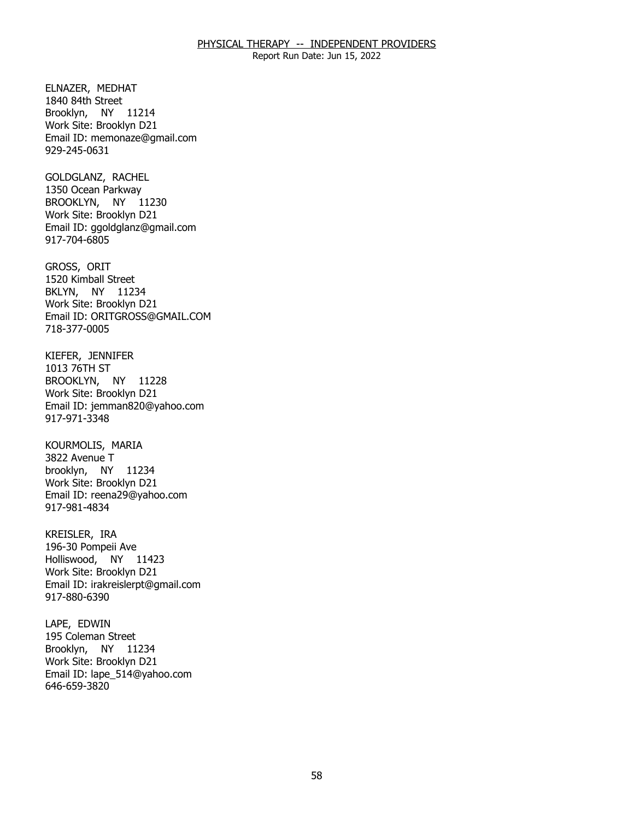Report Run Date: Jun 15, 2022

ELNAZER, MEDHAT Brooklyn, NY 11214 1840 84th Street Work Site: Brooklyn D21 Email ID: [memonaze@gmail.com](mailto:memonaze@gmail.com) 929-245-0631

GOLDGLANZ, RACHEL BROOKLYN, NY 11230 1350 Ocean Parkway Work Site: Brooklyn D21 Email ID: [ggoldglanz@gmail.com](mailto:ggoldglanz@gmail.com)  917-704-6805

GROSS, ORIT BKLYN, NY 11234 1520 Kimball Street Work Site: Brooklyn D21 Email ID: [ORITGROSS@GMAIL.COM](mailto:ORITGROSS@GMAIL.COM)  718-377-0005

 KIEFER, JENNIFER BROOKLYN, NY 11228 1013 76TH ST Work Site: Brooklyn D21 Email ID: [jemman820@yahoo.com](mailto:jemman820@yahoo.com) 917-971-3348

KOURMOLIS, MARIA<br>3822 Avenue T brooklyn, NY 11234 Work Site: Brooklyn D21 Email ID: [reena29@yahoo.com](mailto:reena29@yahoo.com) 917-981-4834

KREISLER, IRA Holliswood, NY 11423 196-30 Pompeii Ave Work Site: Brooklyn D21 Email ID: [irakreislerpt@gmail.com](mailto:irakreislerpt@gmail.com)  917-880-6390

LAPE, EDWIN Brooklyn, NY 11234 195 Coleman Street Work Site: Brooklyn D21 Email ID: [lape\\_514@yahoo.com](mailto:lape_514@yahoo.com) 646-659-3820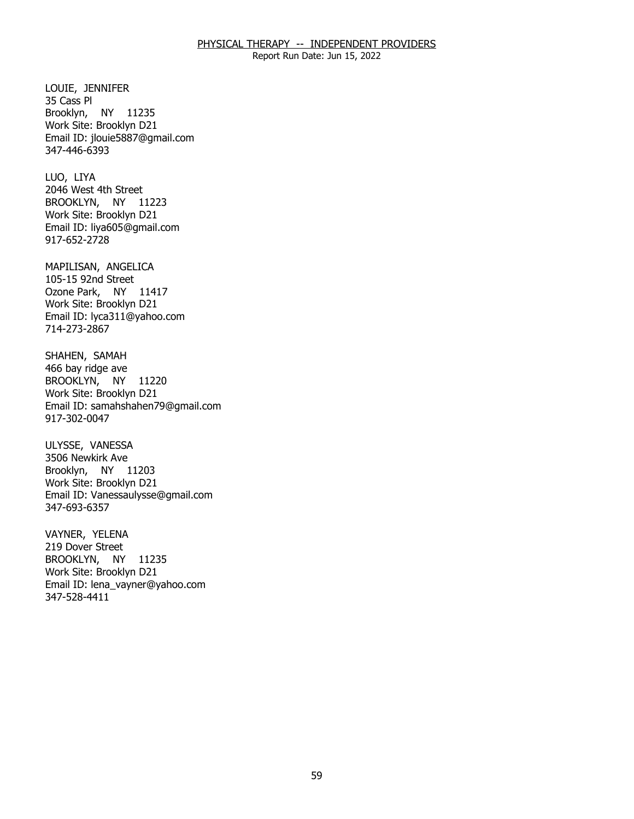Report Run Date: Jun 15, 2022

LOUIE, JENNIFER<br>35 Cass Pl Brooklyn, NY 11235 Work Site: Brooklyn D21 Email ID: [jlouie5887@gmail.com](mailto:jlouie5887@gmail.com)  347-446-6393

LUO, LIYA BROOKLYN, NY 11223 2046 West 4th Street Work Site: Brooklyn D21 Email ID: [liya605@gmail.com](mailto:liya605@gmail.com) 917-652-2728

MAPILISAN, ANGELICA<br>105-15 92nd Street Ozone Park, NY 11417 Work Site: Brooklyn D21 Email ID: [lyca311@yahoo.com](mailto:lyca311@yahoo.com)  714-273-2867

SHAHEN, SAMAH<br>466 bay ridge ave BROOKLYN, NY 11220 Work Site: Brooklyn D21 Email ID: [samahshahen79@gmail.com](mailto:samahshahen79@gmail.com)  917-302-0047

ULYSSE, VANESSA Brooklyn, NY 11203 3506 Newkirk Ave Work Site: Brooklyn D21 Email ID: [Vanessaulysse@gmail.com](mailto:Vanessaulysse@gmail.com) 347-693-6357

VAYNER, YELENA BROOKLYN, NY 11235 219 Dover Street Work Site: Brooklyn D21 Email ID: [lena\\_vayner@yahoo.com](mailto:lena_vayner@yahoo.com)  347-528-4411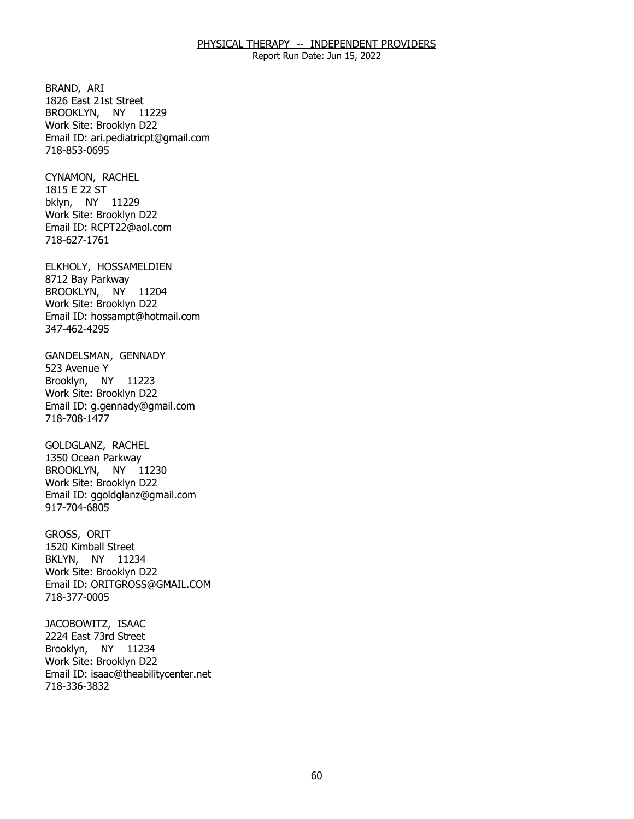Report Run Date: Jun 15, 2022

BRAND, ARI BROOKLYN, NY 11229 1826 East 21st Street Work Site: Brooklyn D22 Email ID: [ari.pediatricpt@gmail.com](mailto:ari.pediatricpt@gmail.com)  718-853-0695

CYNAMON, RACHEL<br>1815 E 22 ST bklyn, NY 11229 Work Site: Brooklyn D22 Email ID: [RCPT22@aol.com](mailto:RCPT22@aol.com)  718-627-1761

ELKHOLY, HOSSAMELDIEN<br>8712 Bay Parkway BROOKLYN, NY 11204 Work Site: Brooklyn D22 Email ID: [hossampt@hotmail.com](mailto:hossampt@hotmail.com) 347-462-4295

GANDELSMAN, GENNADY<br>523 Avenue Y Brooklyn, NY 11223 Work Site: Brooklyn D22 Email ID: [g.gennady@gmail.com](mailto:g.gennady@gmail.com)  718-708-1477

**GOLDGLANZ, RACHEL**  BROOKLYN, NY 11230 1350 Ocean Parkway Work Site: Brooklyn D22 Email ID: [ggoldglanz@gmail.com](mailto:ggoldglanz@gmail.com)  917-704-6805

GROSS, ORIT BKLYN, NY 11234 1520 Kimball Street Work Site: Brooklyn D22 Email ID: [ORITGROSS@GMAIL.COM](mailto:ORITGROSS@GMAIL.COM)  718-377-0005

JACOBOWITZ, ISAAC Brooklyn, NY 11234 2224 East 73rd Street Work Site: Brooklyn D22 Email ID: [isaac@theabilitycenter.net](mailto:isaac@theabilitycenter.net)  718-336-3832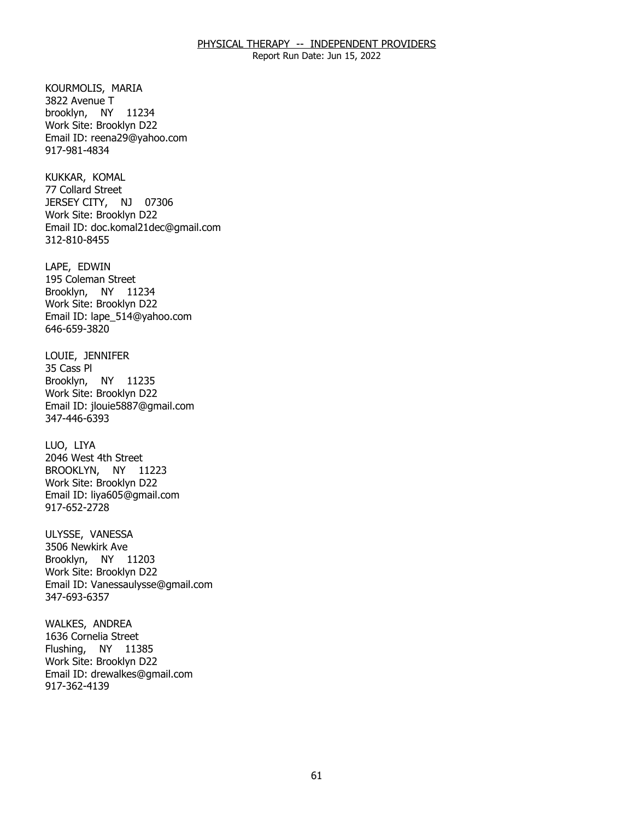Report Run Date: Jun 15, 2022

KOURMOLIS, MARIA<br>3822 Avenue T brooklyn, NY 11234 Work Site: Brooklyn D22 Email ID: [reena29@yahoo.com](mailto:reena29@yahoo.com) 917-981-4834

KUKKAR, KOMAL JERSEY CITY, NJ 07306 77 Collard Street Work Site: Brooklyn D22 Email ID: [doc.komal21dec@gmail.com](mailto:doc.komal21dec@gmail.com) 312-810-8455

LAPE, EDWIN Brooklyn, NY 11234 195 Coleman Street Work Site: Brooklyn D22 Email ID: [lape\\_514@yahoo.com](mailto:lape_514@yahoo.com) 646-659-3820

LOUIE, JENNIFER<br>35 Cass Pl Brooklyn, NY 11235 Work Site: Brooklyn D22 Email ID: [jlouie5887@gmail.com](mailto:jlouie5887@gmail.com)  347-446-6393

LUO, LIYA BROOKLYN, NY 11223 2046 West 4th Street Work Site: Brooklyn D22 Email ID: [liya605@gmail.com](mailto:liya605@gmail.com) 917-652-2728

ULYSSE, VANESSA Brooklyn, NY 11203 3506 Newkirk Ave Work Site: Brooklyn D22 Email ID: [Vanessaulysse@gmail.com](mailto:Vanessaulysse@gmail.com) 347-693-6357

WALKES, ANDREA<br>1636 Cornelia Street Flushing, NY 11385 Work Site: Brooklyn D22 Email ID: [drewalkes@gmail.com](mailto:drewalkes@gmail.com) 917-362-4139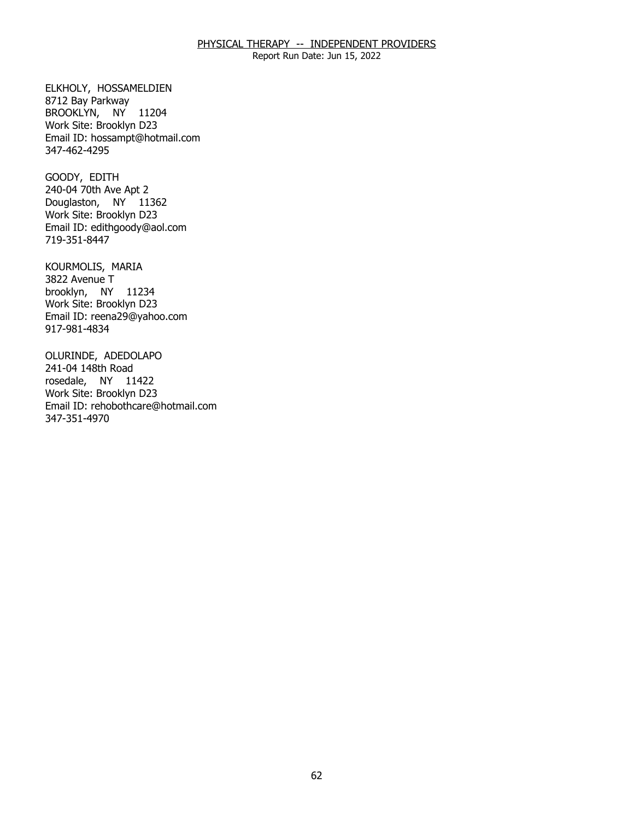Report Run Date: Jun 15, 2022

ELKHOLY, HOSSAMELDIEN<br>8712 Bay Parkway BROOKLYN, NY 11204 Work Site: Brooklyn D23 Email ID: [hossampt@hotmail.com](mailto:hossampt@hotmail.com) 347-462-4295

GOODY, EDITH Douglaston, NY 11362 240-04 70th Ave Apt 2 Work Site: Brooklyn D23 Email ID: [edithgoody@aol.com](mailto:edithgoody@aol.com) 719-351-8447

KOURMOLIS, MARIA<br>3822 Avenue T brooklyn, NY 11234 Work Site: Brooklyn D23 Email ID: [reena29@yahoo.com](mailto:reena29@yahoo.com) 917-981-4834

OLURINDE, ADEDOLAPO<br>241-04 148th Road rosedale, NY 11422 Work Site: Brooklyn D23 Email ID: [rehobothcare@hotmail.com](mailto:rehobothcare@hotmail.com)  347-351-4970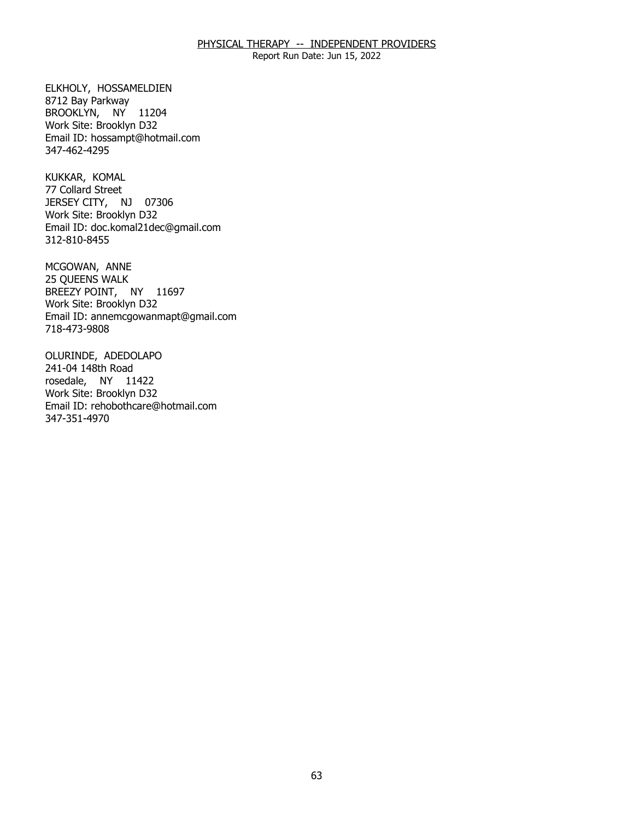Report Run Date: Jun 15, 2022

ELKHOLY, HOSSAMELDIEN<br>8712 Bay Parkway BROOKLYN, NY 11204 Work Site: Brooklyn D32 Email ID: [hossampt@hotmail.com](mailto:hossampt@hotmail.com) 347-462-4295

KUKKAR, KOMAL JERSEY CITY, NJ 07306 77 Collard Street Work Site: Brooklyn D32 Email ID: [doc.komal21dec@gmail.com](mailto:doc.komal21dec@gmail.com) 312-810-8455

MCGOWAN, ANNE BREEZY POINT, NY 11697 25 QUEENS WALK Work Site: Brooklyn D32 Email ID: [annemcgowanmapt@gmail.com](mailto:annemcgowanmapt@gmail.com)  718-473-9808

OLURINDE, ADEDOLAPO<br>241-04 148th Road rosedale, NY 11422 Work Site: Brooklyn D32 Email ID: [rehobothcare@hotmail.com](mailto:rehobothcare@hotmail.com)  347-351-4970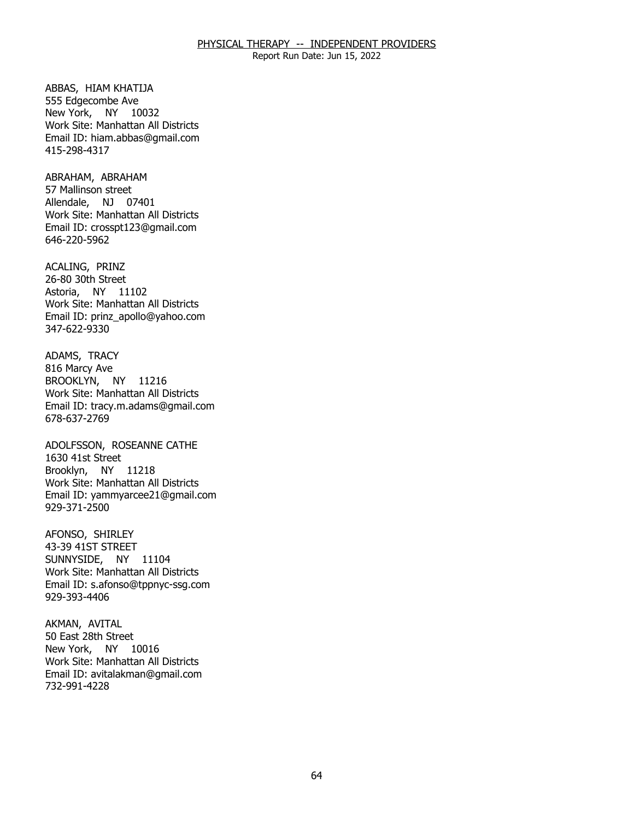Report Run Date: Jun 15, 2022

ABBAS, HIAM KHATIJA<br>555 Edgecombe Ave New York, NY 10032 Work Site: Manhattan All Districts Email ID: [hiam.abbas@gmail.com](mailto:hiam.abbas@gmail.com)  415-298-4317

ABRAHAM, ABRAHAM Allendale, NJ 07401 57 Mallinson street Work Site: Manhattan All Districts Email ID: [crosspt123@gmail.com](mailto:crosspt123@gmail.com) 646-220-5962

ACALING, PRINZ Astoria, NY 11102 26-80 30th Street Work Site: Manhattan All Districts Email ID: [prinz\\_apollo@yahoo.com](mailto:prinz_apollo@yahoo.com) 347-622-9330

ADAMS, TRACY<br>816 Marcy Ave BROOKLYN, NY 11216 Work Site: Manhattan All Districts Email ID: [tracy.m.adams@gmail.com](mailto:tracy.m.adams@gmail.com) 678-637-2769

 ADOLFSSON, ROSEANNE CATHE 1630 41st Street Brooklyn, NY 11218 Work Site: Manhattan All Districts Email ID: [yammyarcee21@gmail.com](mailto:yammyarcee21@gmail.com) 929-371-2500

AFONSO, SHIRLEY SUNNYSIDE, NY 11104 43-39 41ST STREET Work Site: Manhattan All Districts Email ID: [s.afonso@tppnyc-ssg.com](mailto:s.afonso@tppnyc-ssg.com)  929-393-4406

AKMAN, AVITAL New York, NY 10016 50 East 28th Street Work Site: Manhattan All Districts Email ID: [avitalakman@gmail.com](mailto:avitalakman@gmail.com) 732-991-4228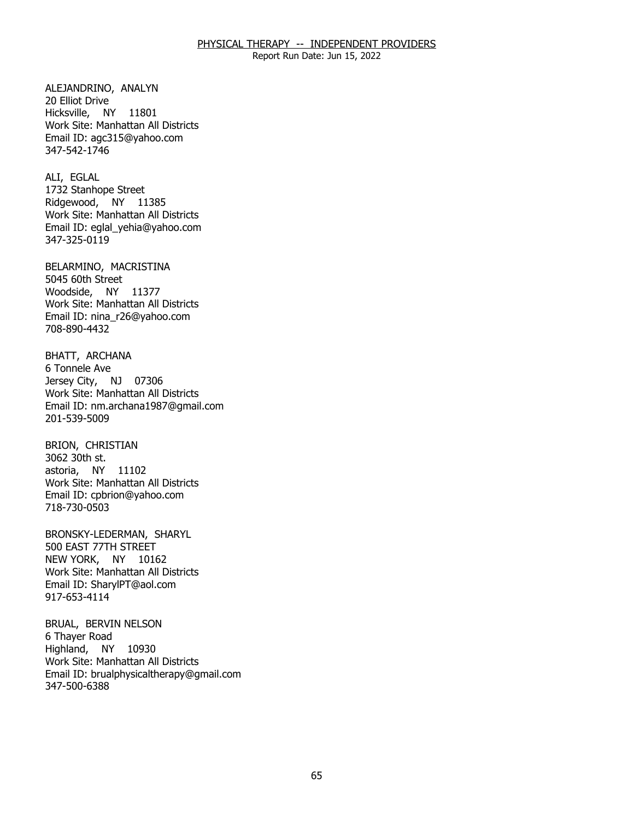Report Run Date: Jun 15, 2022

ALEJANDRINO, ANALYN<br>20 Elliot Drive Hicksville, NY 11801 Work Site: Manhattan All Districts Email ID: [agc315@yahoo.com](mailto:agc315@yahoo.com)  347-542-1746

ALI, EGLAL Ridgewood, NY 11385 1732 Stanhope Street Work Site: Manhattan All Districts Email ID: [eglal\\_yehia@yahoo.com](mailto:eglal_yehia@yahoo.com)  347-325-0119

BELARMINO, MACRISTINA<br>5045 60th Street Woodside, NY 11377 Work Site: Manhattan All Districts Email ID: [nina\\_r26@yahoo.com](mailto:nina_r26@yahoo.com)  708-890-4432

BHATT, ARCHANA<br>6 Tonnele Ave Jersey City, NJ 07306 Work Site: Manhattan All Districts Email ID: [nm.archana1987@gmail.com](mailto:nm.archana1987@gmail.com) 201-539-5009

BRION, CHRISTIAN<br>3062 30th st. **NY** astoria, NY 11102 Work Site: Manhattan All Districts Email ID: [cpbrion@yahoo.com](mailto:cpbrion@yahoo.com)  718-730-0503

BRONSKY-LEDERMAN, SHARYL<br>500 EAST 77TH STREET NEW YORK, NY 10162 Work Site: Manhattan All Districts Email ID: [SharylPT@aol.com](mailto:SharylPT@aol.com) 917-653-4114

BRUAL, BERVIN NELSON<br>6 Thayer Road Highland, NY 10930 Work Site: Manhattan All Districts Email ID: [brualphysicaltherapy@gmail.com](mailto:brualphysicaltherapy@gmail.com) 347-500-6388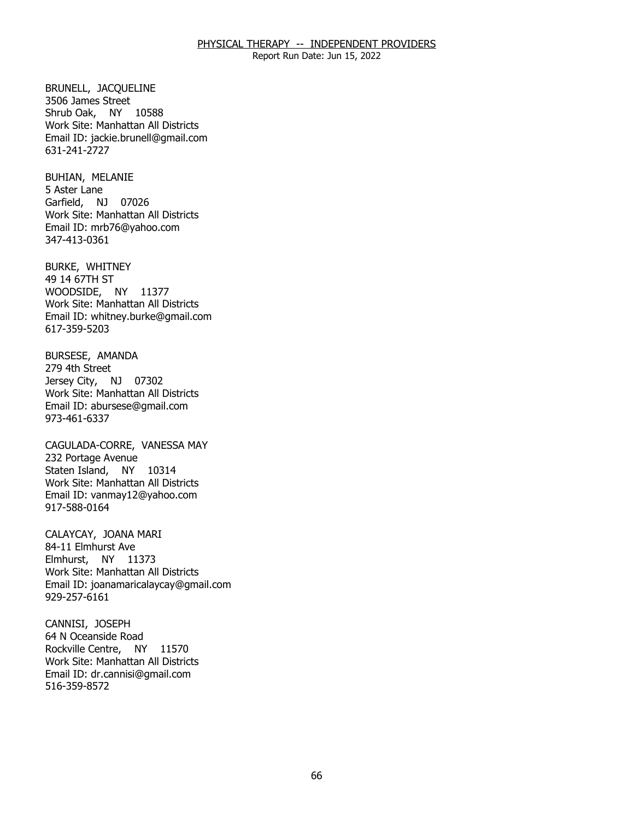Report Run Date: Jun 15, 2022

 BRUNELL, JACQUELINE 3506 James Street Shrub Oak, NY 10588 Work Site: Manhattan All Districts Email ID: [jackie.brunell@gmail.com](mailto:jackie.brunell@gmail.com)  631-241-2727

BUHIAN, MELANIE<br>5 Aster Lane Garfield, NJ 07026 Work Site: Manhattan All Districts Email ID: [mrb76@yahoo.com](mailto:mrb76@yahoo.com)  347-413-0361

 BURKE, WHITNEY 49 14 67TH ST WOODSIDE, NY 11377 Work Site: Manhattan All Districts Email ID: [whitney.burke@gmail.com](mailto:whitney.burke@gmail.com)  617-359-5203

BURSESE, AMANDA<br>279 4th Street Jersey City, NJ 07302 Work Site: Manhattan All Districts Email ID: [abursese@gmail.com](mailto:abursese@gmail.com)  973-461-6337

CAGULADA-CORRE, VANESSA MAY<br>232 Portage Avenue Staten Island, NY 10314 Work Site: Manhattan All Districts Email ID: [vanmay12@yahoo.com](mailto:vanmay12@yahoo.com) 917-588-0164

CALAYCAY, JOANA MARI<br>84-11 Elmhurst Ave Elmhurst, NY 11373 Work Site: Manhattan All Districts Email ID: [joanamaricalaycay@gmail.com](mailto:joanamaricalaycay@gmail.com) 929-257-6161

CANNISI, JOSEPH Rockville Centre, NY 11570 64 N Oceanside Road Work Site: Manhattan All Districts Email ID: [dr.cannisi@gmail.com](mailto:dr.cannisi@gmail.com) 516-359-8572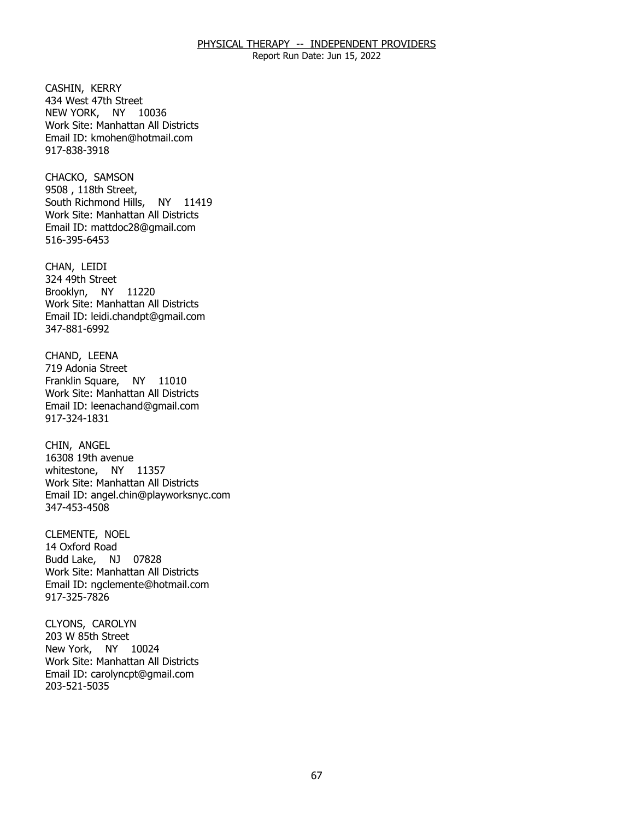Report Run Date: Jun 15, 2022

CASHIN, KERRY NEW YORK, NY 10036 434 West 47th Street Work Site: Manhattan All Districts Email ID: [kmohen@hotmail.com](mailto:kmohen@hotmail.com) 917-838-3918

CHACKO, SAMSON South Richmond Hills, NY 11419 9508, 118th Street, Work Site: Manhattan All Districts Email ID: [mattdoc28@gmail.com](mailto:mattdoc28@gmail.com) 516-395-6453

CHAN, LEIDI Brooklyn, NY 11220 324 49th Street Work Site: Manhattan All Districts Email ID: [leidi.chandpt@gmail.com](mailto:leidi.chandpt@gmail.com) 347-881-6992

CHAND, LEENA<br>719 Adonia Street Franklin Square, NY 11010 Work Site: Manhattan All Districts Email ID: [leenachand@gmail.com](mailto:leenachand@gmail.com) 917-324-1831

CHIN, ANGEL whitestone, NY 11357 16308 19th avenue Work Site: Manhattan All Districts Email ID: [angel.chin@playworksnyc.com](mailto:angel.chin@playworksnyc.com)  347-453-4508

CLEMENTE, NOEL<br>14 Oxford Road Budd Lake, NJ 07828 Work Site: Manhattan All Districts Email ID: [ngclemente@hotmail.com](mailto:ngclemente@hotmail.com) 917-325-7826

CLYONS, CAROLYN<br>203 W 85th Street New York, NY 10024 Work Site: Manhattan All Districts Email ID: [carolyncpt@gmail.com](mailto:carolyncpt@gmail.com) 203-521-5035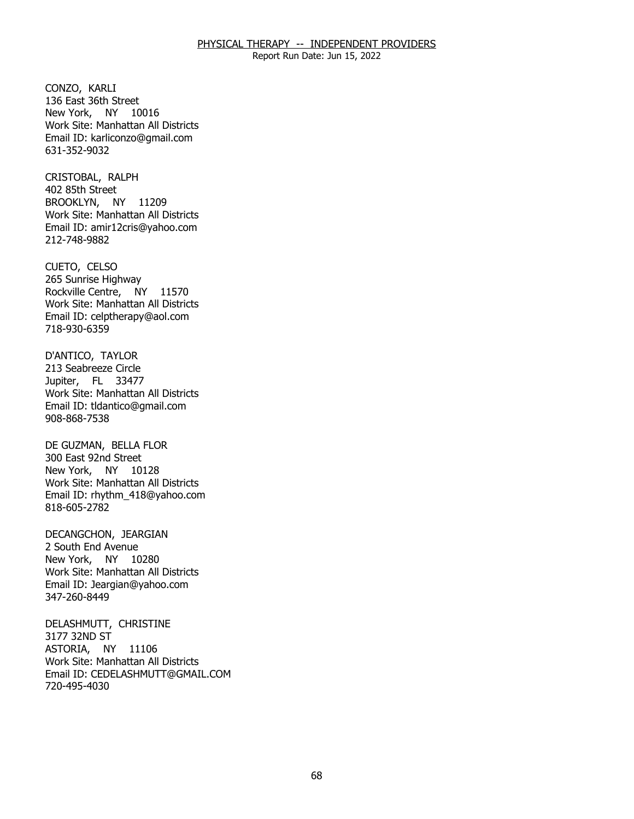Report Run Date: Jun 15, 2022

CONZO, KARLI New York, NY 10016 136 East 36th Street Work Site: Manhattan All Districts Email ID: [karliconzo@gmail.com](mailto:karliconzo@gmail.com) 631-352-9032

CRISTOBAL, RALPH<br>402 85th Street BROOKLYN, NY 11209 Work Site: Manhattan All Districts Email ID: [amir12cris@yahoo.com](mailto:amir12cris@yahoo.com)  212-748-9882

CUETO, CELSO Rockville Centre, NY 11570 265 Sunrise Highway Work Site: Manhattan All Districts Email ID: [celptherapy@aol.com](mailto:celptherapy@aol.com)  718-930-6359

D'ANTICO, TAYLOR<br>213 Seabreeze Circle Jupiter, FL 33477 Work Site: Manhattan All Districts Email ID: [tldantico@gmail.com](mailto:tldantico@gmail.com)  908-868-7538

DE GUZMAN, BELLA FLOR<br>300 East 92nd Street New York, NY 10128 Work Site: Manhattan All Districts Email ID: [rhythm\\_418@yahoo.com](mailto:rhythm_418@yahoo.com) 818-605-2782

DECANGCHON, JEARGIAN<br>2 South End Avenue New York, NY 10280 Work Site: Manhattan All Districts Email ID: [Jeargian@yahoo.com](mailto:Jeargian@yahoo.com) 347-260-8449

DELASHMUTT, CHRISTINE<br>3177 32ND ST ASTORIA, NY 11106 Work Site: Manhattan All Districts Email ID: [CEDELASHMUTT@GMAIL.COM](mailto:CEDELASHMUTT@GMAIL.COM) 720-495-4030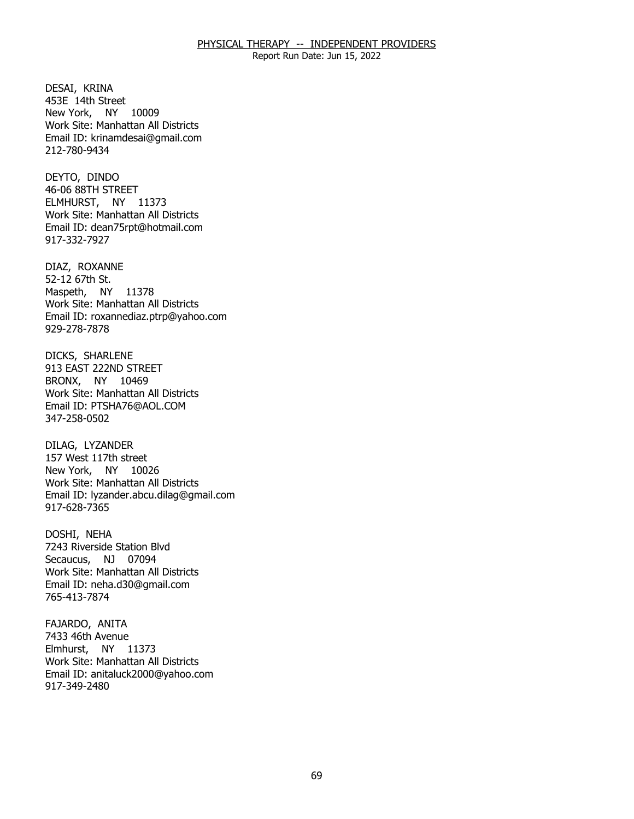Report Run Date: Jun 15, 2022

DESAI, KRINA New York, NY 10009 453E 14th Street Work Site: Manhattan All Districts Email ID: [krinamdesai@gmail.com](mailto:krinamdesai@gmail.com) 212-780-9434

DEYTO, DINDO ELMHURST, NY 11373 46-06 88TH STREET Work Site: Manhattan All Districts Email ID: [dean75rpt@hotmail.com](mailto:dean75rpt@hotmail.com) 917-332-7927

DIAZ, ROXANNE<br>52-12 67th St. Maspeth, NY 11378 Work Site: Manhattan All Districts Email ID: [roxannediaz.ptrp@yahoo.com](mailto:roxannediaz.ptrp@yahoo.com) 929-278-7878

DICKS, SHARLENE BRONX, NY 10469 913 EAST 222ND STREET Work Site: Manhattan All Districts Email ID: [PTSHA76@AOL.COM](mailto:PTSHA76@AOL.COM)  347-258-0502

DILAG, LYZANDER New York, NY 10026 157 West 117th street Work Site: Manhattan All Districts Email ID: [lyzander.abcu.dilag@gmail.com](mailto:lyzander.abcu.dilag@gmail.com) 917-628-7365

DOSHI, NEHA Secaucus, NJ 07094 7243 Riverside Station Blvd Work Site: Manhattan All Districts Email ID: [neha.d30@gmail.com](mailto:neha.d30@gmail.com) 765-413-7874

FAJARDO, ANITA<br>7433 46th Avenue Elmhurst, NY 11373 Work Site: Manhattan All Districts Email ID: [anitaluck2000@yahoo.com](mailto:anitaluck2000@yahoo.com) 917-349-2480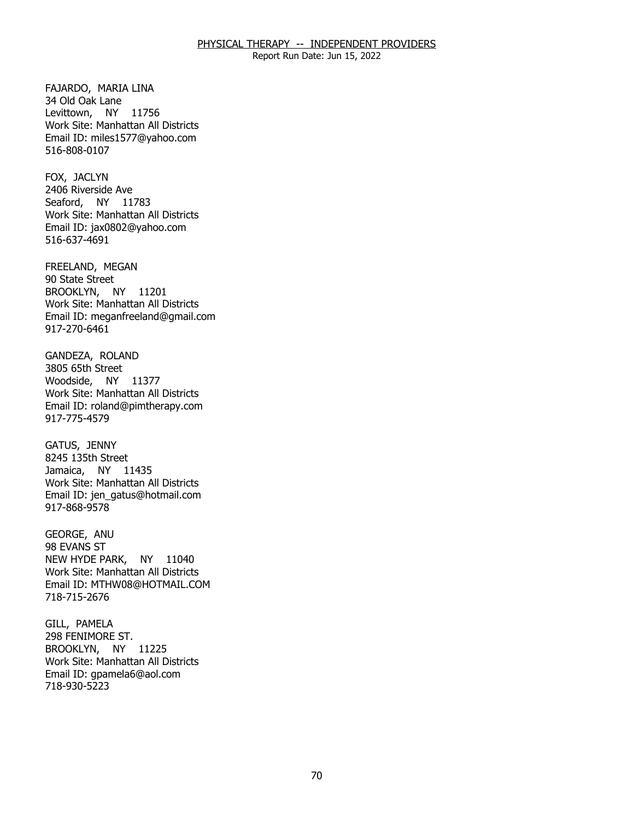Report Run Date: Jun 15, 2022

FAJARDO, MARIA LINA<br>34 Old Oak Lane Levittown, NY 11756 Work Site: Manhattan All Districts Email ID: [miles1577@yahoo.com](mailto:miles1577@yahoo.com)  516-808-0107

FOX, JACLYN Seaford, NY 11783 2406 Riverside Ave Work Site: Manhattan All Districts Email ID: [jax0802@yahoo.com](mailto:jax0802@yahoo.com)  516-637-4691

FREELAND, MEGAN<br>90 State Street BROOKLYN, NY 11201 Work Site: Manhattan All Districts Email ID: [meganfreeland@gmail.com](mailto:meganfreeland@gmail.com) 917-270-6461

GANDEZA, ROLAND<br>3805 65th Street Woodside, NY 11377 Work Site: Manhattan All Districts Email ID: [roland@pimtherapy.com](mailto:roland@pimtherapy.com)  917-775-4579

GATUS, JENNY Jamaica, NY 11435 8245 135th Street Work Site: Manhattan All Districts Email ID: [jen\\_gatus@hotmail.com](mailto:jen_gatus@hotmail.com) 917-868-9578

GEORGE, ANU<br>98 EVANS ST NEW HYDE PARK, NY 11040 Work Site: Manhattan All Districts Email ID: [MTHW08@HOTMAIL.COM](mailto:MTHW08@HOTMAIL.COM) 718-715-2676

GILL, PAMELA BROOKLYN, NY 11225 298 FENIMORE ST. Work Site: Manhattan All Districts Email ID: [gpamela6@aol.com](mailto:gpamela6@aol.com) 718-930-5223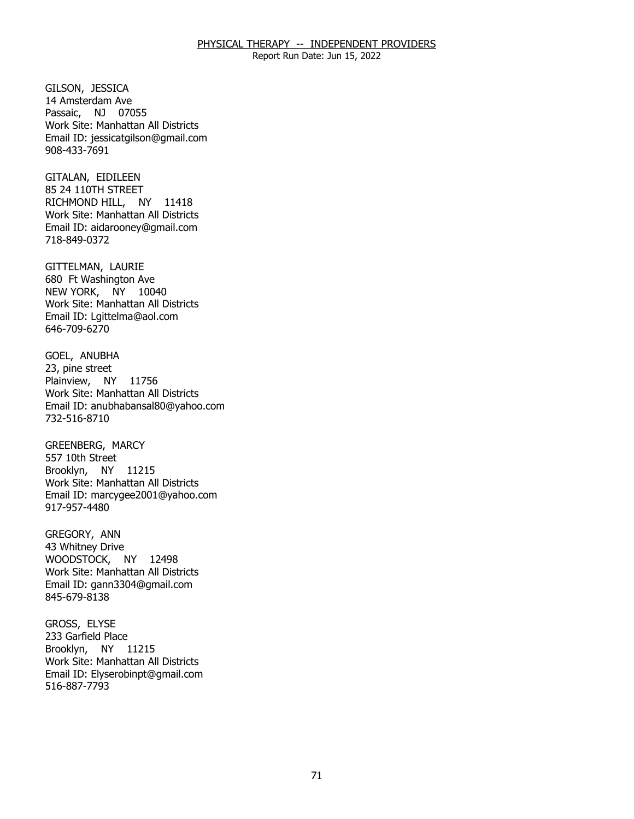Report Run Date: Jun 15, 2022

GILSON, JESSICA Passaic, NJ 07055 14 Amsterdam Ave Work Site: Manhattan All Districts Email ID: [jessicatgilson@gmail.com](mailto:jessicatgilson@gmail.com) 908-433-7691

GITALAN, EIDILEEN RICHMOND HILL, NY 11418 85 24 110TH STREET Work Site: Manhattan All Districts Email ID: [aidarooney@gmail.com](mailto:aidarooney@gmail.com)  718-849-0372

 GITTELMAN, LAURIE NEW YORK, NY 10040 680 Ft Washington Ave Work Site: Manhattan All Districts Email ID: [Lgittelma@aol.com](mailto:Lgittelma@aol.com) 646-709-6270

GOEL, ANUBHA<br>23, pine street Plainview, NY 11756 Work Site: Manhattan All Districts Email ID: [anubhabansal80@yahoo.com](mailto:anubhabansal80@yahoo.com) 732-516-8710

 GREENBERG, MARCY 557 10th Street Brooklyn, NY 11215 Work Site: Manhattan All Districts Email ID: [marcygee2001@yahoo.com](mailto:marcygee2001@yahoo.com)  917-957-4480

GREGORY, ANN WOODSTOCK, NY 12498 43 Whitney Drive Work Site: Manhattan All Districts Email ID: [gann3304@gmail.com](mailto:gann3304@gmail.com) 845-679-8138

GROSS, ELYSE Brooklyn, NY 11215 233 Garfield Place Work Site: Manhattan All Districts Email ID: [Elyserobinpt@gmail.com](mailto:Elyserobinpt@gmail.com) 516-887-7793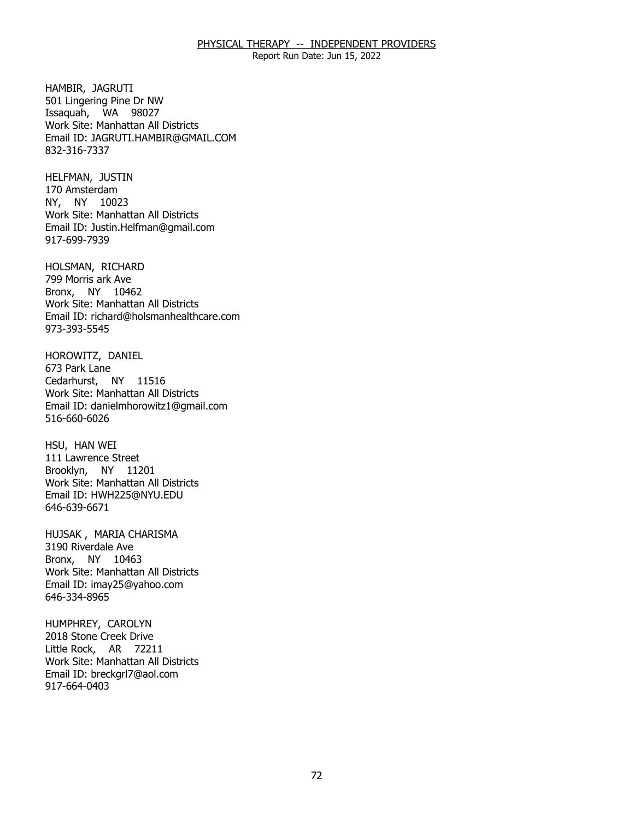Report Run Date: Jun 15, 2022

HAMBIR, JAGRUTI Issaquah, WA 98027 501 Lingering Pine Dr NW Work Site: Manhattan All Districts Email ID: [JAGRUTI.HAMBIR@GMAIL.COM](mailto:JAGRUTI.HAMBIR@GMAIL.COM) 832-316-7337

HELFMAN, JUSTIN<br>170 Amsterdam NY, NY 10023 Work Site: Manhattan All Districts Email ID: [Justin.Helfman@gmail.com](mailto:Justin.Helfman@gmail.com) 917-699-7939

HOLSMAN, RICHARD<br>799 Morris ark Ave Bronx, NY 10462 Work Site: Manhattan All Districts Email ID: [richard@holsmanhealthcare.com](mailto:richard@holsmanhealthcare.com)  973-393-5545

HOROWITZ, DANIEL<br>673 Park Lane Cedarhurst, NY 11516 Work Site: Manhattan All Districts Email ID: [danielmhorowitz1@gmail.com](mailto:danielmhorowitz1@gmail.com)  516-660-6026

HSU, HAN WEI Brooklyn, NY 11201 111 Lawrence Street Work Site: Manhattan All Districts Email ID: [HWH225@NYU.EDU](mailto:HWH225@NYU.EDU)  646-639-6671

HUJSAK , MARIA CHARISMA<br>3190 Riverdale Ave Bronx, NY 10463 Work Site: Manhattan All Districts Email ID: [imay25@yahoo.com](mailto:imay25@yahoo.com)  646-334-8965

HUMPHREY, CAROLYN<br>2018 Stone Creek Drive Little Rock, AR 72211 Work Site: Manhattan All Districts Email ID: [breckgrl7@aol.com](mailto:breckgrl7@aol.com) 917-664-0403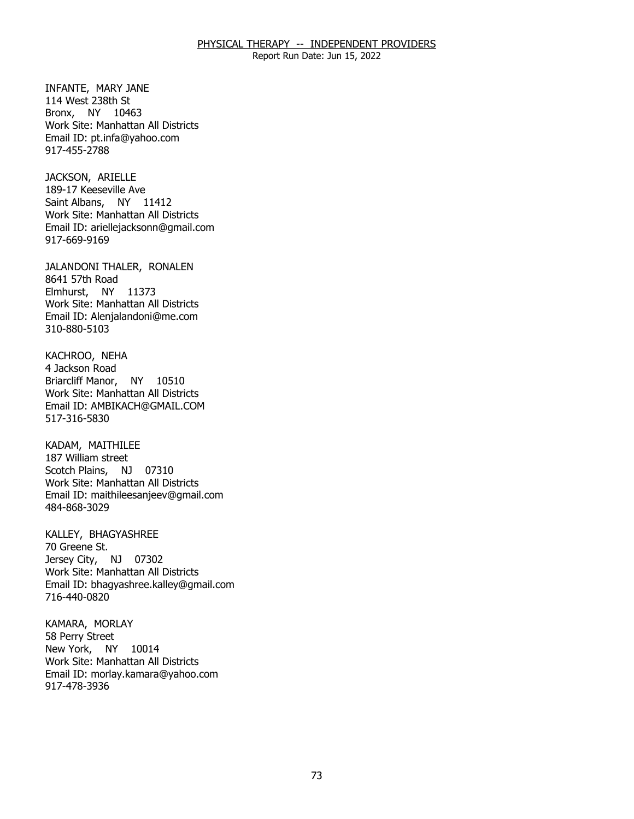Report Run Date: Jun 15, 2022

 INFANTE, MARY JANE 114 West 238th St Bronx, NY 10463 Work Site: Manhattan All Districts Email ID: [pt.infa@yahoo.com](mailto:pt.infa@yahoo.com) 917-455-2788

JACKSON, ARIELLE Saint Albans, NY 11412 189-17 Keeseville Ave Work Site: Manhattan All Districts Email ID: [ariellejacksonn@gmail.com](mailto:ariellejacksonn@gmail.com) 917-669-9169

JALANDONI THALER, RONALEN<br>8641 57th Road Elmhurst, NY 11373 Work Site: Manhattan All Districts Email ID: [Alenjalandoni@me.com](mailto:Alenjalandoni@me.com) 310-880-5103

KACHROO, NEHA<br>4 Jackson Road Briarcliff Manor, NY 10510 Work Site: Manhattan All Districts Email ID: [AMBIKACH@GMAIL.COM](mailto:AMBIKACH@GMAIL.COM)  517-316-5830

KADAM, MAITHILEE Scotch Plains, NJ 07310 187 William street Work Site: Manhattan All Districts Email ID: [maithileesanjeev@gmail.com](mailto:maithileesanjeev@gmail.com)  484-868-3029

KALLEY, BHAGYASHREE<br>70 Greene St. Jersey City, NJ 07302 Work Site: Manhattan All Districts Email ID: [bhagyashree.kalley@gmail.com](mailto:bhagyashree.kalley@gmail.com)  716-440-0820

KAMARA, MORLAY<br>58 Perry Street New York, NY 10014 Work Site: Manhattan All Districts Email ID: [morlay.kamara@yahoo.com](mailto:morlay.kamara@yahoo.com)  917-478-3936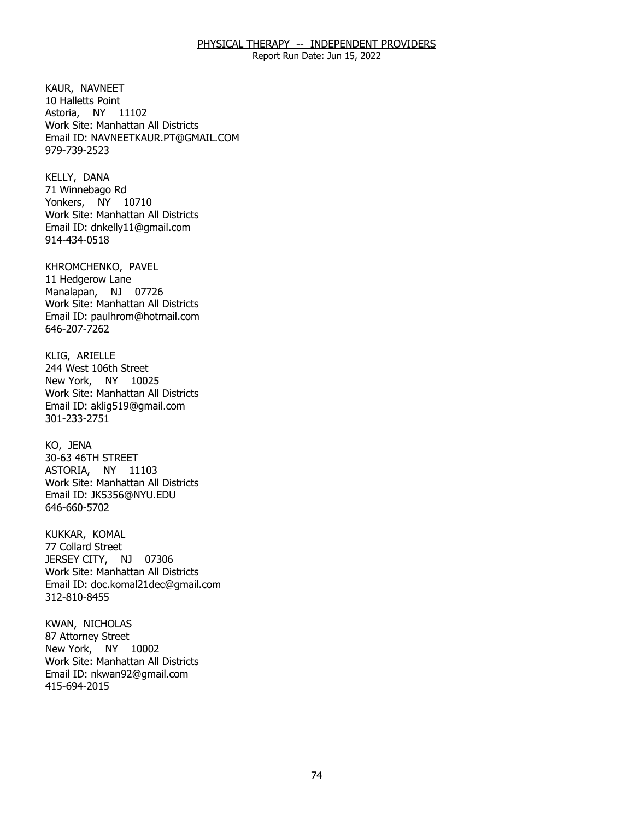Report Run Date: Jun 15, 2022

KAUR, NAVNEET Astoria, NY 11102 10 Halletts Point Work Site: Manhattan All Districts Email ID: [NAVNEETKAUR.PT@GMAIL.COM](mailto:NAVNEETKAUR.PT@GMAIL.COM) 979-739-2523

KELLY, DANA Yonkers, NY 10710 71 Winnebago Rd Work Site: Manhattan All Districts Email ID: [dnkelly11@gmail.com](mailto:dnkelly11@gmail.com) 914-434-0518

KHROMCHENKO, PAVEL<br>11 Hedgerow Lane Manalapan, NJ 07726 Work Site: Manhattan All Districts Email ID: [paulhrom@hotmail.com](mailto:paulhrom@hotmail.com)  646-207-7262

KLIG, ARIELLE New York, NY 10025 244 West 106th Street Work Site: Manhattan All Districts Email ID: [aklig519@gmail.com](mailto:aklig519@gmail.com)  301-233-2751

KO, JENA ASTORIA, NY 11103 30-63 46TH STREET Work Site: Manhattan All Districts Email ID: [JK5356@NYU.EDU](mailto:JK5356@NYU.EDU)  646-660-5702

KUKKAR, KOMAL JERSEY CITY, NJ 07306 77 Collard Street Work Site: Manhattan All Districts Email ID: [doc.komal21dec@gmail.com](mailto:doc.komal21dec@gmail.com) 312-810-8455

KWAN, NICHOLAS<br>87 Attorney Street New York, NY 10002 Work Site: Manhattan All Districts Email ID: [nkwan92@gmail.com](mailto:nkwan92@gmail.com)  415-694-2015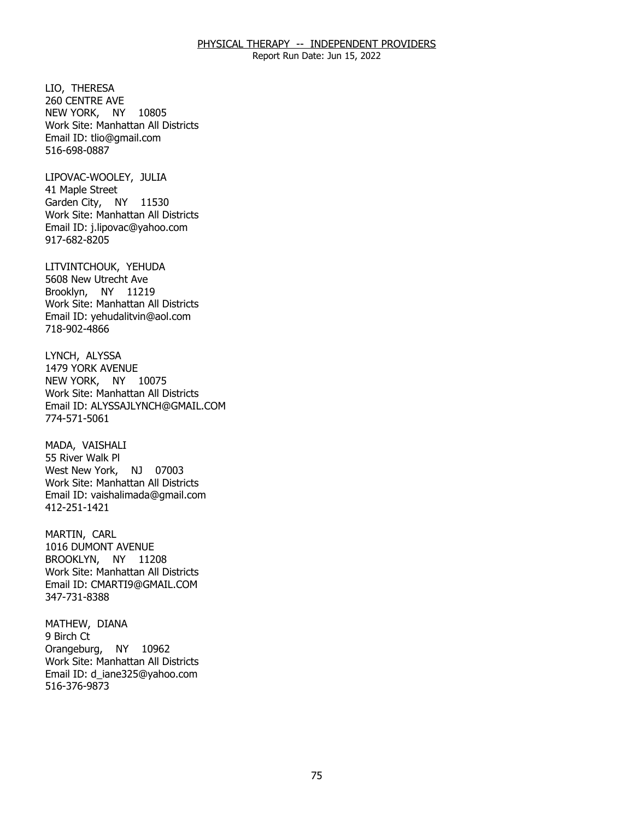Report Run Date: Jun 15, 2022

LIO, THERESA NEW YORK, NY 10805 260 CENTRE AVE Work Site: Manhattan All Districts Email ID: [tlio@gmail.com](mailto:tlio@gmail.com)  516-698-0887

LIPOVAC-WOOLEY, JULIA<br>41 Maple Street Garden City, NY 11530 Work Site: Manhattan All Districts Email ID: [j.lipovac@yahoo.com](mailto:j.lipovac@yahoo.com) 917-682-8205

LITVINTCHOUK, YEHUDA<br>5608 New Utrecht Ave Brooklyn, NY 11219 Work Site: Manhattan All Districts Email ID: [yehudalitvin@aol.com](mailto:yehudalitvin@aol.com) 718-902-4866

LYNCH, ALYSSA NEW YORK, NY 10075 1479 YORK AVENUE Work Site: Manhattan All Districts Email ID: [ALYSSAJLYNCH@GMAIL.COM](mailto:ALYSSAJLYNCH@GMAIL.COM) 774-571-5061

MADA, VAISHALI West New York, NJ 07003 55 River Walk Pl Work Site: Manhattan All Districts Email ID: [vaishalimada@gmail.com](mailto:vaishalimada@gmail.com) 412-251-1421

MARTIN, CARL BROOKLYN, NY 11208 1016 DUMONT AVENUE Work Site: Manhattan All Districts Email ID: [CMARTI9@GMAIL.COM](mailto:CMARTI9@GMAIL.COM)  347-731-8388

MATHEW, DIANA<br>9 Birch Ct Orangeburg, NY 10962 Work Site: Manhattan All Districts Email ID: [d\\_iane325@yahoo.com](mailto:d_iane325@yahoo.com)  516-376-9873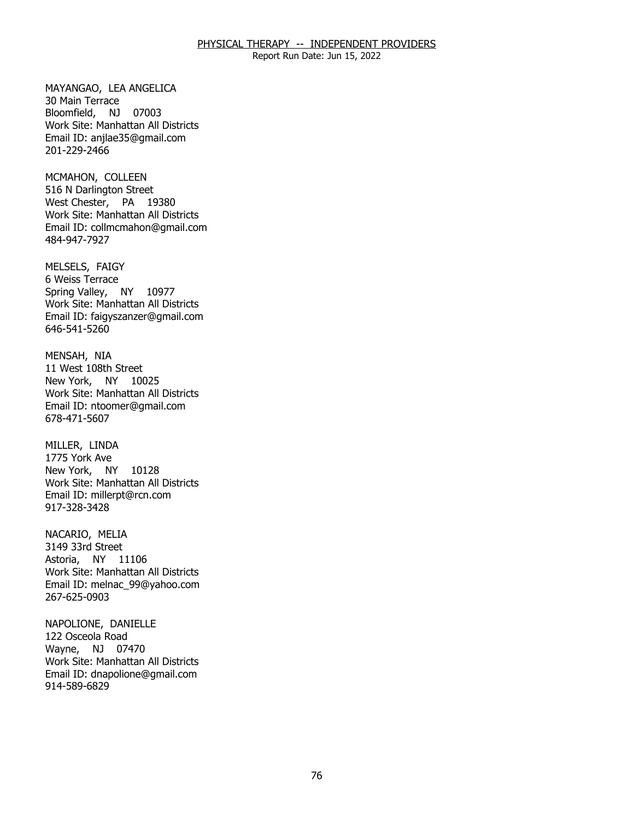Report Run Date: Jun 15, 2022

MAYANGAO, LEA ANGELICA<br>30 Main Terrace Bloomfield, NJ 07003 Work Site: Manhattan All Districts Email ID: [anjlae35@gmail.com](mailto:anjlae35@gmail.com)  201-229-2466

MCMAHON, COLLEEN West Chester, PA 19380 516 N Darlington Street Work Site: Manhattan All Districts Email ID: [collmcmahon@gmail.com](mailto:collmcmahon@gmail.com) 484-947-7927

MELSELS, FAIGY<br>6 Weiss Terrace Spring Valley, NY 10977 Work Site: Manhattan All Districts Email ID: [faigyszanzer@gmail.com](mailto:faigyszanzer@gmail.com) 646-541-5260

MENSAH, NIA New York, NY 10025 11 West 108th Street Work Site: Manhattan All Districts Email ID: [ntoomer@gmail.com](mailto:ntoomer@gmail.com) 678-471-5607

MILLER, LINDA New York, NY 10128 1775 York Ave Work Site: Manhattan All Districts Email ID: [millerpt@rcn.com](mailto:millerpt@rcn.com) 917-328-3428

NACARIO, MELIA Astoria, NY 11106 3149 33rd Street Work Site: Manhattan All Districts Email ID: [melnac\\_99@yahoo.com](mailto:melnac_99@yahoo.com)  267-625-0903

NAPOLIONE, DANIELLE<br>122 Osceola Road Wayne, NJ 07470 Work Site: Manhattan All Districts Email ID: [dnapolione@gmail.com](mailto:dnapolione@gmail.com) 914-589-6829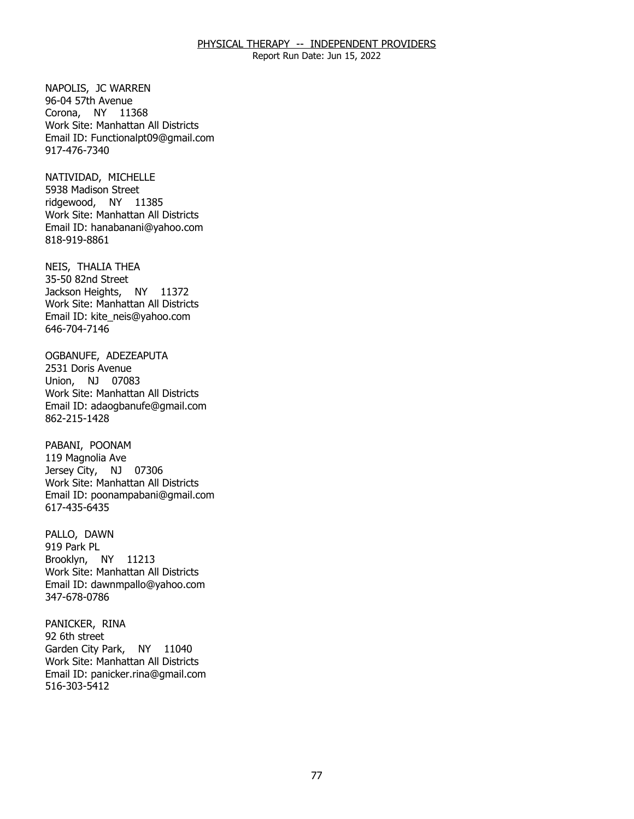Report Run Date: Jun 15, 2022

NAPOLIS, JC WARREN<br>96-04 57th Avenue Corona, NY 11368 Work Site: Manhattan All Districts Email ID: [Functionalpt09@gmail.com](mailto:Functionalpt09@gmail.com) 917-476-7340

NATIVIDAD, MICHELLE<br>5938 Madison Street ridgewood, NY 11385 Work Site: Manhattan All Districts Email ID: [hanabanani@yahoo.com](mailto:hanabanani@yahoo.com) 818-919-8861

NEIS, THALIA THEA<br>35-50 82nd Street Jackson Heights, NY 11372 Work Site: Manhattan All Districts Email ID: [kite\\_neis@yahoo.com](mailto:kite_neis@yahoo.com) 646-704-7146

OGBANUFE, ADEZEAPUTA<br>2531 Doris Avenue Union, NJ 07083 Work Site: Manhattan All Districts Email ID: [adaogbanufe@gmail.com](mailto:adaogbanufe@gmail.com)  862-215-1428

PABANI, POONAM Jersey City, NJ 07306 119 Magnolia Ave Work Site: Manhattan All Districts Email ID: [poonampabani@gmail.com](mailto:poonampabani@gmail.com) 617-435-6435

PALLO, DAWN<br>919 Park PL Brooklyn, NY 11213 Work Site: Manhattan All Districts Email ID: [dawnmpallo@yahoo.com](mailto:dawnmpallo@yahoo.com) 347-678-0786

PANICKER, RINA<br>92 6th street Garden City Park, NY 11040 Work Site: Manhattan All Districts Email ID: [panicker.rina@gmail.com](mailto:panicker.rina@gmail.com) 516-303-5412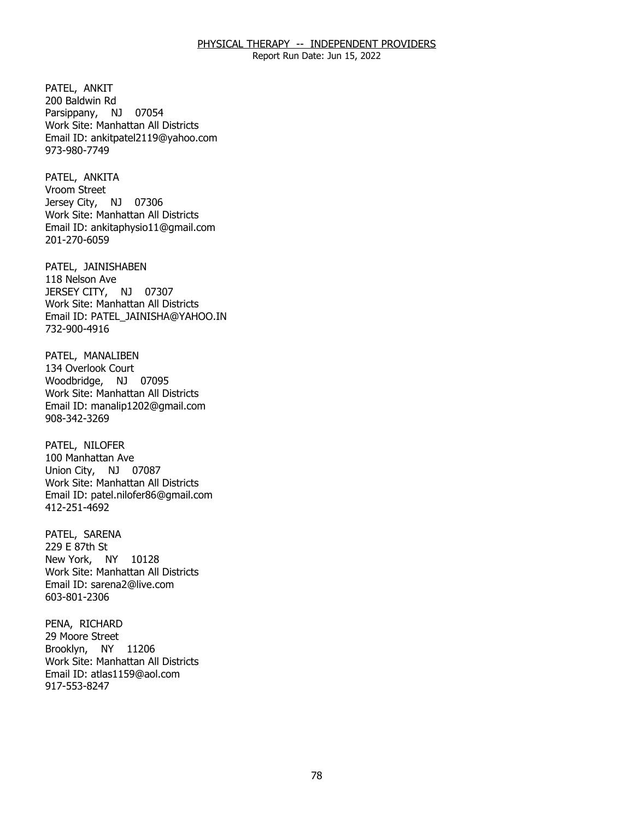Report Run Date: Jun 15, 2022

PATEL, ANKIT Parsippany, NJ 07054 200 Baldwin Rd Work Site: Manhattan All Districts Email ID: [ankitpatel2119@yahoo.com](mailto:ankitpatel2119@yahoo.com) 973-980-7749

PATEL, ANKITA<br>Vroom Street Jersey City, NJ 07306 Work Site: Manhattan All Districts Email ID: [ankitaphysio11@gmail.com](mailto:ankitaphysio11@gmail.com) 201-270-6059

PATEL, JAINISHABEN<br>118 Nelson Ave JERSEY CITY, NJ 07307 Work Site: Manhattan All Districts Email ID: [PATEL\\_JAINISHA@YAHOO.IN](mailto:PATEL_JAINISHA@YAHOO.IN) 732-900-4916

PATEL, MANALIBEN<br>134 Overlook Court Woodbridge, NJ 07095 Work Site: Manhattan All Districts Email ID: [manalip1202@gmail.com](mailto:manalip1202@gmail.com)  908-342-3269

PATEL, NILOFER Union City, NJ 07087 100 Manhattan Ave Work Site: Manhattan All Districts Email ID: [patel.nilofer86@gmail.com](mailto:patel.nilofer86@gmail.com) 412-251-4692

PATEL, SARENA<br>229 E 87th St New York, NY 10128 Work Site: Manhattan All Districts Email ID: [sarena2@live.com](mailto:sarena2@live.com) 603-801-2306

PENA, RICHARD<br>29 Moore Street Brooklyn, NY 11206 Work Site: Manhattan All Districts Email ID: [atlas1159@aol.com](mailto:atlas1159@aol.com)  917-553-8247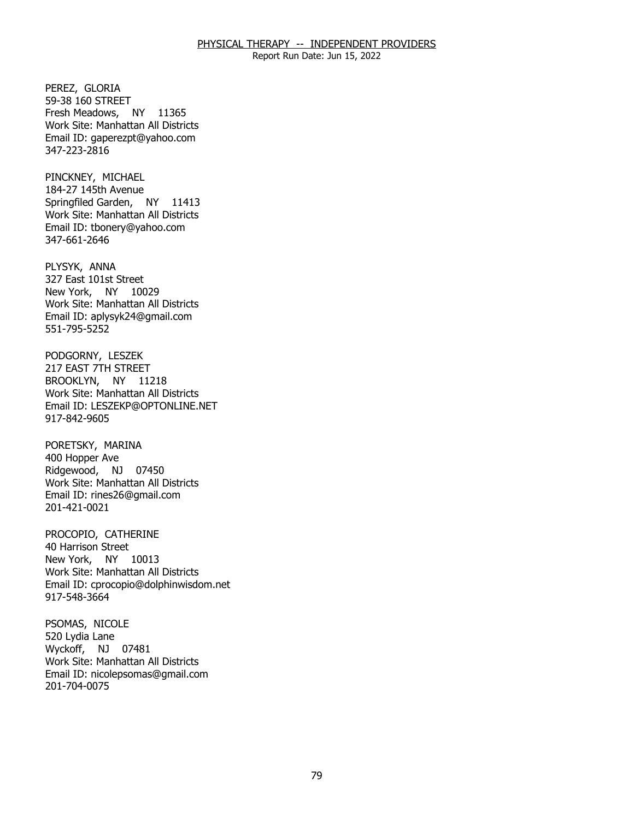Report Run Date: Jun 15, 2022

PEREZ, GLORIA Fresh Meadows, NY 11365 59-38 160 STREET Work Site: Manhattan All Districts Email ID: [gaperezpt@yahoo.com](mailto:gaperezpt@yahoo.com)  347-223-2816

PINCKNEY, MICHAEL Springfiled Garden, NY 11413 184-27 145th Avenue Work Site: Manhattan All Districts Email ID: [tbonery@yahoo.com](mailto:tbonery@yahoo.com)  347-661-2646

PLYSYK, ANNA New York, NY 10029 327 East 101st Street Work Site: Manhattan All Districts Email ID: [aplysyk24@gmail.com](mailto:aplysyk24@gmail.com)  551-795-5252

PODGORNY, LESZEK<br>217 EAST 7TH STREET BROOKLYN, NY 11218 Work Site: Manhattan All Districts Email ID: [LESZEKP@OPTONLINE.NET](mailto:LESZEKP@OPTONLINE.NET) 917-842-9605

PORETSKY, MARINA<br>400 Hopper Ave Ridgewood, NJ 07450 Work Site: Manhattan All Districts Email ID: [rines26@gmail.com](mailto:rines26@gmail.com) 201-421-0021

 PROCOPIO, CATHERINE 40 Harrison Street New York, NY 10013 Work Site: Manhattan All Districts Email ID: [cprocopio@dolphinwisdom.net](mailto:cprocopio@dolphinwisdom.net) 917-548-3664

PSOMAS, NICOLE Wyckoff, NJ 07481 520 Lydia Lane Work Site: Manhattan All Districts Email ID: [nicolepsomas@gmail.com](mailto:nicolepsomas@gmail.com) 201-704-0075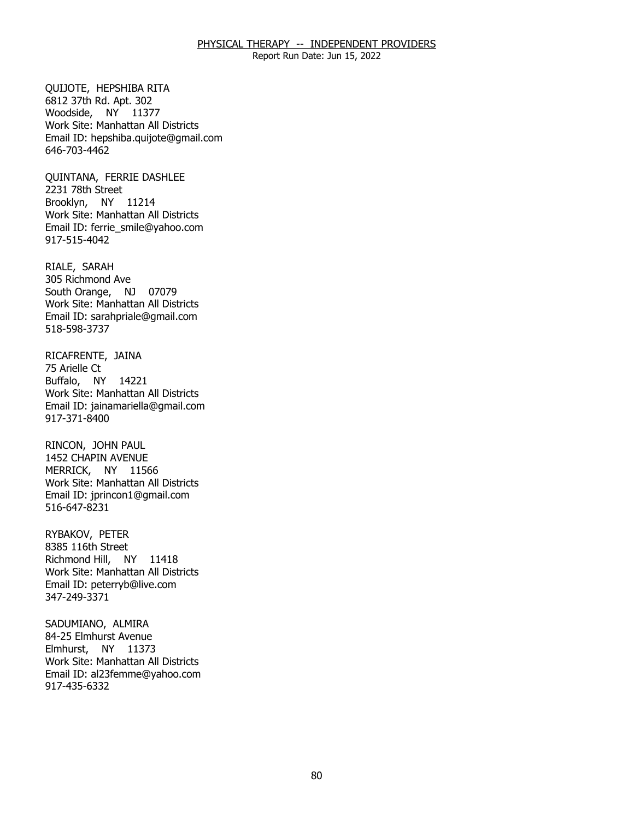Report Run Date: Jun 15, 2022

**OUIJOTE, HEPSHIBA RITA**  Woodside, NY 11377 6812 37th Rd. Apt. 302 Work Site: Manhattan All Districts Email ID: [hepshiba.quijote@gmail.com](mailto:hepshiba.quijote@gmail.com)  646-703-4462

QUINTANA, FERRIE DASHLEE<br>2231 78th Street Brooklyn, NY 11214 Work Site: Manhattan All Districts Email ID: [ferrie\\_smile@yahoo.com](mailto:ferrie_smile@yahoo.com) 917-515-4042

RIALE, SARAH South Orange, NJ 07079 305 Richmond Ave Work Site: Manhattan All Districts Email ID: [sarahpriale@gmail.com](mailto:sarahpriale@gmail.com)  518-598-3737

RICAFRENTE, JAINA<br>75 Arielle Ct Buffalo, NY 14221 Work Site: Manhattan All Districts Email ID: [jainamariella@gmail.com](mailto:jainamariella@gmail.com) 917-371-8400

RINCON, JOHN PAUL MERRICK, NY 11566 1452 CHAPIN AVENUE Work Site: Manhattan All Districts Email ID: [jprincon1@gmail.com](mailto:jprincon1@gmail.com) 516-647-8231

RYBAKOV, PETER Richmond Hill, NY 11418 8385 116th Street Work Site: Manhattan All Districts Email ID: [peterryb@live.com](mailto:peterryb@live.com) 347-249-3371

SADUMIANO, ALMIRA Elmhurst, NY 11373 84-25 Elmhurst Avenue Work Site: Manhattan All Districts Email ID: [al23femme@yahoo.com](mailto:al23femme@yahoo.com) 917-435-6332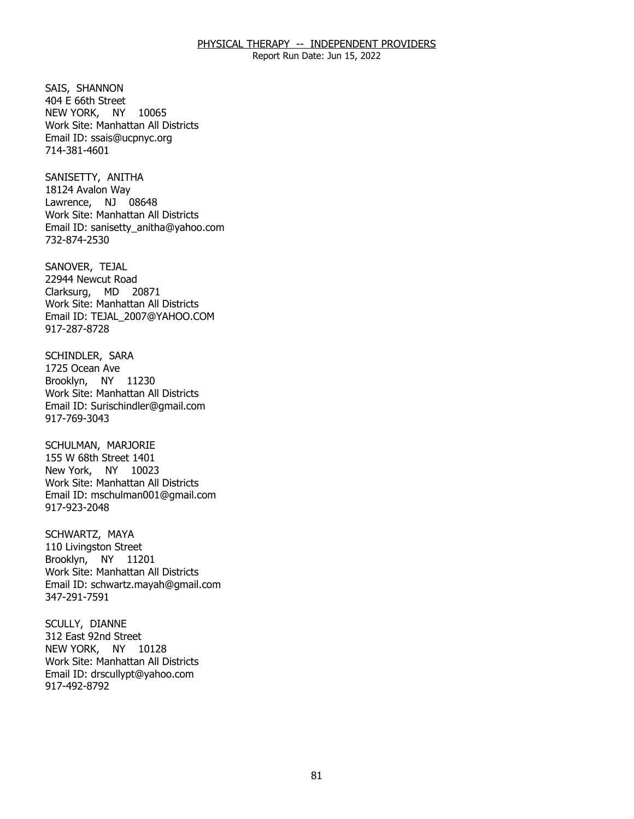Report Run Date: Jun 15, 2022

SAIS, SHANNON NEW YORK, NY 10065 404 E 66th Street Work Site: Manhattan All Districts Email ID: [ssais@ucpnyc.org](mailto:ssais@ucpnyc.org) 714-381-4601

SANISETTY, ANITHA Lawrence, NJ 08648 18124 Avalon Way Work Site: Manhattan All Districts Email ID: [sanisetty\\_anitha@yahoo.com](mailto:sanisetty_anitha@yahoo.com)  732-874-2530

SANOVER, TEJAL Clarksurg, MD 20871 22944 Newcut Road Work Site: Manhattan All Districts Email ID: [TEJAL\\_2007@YAHOO.COM](mailto:TEJAL_2007@YAHOO.COM) 917-287-8728

SCHINDLER, SARA<br>1725 Ocean Ave Brooklyn, NY 11230 Work Site: Manhattan All Districts Email ID: [Surischindler@gmail.com](mailto:Surischindler@gmail.com) 917-769-3043

SCHULMAN, MARJORIE New York, NY 10023 155 W 68th Street 1401 Work Site: Manhattan All Districts Email ID: [mschulman001@gmail.com](mailto:mschulman001@gmail.com)  917-923-2048

SCHWARTZ, MAYA Brooklyn, NY 11201 110 Livingston Street Work Site: Manhattan All Districts Email ID: [schwartz.mayah@gmail.com](mailto:schwartz.mayah@gmail.com) 347-291-7591

SCULLY, DIANNE NEW YORK, NY 10128 312 East 92nd Street Work Site: Manhattan All Districts Email ID: [drscullypt@yahoo.com](mailto:drscullypt@yahoo.com) 917-492-8792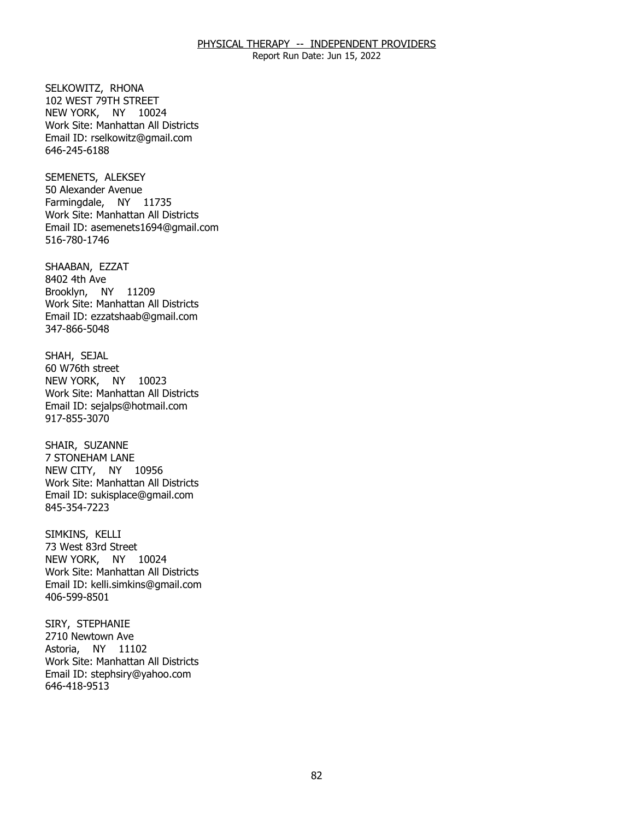Report Run Date: Jun 15, 2022

SELKOWITZ, RHONA NEW YORK, NY 10024 102 WEST 79TH STREET Work Site: Manhattan All Districts Email ID: [rselkowitz@gmail.com](mailto:rselkowitz@gmail.com)  646-245-6188

SEMENETS, ALEKSEY Farmingdale, NY 11735 50 Alexander Avenue Work Site: Manhattan All Districts Email ID: [asemenets1694@gmail.com](mailto:asemenets1694@gmail.com) 516-780-1746

SHAABAN, EZZAT<br>8402 4th Ave Brooklyn, NY 11209 Work Site: Manhattan All Districts Email ID: [ezzatshaab@gmail.com](mailto:ezzatshaab@gmail.com) 347-866-5048

SHAH, SEJAL NEW YORK, NY 10023 60 W76th street Work Site: Manhattan All Districts Email ID: [sejalps@hotmail.com](mailto:sejalps@hotmail.com) 917-855-3070

SHAIR, SUZANNE NEW CITY, NY 10956 **7 STONEHAM LANE** Work Site: Manhattan All Districts Email ID: [sukisplace@gmail.com](mailto:sukisplace@gmail.com)  845-354-7223

SIMKINS, KELLI NEW YORK, NY 10024 73 West 83rd Street Work Site: Manhattan All Districts Email ID: [kelli.simkins@gmail.com](mailto:kelli.simkins@gmail.com)  406-599-8501

SIRY, STEPHANIE Astoria, NY 11102 2710 Newtown Ave Work Site: Manhattan All Districts Email ID: [stephsiry@yahoo.com](mailto:stephsiry@yahoo.com)  646-418-9513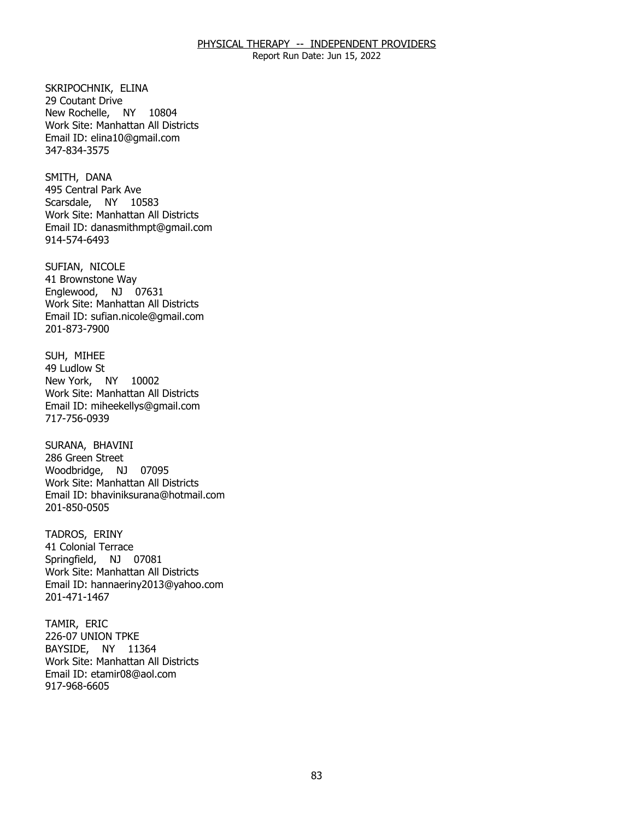Report Run Date: Jun 15, 2022

SKRIPOCHNIK, ELINA<br>29 Coutant Drive New Rochelle, NY 10804 Work Site: Manhattan All Districts Email ID: [elina10@gmail.com](mailto:elina10@gmail.com)  347-834-3575

SMITH, DANA Scarsdale, NY 10583 495 Central Park Ave Work Site: Manhattan All Districts Email ID: [danasmithmpt@gmail.com](mailto:danasmithmpt@gmail.com) 914-574-6493

SUFIAN, NICOLE Englewood, NJ 07631 41 Brownstone Way Work Site: Manhattan All Districts Email ID: [sufian.nicole@gmail.com](mailto:sufian.nicole@gmail.com) 201-873-7900

SUH, MIHEE<br>49 Ludlow St New York, NY 10002 Work Site: Manhattan All Districts Email ID: [miheekellys@gmail.com](mailto:miheekellys@gmail.com) 717-756-0939

SURANA, BHAVINI Woodbridge, NJ 07095 286 Green Street Work Site: Manhattan All Districts Email ID: [bhaviniksurana@hotmail.com](mailto:bhaviniksurana@hotmail.com) 201-850-0505

TADROS, ERINY Springfield, NJ 07081 41 Colonial Terrace Work Site: Manhattan All Districts Email ID: [hannaeriny2013@yahoo.com](mailto:hannaeriny2013@yahoo.com)  201-471-1467

TAMIR, ERIC BAYSIDE, NY 11364 226-07 UNION TPKE Work Site: Manhattan All Districts Email ID: [etamir08@aol.com](mailto:etamir08@aol.com)  917-968-6605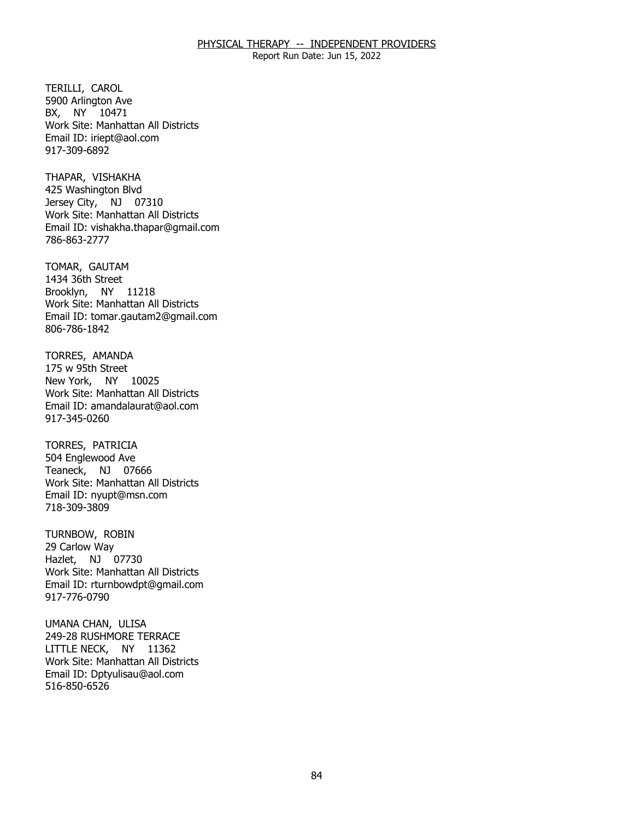Report Run Date: Jun 15, 2022

TERILLI, CAROL BX, NY 10471 5900 Arlington Ave Work Site: Manhattan All Districts Email ID: [iriept@aol.com](mailto:iriept@aol.com)  917-309-6892

THAPAR, VISHAKHA Jersey City, NJ 07310 425 Washington Blvd Work Site: Manhattan All Districts Email ID: [vishakha.thapar@gmail.com](mailto:vishakha.thapar@gmail.com) 786-863-2777

TOMAR, GAUTAM Brooklyn, NY 11218 1434 36th Street Work Site: Manhattan All Districts Email ID: [tomar.gautam2@gmail.com](mailto:tomar.gautam2@gmail.com) 806-786-1842

TORRES, AMANDA<br>175 w 95th Street New York, NY 10025 Work Site: Manhattan All Districts Email ID: [amandalaurat@aol.com](mailto:amandalaurat@aol.com) 917-345-0260

TORRES, PATRICIA Teaneck, NJ 07666 504 Englewood Ave Work Site: Manhattan All Districts Email ID: [nyupt@msn.com](mailto:nyupt@msn.com)  718-309-3809

TURNBOW, ROBIN<br>29 Carlow Way Hazlet, NJ 07730 Work Site: Manhattan All Districts Email ID: [rturnbowdpt@gmail.com](mailto:rturnbowdpt@gmail.com)  917-776-0790

UMANA CHAN, ULISA LITTLE NECK, NY 11362 249-28 RUSHMORE TERRACE Work Site: Manhattan All Districts Email ID: [Dptyulisau@aol.com](mailto:Dptyulisau@aol.com) 516-850-6526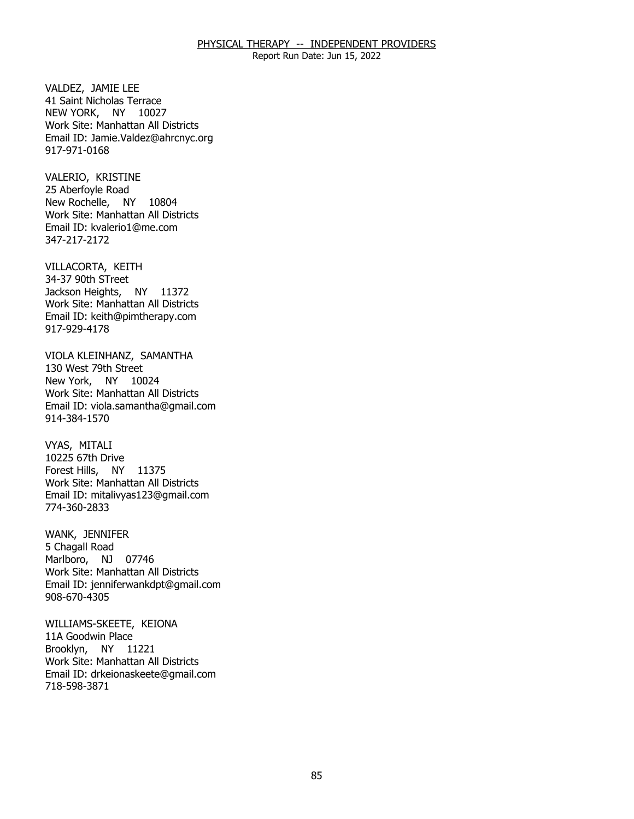Report Run Date: Jun 15, 2022

VALDEZ, JAMIE LEE NEW YORK, NY 10027 41 Saint Nicholas Terrace Work Site: Manhattan All Districts Email ID: [Jamie.Valdez@ahrcnyc.org](mailto:Jamie.Valdez@ahrcnyc.org)  917-971-0168

VALERIO, KRISTINE New Rochelle, NY 10804 25 Aberfoyle Road Work Site: Manhattan All Districts Email ID: [kvalerio1@me.com](mailto:kvalerio1@me.com)  347-217-2172

VILLACORTA, KEITH<br>34-37 90th STreet Jackson Heights, NY 11372 Work Site: Manhattan All Districts Email ID: [keith@pimtherapy.com](mailto:keith@pimtherapy.com)  917-929-4178

VIOLA KLEINHANZ, SAMANTHA<br>130 West 79th Street New York, NY 10024 Work Site: Manhattan All Districts Email ID: [viola.samantha@gmail.com](mailto:viola.samantha@gmail.com)  914-384-1570

VYAS, MITALI Forest Hills, NY 11375 10225 67th Drive Work Site: Manhattan All Districts Email ID: [mitalivyas123@gmail.com](mailto:mitalivyas123@gmail.com) 774-360-2833

WANK, JENNIFER<br>5 Chagall Road Marlboro, NJ 07746 Work Site: Manhattan All Districts Email ID: [jenniferwankdpt@gmail.com](mailto:jenniferwankdpt@gmail.com) 908-670-4305

 WILLIAMS-SKEETE, KEIONA 11A Goodwin Place Brooklyn, NY 11221 Work Site: Manhattan All Districts Email ID: [drkeionaskeete@gmail.com](mailto:drkeionaskeete@gmail.com)  718-598-3871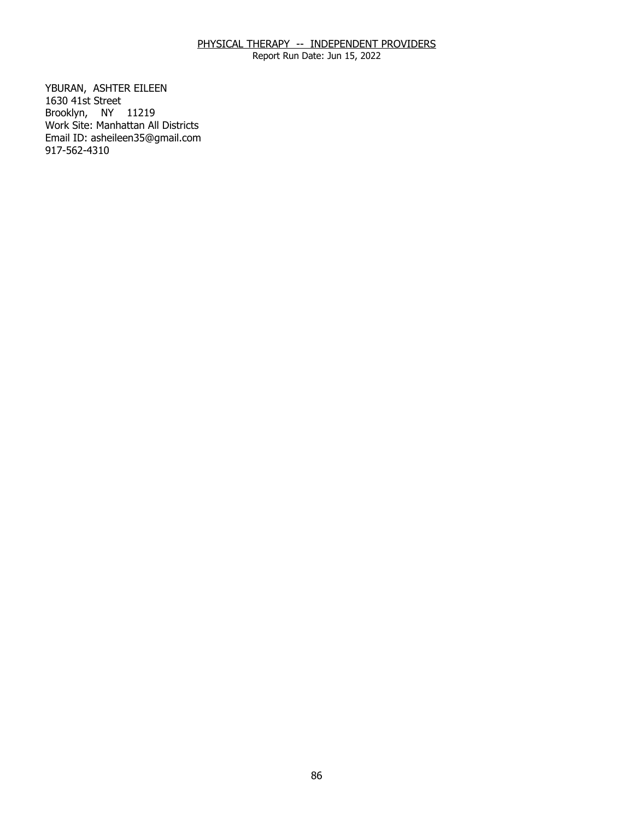Report Run Date: Jun 15, 2022

YBURAN, ASHTER EILEEN<br>1630 41st Street Brooklyn, NY 11219 Work Site: Manhattan All Districts Email ID: [asheileen35@gmail.com](mailto:asheileen35@gmail.com) 917-562-4310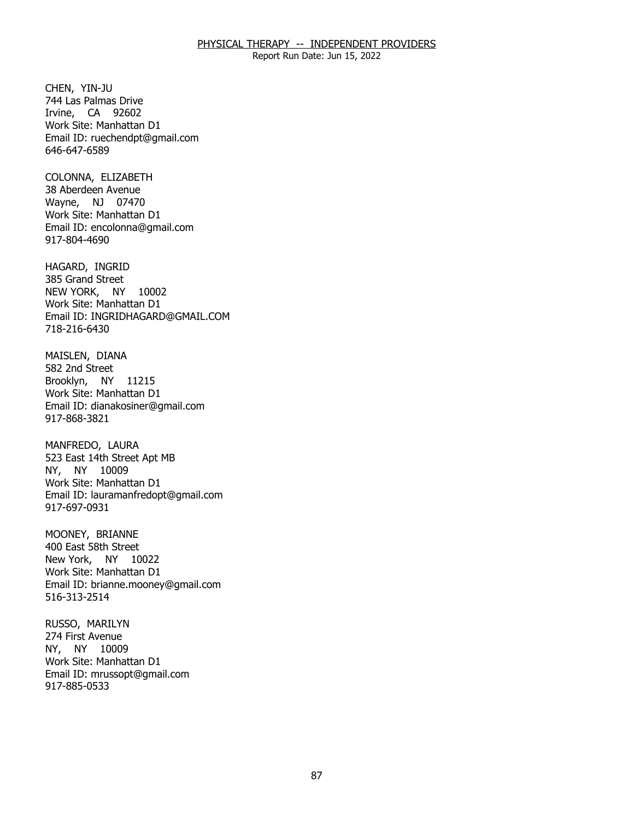Report Run Date: Jun 15, 2022

CHEN, YIN-JU Irvine, CA 92602 744 Las Palmas Drive Work Site: Manhattan D1 Email ID: [ruechendpt@gmail.com](mailto:ruechendpt@gmail.com) 646-647-6589

COLONNA, ELIZABETH Wayne, NJ 07470 38 Aberdeen Avenue Work Site: Manhattan D1 Email ID: [encolonna@gmail.com](mailto:encolonna@gmail.com) 917-804-4690

HAGARD, INGRID NEW YORK, NY 10002 385 Grand Street Work Site: Manhattan D1 Email ID: [INGRIDHAGARD@GMAIL.COM](mailto:INGRIDHAGARD@GMAIL.COM) 718-216-6430

MAISLEN, DIANA<br>582 2nd Street Brooklyn, NY 11215 Work Site: Manhattan D1 Email ID: [dianakosiner@gmail.com](mailto:dianakosiner@gmail.com)  917-868-3821

MANFREDO, LAURA NY, NY 10009 523 East 14th Street Apt MB Work Site: Manhattan D1 Email ID: [lauramanfredopt@gmail.com](mailto:lauramanfredopt@gmail.com) 917-697-0931

MOONEY, BRIANNE New York, NY 10022 400 East 58th Street Work Site: Manhattan D1 Email ID: [brianne.mooney@gmail.com](mailto:brianne.mooney@gmail.com) 516-313-2514

RUSSO, MARILYN<br>274 First Avenue NY, NY 10009 Work Site: Manhattan D1 Email ID: [mrussopt@gmail.com](mailto:mrussopt@gmail.com) 917-885-0533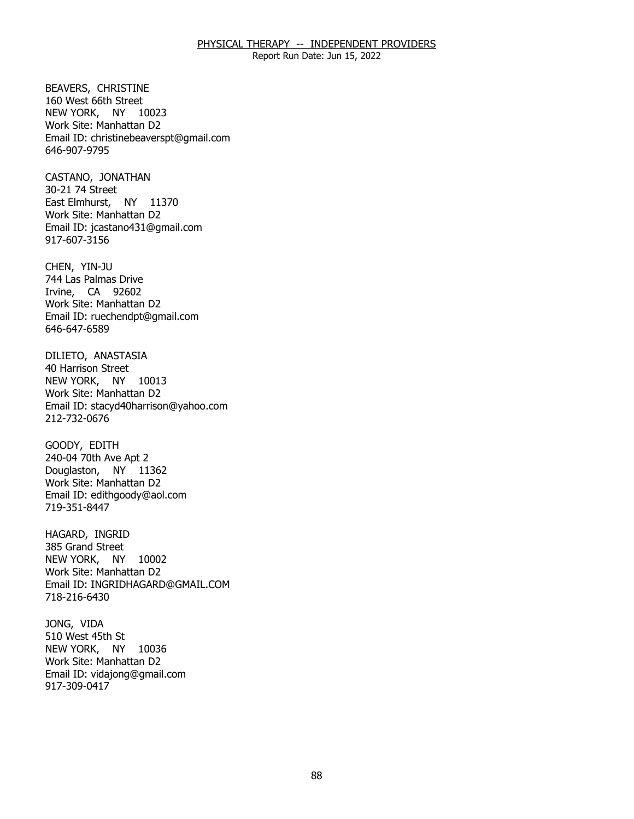Report Run Date: Jun 15, 2022

 BEAVERS, CHRISTINE 160 West 66th Street NEW YORK, NY 10023 Work Site: Manhattan D2 Email ID: [christinebeaverspt@gmail.com](mailto:christinebeaverspt@gmail.com) 646-907-9795

CASTANO, JONATHAN<br>30-21 74 Street East Elmhurst, NY 11370 Work Site: Manhattan D2 Email ID: [jcastano431@gmail.com](mailto:jcastano431@gmail.com) 917-607-3156

CHEN, YIN-JU Irvine, CA 92602 744 Las Palmas Drive Work Site: Manhattan D2 Email ID: [ruechendpt@gmail.com](mailto:ruechendpt@gmail.com) 646-647-6589

DILIETO, ANASTASIA<br>40 Harrison Street NEW YORK, NY 10013 Work Site: Manhattan D2 Email ID: [stacyd40harrison@yahoo.com](mailto:stacyd40harrison@yahoo.com) 212-732-0676

GOODY, EDITH Douglaston, NY 11362 240-04 70th Ave Apt 2 Work Site: Manhattan D2 Email ID: [edithgoody@aol.com](mailto:edithgoody@aol.com) 719-351-8447

HAGARD, INGRID NEW YORK, NY 10002 385 Grand Street Work Site: Manhattan D2 Email ID: [INGRIDHAGARD@GMAIL.COM](mailto:INGRIDHAGARD@GMAIL.COM) 718-216-6430

JONG, VIDA NEW YORK, NY 10036 510 West 45th St Work Site: Manhattan D2 Email ID: [vidajong@gmail.com](mailto:vidajong@gmail.com)  917-309-0417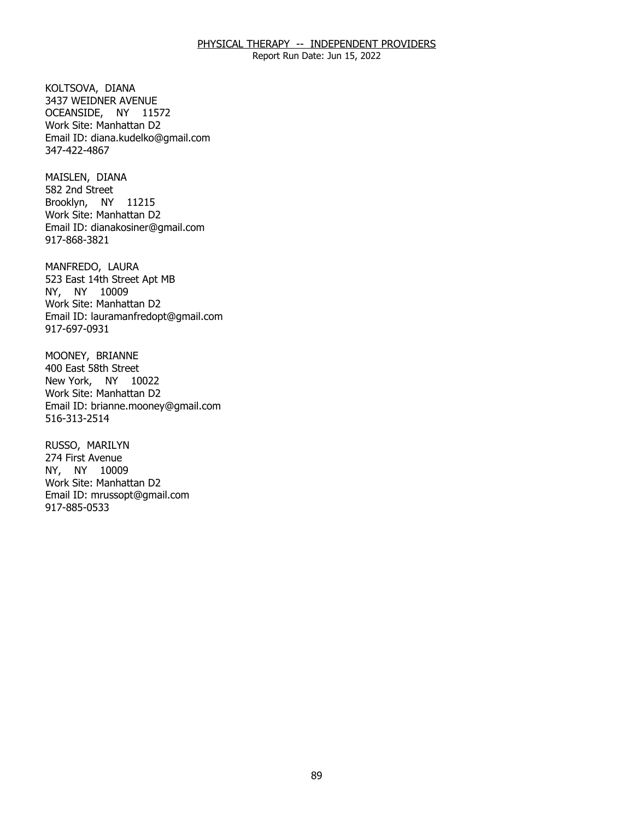Report Run Date: Jun 15, 2022

KOLTSOVA, DIANA OCEANSIDE, NY 11572 3437 WEIDNER AVENUE Work Site: Manhattan D2 Email ID: [diana.kudelko@gmail.com](mailto:diana.kudelko@gmail.com) 347-422-4867

MAISLEN, DIANA Brooklyn, NY 11215 582 2nd Street Work Site: Manhattan D2 Email ID: [dianakosiner@gmail.com](mailto:dianakosiner@gmail.com)  917-868-3821

MANFREDO, LAURA NY, NY 10009 523 East 14th Street Apt MB Work Site: Manhattan D2 Email ID: [lauramanfredopt@gmail.com](mailto:lauramanfredopt@gmail.com) 917-697-0931

MOONEY, BRIANNE<br>400 East 58th Street New York, NY 10022 Work Site: Manhattan D2 Email ID: [brianne.mooney@gmail.com](mailto:brianne.mooney@gmail.com) 516-313-2514

RUSSO, MARILYN NY, NY 10009 274 First Avenue Work Site: Manhattan D2 Email ID: [mrussopt@gmail.com](mailto:mrussopt@gmail.com) 917-885-0533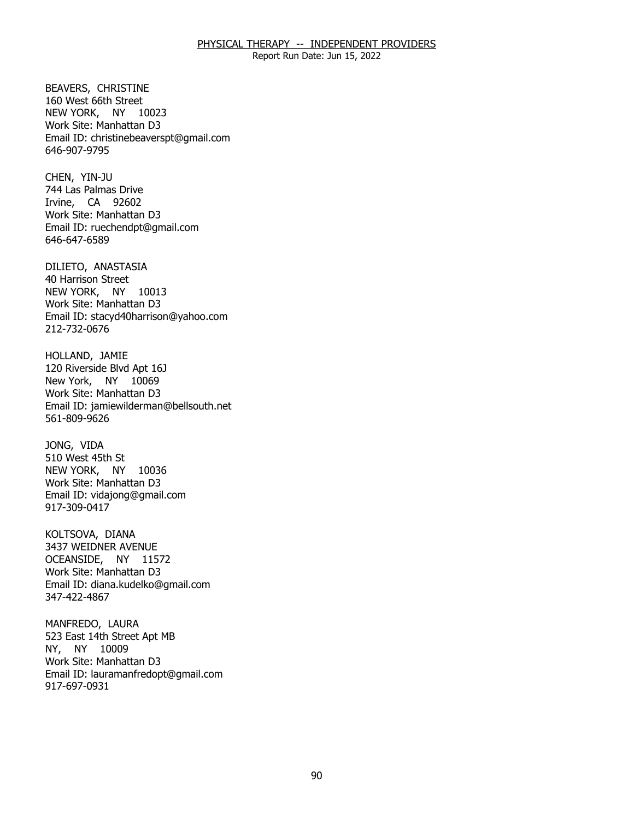Report Run Date: Jun 15, 2022

**BEAVERS, CHRISTINE**  NEW YORK, NY 10023 160 West 66th Street Work Site: Manhattan D3 Email ID: [christinebeaverspt@gmail.com](mailto:christinebeaverspt@gmail.com) 646-907-9795

CHEN, YIN-JU Irvine, CA 92602 744 Las Palmas Drive Work Site: Manhattan D3 Email ID: [ruechendpt@gmail.com](mailto:ruechendpt@gmail.com) 646-647-6589

DILIETO, ANASTASIA<br>40 Harrison Street NEW YORK, NY 10013 Work Site: Manhattan D3 Email ID: [stacyd40harrison@yahoo.com](mailto:stacyd40harrison@yahoo.com) 212-732-0676

HOLLAND, JAMIE New York, NY 10069 120 Riverside Blvd Apt 16J Work Site: Manhattan D3 Email ID: [jamiewilderman@bellsouth.net](mailto:jamiewilderman@bellsouth.net)  561-809-9626

JONG, VIDA NEW YORK, NY 10036 510 West 45th St Work Site: Manhattan D3 Email ID: [vidajong@gmail.com](mailto:vidajong@gmail.com)  917-309-0417

KOLTSOVA, DIANA OCEANSIDE, NY 11572 3437 WEIDNER AVENUE Work Site: Manhattan D3 Email ID: [diana.kudelko@gmail.com](mailto:diana.kudelko@gmail.com) 347-422-4867

MANFREDO, LAURA NY, NY 10009 523 East 14th Street Apt MB Work Site: Manhattan D3 Email ID: [lauramanfredopt@gmail.com](mailto:lauramanfredopt@gmail.com) 917-697-0931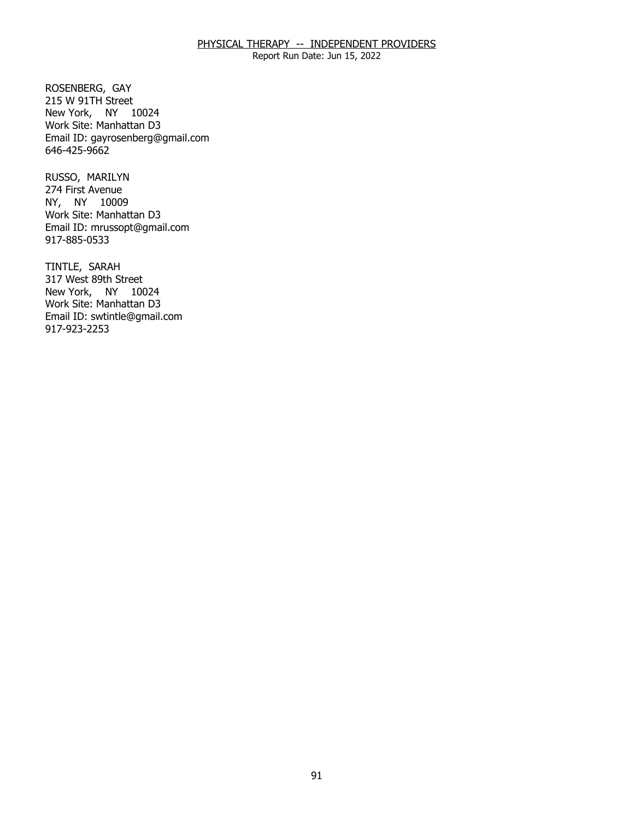Report Run Date: Jun 15, 2022

ROSENBERG, GAY New York, NY 10024 215 W 91TH Street Work Site: Manhattan D3 Email ID: [gayrosenberg@gmail.com](mailto:gayrosenberg@gmail.com) 646-425-9662

RUSSO, MARILYN NY, NY 10009 274 First Avenue Work Site: Manhattan D3 Email ID: [mrussopt@gmail.com](mailto:mrussopt@gmail.com) 917-885-0533

TINTLE, SARAH New York, NY 10024 317 West 89th Street Work Site: Manhattan D3 Email ID: [swtintle@gmail.com](mailto:swtintle@gmail.com) 917-923-2253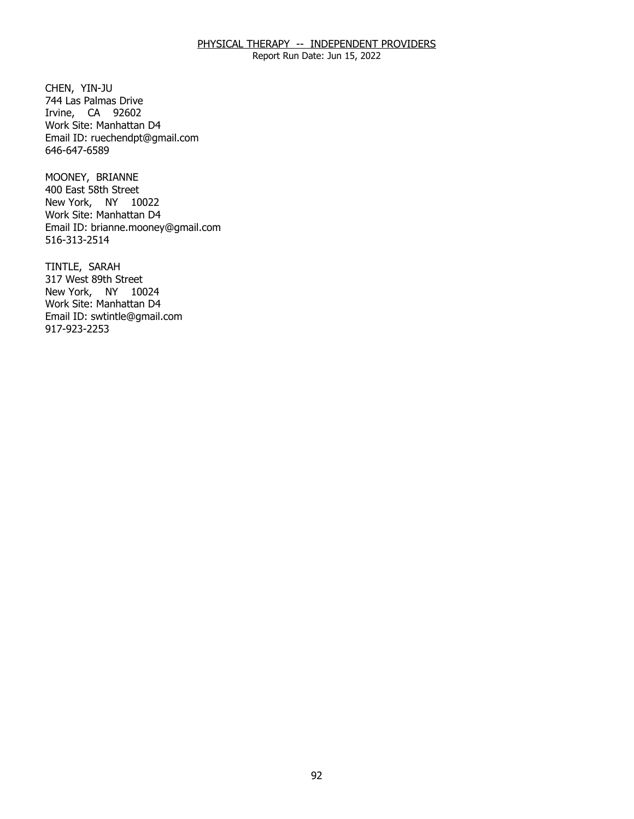Report Run Date: Jun 15, 2022

CHEN, YIN-JU Irvine, CA 92602 744 Las Palmas Drive Work Site: Manhattan D4 Email ID: [ruechendpt@gmail.com](mailto:ruechendpt@gmail.com) 646-647-6589

MOONEY, BRIANNE New York, NY 10022 400 East 58th Street Work Site: Manhattan D4 Email ID: [brianne.mooney@gmail.com](mailto:brianne.mooney@gmail.com) 516-313-2514

TINTLE, SARAH New York, NY 10024 317 West 89th Street Work Site: Manhattan D4 Email ID: [swtintle@gmail.com](mailto:swtintle@gmail.com) 917-923-2253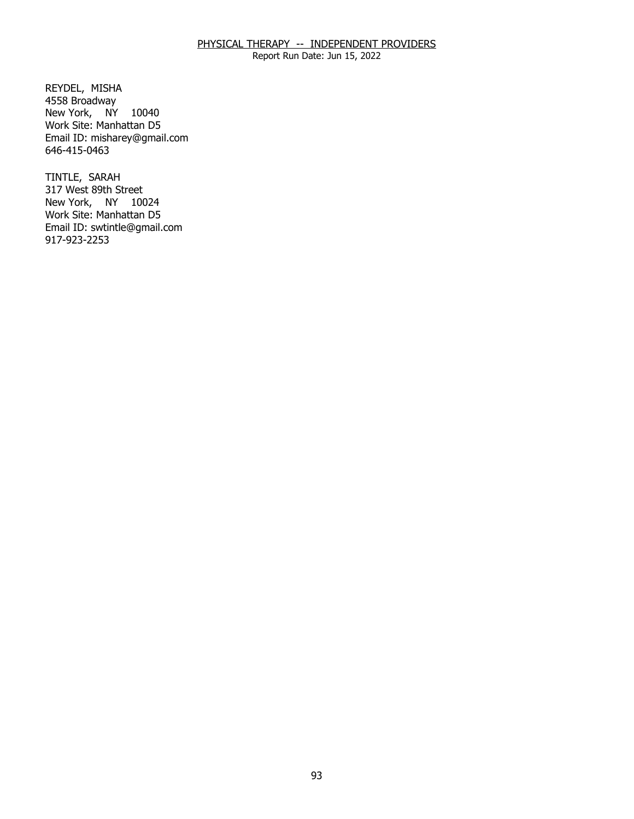Report Run Date: Jun 15, 2022

REYDEL, MISHA New York, NY 10040 4558 Broadway Work Site: Manhattan D5 Email ID: [misharey@gmail.com](mailto:misharey@gmail.com) 646-415-0463

TINTLE, SARAH New York, NY 10024 317 West 89th Street Work Site: Manhattan D5 Email ID: [swtintle@gmail.com](mailto:swtintle@gmail.com) 917-923-2253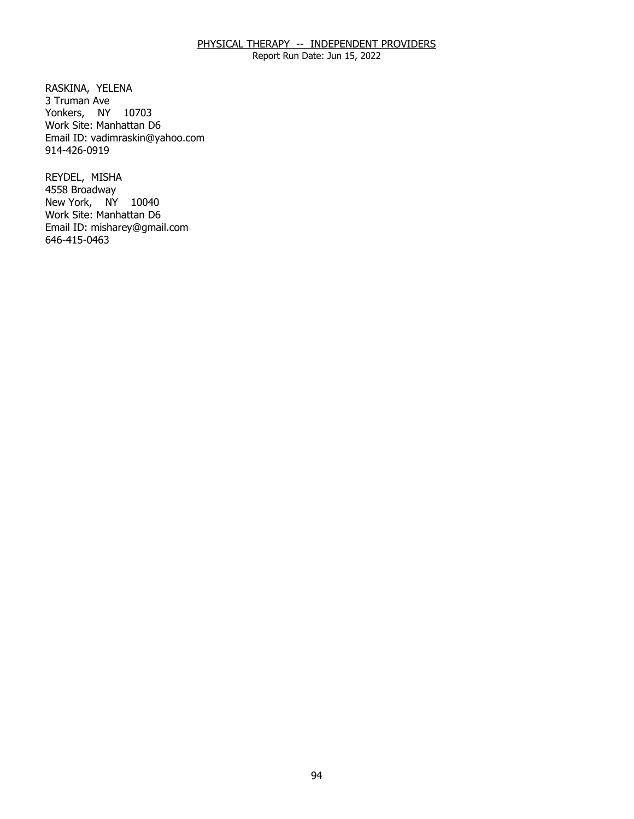Report Run Date: Jun 15, 2022

RASKINA, YELENA<br>3 Truman Ave Yonkers, NY 10703 Work Site: Manhattan D6 Email ID: [vadimraskin@yahoo.com](mailto:vadimraskin@yahoo.com)  914-426-0919

REYDEL, MISHA New York, NY 10040 4558 Broadway Work Site: Manhattan D6 Email ID: [misharey@gmail.com](mailto:misharey@gmail.com) 646-415-0463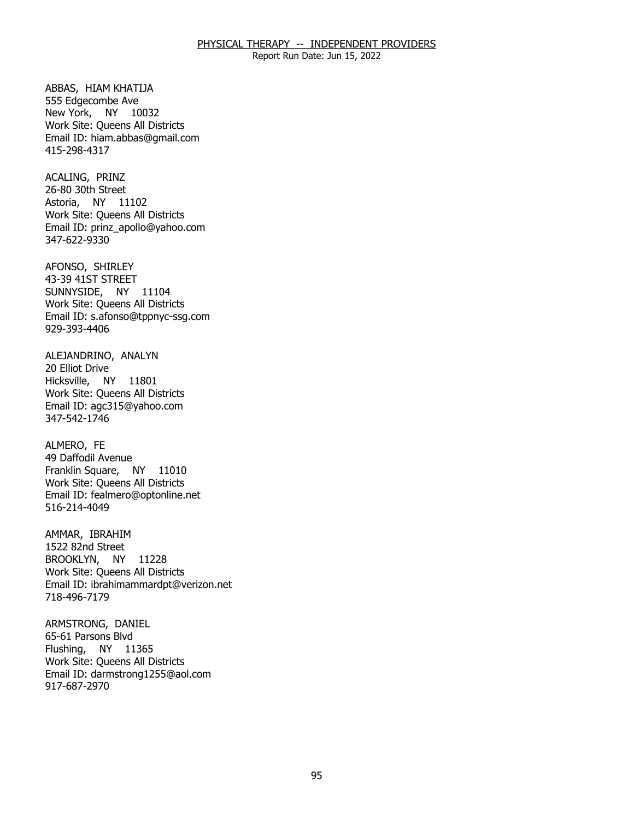Report Run Date: Jun 15, 2022

ABBAS, HIAM KHATIJA New York, NY 10032 555 Edgecombe Ave Work Site: Queens All Districts Email ID: [hiam.abbas@gmail.com](mailto:hiam.abbas@gmail.com)  415-298-4317

ACALING, PRINZ Astoria, NY 11102 26-80 30th Street Work Site: Queens All Districts Email ID: [prinz\\_apollo@yahoo.com](mailto:prinz_apollo@yahoo.com) 347-622-9330

AFONSO, SHIRLEY SUNNYSIDE, NY 11104 43-39 41ST STREET Work Site: Queens All Districts Email ID: [s.afonso@tppnyc-ssg.com](mailto:s.afonso@tppnyc-ssg.com)  929-393-4406

ALEJANDRINO, ANALYN<br>20 Elliot Drive Hicksville, NY 11801 Work Site: Queens All Districts Email ID: [agc315@yahoo.com](mailto:agc315@yahoo.com)  347-542-1746

ALMERO, FE Franklin Square, NY 11010 49 Daffodil Avenue Work Site: Queens All Districts Email ID: [fealmero@optonline.net](mailto:fealmero@optonline.net)  516-214-4049

AMMAR, IBRAHIM BROOKLYN, NY 11228 1522 82nd Street Work Site: Queens All Districts Email ID: [ibrahimammardpt@verizon.net](mailto:ibrahimammardpt@verizon.net) 718-496-7179

ARMSTRONG, DANIEL<br>65-61 Parsons Blvd Flushing, NY 11365 Work Site: Queens All Districts Email ID: [darmstrong1255@aol.com](mailto:darmstrong1255@aol.com)  917-687-2970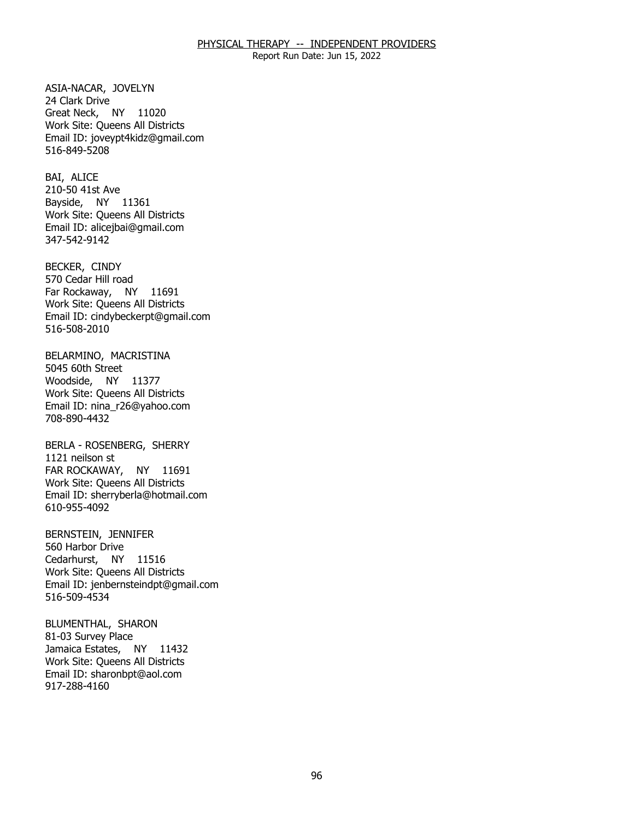Report Run Date: Jun 15, 2022

ASIA-NACAR, JOVELYN<br>24 Clark Drive Great Neck, NY 11020 Work Site: Queens All Districts Email ID: [joveypt4kidz@gmail.com](mailto:joveypt4kidz@gmail.com) 516-849-5208

BAI, ALICE Bayside, NY 11361 210-50 41st Ave Work Site: Queens All Districts Email ID: [alicejbai@gmail.com](mailto:alicejbai@gmail.com)  347-542-9142

BECKER, CINDY Far Rockaway, NY 11691 570 Cedar Hill road Work Site: Queens All Districts Email ID: [cindybeckerpt@gmail.com](mailto:cindybeckerpt@gmail.com) 516-508-2010

BELARMINO, MACRISTINA<br>5045 60th Street Woodside, NY 11377 Work Site: Queens All Districts Email ID: [nina\\_r26@yahoo.com](mailto:nina_r26@yahoo.com)  708-890-4432

 BERLA - ROSENBERG, SHERRY 1121 neilson st FAR ROCKAWAY, NY 11691 Work Site: Queens All Districts Email ID: [sherryberla@hotmail.com](mailto:sherryberla@hotmail.com) 610-955-4092

BERNSTEIN, JENNIFER<br>560 Harbor Drive Cedarhurst, NY 11516 Work Site: Queens All Districts Email ID: [jenbernsteindpt@gmail.com](mailto:jenbernsteindpt@gmail.com) 516-509-4534

BLUMENTHAL, SHARON<br>81-03 Survey Place Jamaica Estates, NY 11432 Work Site: Queens All Districts Email ID: [sharonbpt@aol.com](mailto:sharonbpt@aol.com)  917-288-4160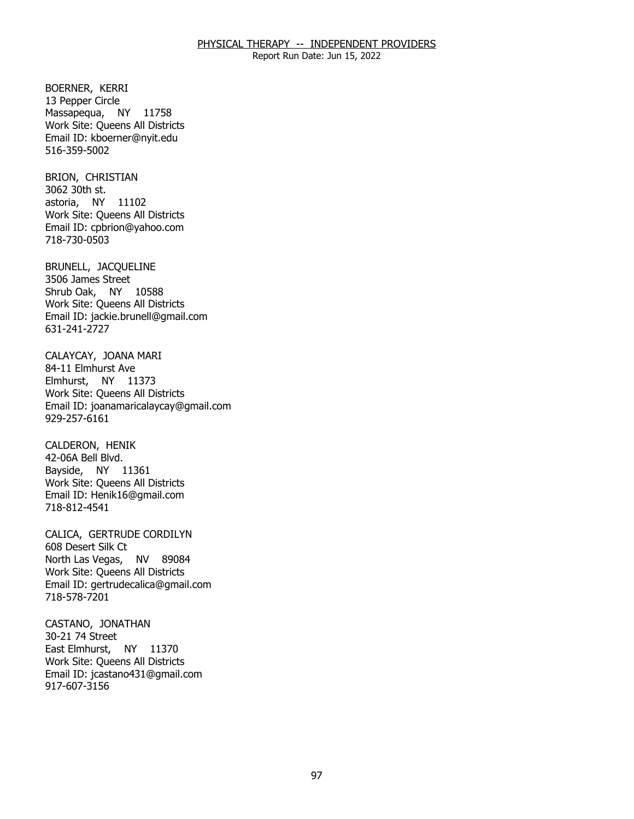Report Run Date: Jun 15, 2022

BOERNER, KERRI Massapequa, NY 11758 13 Pepper Circle Work Site: Queens All Districts Email ID: [kboerner@nyit.edu](mailto:kboerner@nyit.edu)  516-359-5002

BRION, CHRISTIAN<br>3062 30th st. astoria, NY 11102 Work Site: Queens All Districts Email ID: [cpbrion@yahoo.com](mailto:cpbrion@yahoo.com)  718-730-0503

BRUNELL, JACQUELINE<br>3506 James Street Shrub Oak, NY 10588 Work Site: Queens All Districts Email ID: [jackie.brunell@gmail.com](mailto:jackie.brunell@gmail.com)  631-241-2727

CALAYCAY, JOANA MARI<br>84-11 Elmhurst Ave Elmhurst, NY 11373 Work Site: Queens All Districts Email ID: [joanamaricalaycay@gmail.com](mailto:joanamaricalaycay@gmail.com) 929-257-6161

CALDERON, HENIK Bayside, NY 11361 42-06A Bell Blvd. Work Site: Queens All Districts Email ID: [Henik16@gmail.com](mailto:Henik16@gmail.com) 718-812-4541

CALICA, GERTRUDE CORDILYN<br>608 Desert Silk Ct North Las Vegas, NV 89084 Work Site: Queens All Districts Email ID: [gertrudecalica@gmail.com](mailto:gertrudecalica@gmail.com) 718-578-7201

CASTANO, JONATHAN<br>30-21 74 Street East Elmhurst, NY 11370 Work Site: Queens All Districts Email ID: [jcastano431@gmail.com](mailto:jcastano431@gmail.com) 917-607-3156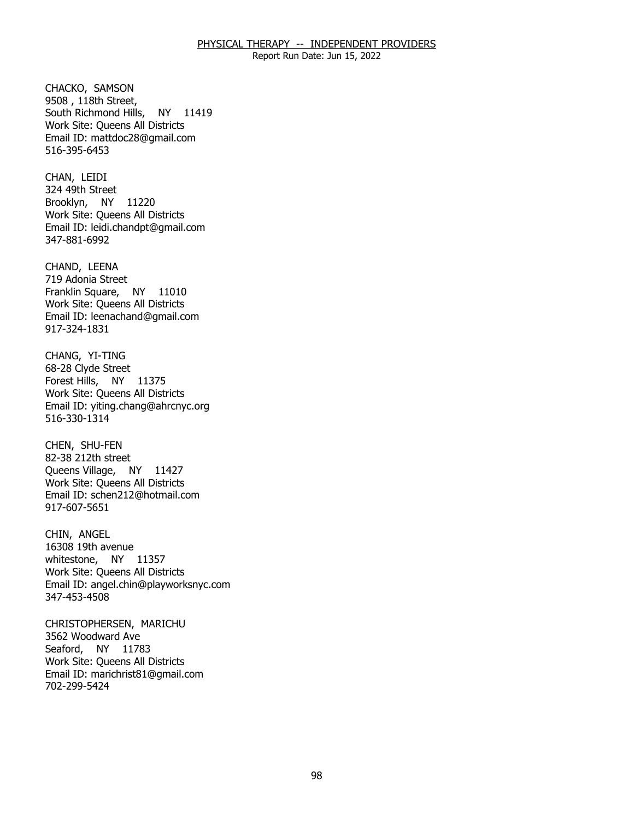Report Run Date: Jun 15, 2022

CHACKO, SAMSON South Richmond Hills, NY 11419 9508, 118th Street, Work Site: Queens All Districts Email ID: [mattdoc28@gmail.com](mailto:mattdoc28@gmail.com) 516-395-6453

CHAN, LEIDI Brooklyn, NY 11220 324 49th Street Work Site: Queens All Districts Email ID: [leidi.chandpt@gmail.com](mailto:leidi.chandpt@gmail.com) 347-881-6992

CHAND, LEENA Franklin Square, NY 11010 719 Adonia Street Work Site: Queens All Districts Email ID: [leenachand@gmail.com](mailto:leenachand@gmail.com) 917-324-1831

 CHANG, YI-TING Forest Hills, NY 11375 68-28 Clyde Street Work Site: Queens All Districts Email ID: [yiting.chang@ahrcnyc.org](mailto:yiting.chang@ahrcnyc.org) 516-330-1314

CHEN, SHU-FEN Queens Village, NY 11427 82-38 212th street Work Site: Queens All Districts Email ID: [schen212@hotmail.com](mailto:schen212@hotmail.com)  917-607-5651

CHIN, ANGEL whitestone, NY 11357 16308 19th avenue Work Site: Queens All Districts Email ID: [angel.chin@playworksnyc.com](mailto:angel.chin@playworksnyc.com)  347-453-4508

 CHRISTOPHERSEN, MARICHU 3562 Woodward Ave Seaford, NY 11783 Work Site: Queens All Districts Email ID: [marichrist81@gmail.com](mailto:marichrist81@gmail.com)  702-299-5424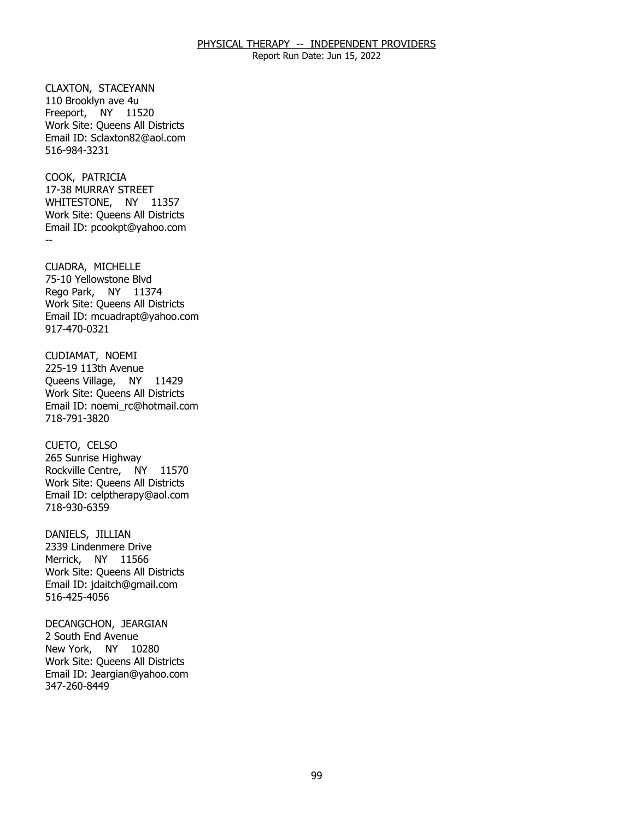Report Run Date: Jun 15, 2022

CLAXTON, STACEYANN<br>110 Brooklyn ave 4u Freeport, NY 11520 Work Site: Queens All Districts Email ID: [Sclaxton82@aol.com](mailto:Sclaxton82@aol.com) 516-984-3231

COOK, PATRICIA WHITESTONE, NY 11357 -- 17-38 MURRAY STREET Work Site: Queens All Districts Email ID: [pcookpt@yahoo.com](mailto:pcookpt@yahoo.com) 

CUADRA, MICHELLE Rego Park, NY 11374 75-10 Yellowstone Blvd Work Site: Queens All Districts Email ID: [mcuadrapt@yahoo.com](mailto:mcuadrapt@yahoo.com) 917-470-0321

CUDIAMAT, NOEMI<br>225-19 113th Avenue Queens Village, NY 11429 Work Site: Queens All Districts Email ID: [noemi\\_rc@hotmail.com](mailto:noemi_rc@hotmail.com)  718-791-3820

CUETO, CELSO Rockville Centre, NY 11570 265 Sunrise Highway Work Site: Queens All Districts Email ID: [celptherapy@aol.com](mailto:celptherapy@aol.com)  718-930-6359

DANIELS, JILLIAN Merrick, NY 11566 2339 Lindenmere Drive Work Site: Queens All Districts Email ID: [jdaitch@gmail.com](mailto:jdaitch@gmail.com)  516-425-4056

DECANGCHON, JEARGIAN<br>2 South End Avenue New York, NY 10280 Work Site: Queens All Districts Email ID: [Jeargian@yahoo.com](mailto:Jeargian@yahoo.com) 347-260-8449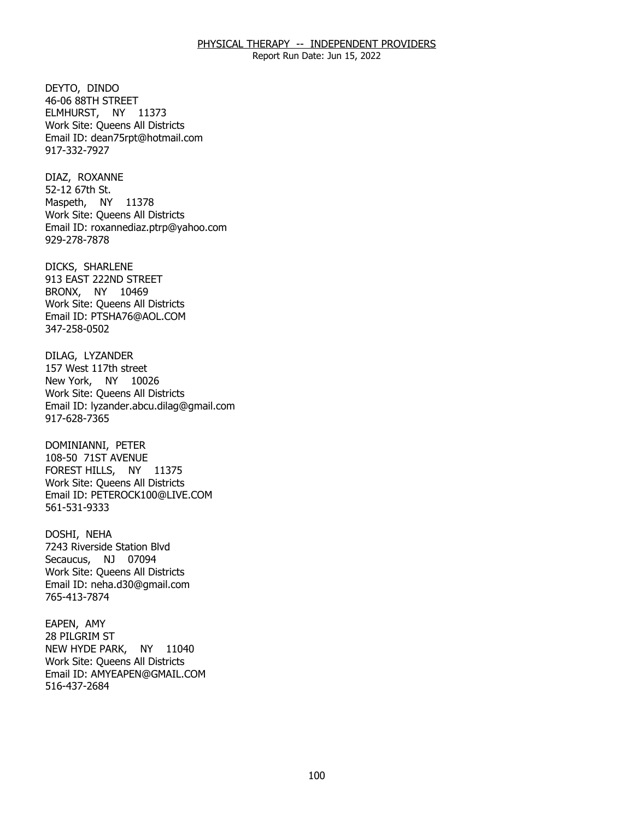Report Run Date: Jun 15, 2022

DEYTO, DINDO ELMHURST, NY 11373 46-06 88TH STREET Work Site: Queens All Districts Email ID: [dean75rpt@hotmail.com](mailto:dean75rpt@hotmail.com) 917-332-7927

DIAZ, ROXANNE<br>52-12 67th St. Maspeth, NY 11378 Work Site: Queens All Districts Email ID: [roxannediaz.ptrp@yahoo.com](mailto:roxannediaz.ptrp@yahoo.com) 929-278-7878

DICKS, SHARLENE BRONX, NY 10469 913 EAST 222ND STREET Work Site: Queens All Districts Email ID: [PTSHA76@AOL.COM](mailto:PTSHA76@AOL.COM)  347-258-0502

DILAG, LYZANDER New York, NY 10026 157 West 117th street Work Site: Queens All Districts Email ID: [lyzander.abcu.dilag@gmail.com](mailto:lyzander.abcu.dilag@gmail.com) 917-628-7365

DOMINIANNI, PETER FOREST HILLS, NY 11375 108-50 71ST AVENUE Work Site: Queens All Districts Email ID: [PETEROCK100@LIVE.COM](mailto:PETEROCK100@LIVE.COM) 561-531-9333

DOSHI, NEHA Secaucus, NJ 07094 7243 Riverside Station Blvd Work Site: Queens All Districts Email ID: [neha.d30@gmail.com](mailto:neha.d30@gmail.com) 765-413-7874

EAPEN, AMY NEW HYDE PARK, NY 11040 28 PILGRIM ST Work Site: Queens All Districts Email ID: [AMYEAPEN@GMAIL.COM](mailto:AMYEAPEN@GMAIL.COM)  516-437-2684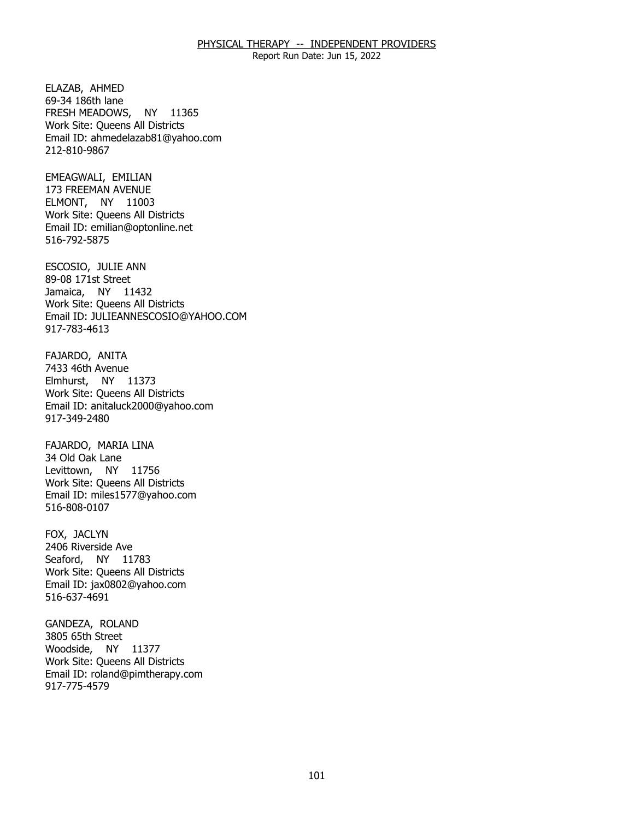Report Run Date: Jun 15, 2022

ELAZAB, AHMED FRESH MEADOWS, NY 11365 69-34 186th lane Work Site: Queens All Districts Email ID: [ahmedelazab81@yahoo.com](mailto:ahmedelazab81@yahoo.com) 212-810-9867

EMEAGWALI, EMILIAN ELMONT, NY 11003 173 FREEMAN AVENUE Work Site: Queens All Districts Email ID: [emilian@optonline.net](mailto:emilian@optonline.net) 516-792-5875

ESCOSIO, JULIE ANN<br>89-08 171st Street Jamaica, NY 11432 Work Site: Queens All Districts Email ID: [JULIEANNESCOSIO@YAHOO.COM](mailto:JULIEANNESCOSIO@YAHOO.COM)  917-783-4613

FAJARDO, ANITA<br>7433 46th Avenue Elmhurst, NY 11373 Work Site: Queens All Districts Email ID: [anitaluck2000@yahoo.com](mailto:anitaluck2000@yahoo.com) 917-349-2480

FAJARDO, MARIA LINA<br>34 Old Oak Lane Levittown, NY 11756 Work Site: Queens All Districts Email ID: [miles1577@yahoo.com](mailto:miles1577@yahoo.com)  516-808-0107

FOX, JACLYN Seaford, NY 11783 2406 Riverside Ave Work Site: Queens All Districts Email ID: [jax0802@yahoo.com](mailto:jax0802@yahoo.com)  516-637-4691

GANDEZA, ROLAND<br>3805 65th Street Woodside, NY 11377 Work Site: Queens All Districts Email ID: [roland@pimtherapy.com](mailto:roland@pimtherapy.com)  917-775-4579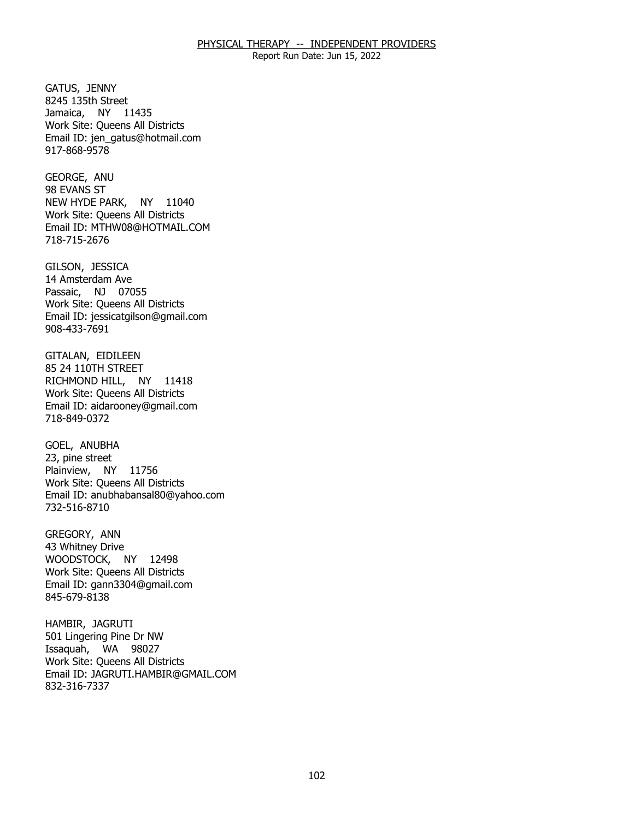Report Run Date: Jun 15, 2022

GATUS, JENNY Jamaica, NY 11435 8245 135th Street Work Site: Queens All Districts Email ID: [jen\\_gatus@hotmail.com](mailto:jen_gatus@hotmail.com) 917-868-9578

GEORGE, ANU<br>98 EVANS ST NEW HYDE PARK, NY 11040 Work Site: Queens All Districts Email ID: [MTHW08@HOTMAIL.COM](mailto:MTHW08@HOTMAIL.COM) 718-715-2676

GILSON, JESSICA Passaic, NJ 07055 14 Amsterdam Ave Work Site: Queens All Districts Email ID: [jessicatgilson@gmail.com](mailto:jessicatgilson@gmail.com) 908-433-7691

GITALAN, EIDILEEN<br>85 24 110TH STREET RICHMOND HILL, NY 11418 Work Site: Queens All Districts Email ID: [aidarooney@gmail.com](mailto:aidarooney@gmail.com)  718-849-0372

GOEL, ANUBHA Plainview, NY 11756 23, pine street Work Site: Queens All Districts Email ID: [anubhabansal80@yahoo.com](mailto:anubhabansal80@yahoo.com) 732-516-8710

GREGORY, ANN WOODSTOCK, NY 12498 43 Whitney Drive Work Site: Queens All Districts Email ID: [gann3304@gmail.com](mailto:gann3304@gmail.com) 845-679-8138

HAMBIR, JAGRUTI Issaquah, WA 98027 501 Lingering Pine Dr NW Work Site: Queens All Districts Email ID: [JAGRUTI.HAMBIR@GMAIL.COM](mailto:JAGRUTI.HAMBIR@GMAIL.COM) 832-316-7337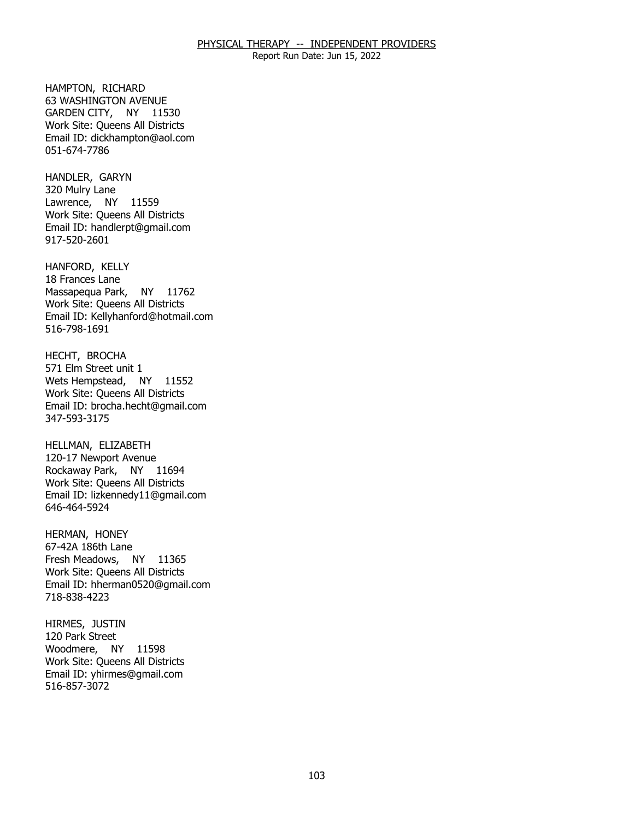Report Run Date: Jun 15, 2022

HAMPTON, RICHARD GARDEN CITY, NY 11530 63 WASHINGTON AVENUE Work Site: Queens All Districts Email ID: [dickhampton@aol.com](mailto:dickhampton@aol.com)  051-674-7786

HANDLER, GARYN<br>320 Mulry Lane Lawrence, NY 11559 Work Site: Queens All Districts Email ID: [handlerpt@gmail.com](mailto:handlerpt@gmail.com) 917-520-2601

HANFORD, KELLY Massapequa Park, NY 11762 18 Frances Lane Work Site: Queens All Districts Email ID: [Kellyhanford@hotmail.com](mailto:Kellyhanford@hotmail.com)  516-798-1691

HECHT, BROCHA Wets Hempstead, NY 11552 571 Elm Street unit 1 Work Site: Queens All Districts Email ID: [brocha.hecht@gmail.com](mailto:brocha.hecht@gmail.com)  347-593-3175

HELLMAN, ELIZABETH Rockaway Park, NY 11694 120-17 Newport Avenue Work Site: Queens All Districts Email ID: [lizkennedy11@gmail.com](mailto:lizkennedy11@gmail.com) 646-464-5924

HERMAN, HONEY Fresh Meadows, NY 11365 67-42A 186th Lane Work Site: Queens All Districts Email ID: [hherman0520@gmail.com](mailto:hherman0520@gmail.com) 718-838-4223

HIRMES, JUSTIN<br>120 Park Street Woodmere, NY 11598 Work Site: Queens All Districts Email ID: [yhirmes@gmail.com](mailto:yhirmes@gmail.com)  516-857-3072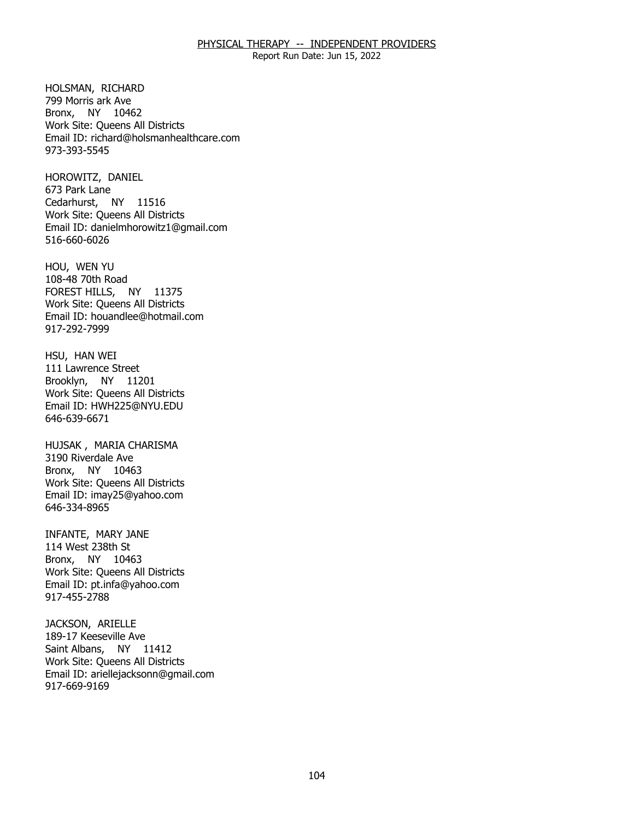Report Run Date: Jun 15, 2022

HOLSMAN, RICHARD Bronx, NY 10462 799 Morris ark Ave Work Site: Queens All Districts Email ID: [richard@holsmanhealthcare.com](mailto:richard@holsmanhealthcare.com)  973-393-5545

HOROWITZ, DANIEL<br>673 Park Lane Cedarhurst, NY 11516 Work Site: Queens All Districts Email ID: [danielmhorowitz1@gmail.com](mailto:danielmhorowitz1@gmail.com)  516-660-6026

 HOU, WEN YU FOREST HILLS, NY 11375 108-48 70th Road Work Site: Queens All Districts Email ID: [houandlee@hotmail.com](mailto:houandlee@hotmail.com)  917-292-7999

HSU, HAN WEI Brooklyn, NY 11201 111 Lawrence Street Work Site: Queens All Districts Email ID: [HWH225@NYU.EDU](mailto:HWH225@NYU.EDU)  646-639-6671

HUJSAK , MARIA CHARISMA<br>3190 Riverdale Ave Bronx, NY 10463 Work Site: Queens All Districts Email ID: [imay25@yahoo.com](mailto:imay25@yahoo.com)  646-334-8965

 INFANTE, MARY JANE 114 West 238th St Bronx, NY 10463 Work Site: Queens All Districts Email ID: [pt.infa@yahoo.com](mailto:pt.infa@yahoo.com) 917-455-2788

JACKSON, ARIELLE Saint Albans, NY 11412 189-17 Keeseville Ave Work Site: Queens All Districts Email ID: [ariellejacksonn@gmail.com](mailto:ariellejacksonn@gmail.com) 917-669-9169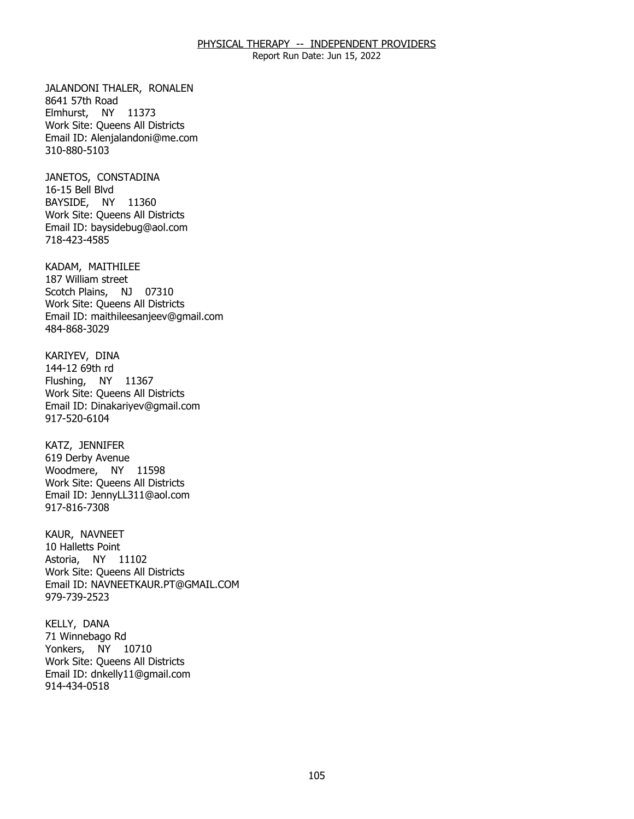Report Run Date: Jun 15, 2022

JALANDONI THALER, RONALEN<br>8641 57th Road Elmhurst, NY 11373 Work Site: Queens All Districts Email ID: [Alenjalandoni@me.com](mailto:Alenjalandoni@me.com) 310-880-5103

 JANETOS, CONSTADINA 16-15 Bell Blvd BAYSIDE, NY 11360 Work Site: Queens All Districts Email ID: [baysidebug@aol.com](mailto:baysidebug@aol.com) 718-423-4585

KADAM, MAITHILEE<br>187 William street Scotch Plains, NJ 07310 Work Site: Queens All Districts Email ID: [maithileesanjeev@gmail.com](mailto:maithileesanjeev@gmail.com)  484-868-3029

KARIYEV, DINA<br>144-12 69th rd Flushing, NY 11367 Work Site: Queens All Districts Email ID: [Dinakariyev@gmail.com](mailto:Dinakariyev@gmail.com) 917-520-6104

KATZ, JENNIFER Woodmere, NY 11598 619 Derby Avenue Work Site: Queens All Districts Email ID: [JennyLL311@aol.com](mailto:JennyLL311@aol.com) 917-816-7308

KAUR, NAVNEET Astoria, NY 11102 10 Halletts Point Work Site: Queens All Districts Email ID: [NAVNEETKAUR.PT@GMAIL.COM](mailto:NAVNEETKAUR.PT@GMAIL.COM) 979-739-2523

KELLY, DANA Yonkers, NY 10710 71 Winnebago Rd Work Site: Queens All Districts Email ID: [dnkelly11@gmail.com](mailto:dnkelly11@gmail.com) 914-434-0518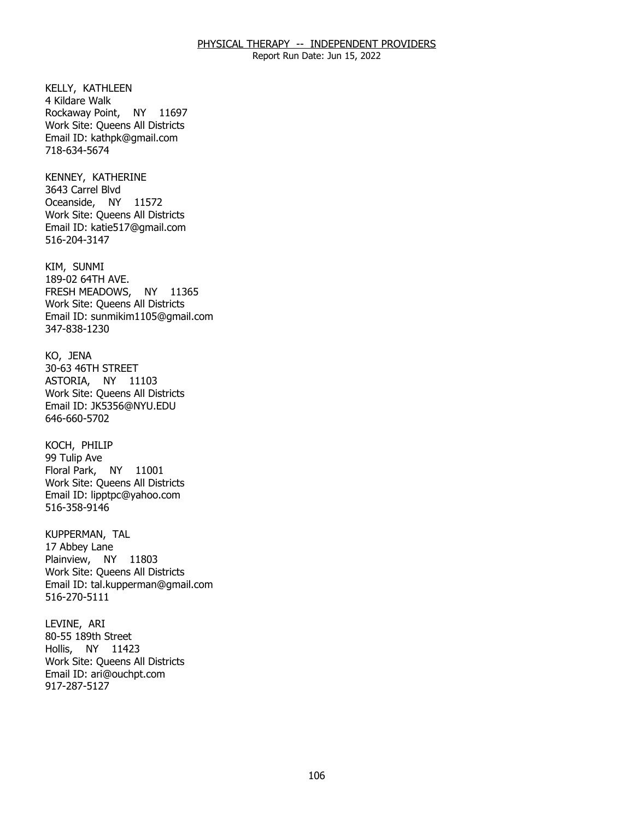Report Run Date: Jun 15, 2022

KELLY, KATHLEEN<br>4 Kildare Walk Rockaway Point, NY 11697 Work Site: Queens All Districts Email ID: [kathpk@gmail.com](mailto:kathpk@gmail.com)  718-634-5674

KENNEY, KATHERINE<br>3643 Carrel Blvd Oceanside, NY 11572 Work Site: Queens All Districts Email ID: [katie517@gmail.com](mailto:katie517@gmail.com)  516-204-3147

KIM, SUNMI FRESH MEADOWS, NY 11365 189-02 64TH AVE. Work Site: Queens All Districts Email ID: [sunmikim1105@gmail.com](mailto:sunmikim1105@gmail.com) 347-838-1230

KO, JENA ASTORIA, NY 11103 30-63 46TH STREET Work Site: Queens All Districts Email ID: [JK5356@NYU.EDU](mailto:JK5356@NYU.EDU)  646-660-5702

KOCH, PHILIP Floral Park, NY 11001 99 Tulip Ave Work Site: Queens All Districts Email ID: [lipptpc@yahoo.com](mailto:lipptpc@yahoo.com) 516-358-9146

KUPPERMAN, TAL<br>17 Abbey Lane Plainview, NY 11803 Work Site: Queens All Districts Email ID: [tal.kupperman@gmail.com](mailto:tal.kupperman@gmail.com)  516-270-5111

LEVINE, ARI Hollis, NY 11423 80-55 189th Street Work Site: Queens All Districts Email ID: [ari@ouchpt.com](mailto:ari@ouchpt.com)  917-287-5127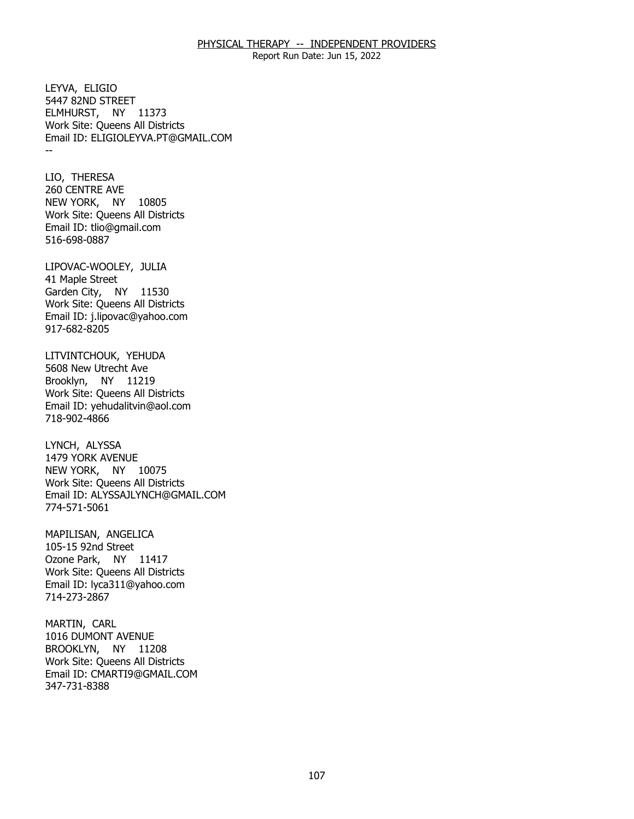Report Run Date: Jun 15, 2022

LEYVA, ELIGIO ELMHURST, NY 11373 -- 5447 82ND STREET Work Site: Queens All Districts Email ID: [ELIGIOLEYVA.PT@GMAIL.COM](mailto:ELIGIOLEYVA.PT@GMAIL.COM)

LIO, THERESA NEW YORK, NY 10805 260 CENTRE AVE Work Site: Queens All Districts Email ID: [tlio@gmail.com](mailto:tlio@gmail.com)  516-698-0887

LIPOVAC-WOOLEY, JULIA<br>41 Maple Street Garden City, NY 11530 Work Site: Queens All Districts Email ID: [j.lipovac@yahoo.com](mailto:j.lipovac@yahoo.com) 917-682-8205

LITVINTCHOUK, YEHUDA<br>5608 New Utrecht Ave Brooklyn, NY 11219 Work Site: Queens All Districts Email ID: [yehudalitvin@aol.com](mailto:yehudalitvin@aol.com) 718-902-4866

LYNCH, ALYSSA NEW YORK, NY 10075 1479 YORK AVENUE Work Site: Queens All Districts Email ID: [ALYSSAJLYNCH@GMAIL.COM](mailto:ALYSSAJLYNCH@GMAIL.COM) 774-571-5061

MAPILISAN, ANGELICA<br>105-15 92nd Street Ozone Park, NY 11417 Work Site: Queens All Districts Email ID: [lyca311@yahoo.com](mailto:lyca311@yahoo.com)  714-273-2867

MARTIN, CARL BROOKLYN, NY 11208 1016 DUMONT AVENUE Work Site: Queens All Districts Email ID: [CMARTI9@GMAIL.COM](mailto:CMARTI9@GMAIL.COM)  347-731-8388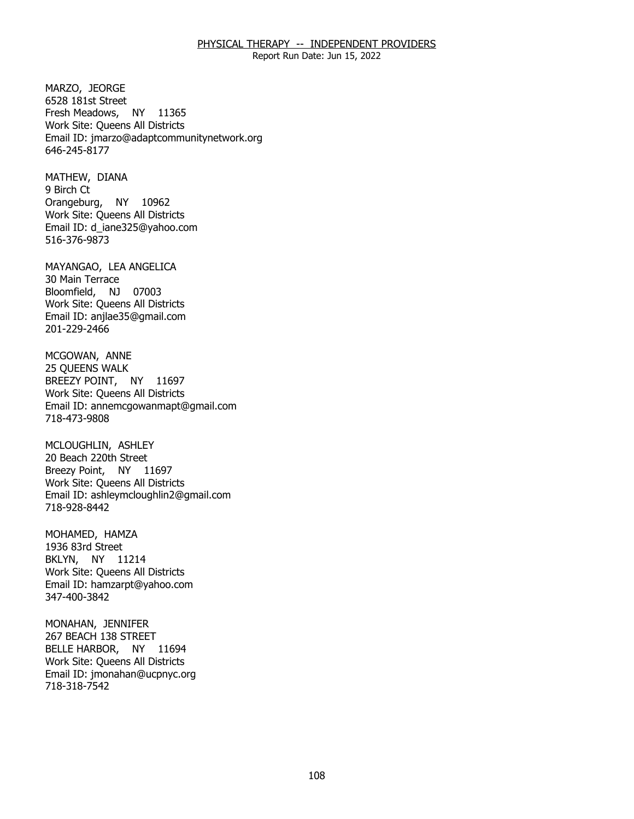Report Run Date: Jun 15, 2022

MARZO, JEORGE Fresh Meadows, NY 11365 6528 181st Street Work Site: Queens All Districts Email ID: [jmarzo@adaptcommunitynetwork.org](mailto:jmarzo@adaptcommunitynetwork.org)  646-245-8177

MATHEW, DIANA<br>9 Birch Ct Orangeburg, NY 10962 Work Site: Queens All Districts Email ID: [d\\_iane325@yahoo.com](mailto:d_iane325@yahoo.com)  516-376-9873

MAYANGAO, LEA ANGELICA<br>30 Main Terrace Bloomfield, NJ 07003 Work Site: Queens All Districts Email ID: [anjlae35@gmail.com](mailto:anjlae35@gmail.com)  201-229-2466

MCGOWAN, ANNE<br>25 QUEENS WALK BREEZY POINT, NY 11697 Work Site: Queens All Districts Email ID: [annemcgowanmapt@gmail.com](mailto:annemcgowanmapt@gmail.com)  718-473-9808

MCLOUGHLIN, ASHLEY Breezy Point, NY 11697 20 Beach 220th Street Work Site: Queens All Districts Email ID: [ashleymcloughlin2@gmail.com](mailto:ashleymcloughlin2@gmail.com) 718-928-8442

MOHAMED, HAMZA<br>1936 83rd Street BKLYN, NY 11214 Work Site: Queens All Districts Email ID: [hamzarpt@yahoo.com](mailto:hamzarpt@yahoo.com) 347-400-3842

MONAHAN, JENNIFER<br>267 BEACH 138 STREET BELLE HARBOR, NY 11694 Work Site: Queens All Districts Email ID: [jmonahan@ucpnyc.org](mailto:jmonahan@ucpnyc.org) 718-318-7542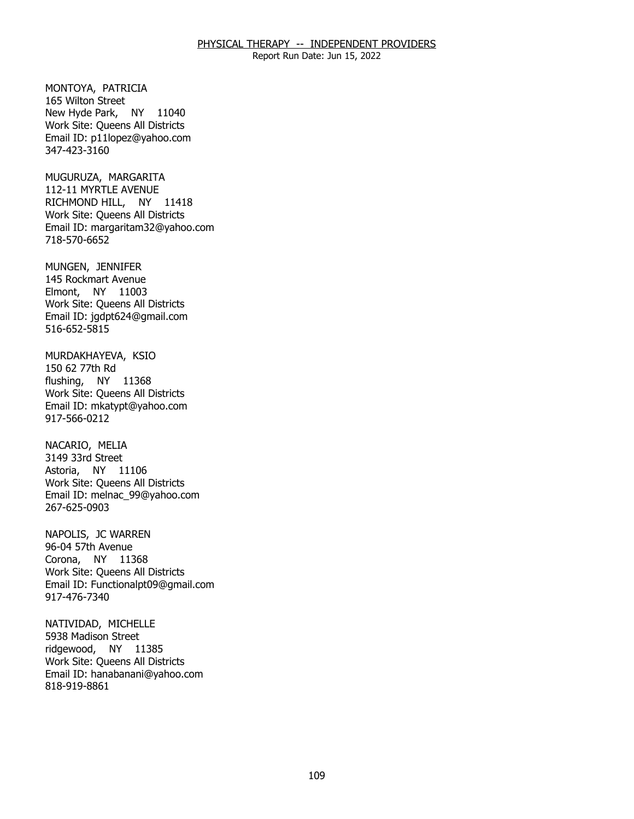Report Run Date: Jun 15, 2022

MONTOYA, PATRICIA<br>165 Wilton Street New Hyde Park, NY 11040 Work Site: Queens All Districts Email ID: [p11lopez@yahoo.com](mailto:p11lopez@yahoo.com)  347-423-3160

MUGURUZA, MARGARITA RICHMOND HILL, NY 11418 112-11 MYRTLE AVENUE Work Site: Queens All Districts Email ID: [margaritam32@yahoo.com](mailto:margaritam32@yahoo.com)  718-570-6652

MUNGEN, JENNIFER Elmont, NY 11003 145 Rockmart Avenue Work Site: Queens All Districts Email ID: [jgdpt624@gmail.com](mailto:jgdpt624@gmail.com) 516-652-5815

MURDAKHAYEVA, KSIO<br>150 62 77th Rd flushing, NY 11368 Work Site: Queens All Districts Email ID: [mkatypt@yahoo.com](mailto:mkatypt@yahoo.com)  917-566-0212

NACARIO, MELIA Astoria, NY 11106 3149 33rd Street Work Site: Queens All Districts Email ID: [melnac\\_99@yahoo.com](mailto:melnac_99@yahoo.com)  267-625-0903

NAPOLIS, JC WARREN<br>96-04 57th Avenue Corona, NY 11368 Work Site: Queens All Districts Email ID: [Functionalpt09@gmail.com](mailto:Functionalpt09@gmail.com) 917-476-7340

NATIVIDAD, MICHELLE<br>5938 Madison Street ridgewood, NY 11385 Work Site: Queens All Districts Email ID: [hanabanani@yahoo.com](mailto:hanabanani@yahoo.com) 818-919-8861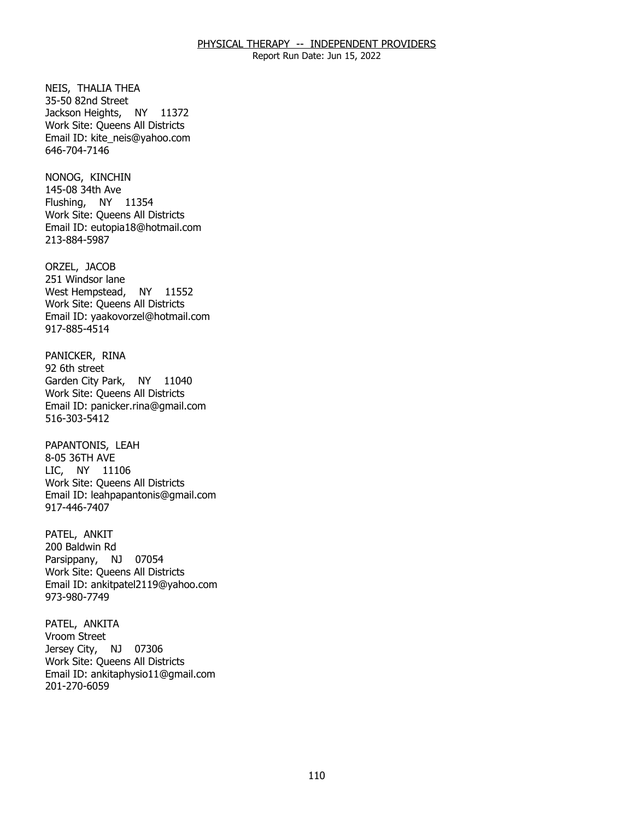Report Run Date: Jun 15, 2022

NEIS, THALIA THEA<br>35-50 82nd Street Jackson Heights, NY 11372 Work Site: Queens All Districts Email ID: [kite\\_neis@yahoo.com](mailto:kite_neis@yahoo.com) 646-704-7146

NONOG, KINCHIN Flushing, NY 11354 145-08 34th Ave Work Site: Queens All Districts Email ID: [eutopia18@hotmail.com](mailto:eutopia18@hotmail.com)  213-884-5987

ORZEL, JACOB West Hempstead, NY 11552 251 Windsor lane Work Site: Queens All Districts Email ID: [yaakovorzel@hotmail.com](mailto:yaakovorzel@hotmail.com)  917-885-4514

PANICKER, RINA<br>92 6th street Garden City Park, NY 11040 Work Site: Queens All Districts Email ID: [panicker.rina@gmail.com](mailto:panicker.rina@gmail.com) 516-303-5412

PAPANTONIS, LEAH<br>8-05 36TH AVE LIC, NY 11106 Work Site: Queens All Districts Email ID: [leahpapantonis@gmail.com](mailto:leahpapantonis@gmail.com)  917-446-7407

PATEL, ANKIT Parsippany, NJ 07054 200 Baldwin Rd Work Site: Queens All Districts Email ID: [ankitpatel2119@yahoo.com](mailto:ankitpatel2119@yahoo.com) 973-980-7749

PATEL, ANKITA<br>Vroom Street Jersey City, NJ 07306 Work Site: Queens All Districts Email ID: [ankitaphysio11@gmail.com](mailto:ankitaphysio11@gmail.com) 201-270-6059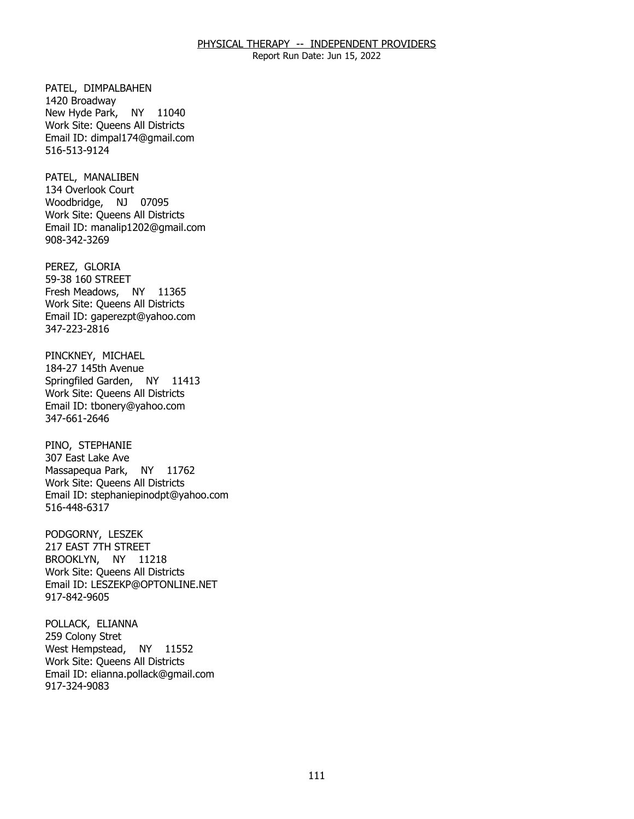Report Run Date: Jun 15, 2022

PATEL, DIMPALBAHEN<br>1420 Broadway New Hyde Park, NY 11040 Work Site: Queens All Districts Email ID: [dimpal174@gmail.com](mailto:dimpal174@gmail.com)  516-513-9124

PATEL, MANALIBEN Woodbridge, NJ 07095 134 Overlook Court Work Site: Queens All Districts Email ID: [manalip1202@gmail.com](mailto:manalip1202@gmail.com)  908-342-3269

PEREZ, GLORIA Fresh Meadows, NY 11365 59-38 160 STREET Work Site: Queens All Districts Email ID: [gaperezpt@yahoo.com](mailto:gaperezpt@yahoo.com)  347-223-2816

 PINCKNEY, MICHAEL 184-27 145th Avenue Springfiled Garden, NY 11413 Work Site: Queens All Districts Email ID: [tbonery@yahoo.com](mailto:tbonery@yahoo.com)  347-661-2646

PINO, STEPHANIE Massapequa Park, NY 11762 307 East Lake Ave Work Site: Queens All Districts Email ID: [stephaniepinodpt@yahoo.com](mailto:stephaniepinodpt@yahoo.com)  516-448-6317

PODGORNY, LESZEK BROOKLYN, NY 11218 217 EAST 7TH STREET Work Site: Queens All Districts Email ID: [LESZEKP@OPTONLINE.NET](mailto:LESZEKP@OPTONLINE.NET) 917-842-9605

POLLACK, ELIANNA<br>259 Colony Stret West Hempstead, NY 11552 Work Site: Queens All Districts Email ID: [elianna.pollack@gmail.com](mailto:elianna.pollack@gmail.com) 917-324-9083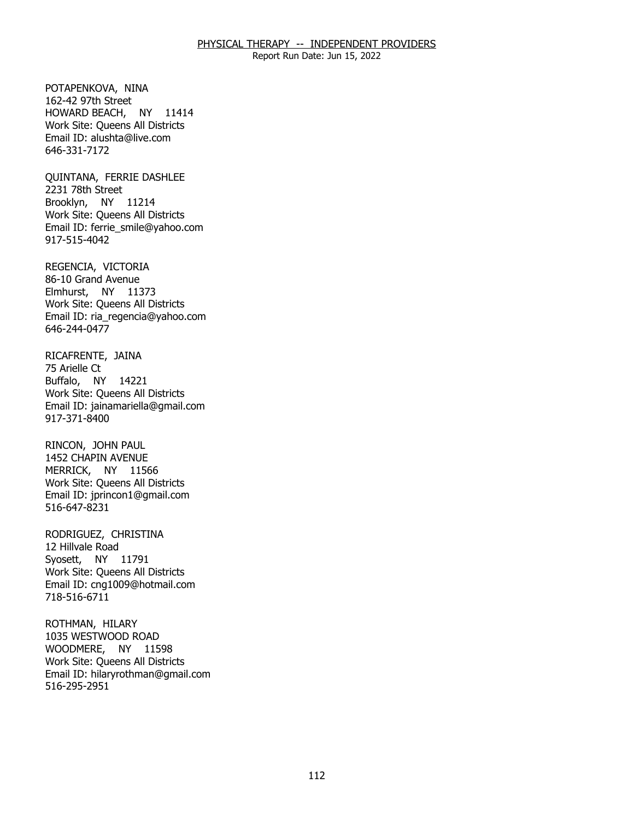Report Run Date: Jun 15, 2022

POTAPENKOVA, NINA<br>162-42 97th Street HOWARD BEACH, NY 11414 Work Site: Queens All Districts Email ID: [alushta@live.com](mailto:alushta@live.com) 646-331-7172

QUINTANA, FERRIE DASHLEE<br>2231 78th Street Brooklyn, NY 11214 Work Site: Queens All Districts Email ID: [ferrie\\_smile@yahoo.com](mailto:ferrie_smile@yahoo.com) 917-515-4042

REGENCIA, VICTORIA Elmhurst, NY 11373 86-10 Grand Avenue Work Site: Queens All Districts Email ID: [ria\\_regencia@yahoo.com](mailto:ria_regencia@yahoo.com) 646-244-0477

RICAFRENTE, JAINA<br>75 Arielle Ct Buffalo, NY 14221 Work Site: Queens All Districts Email ID: [jainamariella@gmail.com](mailto:jainamariella@gmail.com) 917-371-8400

RINCON, JOHN PAUL MERRICK, NY 11566 1452 CHAPIN AVENUE Work Site: Queens All Districts Email ID: [jprincon1@gmail.com](mailto:jprincon1@gmail.com) 516-647-8231

 RODRIGUEZ, CHRISTINA 12 Hillvale Road Syosett, NY 11791 Work Site: Queens All Districts Email ID: [cng1009@hotmail.com](mailto:cng1009@hotmail.com)  718-516-6711

ROTHMAN, HILARY WOODMERE, NY 11598 1035 WESTWOOD ROAD Work Site: Queens All Districts Email ID: [hilaryrothman@gmail.com](mailto:hilaryrothman@gmail.com) 516-295-2951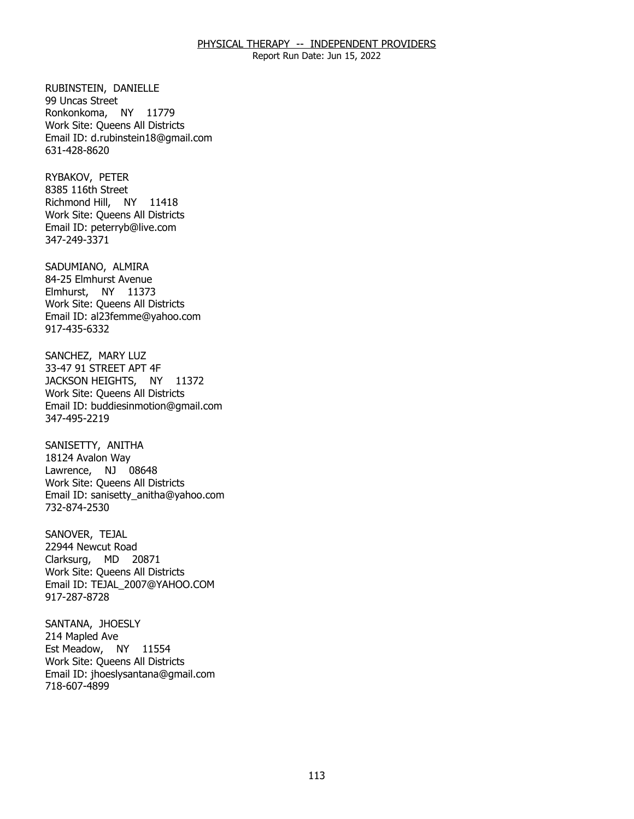Report Run Date: Jun 15, 2022

RUBINSTEIN, DANIELLE<br>99 Uncas Street Ronkonkoma, NY 11779 Work Site: Queens All Districts Email ID: [d.rubinstein18@gmail.com](mailto:d.rubinstein18@gmail.com) 631-428-8620

RYBAKOV, PETER Richmond Hill, NY 11418 8385 116th Street Work Site: Queens All Districts Email ID: [peterryb@live.com](mailto:peterryb@live.com) 347-249-3371

SADUMIANO, ALMIRA Elmhurst, NY 11373 84-25 Elmhurst Avenue Work Site: Queens All Districts Email ID: [al23femme@yahoo.com](mailto:al23femme@yahoo.com) 917-435-6332

SANCHEZ, MARY LUZ JACKSON HEIGHTS, NY 11372 33-47 91 STREET APT 4F Work Site: Queens All Districts Email ID: [buddiesinmotion@gmail.com](mailto:buddiesinmotion@gmail.com)  347-495-2219

SANISETTY, ANITHA<br>18124 Avalon Way Lawrence, NJ 08648 Work Site: Queens All Districts Email ID: [sanisetty\\_anitha@yahoo.com](mailto:sanisetty_anitha@yahoo.com)  732-874-2530

SANOVER, TEJAL Clarksurg, MD 20871 22944 Newcut Road Work Site: Queens All Districts Email ID: [TEJAL\\_2007@YAHOO.COM](mailto:TEJAL_2007@YAHOO.COM) 917-287-8728

SANTANA, JHOESLY<br>214 Mapled Ave Est Meadow, NY 11554 Work Site: Queens All Districts Email ID: [jhoeslysantana@gmail.com](mailto:jhoeslysantana@gmail.com)  718-607-4899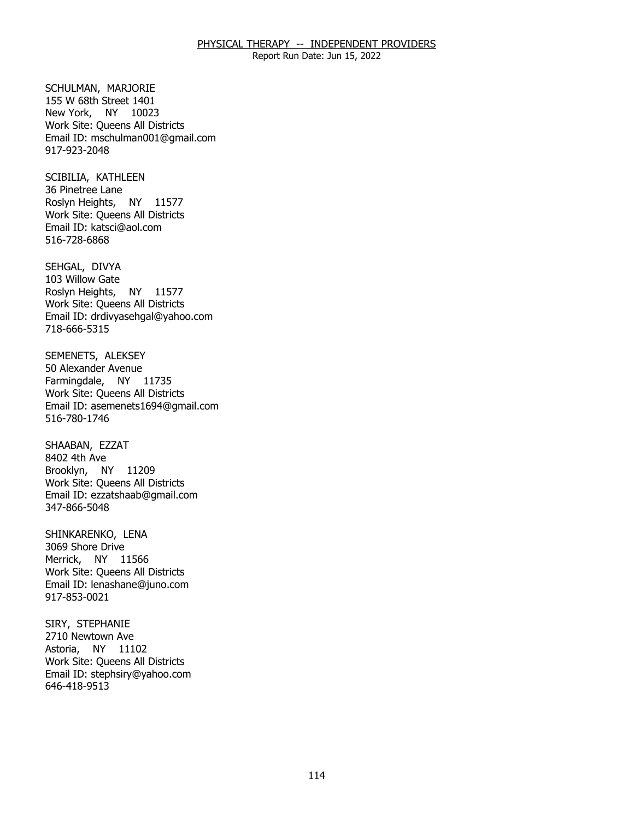Report Run Date: Jun 15, 2022

SCHULMAN, MARJORIE New York, NY 10023 155 W 68th Street 1401 Work Site: Queens All Districts Email ID: [mschulman001@gmail.com](mailto:mschulman001@gmail.com)  917-923-2048

SCIBILIA, KATHLEEN<br>36 Pinetree Lane Roslyn Heights, NY 11577 Work Site: Queens All Districts Email ID: [katsci@aol.com](mailto:katsci@aol.com) 516-728-6868

SEHGAL, DIVYA Roslyn Heights, NY 11577 103 Willow Gate Work Site: Queens All Districts Email ID: [drdivyasehgal@yahoo.com](mailto:drdivyasehgal@yahoo.com)  718-666-5315

SEMENETS, ALEKSEY<br>50 Alexander Avenue Farmingdale, NY 11735 Work Site: Queens All Districts Email ID: [asemenets1694@gmail.com](mailto:asemenets1694@gmail.com) 516-780-1746

SHAABAN, EZZAT<br>8402 4th Ave Brooklyn, NY 11209 Work Site: Queens All Districts Email ID: [ezzatshaab@gmail.com](mailto:ezzatshaab@gmail.com) 347-866-5048

SHINKARENKO, LENA<br>3069 Shore Drive Merrick, NY 11566 Work Site: Queens All Districts Email ID: [lenashane@juno.com](mailto:lenashane@juno.com) 917-853-0021

SIRY, STEPHANIE Astoria, NY 11102 2710 Newtown Ave Work Site: Queens All Districts Email ID: [stephsiry@yahoo.com](mailto:stephsiry@yahoo.com)  646-418-9513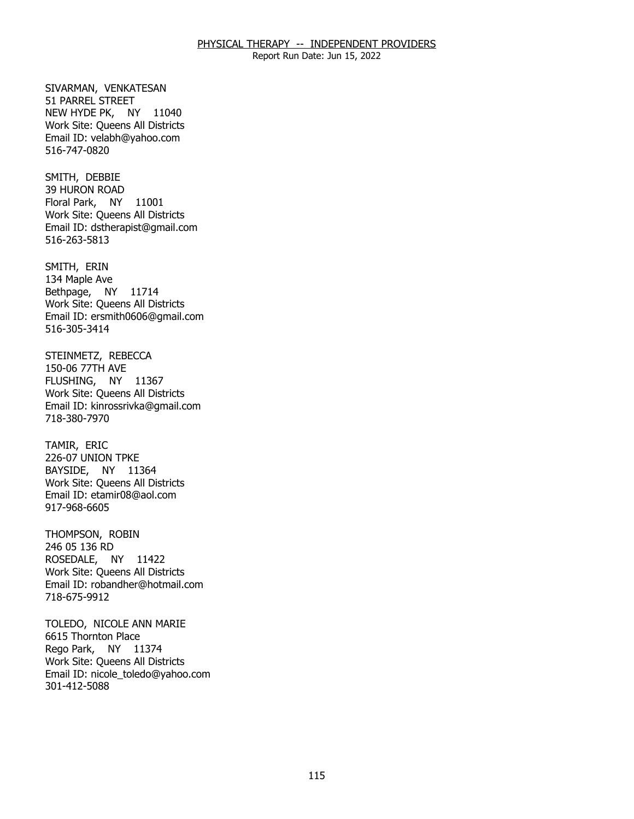Report Run Date: Jun 15, 2022

SIVARMAN, VENKATESAN<br>51 PARREL STREET NEW HYDE PK, NY 11040 Work Site: Queens All Districts Email ID: [velabh@yahoo.com](mailto:velabh@yahoo.com) 516-747-0820

SMITH, DEBBIE Floral Park, NY 11001 39 HURON ROAD Work Site: Queens All Districts Email ID: [dstherapist@gmail.com](mailto:dstherapist@gmail.com)  516-263-5813

SMITH, ERIN Bethpage, NY 11714 134 Maple Ave Work Site: Queens All Districts Email ID: [ersmith0606@gmail.com](mailto:ersmith0606@gmail.com)  516-305-3414

 STEINMETZ, REBECCA 150-06 77TH AVE FLUSHING, NY 11367 Work Site: Queens All Districts Email ID: [kinrossrivka@gmail.com](mailto:kinrossrivka@gmail.com) 718-380-7970

TAMIR, ERIC BAYSIDE, NY 11364 226-07 UNION TPKE Work Site: Queens All Districts Email ID: [etamir08@aol.com](mailto:etamir08@aol.com)  917-968-6605

THOMPSON, ROBIN<br>246 05 136 RD ROSEDALE, NY 11422 Work Site: Queens All Districts Email ID: [robandher@hotmail.com](mailto:robandher@hotmail.com) 718-675-9912

 TOLEDO, NICOLE ANN MARIE 6615 Thornton Place Rego Park, NY 11374 Work Site: Queens All Districts Email ID: [nicole\\_toledo@yahoo.com](mailto:nicole_toledo@yahoo.com) 301-412-5088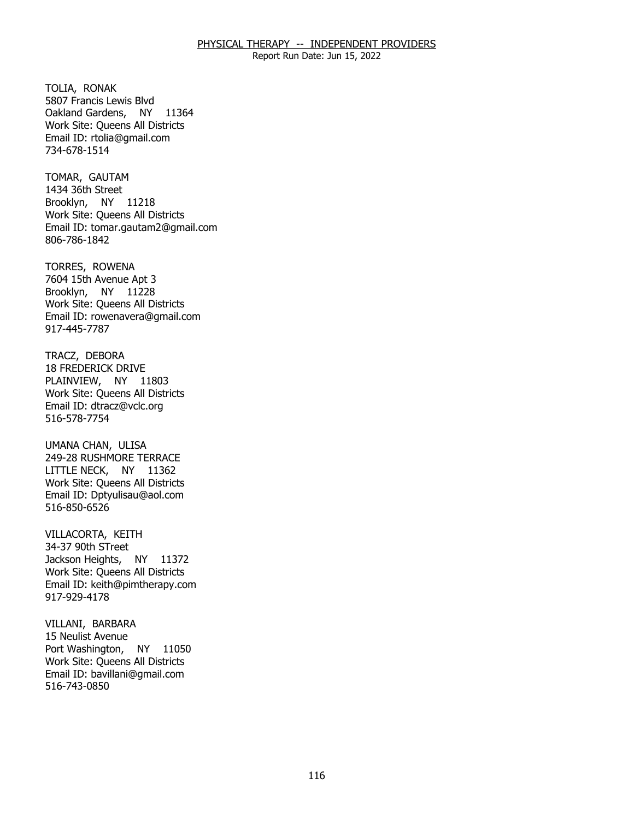Report Run Date: Jun 15, 2022

TOLIA, RONAK Oakland Gardens, NY 11364 5807 Francis Lewis Blvd Work Site: Queens All Districts Email ID: [rtolia@gmail.com](mailto:rtolia@gmail.com) 734-678-1514

TOMAR, GAUTAM Brooklyn, NY 11218 1434 36th Street Work Site: Queens All Districts Email ID: [tomar.gautam2@gmail.com](mailto:tomar.gautam2@gmail.com) 806-786-1842

TORRES, ROWENA Brooklyn, NY 11228 7604 15th Avenue Apt 3 Work Site: Queens All Districts Email ID: [rowenavera@gmail.com](mailto:rowenavera@gmail.com)  917-445-7787

TRACZ, DEBORA PLAINVIEW, NY 11803 18 FREDERICK DRIVE Work Site: Queens All Districts Email ID: [dtracz@vclc.org](mailto:dtracz@vclc.org)  516-578-7754

UMANA CHAN, ULISA LITTLE NECK, NY 11362 249-28 RUSHMORE TERRACE Work Site: Queens All Districts Email ID: [Dptyulisau@aol.com](mailto:Dptyulisau@aol.com) 516-850-6526

VILLACORTA, KEITH<br>34-37 90th STreet Jackson Heights, NY 11372 Work Site: Queens All Districts Email ID: [keith@pimtherapy.com](mailto:keith@pimtherapy.com)  917-929-4178

 VILLANI, BARBARA 15 Neulist Avenue Port Washington, NY 11050 Work Site: Queens All Districts Email ID: [bavillani@gmail.com](mailto:bavillani@gmail.com)  516-743-0850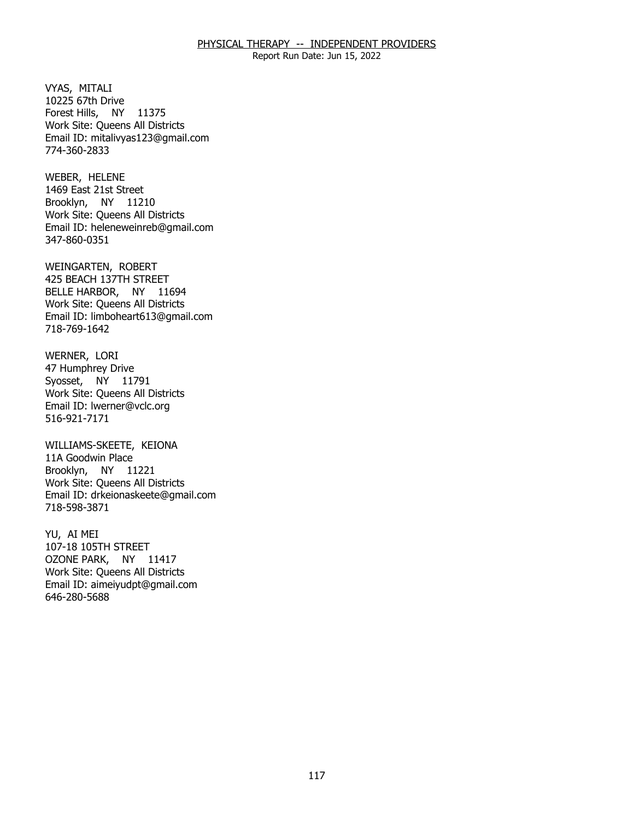Report Run Date: Jun 15, 2022

VYAS, MITALI Forest Hills, NY 11375 10225 67th Drive Work Site: Queens All Districts Email ID: [mitalivyas123@gmail.com](mailto:mitalivyas123@gmail.com) 774-360-2833

WEBER, HELENE Brooklyn, NY 11210 1469 East 21st Street Work Site: Queens All Districts Email ID: [heleneweinreb@gmail.com](mailto:heleneweinreb@gmail.com) 347-860-0351

WEINGARTEN, ROBERT BELLE HARBOR, NY 11694 425 BEACH 137TH STREET Work Site: Queens All Districts Email ID: [limboheart613@gmail.com](mailto:limboheart613@gmail.com)  718-769-1642

WERNER, LORI Syosset, NY 11791 47 Humphrey Drive Work Site: Queens All Districts Email ID: [lwerner@vclc.org](mailto:lwerner@vclc.org) 516-921-7171

 WILLIAMS-SKEETE, KEIONA 11A Goodwin Place Brooklyn, NY 11221 Work Site: Queens All Districts Email ID: [drkeionaskeete@gmail.com](mailto:drkeionaskeete@gmail.com)  718-598-3871

YU, AI MEI OZONE PARK, NY 11417 107-18 105TH STREET Work Site: Queens All Districts Email ID: [aimeiyudpt@gmail.com](mailto:aimeiyudpt@gmail.com)  646-280-5688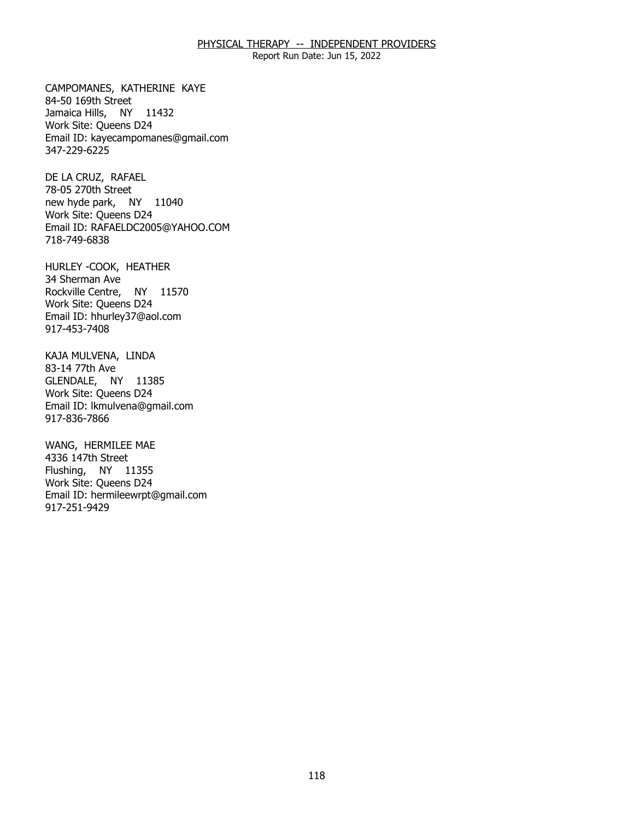Report Run Date: Jun 15, 2022

CAMPOMANES, KATHERINE KAYE<br>84-50 169th Street Jamaica Hills, NY 11432 Work Site: Queens D24 Email ID: [kayecampomanes@gmail.com](mailto:kayecampomanes@gmail.com)  347-229-6225

DE LA CRUZ, RAFAEL new hyde park, NY 11040 78-05 270th Street Work Site: Queens D24 Email ID: [RAFAELDC2005@YAHOO.COM](mailto:RAFAELDC2005@YAHOO.COM) 718-749-6838

 HURLEY -COOK, HEATHER 34 Sherman Ave Rockville Centre, NY 11570 Work Site: Queens D24 Email ID: [hhurley37@aol.com](mailto:hhurley37@aol.com) 917-453-7408

KAJA MULVENA, LINDA<br>83-14 77th Ave GLENDALE, NY 11385 Work Site: Queens D24 Email ID: [lkmulvena@gmail.com](mailto:lkmulvena@gmail.com)  917-836-7866

WANG, HERMILEE MAE<br>4336 147th Street Flushing, NY 11355 Work Site: Queens D24 Email ID: [hermileewrpt@gmail.com](mailto:hermileewrpt@gmail.com) 917-251-9429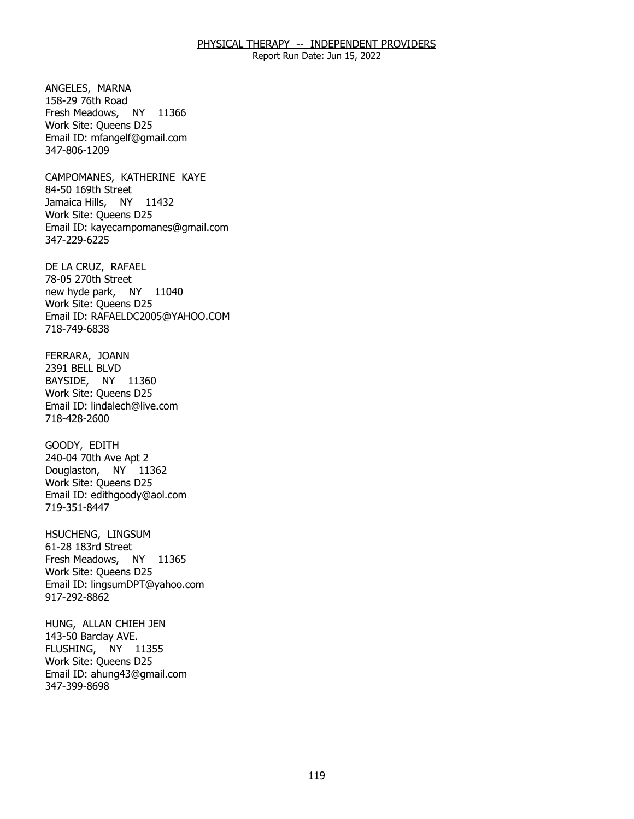Report Run Date: Jun 15, 2022

ANGELES, MARNA Fresh Meadows, NY 11366 158-29 76th Road Work Site: Queens D25 Email ID: [mfangelf@gmail.com](mailto:mfangelf@gmail.com)  347-806-1209

CAMPOMANES, KATHERINE KAYE<br>84-50 169th Street Jamaica Hills, NY 11432 Work Site: Queens D25 Email ID: [kayecampomanes@gmail.com](mailto:kayecampomanes@gmail.com)  347-229-6225

DE LA CRUZ, RAFAEL<br>78-05 270th Street new hyde park, NY 11040 Work Site: Queens D25 Email ID: [RAFAELDC2005@YAHOO.COM](mailto:RAFAELDC2005@YAHOO.COM) 718-749-6838

FERRARA, JOANN<br>2391 BELL BLVD BAYSIDE, NY 11360 Work Site: Queens D25 Email ID: [lindalech@live.com](mailto:lindalech@live.com)  718-428-2600

GOODY, EDITH Douglaston, NY 11362 240-04 70th Ave Apt 2 Work Site: Queens D25 Email ID: [edithgoody@aol.com](mailto:edithgoody@aol.com) 719-351-8447

HSUCHENG, LINGSUM<br>61-28 183rd Street Fresh Meadows, NY 11365 Work Site: Queens D25 Email ID: [lingsumDPT@yahoo.com](mailto:lingsumDPT@yahoo.com) 917-292-8862

HUNG, ALLAN CHIEH JEN<br>143-50 Barclay AVE. FLUSHING, NY 11355 Work Site: Queens D25 Email ID: [ahung43@gmail.com](mailto:ahung43@gmail.com)  347-399-8698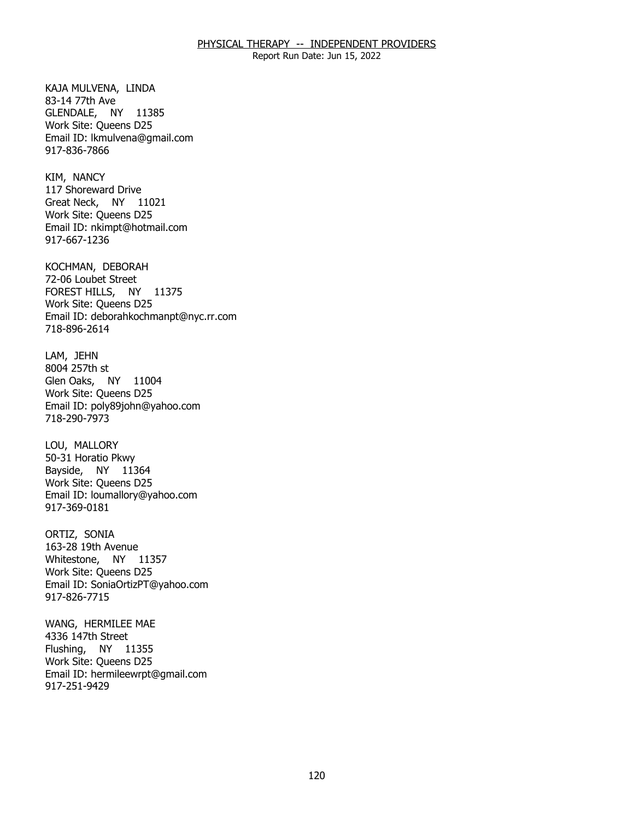Report Run Date: Jun 15, 2022

KAJA MULVENA, LINDA<br>83-14 77th Ave GLENDALE, NY 11385 Work Site: Queens D25 Email ID: [lkmulvena@gmail.com](mailto:lkmulvena@gmail.com)  917-836-7866

KIM, NANCY Great Neck, NY 11021 117 Shoreward Drive Work Site: Queens D25 Email ID: [nkimpt@hotmail.com](mailto:nkimpt@hotmail.com) 917-667-1236

KOCHMAN, DEBORAH FOREST HILLS, NY 11375 72-06 Loubet Street Work Site: Queens D25 Email ID: [deborahkochmanpt@nyc.rr.com](mailto:deborahkochmanpt@nyc.rr.com)  718-896-2614

LAM, JEHN Glen Oaks, NY 11004 8004 257th st Work Site: Queens D25 Email ID: [poly89john@yahoo.com](mailto:poly89john@yahoo.com)  718-290-7973

LOU, MALLORY Bayside, NY 11364 50-31 Horatio Pkwy Work Site: Queens D25 Email ID: [loumallory@yahoo.com](mailto:loumallory@yahoo.com)  917-369-0181

ORTIZ, SONIA Whitestone, NY 11357 163-28 19th Avenue Work Site: Queens D25 Email ID: [SoniaOrtizPT@yahoo.com](mailto:SoniaOrtizPT@yahoo.com) 917-826-7715

WANG, HERMILEE MAE<br>4336 147th Street Flushing, NY 11355 Work Site: Queens D25 Email ID: [hermileewrpt@gmail.com](mailto:hermileewrpt@gmail.com) 917-251-9429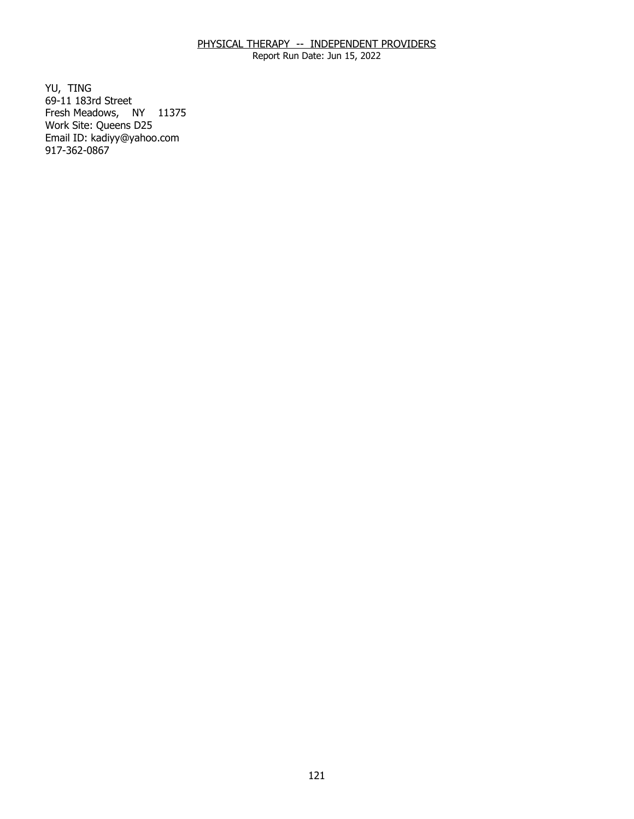Report Run Date: Jun 15, 2022

YU, TING Fresh Meadows, NY 11375 69-11 183rd Street Work Site: Queens D25 Email ID: [kadiyy@yahoo.com](mailto:kadiyy@yahoo.com) 917-362-0867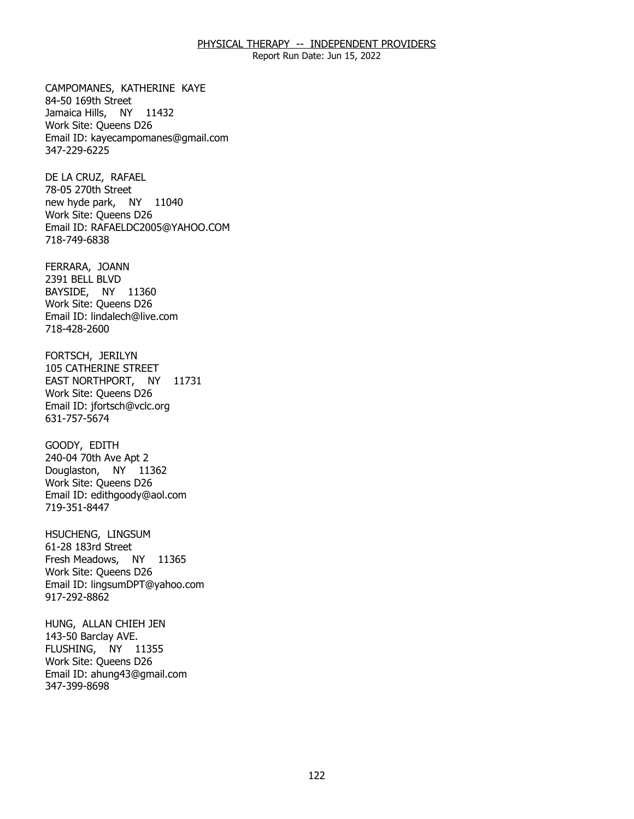Report Run Date: Jun 15, 2022

CAMPOMANES, KATHERINE KAYE<br>84-50 169th Street Jamaica Hills, NY 11432 Work Site: Queens D26 Email ID: [kayecampomanes@gmail.com](mailto:kayecampomanes@gmail.com)  347-229-6225

DE LA CRUZ, RAFAEL new hyde park, NY 11040 78-05 270th Street Work Site: Queens D26 Email ID: [RAFAELDC2005@YAHOO.COM](mailto:RAFAELDC2005@YAHOO.COM) 718-749-6838

FERRARA, JOANN BAYSIDE, NY 11360 2391 BELL BLVD Work Site: Queens D26 Email ID: [lindalech@live.com](mailto:lindalech@live.com)  718-428-2600

FORTSCH, JERILYN EAST NORTHPORT, NY 11731 105 CATHERINE STREET Work Site: Queens D26 Email ID: [jfortsch@vclc.org](mailto:jfortsch@vclc.org) 631-757-5674

GOODY, EDITH Douglaston, NY 11362 240-04 70th Ave Apt 2 Work Site: Queens D26 Email ID: [edithgoody@aol.com](mailto:edithgoody@aol.com) 719-351-8447

HSUCHENG, LINGSUM<br>61-28 183rd Street Fresh Meadows, NY 11365 Work Site: Queens D26 Email ID: [lingsumDPT@yahoo.com](mailto:lingsumDPT@yahoo.com) 917-292-8862

HUNG, ALLAN CHIEH JEN<br>143-50 Barclay AVE. FLUSHING, NY 11355 Work Site: Queens D26 Email ID: [ahung43@gmail.com](mailto:ahung43@gmail.com)  347-399-8698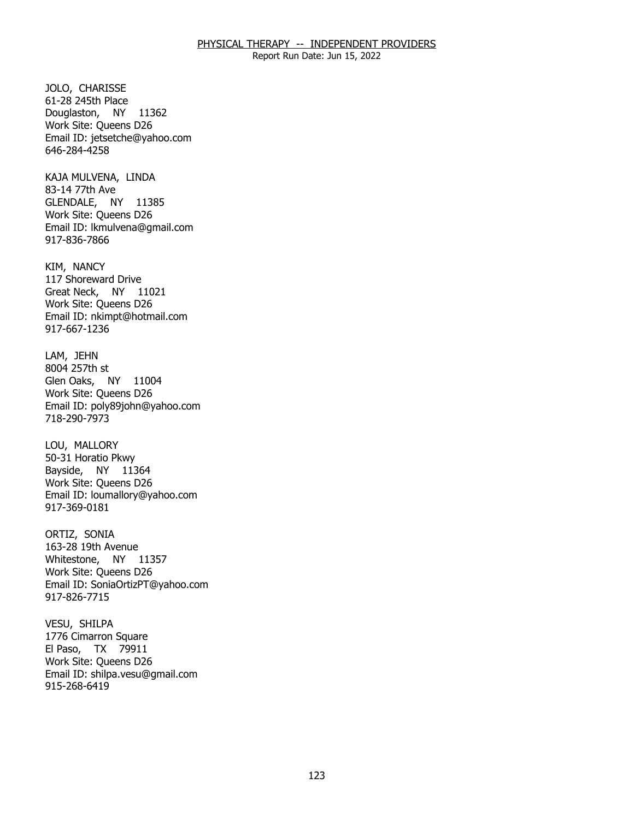Report Run Date: Jun 15, 2022

JOLO, CHARISSE Douglaston, NY 11362 61-28 245th Place Work Site: Queens D26 Email ID: [jetsetche@yahoo.com](mailto:jetsetche@yahoo.com) 646-284-4258

KAJA MULVENA, LINDA<br>83-14 77th Ave GLENDALE, NY 11385 Work Site: Queens D26 Email ID: [lkmulvena@gmail.com](mailto:lkmulvena@gmail.com)  917-836-7866

KIM, NANCY Great Neck, NY 11021 117 Shoreward Drive Work Site: Queens D26 Email ID: [nkimpt@hotmail.com](mailto:nkimpt@hotmail.com) 917-667-1236

LAM, JEHN Glen Oaks, NY 11004 8004 257th st Work Site: Queens D26 Email ID: [poly89john@yahoo.com](mailto:poly89john@yahoo.com)  718-290-7973

LOU, MALLORY Bayside, NY 11364 50-31 Horatio Pkwy Work Site: Queens D26 Email ID: [loumallory@yahoo.com](mailto:loumallory@yahoo.com)  917-369-0181

ORTIZ, SONIA Whitestone, NY 11357 163-28 19th Avenue Work Site: Queens D26 Email ID: [SoniaOrtizPT@yahoo.com](mailto:SoniaOrtizPT@yahoo.com) 917-826-7715

VESU, SHILPA El Paso, TX 79911 1776 Cimarron Square Work Site: Queens D26 Email ID: [shilpa.vesu@gmail.com](mailto:shilpa.vesu@gmail.com)  915-268-6419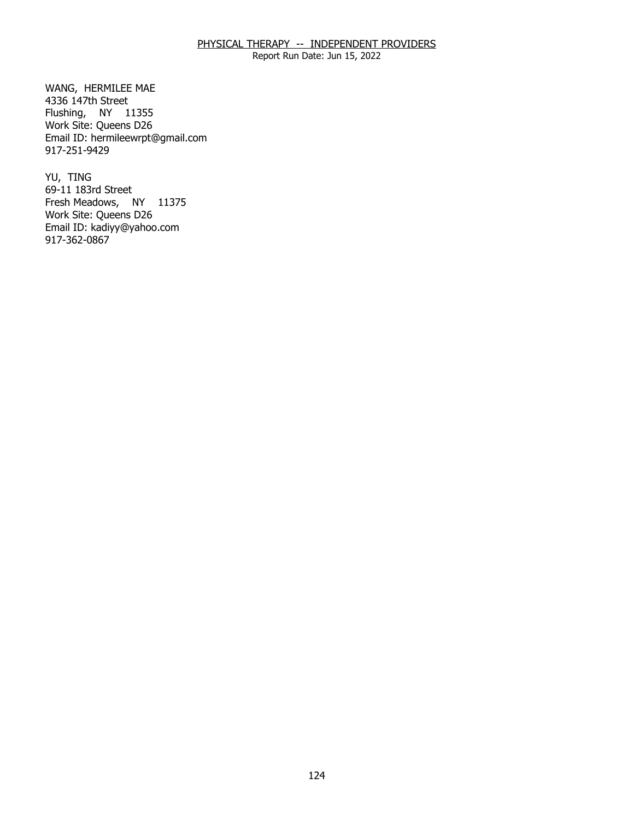Report Run Date: Jun 15, 2022

WANG, HERMILEE MAE<br>4336 147th Street Flushing, NY 11355 Work Site: Queens D26 Email ID: [hermileewrpt@gmail.com](mailto:hermileewrpt@gmail.com) 917-251-9429

YU, TING Fresh Meadows, NY 11375 69-11 183rd Street Work Site: Queens D26 Email ID: [kadiyy@yahoo.com](mailto:kadiyy@yahoo.com) 917-362-0867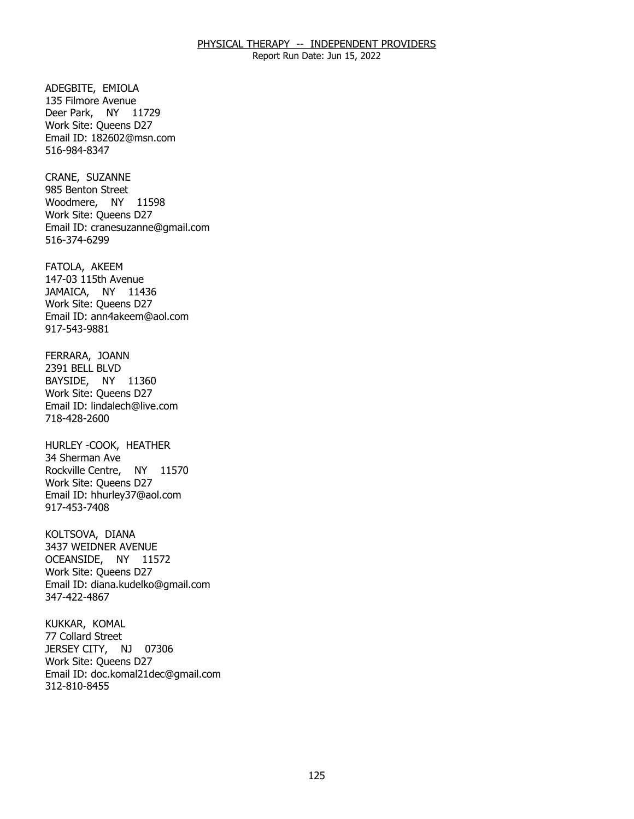Report Run Date: Jun 15, 2022

ADEGBITE, EMIOLA Deer Park, NY 11729 135 Filmore Avenue Work Site: Queens D27 Email ID: [182602@msn.com](mailto:182602@msn.com)  516-984-8347

CRANE, SUZANNE Woodmere, NY 11598 985 Benton Street Work Site: Queens D27 Email ID: [cranesuzanne@gmail.com](mailto:cranesuzanne@gmail.com)  516-374-6299

FATOLA, AKEEM JAMAICA, NY 11436 147-03 115th Avenue Work Site: Queens D27 Email ID: [ann4akeem@aol.com](mailto:ann4akeem@aol.com) 917-543-9881

FERRARA, JOANN<br>2391 BELL BLVD BAYSIDE, NY 11360 Work Site: Queens D27 Email ID: [lindalech@live.com](mailto:lindalech@live.com)  718-428-2600

 HURLEY -COOK, HEATHER 34 Sherman Ave Rockville Centre, NY 11570 Work Site: Queens D27 Email ID: [hhurley37@aol.com](mailto:hhurley37@aol.com) 917-453-7408

KOLTSOVA, DIANA OCEANSIDE, NY 11572 3437 WEIDNER AVENUE Work Site: Queens D27 Email ID: [diana.kudelko@gmail.com](mailto:diana.kudelko@gmail.com) 347-422-4867

KUKKAR, KOMAL<br>77 Collard Street JERSEY CITY, NJ 07306 Work Site: Queens D27 Email ID: [doc.komal21dec@gmail.com](mailto:doc.komal21dec@gmail.com) 312-810-8455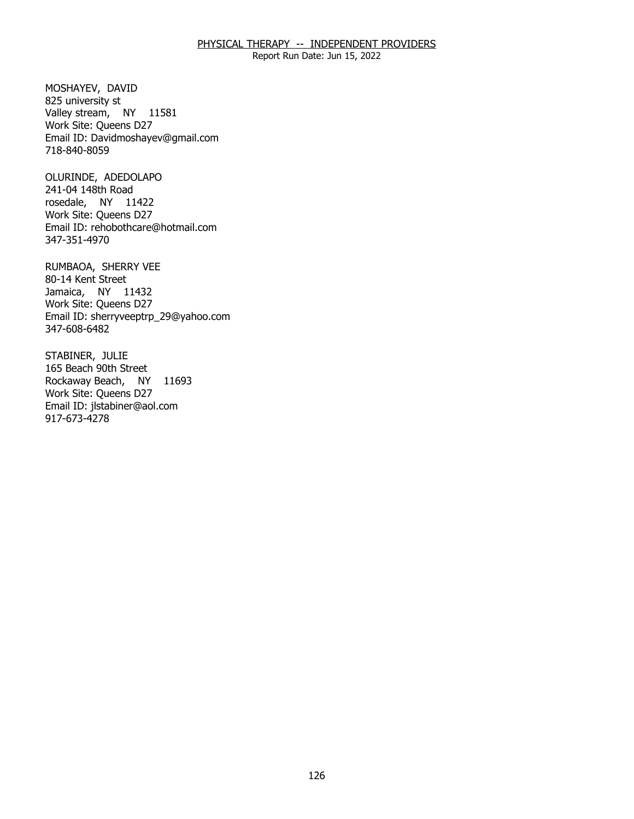Report Run Date: Jun 15, 2022

MOSHAYEV, DAVID<br>825 university st Valley stream, NY 11581 Work Site: Queens D27 Email ID: [Davidmoshayev@gmail.com](mailto:Davidmoshayev@gmail.com) 718-840-8059

OLURINDE, ADEDOLAPO<br>241-04 148th Road rosedale, NY 11422 Work Site: Queens D27 Email ID: [rehobothcare@hotmail.com](mailto:rehobothcare@hotmail.com)  347-351-4970

RUMBAOA, SHERRY VEE<br>80-14 Kent Street Jamaica, NY 11432 Work Site: Queens D27 Email ID: [sherryveeptrp\\_29@yahoo.com](mailto:sherryveeptrp_29@yahoo.com) 347-608-6482

STABINER, JULIE Rockaway Beach, NY 11693 165 Beach 90th Street Work Site: Queens D27 Email ID: [jlstabiner@aol.com](mailto:jlstabiner@aol.com)  917-673-4278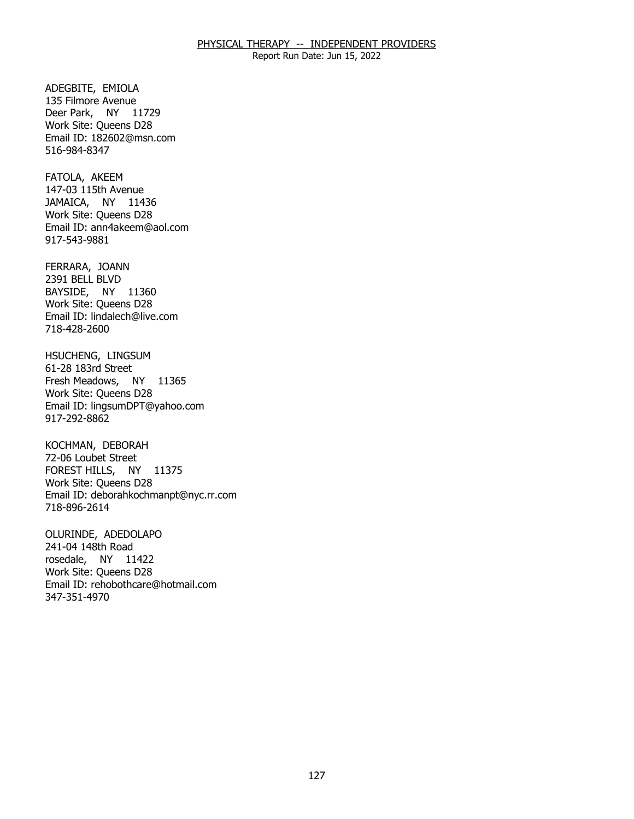Report Run Date: Jun 15, 2022

ADEGBITE, EMIOLA Deer Park, NY 11729 135 Filmore Avenue Work Site: Queens D28 Email ID: [182602@msn.com](mailto:182602@msn.com)  516-984-8347

FATOLA, AKEEM JAMAICA, NY 11436 147-03 115th Avenue Work Site: Queens D28 Email ID: [ann4akeem@aol.com](mailto:ann4akeem@aol.com) 917-543-9881

FERRARA, JOANN BAYSIDE, NY 11360 2391 BELL BLVD Work Site: Queens D28 Email ID: [lindalech@live.com](mailto:lindalech@live.com)  718-428-2600

HSUCHENG, LINGSUM<br>61-28 183rd Street Fresh Meadows, NY 11365 Work Site: Queens D28 Email ID: [lingsumDPT@yahoo.com](mailto:lingsumDPT@yahoo.com) 917-292-8862

KOCHMAN, DEBORAH FOREST HILLS, NY 11375 72-06 Loubet Street Work Site: Queens D28 Email ID: [deborahkochmanpt@nyc.rr.com](mailto:deborahkochmanpt@nyc.rr.com)  718-896-2614

OLURINDE, ADEDOLAPO<br>241-04 148th Road rosedale, NY 11422 Work Site: Queens D28 Email ID: [rehobothcare@hotmail.com](mailto:rehobothcare@hotmail.com)  347-351-4970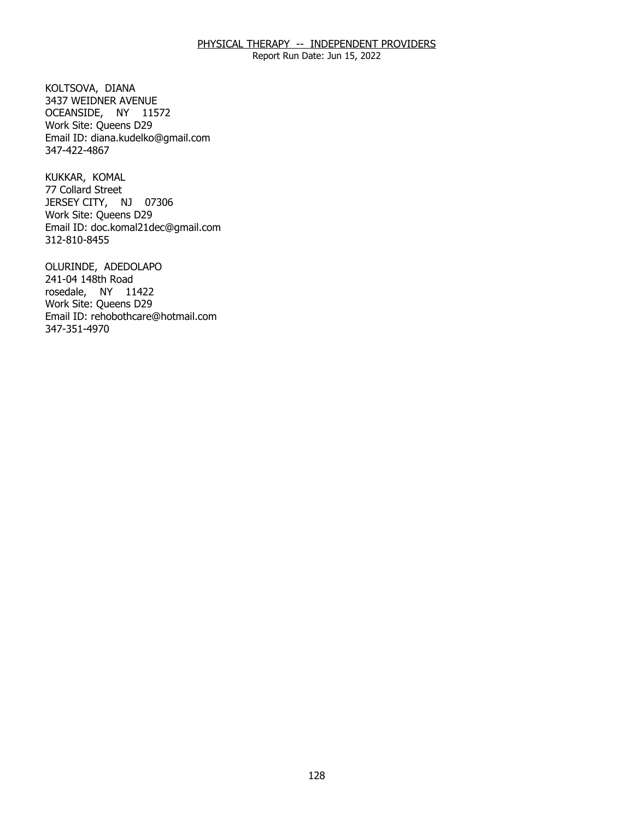Report Run Date: Jun 15, 2022

KOLTSOVA, DIANA OCEANSIDE, NY 11572 3437 WEIDNER AVENUE Work Site: Queens D29 Email ID: [diana.kudelko@gmail.com](mailto:diana.kudelko@gmail.com) 347-422-4867

KUKKAR, KOMAL JERSEY CITY, NJ 07306 77 Collard Street Work Site: Queens D29 Email ID: [doc.komal21dec@gmail.com](mailto:doc.komal21dec@gmail.com) 312-810-8455

OLURINDE, ADEDOLAPO<br>241-04 148th Road rosedale, NY 11422 Work Site: Queens D29 Email ID: [rehobothcare@hotmail.com](mailto:rehobothcare@hotmail.com)  347-351-4970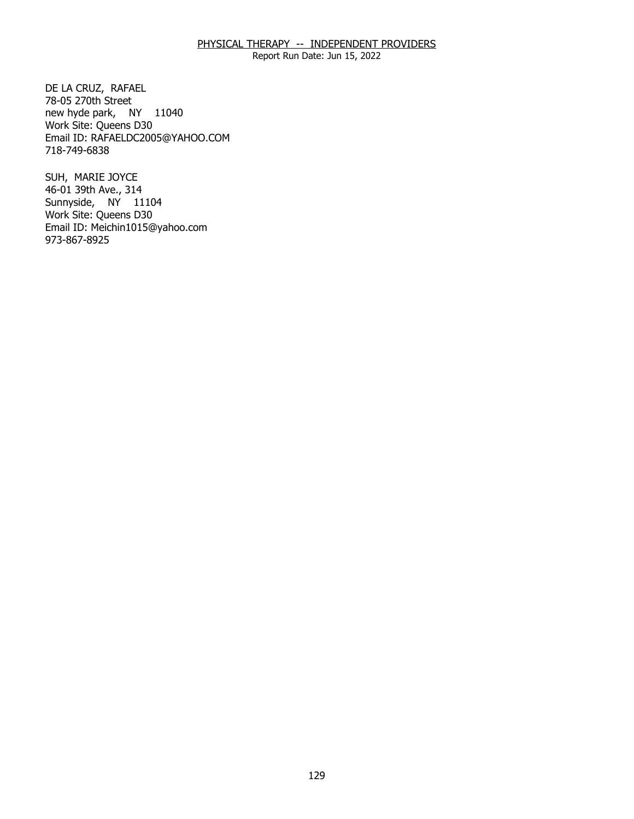Report Run Date: Jun 15, 2022

DE LA CRUZ, RAFAEL<br>78-05 270th Street new hyde park, NY 11040 Work Site: Queens D30 Email ID: [RAFAELDC2005@YAHOO.COM](mailto:RAFAELDC2005@YAHOO.COM) 718-749-6838

SUH, MARIE JOYCE Sunnyside, NY 11104 46-01 39th Ave., 314 Work Site: Queens D30 Email ID: [Meichin1015@yahoo.com](mailto:Meichin1015@yahoo.com) 973-867-8925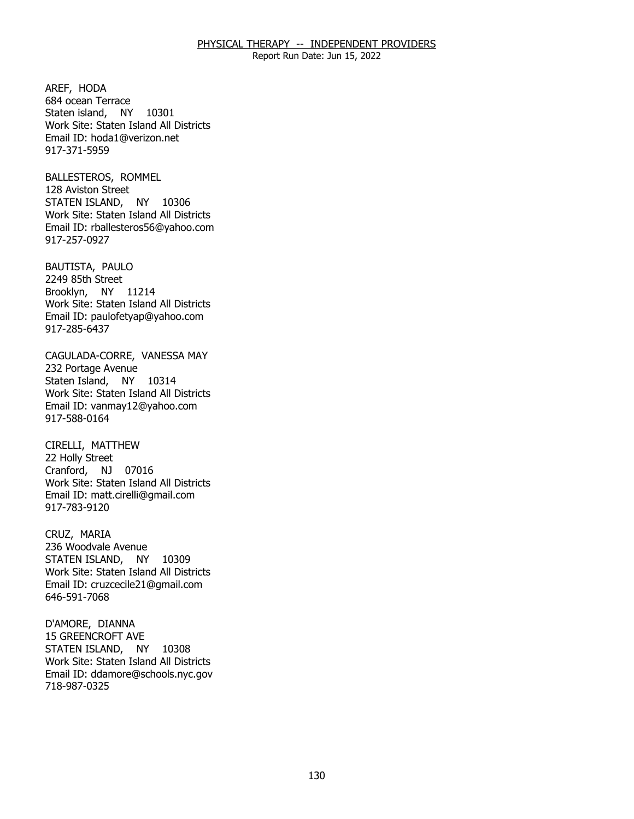Report Run Date: Jun 15, 2022

AREF, HODA Staten island, NY 10301 684 ocean Terrace Work Site: Staten Island All Districts Email ID: [hoda1@verizon.net](mailto:hoda1@verizon.net) 917-371-5959

BALLESTEROS, ROMMEL<br>128 Aviston Street STATEN ISLAND, NY 10306 Work Site: Staten Island All Districts Email ID: [rballesteros56@yahoo.com](mailto:rballesteros56@yahoo.com)  917-257-0927

BAUTISTA, PAULO<br>2249 85th Street Brooklyn, NY 11214 Work Site: Staten Island All Districts Email ID: [paulofetyap@yahoo.com](mailto:paulofetyap@yahoo.com)  917-285-6437

CAGULADA-CORRE, VANESSA MAY<br>232 Portage Avenue Staten Island, NY 10314 Work Site: Staten Island All Districts Email ID: [vanmay12@yahoo.com](mailto:vanmay12@yahoo.com) 917-588-0164

CIRELLI, MATTHEW<br>22 Holly Street Cranford, NJ 07016 Work Site: Staten Island All Districts Email ID: [matt.cirelli@gmail.com](mailto:matt.cirelli@gmail.com) 917-783-9120

CRUZ, MARIA STATEN ISLAND, NY 10309 236 Woodvale Avenue Work Site: Staten Island All Districts Email ID: [cruzcecile21@gmail.com](mailto:cruzcecile21@gmail.com)  646-591-7068

D'AMORE, DIANNA STATEN ISLAND, NY 10308 15 GREENCROFT AVE Work Site: Staten Island All Districts Email ID: [ddamore@schools.nyc.gov](mailto:ddamore@schools.nyc.gov) 718-987-0325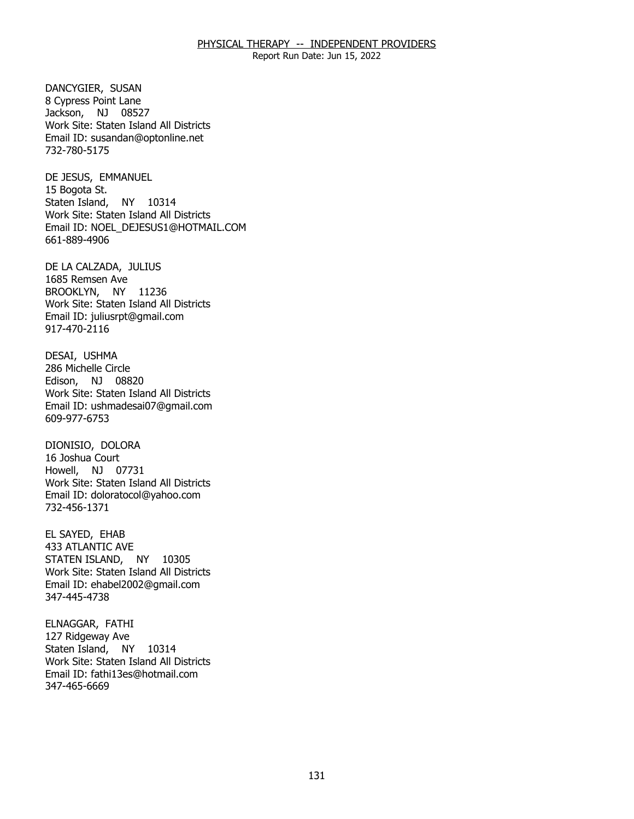Report Run Date: Jun 15, 2022

DANCYGIER, SUSAN Jackson, NJ 08527 8 Cypress Point Lane Work Site: Staten Island All Districts Email ID: [susandan@optonline.net](mailto:susandan@optonline.net)  732-780-5175

DE JESUS, EMMANUEL<br>15 Bogota St. Staten Island, NY 10314 Work Site: Staten Island All Districts Email ID: [NOEL\\_DEJESUS1@HOTMAIL.COM](mailto:NOEL_DEJESUS1@HOTMAIL.COM) 661-889-4906

DE LA CALZADA, JULIUS<br>1685 Remsen Ave BROOKLYN, NY 11236 Work Site: Staten Island All Districts Email ID: [juliusrpt@gmail.com](mailto:juliusrpt@gmail.com)  917-470-2116

DESAI, USHMA Edison, NJ 08820 286 Michelle Circle Work Site: Staten Island All Districts Email ID: [ushmadesai07@gmail.com](mailto:ushmadesai07@gmail.com) 609-977-6753

 DIONISIO, DOLORA 16 Joshua Court Howell, NJ 07731 Work Site: Staten Island All Districts Email ID: [doloratocol@yahoo.com](mailto:doloratocol@yahoo.com)  732-456-1371

EL SAYED, EHAB STATEN ISLAND, NY 10305 433 ATLANTIC AVE Work Site: Staten Island All Districts Email ID: [ehabel2002@gmail.com](mailto:ehabel2002@gmail.com) 347-445-4738

ELNAGGAR, FATHI<br>127 Ridgeway Ave Staten Island, NY 10314 Work Site: Staten Island All Districts Email ID: [fathi13es@hotmail.com](mailto:fathi13es@hotmail.com) 347-465-6669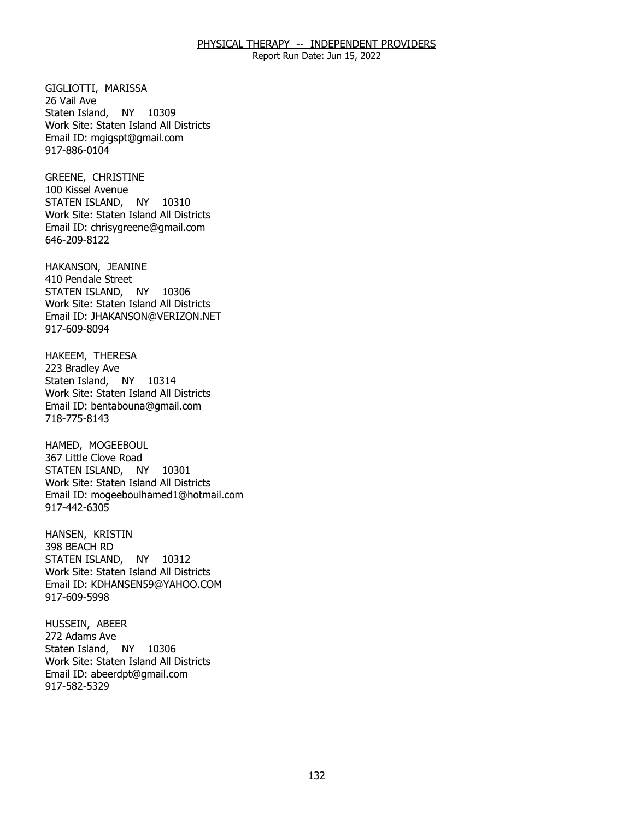Report Run Date: Jun 15, 2022

GIGLIOTTI, MARISSA<br>26 Vail Ave Staten Island, NY 10309 Work Site: Staten Island All Districts Email ID: [mgigspt@gmail.com](mailto:mgigspt@gmail.com) 917-886-0104

 GREENE, CHRISTINE 100 Kissel Avenue STATEN ISLAND, NY 10310 Work Site: Staten Island All Districts Email ID: [chrisygreene@gmail.com](mailto:chrisygreene@gmail.com) 646-209-8122

HAKANSON, JEANINE<br>410 Pendale Street STATEN ISLAND, NY 10306 Work Site: Staten Island All Districts Email ID: [JHAKANSON@VERIZON.NET](mailto:JHAKANSON@VERIZON.NET)  917-609-8094

HAKEEM, THERESA<br>223 Bradley Ave Staten Island, NY 10314 Work Site: Staten Island All Districts Email ID: [bentabouna@gmail.com](mailto:bentabouna@gmail.com)  718-775-8143

HAMED, MOGEEBOUL STATEN ISLAND, NY 10301 367 Little Clove Road Work Site: Staten Island All Districts Email ID: [mogeeboulhamed1@hotmail.com](mailto:mogeeboulhamed1@hotmail.com) 917-442-6305

HANSEN, KRISTIN<br>398 BEACH RD STATEN ISLAND, NY 10312 Work Site: Staten Island All Districts Email ID: [KDHANSEN59@YAHOO.COM](mailto:KDHANSEN59@YAHOO.COM) 917-609-5998

HUSSEIN, ABEER<br>272 Adams Ave Staten Island, NY 10306 Work Site: Staten Island All Districts Email ID: [abeerdpt@gmail.com](mailto:abeerdpt@gmail.com)  917-582-5329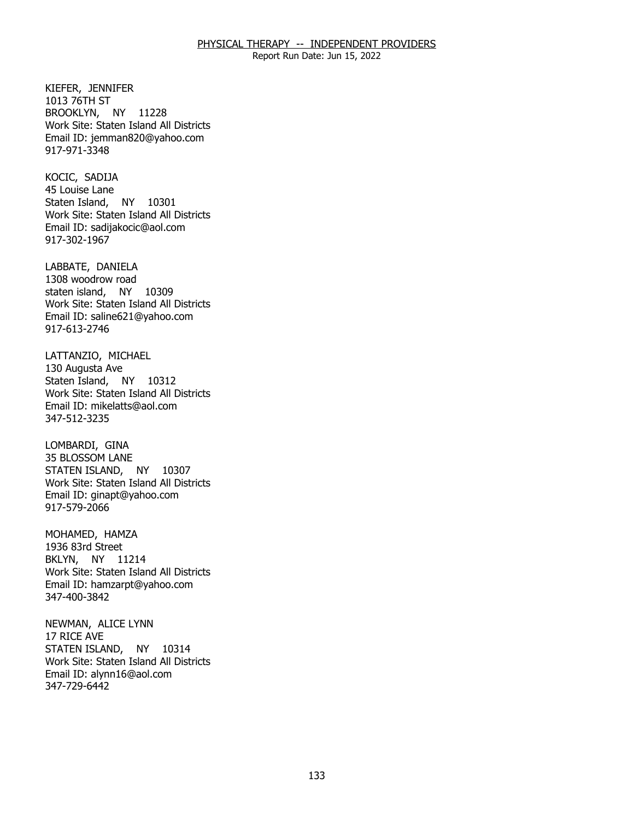Report Run Date: Jun 15, 2022

 KIEFER, JENNIFER BROOKLYN, NY 11228 1013 76TH ST Work Site: Staten Island All Districts Email ID: [jemman820@yahoo.com](mailto:jemman820@yahoo.com) 917-971-3348

KOCIC, SADIJA Staten Island, NY 10301 45 Louise Lane Work Site: Staten Island All Districts Email ID: [sadijakocic@aol.com](mailto:sadijakocic@aol.com)  917-302-1967

LABBATE, DANIELA staten island, NY 10309 1308 woodrow road Work Site: Staten Island All Districts Email ID: [saline621@yahoo.com](mailto:saline621@yahoo.com)  917-613-2746

LATTANZIO, MICHAEL<br>130 Augusta Ave Staten Island, NY 10312 Work Site: Staten Island All Districts Email ID: [mikelatts@aol.com](mailto:mikelatts@aol.com) 347-512-3235

LOMBARDI, GINA STATEN ISLAND, NY 10307 35 BLOSSOM LANE Work Site: Staten Island All Districts Email ID: [ginapt@yahoo.com](mailto:ginapt@yahoo.com)  917-579-2066

MOHAMED, HAMZA<br>1936 83rd Street BKLYN, NY 11214 Work Site: Staten Island All Districts Email ID: [hamzarpt@yahoo.com](mailto:hamzarpt@yahoo.com) 347-400-3842

 NEWMAN, ALICE LYNN 17 RICE AVE STATEN ISLAND, NY 10314 Work Site: Staten Island All Districts Email ID: [alynn16@aol.com](mailto:alynn16@aol.com) 347-729-6442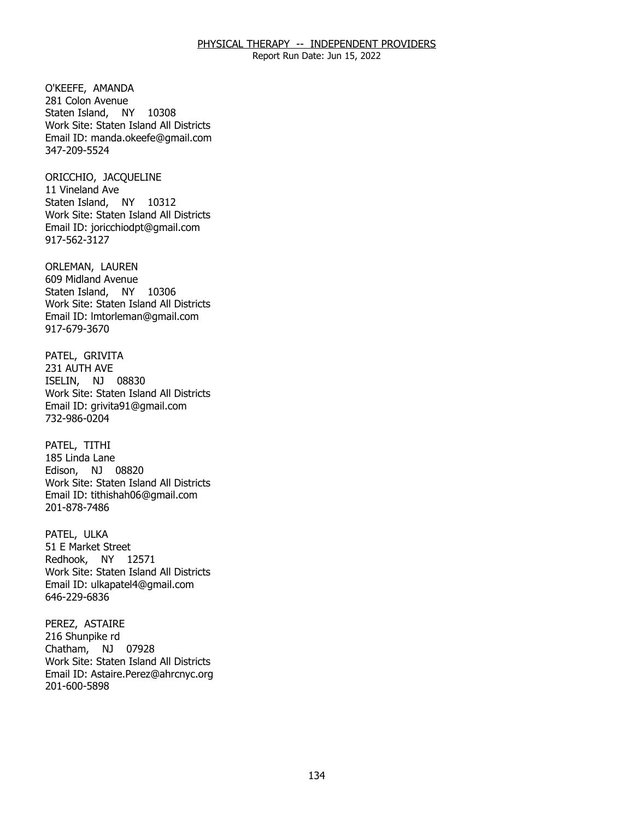Report Run Date: Jun 15, 2022

O'KEEFE, AMANDA Staten Island, NY 10308 281 Colon Avenue Work Site: Staten Island All Districts Email ID: [manda.okeefe@gmail.com](mailto:manda.okeefe@gmail.com)  347-209-5524

 ORICCHIO, JACQUELINE 11 Vineland Ave Staten Island, NY 10312 Work Site: Staten Island All Districts Email ID: [joricchiodpt@gmail.com](mailto:joricchiodpt@gmail.com) 917-562-3127

ORLEMAN, LAUREN Staten Island, NY 10306 609 Midland Avenue Work Site: Staten Island All Districts Email ID: [lmtorleman@gmail.com](mailto:lmtorleman@gmail.com) 917-679-3670

PATEL, GRIVITA<br>231 AUTH AVE ISELIN, NJ 08830 Work Site: Staten Island All Districts Email ID: [grivita91@gmail.com](mailto:grivita91@gmail.com) 732-986-0204

PATEL, TITHI Edison, NJ 08820 185 Linda Lane Work Site: Staten Island All Districts Email ID: [tithishah06@gmail.com](mailto:tithishah06@gmail.com)  201-878-7486

PATEL, ULKA Redhook, NY 12571 51 E Market Street Work Site: Staten Island All Districts Email ID: [ulkapatel4@gmail.com](mailto:ulkapatel4@gmail.com) 646-229-6836

PEREZ, ASTAIRE<br>216 Shunpike rd Chatham, NJ 07928 Work Site: Staten Island All Districts Email ID: [Astaire.Perez@ahrcnyc.org](mailto:Astaire.Perez@ahrcnyc.org) 201-600-5898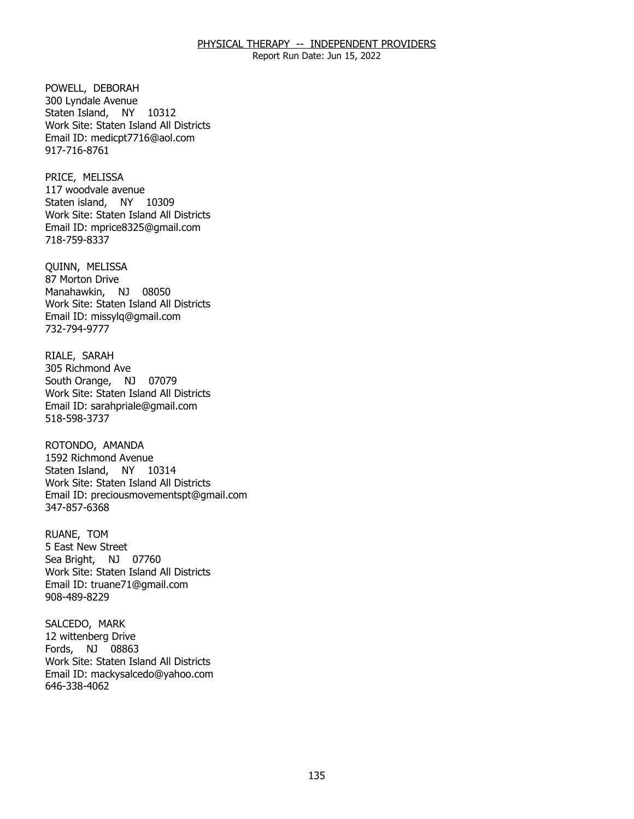Report Run Date: Jun 15, 2022

POWELL, DEBORAH Staten Island, NY 10312 300 Lyndale Avenue Work Site: Staten Island All Districts Email ID: [medicpt7716@aol.com](mailto:medicpt7716@aol.com) 917-716-8761

PRICE, MELISSA Staten island, NY 10309 117 woodvale avenue Work Site: Staten Island All Districts Email ID: [mprice8325@gmail.com](mailto:mprice8325@gmail.com)  718-759-8337

QUINN, MELISSA Manahawkin, NJ 08050 87 Morton Drive Work Site: Staten Island All Districts Email ID: [missylq@gmail.com](mailto:missylq@gmail.com)  732-794-9777

RIALE, SARAH South Orange, NJ 07079 305 Richmond Ave Work Site: Staten Island All Districts Email ID: [sarahpriale@gmail.com](mailto:sarahpriale@gmail.com)  518-598-3737

ROTONDO, AMANDA Staten Island, NY 10314 1592 Richmond Avenue Work Site: Staten Island All Districts Email ID: [preciousmovementspt@gmail.com](mailto:preciousmovementspt@gmail.com)  347-857-6368

RUANE, TOM Sea Bright, NJ 07760 5 East New Street Work Site: Staten Island All Districts Email ID: [truane71@gmail.com](mailto:truane71@gmail.com)  908-489-8229

SALCEDO, MARK Fords, NJ 08863 12 wittenberg Drive Work Site: Staten Island All Districts Email ID: [mackysalcedo@yahoo.com](mailto:mackysalcedo@yahoo.com) 646-338-4062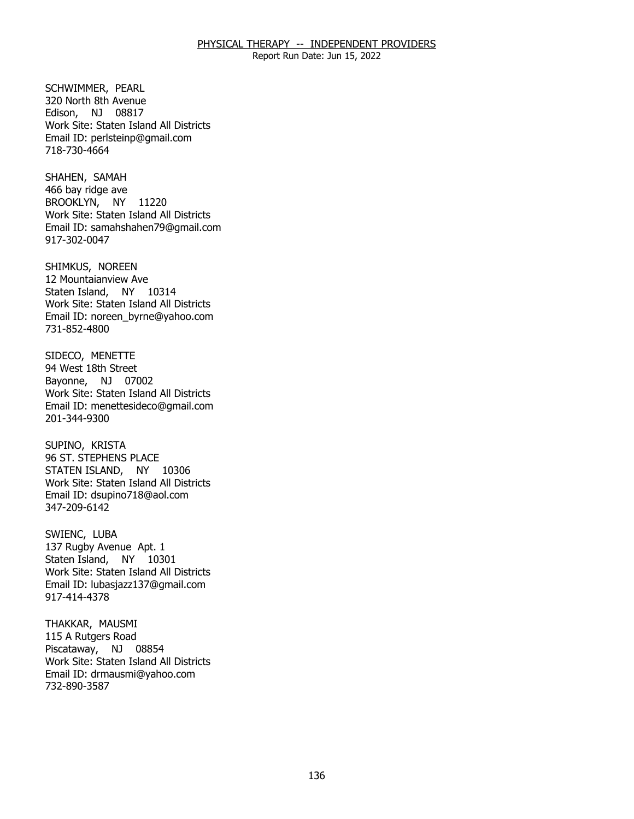Report Run Date: Jun 15, 2022

SCHWIMMER, PEARL Edison, NJ 08817 320 North 8th Avenue Work Site: Staten Island All Districts Email ID: [perlsteinp@gmail.com](mailto:perlsteinp@gmail.com) 718-730-4664

SHAHEN, SAMAH BROOKLYN, NY 11220 466 bay ridge ave Work Site: Staten Island All Districts Email ID: [samahshahen79@gmail.com](mailto:samahshahen79@gmail.com)  917-302-0047

SHIMKUS, NOREEN Staten Island, NY 10314 12 Mountaianview Ave Work Site: Staten Island All Districts Email ID: [noreen\\_byrne@yahoo.com](mailto:noreen_byrne@yahoo.com) 731-852-4800

SIDECO, MENETTE<br>94 West 18th Street Bayonne, NJ 07002 Work Site: Staten Island All Districts Email ID: [menettesideco@gmail.com](mailto:menettesideco@gmail.com) 201-344-9300

SUPINO, KRISTA STATEN ISLAND, NY 10306 96 ST. STEPHENS PLACE Work Site: Staten Island All Districts Email ID: [dsupino718@aol.com](mailto:dsupino718@aol.com) 347-209-6142

SWIENC, LUBA Staten Island, NY 10301 137 Rugby Avenue Apt. 1 Work Site: Staten Island All Districts Email ID: [lubasjazz137@gmail.com](mailto:lubasjazz137@gmail.com)  917-414-4378

THAKKAR, MAUSMI<br>115 A Rutgers Road Piscataway, NJ 08854 Work Site: Staten Island All Districts Email ID: [drmausmi@yahoo.com](mailto:drmausmi@yahoo.com)  732-890-3587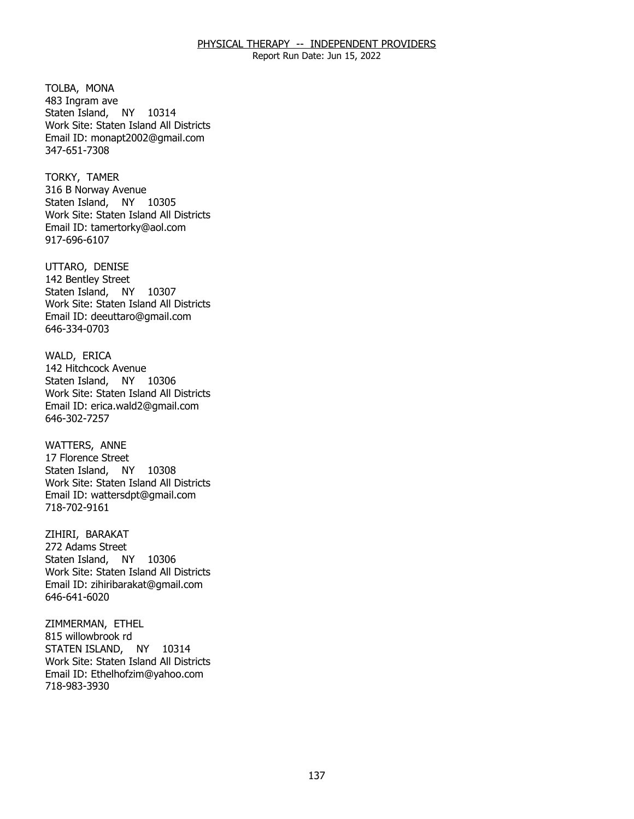Report Run Date: Jun 15, 2022

TOLBA, MONA Staten Island, NY 10314 483 Ingram ave Work Site: Staten Island All Districts Email ID: [monapt2002@gmail.com](mailto:monapt2002@gmail.com)  347-651-7308

TORKY, TAMER Staten Island, NY 10305 316 B Norway Avenue Work Site: Staten Island All Districts Email ID: [tamertorky@aol.com](mailto:tamertorky@aol.com)  917-696-6107

UTTARO, DENISE Staten Island, NY 10307 142 Bentley Street Work Site: Staten Island All Districts Email ID: [deeuttaro@gmail.com](mailto:deeuttaro@gmail.com)  646-334-0703

WALD, ERICA Staten Island, NY 10306 142 Hitchcock Avenue Work Site: Staten Island All Districts Email ID: [erica.wald2@gmail.com](mailto:erica.wald2@gmail.com) 646-302-7257

**WATTERS, ANNE**  Staten Island, NY 10308 17 Florence Street Work Site: Staten Island All Districts Email ID: [wattersdpt@gmail.com](mailto:wattersdpt@gmail.com) 718-702-9161

ZIHIRI, BARAKAT Staten Island, NY 10306 272 Adams Street Work Site: Staten Island All Districts Email ID: [zihiribarakat@gmail.com](mailto:zihiribarakat@gmail.com)  646-641-6020

ZIMMERMAN, ETHEL<br>815 willowbrook rd STATEN ISLAND, NY 10314 Work Site: Staten Island All Districts Email ID: [Ethelhofzim@yahoo.com](mailto:Ethelhofzim@yahoo.com)  718-983-3930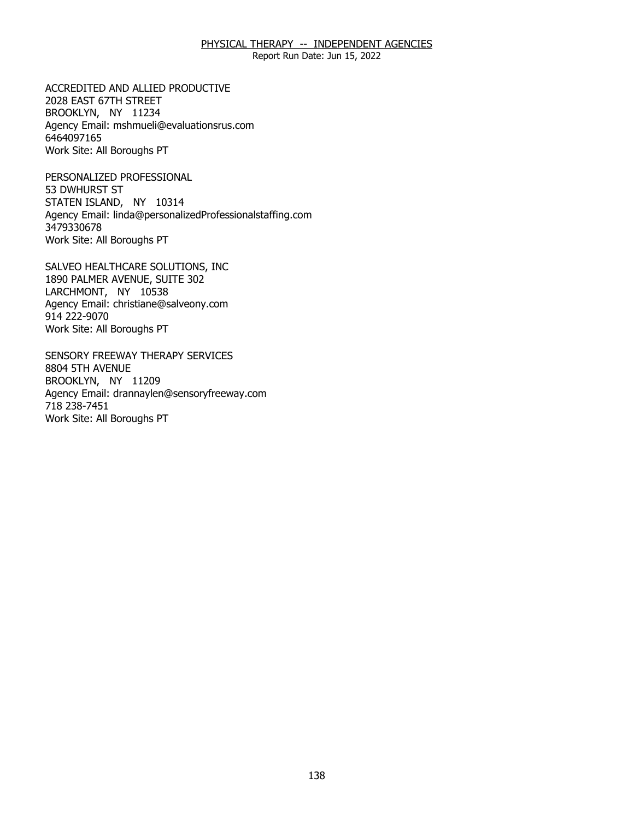Report Run Date: Jun 15, 2022

ACCREDITED AND ALLIED PRODUCTIVE<br>2028 EAST 67TH STREET<br>BROOKLYN, NY 11234 2028 EAST 67TH STREET BROOKLYN, NY 11234 Agency Email: [mshmueli@evaluationsrus.com](mailto:mshmueli@evaluationsrus.com)  6464097165 Work Site: All Boroughs PT

PERSONALIZED PROFESSIONAL 53 DWHURST ST PERSONALIZED PROFESSIONAL<br>53 DWHURST ST<br>STATEN ISLAND, NY 10314 Agency Email: [linda@personalizedProfessionalstaffing.com](mailto:linda@personalizedProfessionalstaffing.com) 3479330678 Work Site: All Boroughs PT

SALVEO HEALTHCARE SOLUTIONS, INC<br>1890 PALMER AVENUE, SUITE 302<br>LARCHMONT, NY 10538 1890 PALMER AVENUE, SUITE 302 LARCHMONT, NY 10538 Agency Email: [christiane@salveony.com](mailto:christiane@salveony.com) 914 222-9070 Work Site: All Boroughs PT

SENSORY FREEWAY THERAPY SERVICES<br>8804 5TH AVENUE<br>BROOKLYN, NY 11209 8804 5TH AVENUE BROOKLYN, NY 11209 Agency Email: [drannaylen@sensoryfreeway.com](mailto:drannaylen@sensoryfreeway.com)  718 238-7451 Work Site: All Boroughs PT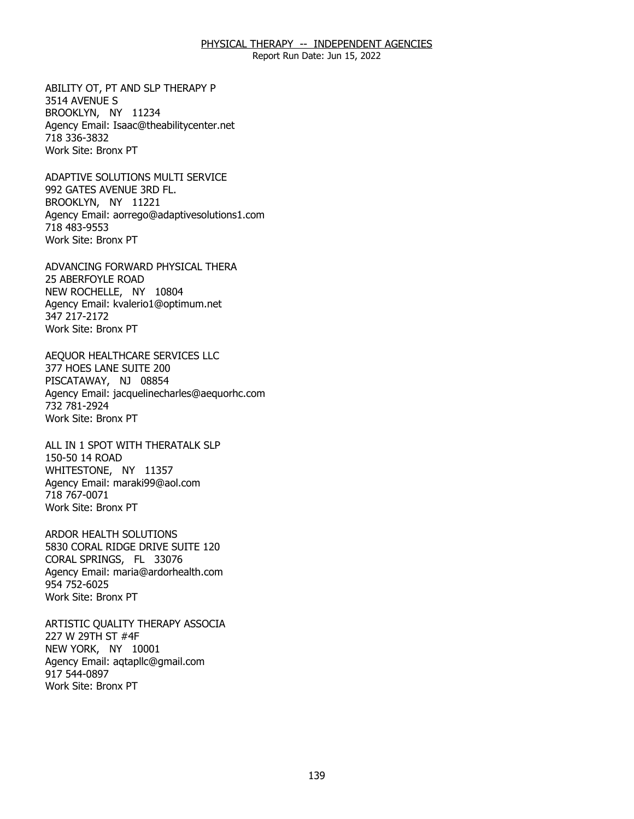Report Run Date: Jun 15, 2022

ABILITY OT, PT AND SLP THERAPY P<br>3514 AVENUE S<br>BROOKLYN, NY 11234 3514 AVENUE S BROOKLYN, NY 11234 Agency Email: [Isaac@theabilitycenter.net](mailto:Isaac@theabilitycenter.net)  718 336-3832 Work Site: Bronx PT

 ADAPTIVE SOLUTIONS MULTI SERVICE 992 GATES AVENUE 3RD FL. 992 GATES AVENUE 3RD FL.<br>BROOKLYN, NY 11221 Agency Email: [aorrego@adaptivesolutions1.com](mailto:aorrego@adaptivesolutions1.com)  718 483-9553 Work Site: Bronx PT

ADVANCING FORWARD PHYSICAL THERA<br>25 ABERFOYLE ROAD<br>NEW ROCHELLE, NY 10804 **25 ABERFOYLE ROAD** NEW ROCHELLE, NY 10804 Agency Email: [kvalerio1@optimum.net](mailto:kvalerio1@optimum.net) 347 217-2172 Work Site: Bronx PT

AEQUOR HEALTHCARE SERVICES LLC<br>377 HOES LANE SUITE 200<br>PISCATAWAY, NJ 08854 377 HOES LANE SUITE 200 PISCATAWAY, NJ 08854 Agency Email: [jacquelinecharles@aequorhc.com](mailto:jacquelinecharles@aequorhc.com) 732 781-2924 Work Site: Bronx PT

ALL IN 1 SPOT WITH THERATALK SLP<br>150-50 14 ROAD<br>WHITESTONE, NY 11357 150-50 14 ROAD WHITESTONE, NY 11357 Agency Email: [maraki99@aol.com](mailto:maraki99@aol.com)  718 767-0071 Work Site: Bronx PT

ARDOR HEALTH SOLUTIONS CORAL SPRINGS, FL 33076 ARDOR HEALTH SOLUTIONS<br>5830 CORAL RIDGE DRIVE SUITE 120<br>CORAL SPRINGS, FL 33076 Agency Email: [maria@ardorhealth.com](mailto:maria@ardorhealth.com) 954 752-6025 Work Site: Bronx PT

ARTISTIC QUALITY THERAPY ASSOCIA<br>227 W 29TH ST #4F<br>NEW YORK, NY 10001 227 W 29TH ST #4F NEW YORK, NY 10001 Agency Email: [aqtapllc@gmail.com](mailto:aqtapllc@gmail.com)  917 544-0897 Work Site: Bronx PT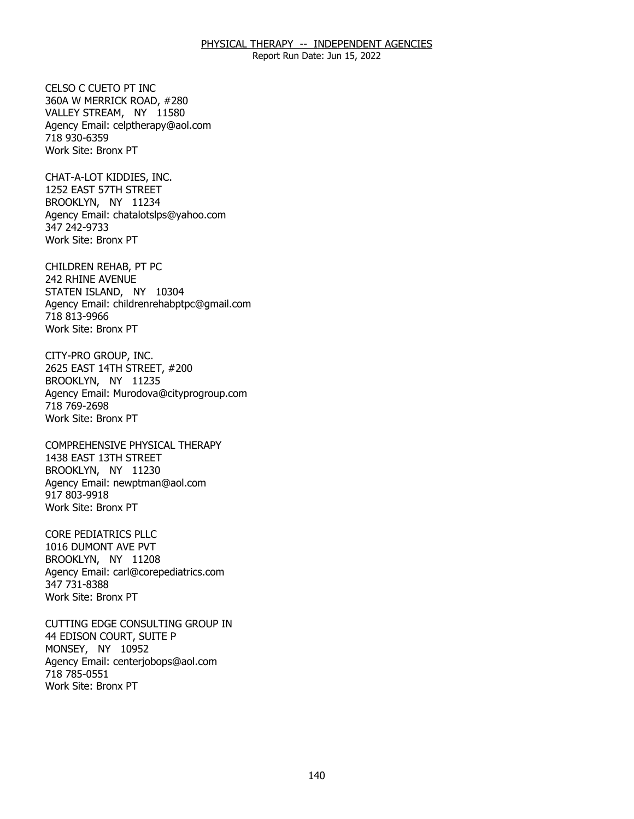Report Run Date: Jun 15, 2022

CELSO C CUETO PT INC. 360A W MERRICK ROAD, #280 CELSO C CUETO PT INC<br>360A W MERRICK ROAD, #280<br>VALLEY STREAM, NY 11580 Agency Email: [celptherapy@aol.com](mailto:celptherapy@aol.com) 718 930-6359 Work Site: Bronx PT

CHAT-A-LOT KIDDIES, INC. 1252 EAST 57TH STREET CHAT-A-LOT KIDDIES, INC.<br>1252 EAST 57TH STREET<br>BROOKLYN, NY 11234 Agency Email: [chatalotslps@yahoo.com](mailto:chatalotslps@yahoo.com) 347 242-9733 Work Site: Bronx PT

CHILDREN REHAB, PT PC 242 RHINE AVENUE CHILDREN REHAB, PT PC<br>242 RHINE AVENUE<br>STATEN ISLAND, NY 10304 Agency Email: [childrenrehabptpc@gmail.com](mailto:childrenrehabptpc@gmail.com)  718 813-9966 Work Site: Bronx PT

CITY-PRO GROUP, INC. BROOKLYN, NY 11235 CITY-PRO GROUP, INC.<br>2625 EAST 14TH STREET, #200<br>BROOKLYN, NY 11235 Agency Email: [Murodova@cityprogroup.com](mailto:Murodova@cityprogroup.com)  718 769-2698 Work Site: Bronx PT

COMPREHENSIVE PHYSICAL THERAPY<br>1438 EAST 13TH STREET<br>BROOKLYN, NY 11230 1438 EAST 13TH STREET BROOKLYN, NY 11230 Agency Email: [newptman@aol.com](mailto:newptman@aol.com) 917 803-9918 Work Site: Bronx PT

**CORE PEDIATRICS PLLC** BROOKLYN, NY 11208 CORE PEDIATRICS PLLC<br>1016 DUMONT AVE PVT<br>BROOKLYN, NY 11208 Agency Email: [carl@corepediatrics.com](mailto:carl@corepediatrics.com)  347 731-8388 Work Site: Bronx PT

CUTTING EDGE CONSULTING GROUP IN<br>44 EDISON COURT, SUITE P<br>MONSEY, NY 10952 44 EDISON COURT, SUITE P MONSEY, NY 10952 Agency Email: [centerjobops@aol.com](mailto:centerjobops@aol.com)  718 785-0551 Work Site: Bronx PT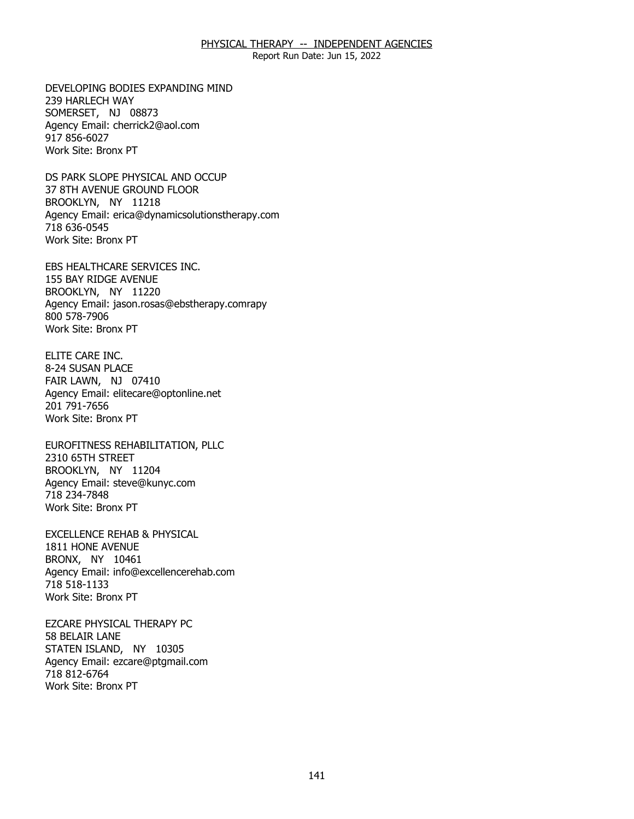Report Run Date: Jun 15, 2022

DEVELOPING BODIES EXPANDING MIND<br>239 HARLECH WAY<br>SOMERSET, NJ 08873 239 HARLECH WAY SOMERSET, NJ 08873 Agency Email: [cherrick2@aol.com](mailto:cherrick2@aol.com)  917 856-6027 Work Site: Bronx PT

DS PARK SLOPE PHYSICAL AND OCCUP<br>37 8TH AVENUE GROUND FLOOR<br>BROOKLYN, NY 11218 37 8TH AVENUE GROUND FLOOR BROOKLYN, NY 11218 Agency Email: [erica@dynamicsolutionstherapy.com](mailto:erica@dynamicsolutionstherapy.com)  718 636-0545 Work Site: Bronx PT

EBS HEALTHCARE SERVICES INC.<br>155 BAY RIDGE AVENUE<br>BROOKLYN, NY 11220 155 BAY RIDGE AVENUE BROOKLYN, NY 11220 Agency Email: jason.rosas@ebstherapy.comrapy 800 578-7906 Work Site: Bronx PT

8-24 SUSAN PLACE ELITE CARE INC.<br>8-24 SUSAN PLACE<br>FAIR LAWN, NJ 07410 Agency Email: [elitecare@optonline.net](mailto:elitecare@optonline.net) 201 791-7656 Work Site: Bronx PT

EUROFITNESS REHABILITATION, PLLC<br>2310 65TH STREET<br>BROOKLYN, NY 11204 2310 65TH STREET BROOKLYN, NY 11204 Agency Email: [steve@kunyc.com](mailto:steve@kunyc.com)  718 234-7848 Work Site: Bronx PT

EXCELLENCE REHAB & PHYSICAL<br>1811 HONE AVENUE<br>BRONX, NY 10461 1811 HONE AVENUE BRONX, NY 10461 Agency Email: [info@excellencerehab.com](mailto:info@excellencerehab.com)  718 518-1133 Work Site: Bronx PT

**EZCARE PHYSICAL THERAPY PC** 58 BELAIR LANE EZCARE PHYSICAL THERAPY PC<br>58 BELAIR LANE<br>STATEN ISLAND, NY 10305 Agency Email: [ezcare@ptgmail.com](mailto:ezcare@ptgmail.com)  718 812-6764 Work Site: Bronx PT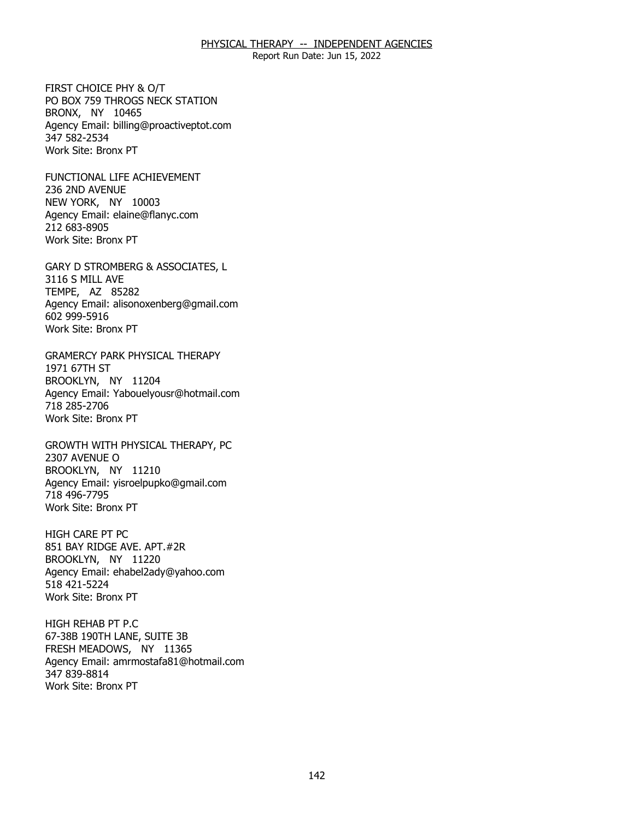Report Run Date: Jun 15, 2022

FIRST CHOICE PHY & O/T BRONX, NY 10465 FIRST CHOICE PHY & O/T<br>PO BOX 759 THROGS NECK STATION<br>BRONX, NY 10465 Agency Email: [billing@proactiveptot.com](mailto:billing@proactiveptot.com)  347 582-2534 Work Site: Bronx PT

FUNCTIONAL LIFE ACHIEVEMENT<br>236 2ND AVENUE<br>NEW YORK, NY 10003 236 2ND AVENUE NEW YORK, NY 10003 Agency Email: [elaine@flanyc.com](mailto:elaine@flanyc.com)  212 683-8905 Work Site: Bronx PT

GARY D STROMBERG & ASSOCIATES, L<br>3116 S MILL AVE<br>TEMPE, AZ 85282 3116 S MILL AVE TEMPE, AZ 85282 Agency Email: [alisonoxenberg@gmail.com](mailto:alisonoxenberg@gmail.com) 602 999-5916 Work Site: Bronx PT

GRAMERCY PARK PHYSICAL THERAPY<br>1971 67TH ST<br>BROOKLYN, NY 11204 1971 67TH ST BROOKLYN, NY 11204 Agency Email: [Yabouelyousr@hotmail.com](mailto:Yabouelyousr@hotmail.com)  718 285-2706 Work Site: Bronx PT

GROWTH WITH PHYSICAL THERAPY, PC<br>2307 AVENUE O<br>BROOKLYN, NY 11210 2307 AVENUE O BROOKLYN, NY 11210 Agency Email: [yisroelpupko@gmail.com](mailto:yisroelpupko@gmail.com) 718 496-7795 Work Site: Bronx PT

**HIGH CARE PT PC** BROOKLYN, NY 11220 HIGH CARE PT PC<br>851 BAY RIDGE AVE. APT.#2R<br>BROOKLYN, NY 11220 Agency Email: [ehabel2ady@yahoo.com](mailto:ehabel2ady@yahoo.com)  518 421-5224 Work Site: Bronx PT

HIGH REHAB PT P.C 67-38B 190TH LANE, SUITE 3B HIGH REHAB PT P.C<br>67-38B 190TH LANE, SUITE 3B<br>FRESH MEADOWS, NY 11365 Agency Email: [amrmostafa81@hotmail.com](mailto:amrmostafa81@hotmail.com)  347 839-8814 Work Site: Bronx PT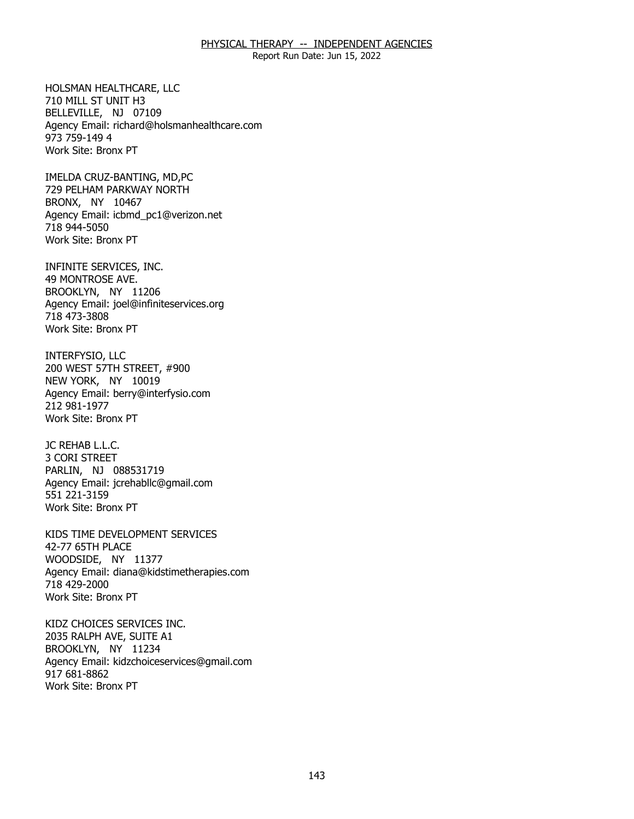Report Run Date: Jun 15, 2022

HOLSMAN HEALTHCARE, LLC 710 MILL ST UNIT H3 HOLSMAN HEALTHCARE, LLC<br>710 MILL ST UNIT H3<br>BELLEVILLE, NJ 07109 Agency Email: [richard@holsmanhealthcare.com](mailto:richard@holsmanhealthcare.com) 973 759-149 4 Work Site: Bronx PT

IMELDA CRUZ-BANTING, MD,PC BRONX, NY 10467 IMELDA CRUZ-BANTING, MD,PC<br>729 PELHAM PARKWAY NORTH<br>BRONX, NY 10467 Agency Email: [icbmd\\_pc1@verizon.net](mailto:icbmd_pc1@verizon.net)  718 944-5050 Work Site: Bronx PT

INFINITE SERVICES, INC.<br>49 MONTROSE AVE.<br>BROOKLYN, NY 11206 49 MONTROSE AVE. BROOKLYN, NY 11206 Agency Email: [joel@infiniteservices.org](mailto:joel@infiniteservices.org)  718 473-3808 Work Site: Bronx PT

INTERFYSIO, LLC NEW YORK, NY 10019 INTERFYSIO, LLC<br>200 WEST 57TH STREET, #900<br>NEW YORK, NY 10019 Agency Email: [berry@interfysio.com](mailto:berry@interfysio.com) 212 981-1977 Work Site: Bronx PT

JC REHAB L.L.C. JC REHAB L.L.C.<br>3 CORI STREET PARLIN, NJ 088531719 Agency Email: [jcrehabllc@gmail.com](mailto:jcrehabllc@gmail.com)  551 221-3159 Work Site: Bronx PT

KIDS TIME DEVELOPMENT SERVICES<br>42-77 65TH PLACE<br>WOODSIDE, NY 11377 42-77 65TH PLACE WOODSIDE, NY 11377 Agency Email: [diana@kidstimetherapies.com](mailto:diana@kidstimetherapies.com)  718 429-2000 Work Site: Bronx PT

KIDZ CHOICES SERVICES INC. 2035 RALPH AVE, SUITE A1 KIDZ CHOICES SERVICES INC.<br>2035 RALPH AVE, SUITE A1<br>BROOKLYN, NY 11234 Agency Email: [kidzchoiceservices@gmail.com](mailto:kidzchoiceservices@gmail.com)  917 681-8862 Work Site: Bronx PT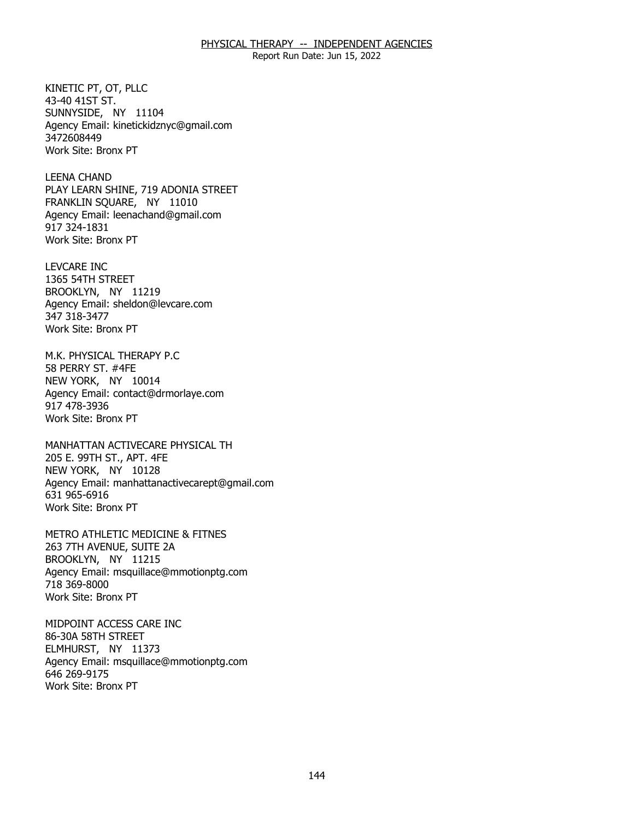Report Run Date: Jun 15, 2022

KINETIC PT, OT, PLLC 43-40 41ST ST. KINETIC PT, OT, PLLC<br>43-40 41ST ST.<br>SUNNYSIDE, NY 11104 Agency Email: [kinetickidznyc@gmail.com](mailto:kinetickidznyc@gmail.com) 3472608449 Work Site: Bronx PT

**LEENA CHAND** FRANKLIN SQUARE, NY 11010 LEENA CHAND<br>PLAY LEARN SHINE, 719 ADONIA STREET<br>FRANKLIN SQUARE, NY 11010 Agency Email: [leenachand@gmail.com](mailto:leenachand@gmail.com)  917 324-1831 Work Site: Bronx PT

**LEVCARE INC** 1365 54TH STREET LEVCARE INC<br>1365 54TH STREET<br>BROOKLYN, NY 11219 Agency Email: [sheldon@levcare.com](mailto:sheldon@levcare.com) 347 318-3477 Work Site: Bronx PT

M.K. PHYSICAL THERAPY P.C 58 PERRY ST. #4FE M.K. PHYSICAL THERAPY P.C<br>58 PERRY ST. #4FE<br>NEW YORK, NY 10014 Agency Email: [contact@drmorlaye.com](mailto:contact@drmorlaye.com) 917 478-3936 Work Site: Bronx PT

MANHATTAN ACTIVECARE PHYSICAL TH<br>205 E. 99TH ST., APT. 4FE<br>NEW YORK, NY 10128 205 E. 99TH ST., APT. 4FE NEW YORK, NY 10128 Agency Email: [manhattanactivecarept@gmail.com](mailto:manhattanactivecarept@gmail.com)  631 965-6916 Work Site: Bronx PT

METRO ATHLETIC MEDICINE & FITNES<br>263 7TH AVENUE, SUITE 2A<br>BROOKLYN, NY 11215 263 7TH AVENUE, SUITE 2A BROOKLYN, NY 11215 Agency Email: [msquillace@mmotionptg.com](mailto:msquillace@mmotionptg.com) 718 369-8000 Work Site: Bronx PT

MIDPOINT ACCESS CARE INC 86-30A 58TH STREET MIDPOINT ACCESS CARE INC<br>86-30A 58TH STREET<br>ELMHURST, NY 11373 Agency Email: [msquillace@mmotionptg.com](mailto:msquillace@mmotionptg.com) 646 269-9175 Work Site: Bronx PT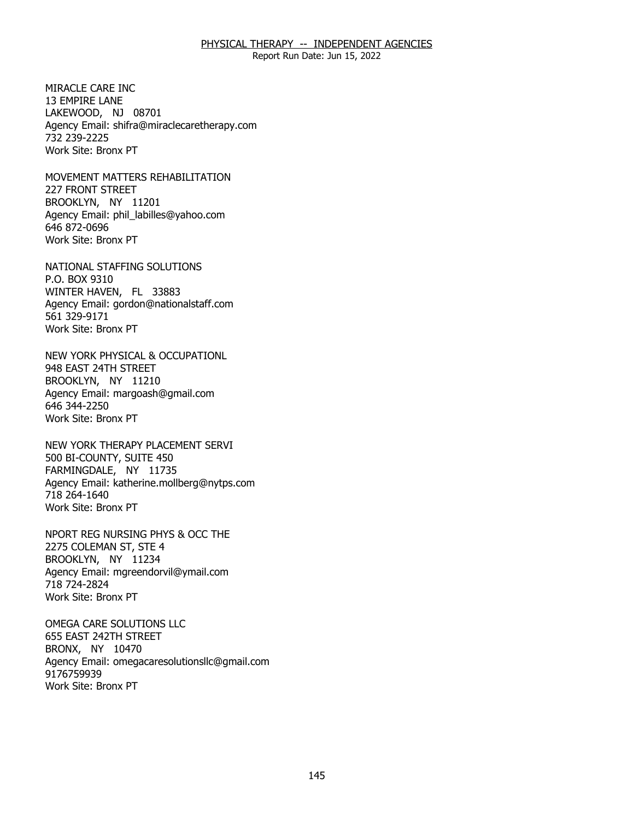Report Run Date: Jun 15, 2022

MIRACLE CARE INC. 13 EMPIRE LANE MIRACLE CARE INC<br>13 EMPIRE LANE<br>LAKEWOOD, NJ 08701 Agency Email: [shifra@miraclecaretherapy.com](mailto:shifra@miraclecaretherapy.com) 732 239-2225 Work Site: Bronx PT

MOVEMENT MATTERS REHABILITATION<br>227 FRONT STREET<br>BROOKLYN, NY 11201 227 FRONT STREET BROOKLYN, NY 11201 Agency Email: [phil\\_labilles@yahoo.com](mailto:phil_labilles@yahoo.com) 646 872-0696 Work Site: Bronx PT

NATIONAL STAFFING SOLUTIONS<br>P.O. BOX 9310<br>WINTER HAVEN, FL 33883 P.O. BOX 9310 WINTER HAVEN, FL 33883 Agency Email: [gordon@nationalstaff.com](mailto:gordon@nationalstaff.com) 561 329-9171 Work Site: Bronx PT

NEW YORK PHYSICAL & OCCUPATIONL<br>948 EAST 24TH STREET<br>BROOKLYN, NY 11210 948 EAST 24TH STREET BROOKLYN, NY 11210 Agency Email: [margoash@gmail.com](mailto:margoash@gmail.com) 646 344-2250 Work Site: Bronx PT

NEW YORK THERAPY PLACEMENT SERVI<br>500 BI-COUNTY, SUITE 450<br>FARMINGDALE, NY 11735 500 BI-COUNTY, SUITE 450 FARMINGDALE, NY 11735 Agency Email: [katherine.mollberg@nytps.com](mailto:katherine.mollberg@nytps.com) 718 264-1640 Work Site: Bronx PT

NPORT REG NURSING PHYS & OCC THE<br>2275 COLEMAN ST, STE 4<br>BROOKLYN, NY 11234 2275 COLEMAN ST, STE 4 BROOKLYN, NY 11234 Agency Email: [mgreendorvil@ymail.com](mailto:mgreendorvil@ymail.com)  718 724-2824 Work Site: Bronx PT

OMEGA CARE SOLUTIONS LLC<br>655 EAST 242TH STREET<br>BRONX, NY 10470 655 EAST 242TH STREET BRONX, NY 10470 Agency Email: [omegacaresolutionsllc@gmail.com](mailto:omegacaresolutionsllc@gmail.com) 9176759939 Work Site: Bronx PT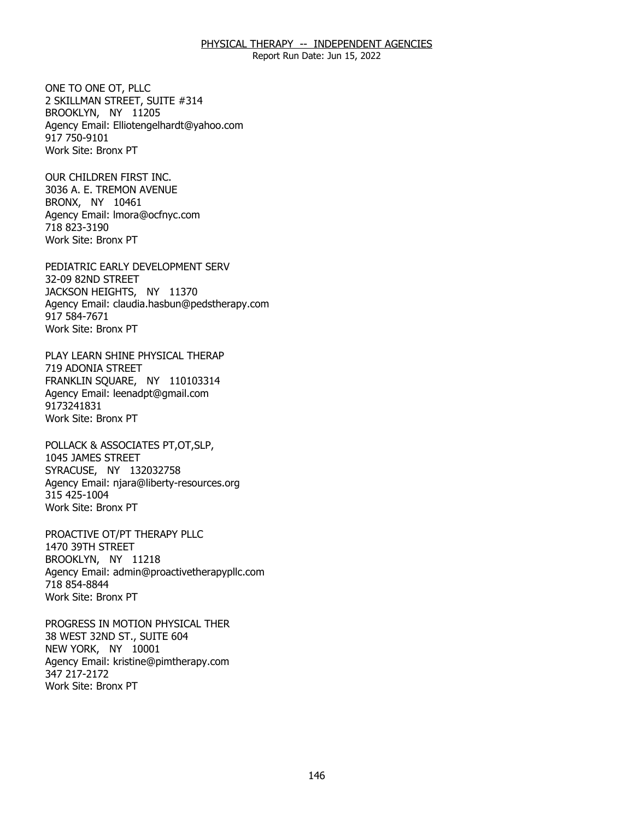Report Run Date: Jun 15, 2022

ONE TO ONE OT, PLLC BROOKLYN, NY 11205 ONE TO ONE OT, PLLC<br>2 SKILLMAN STREET, SUITE #314<br>BROOKLYN, NY 11205 Agency Email: [Elliotengelhardt@yahoo.com](mailto:Elliotengelhardt@yahoo.com) 917 750-9101 Work Site: Bronx PT

OUR CHILDREN FIRST INC. BRONX, NY 10461 OUR CHILDREN FIRST INC.<br>3036 A. E. TREMON AVENUE<br>BRONX, NY 10461 Agency Email: [lmora@ocfnyc.com](mailto:lmora@ocfnyc.com) 718 823-3190 Work Site: Bronx PT

PEDIATRIC EARLY DEVELOPMENT SERV<br>32-09 82ND STREET<br>JACKSON HEIGHTS, NY 11370 32-09 82ND STREET JACKSON HEIGHTS, NY 11370 Agency Email: [claudia.hasbun@pedstherapy.com](mailto:claudia.hasbun@pedstherapy.com) 917 584-7671 Work Site: Bronx PT

PLAY LEARN SHINE PHYSICAL THERAP 719 ADONIA STREET PLAY LEARN SHINE PHYSICAL THERAP<br>719 ADONIA STREET<br>FRANKLIN SQUARE, NY 110103314 Agency Email: [leenadpt@gmail.com](mailto:leenadpt@gmail.com)  9173241831 Work Site: Bronx PT

POLLACK & ASSOCIATES PT,OT,SLP,<br>1045 JAMES STREET<br>SYRACUSE, NY 132032758 1045 JAMES STREET SYRACUSE, NY 132032758 Agency Email: [njara@liberty-resources.org](mailto:njara@liberty-resources.org)  315 425-1004 Work Site: Bronx PT

PROACTIVE OT/PT THERAPY PLLC<br>1470 39TH STREET<br>BROOKLYN, NY 11218 1470 39TH STREET BROOKLYN, NY 11218 Agency Email: [admin@proactivetherapypllc.com](mailto:admin@proactivetherapypllc.com) 718 854-8844 Work Site: Bronx PT

PROGRESS IN MOTION PHYSICAL THER<br>38 WEST 32ND ST., SUITE 604<br>NEW YORK, NY 10001 38 WEST 32ND ST., SUITE 604 NEW YORK, NY 10001 Agency Email: [kristine@pimtherapy.com](mailto:kristine@pimtherapy.com)  347 217-2172 Work Site: Bronx PT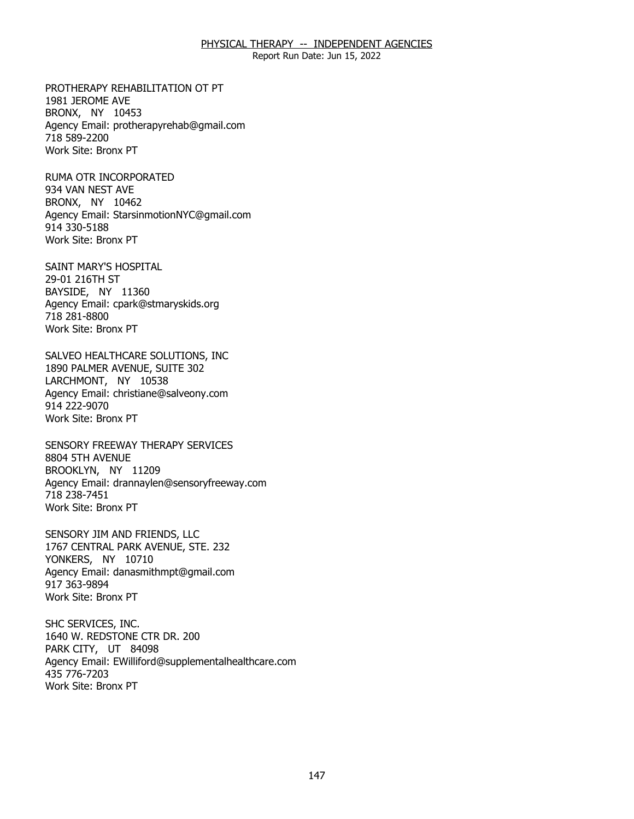Report Run Date: Jun 15, 2022

PROTHERAPY REHABILITATION OT PT<br>1981 JEROME AVE<br>BRONX, NY 10453 1981 JEROME AVE BRONX, NY 10453 Agency Email: [protherapyrehab@gmail.com](mailto:protherapyrehab@gmail.com)  718 589-2200 Work Site: Bronx PT

RUMA OTR INCORPORATED<br>934 VAN NEST AVE<br>BRONX, NY 10462 934 VAN NEST AVE BRONX, NY 10462 Agency Email: [StarsinmotionNYC@gmail.com](mailto:StarsinmotionNYC@gmail.com)  914 330-5188 Work Site: Bronx PT

SAINT MARY'S HOSPITAL<br>29-01 216TH ST<br>BAYSIDE, NY 11360 29-01 216TH ST BAYSIDE, NY 11360 Agency Email: [cpark@stmaryskids.org](mailto:cpark@stmaryskids.org)  718 281-8800 Work Site: Bronx PT

SALVEO HEALTHCARE SOLUTIONS, INC<br>1890 PALMER AVENUE, SUITE 302<br>LARCHMONT, NY 10538 1890 PALMER AVENUE, SUITE 302 LARCHMONT, NY 10538 Agency Email: [christiane@salveony.com](mailto:christiane@salveony.com) 914 222-9070 Work Site: Bronx PT

SENSORY FREEWAY THERAPY SERVICES<br>8804 5TH AVENUE<br>BROOKLYN, NY 11209 8804 5TH AVENUE BROOKLYN, NY 11209 Agency Email: [drannaylen@sensoryfreeway.com](mailto:drannaylen@sensoryfreeway.com)  718 238-7451 Work Site: Bronx PT

SENSORY JIM AND FRIENDS, LLC YONKERS, NY 10710 SENSORY JIM AND FRIENDS, LLC<br>1767 CENTRAL PARK AVENUE, STE. 232<br>YONKERS, NY 10710 Agency Email: [danasmithmpt@gmail.com](mailto:danasmithmpt@gmail.com)  917 363-9894 Work Site: Bronx PT

PARK CITY, UT 84098 SHC SERVICES, INC.<br>1640 W. REDSTONE CTR DR. 200<br>PARK CITY, UT 84098 Agency Email: [EWilliford@supplementalhealthcare.com](mailto:EWilliford@supplementalhealthcare.com) 435 776-7203 Work Site: Bronx PT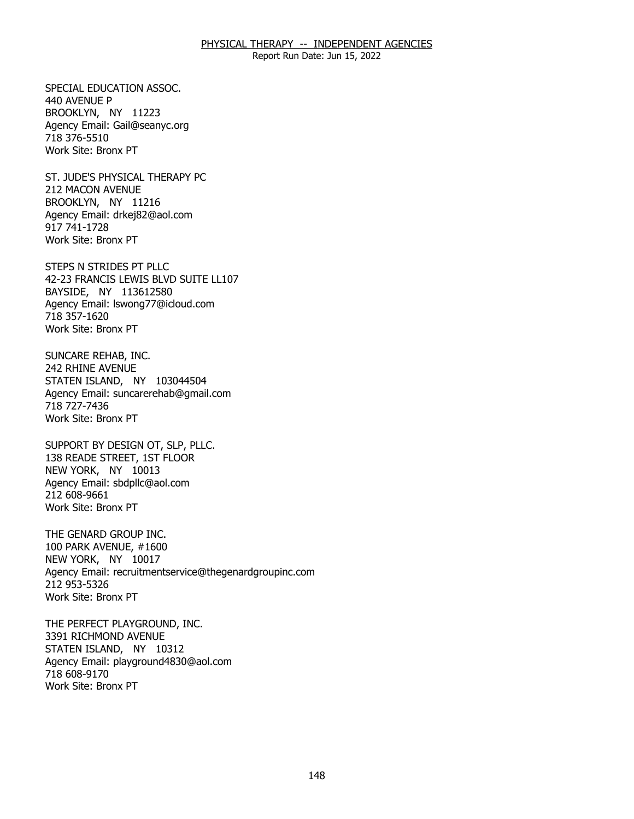Report Run Date: Jun 15, 2022

SPECIAL EDUCATION ASSOC. 440 AVENUE P SPECIAL EDUCATION ASSOC.<br>440 AVENUE P<br>BROOKLYN, NY 11223 Agency Email: [Gail@seanyc.org](mailto:Gail@seanyc.org)  718 376-5510 Work Site: Bronx PT

ST. JUDE'S PHYSICAL THERAPY PC<br>212 MACON AVENUE<br>BROOKLYN, NY 11216 212 MACON AVENUE BROOKLYN, NY 11216 Agency Email: [drkej82@aol.com](mailto:drkej82@aol.com)  917 741-1728 Work Site: Bronx PT

 STEPS N STRIDES PT PLLC 42-23 FRANCIS LEWIS BLVD SUITE LL107<br>BAYSIDE, NY 113612580 BAYSIDE, NY 113612580 Agency Email: [lswong77@icloud.com](mailto:lswong77@icloud.com) 718 357-1620 Work Site: Bronx PT

SUNCARE REHAB, INC. 242 RHINE AVENUE SUNCARE REHAB, INC.<br>242 RHINE AVENUE<br>STATEN ISLAND, NY 103044504 Agency Email: [suncarerehab@gmail.com](mailto:suncarerehab@gmail.com) 718 727-7436 Work Site: Bronx PT

SUPPORT BY DESIGN OT, SLP, PLLC.<br>138 READE STREET, 1ST FLOOR<br>NEW YORK, NY 10013 138 READE STREET, 1ST FLOOR NEW YORK, NY 10013 Agency Email: [sbdpllc@aol.com](mailto:sbdpllc@aol.com) 212 608-9661 Work Site: Bronx PT

THE GENARD GROUP INC. NEW YORK, NY 10017 THE GENARD GROUP INC.<br>100 PARK AVENUE, #1600<br>NEW YORK, NY 10017 Agency Email: [recruitmentservice@thegenardgroupinc.com](mailto:recruitmentservice@thegenardgroupinc.com) 212 953-5326 Work Site: Bronx PT

THE PERFECT PLAYGROUND, INC. 3391 RICHMOND AVENUE THE PERFECT PLAYGROUND, INC.<br>3391 RICHMOND AVENUE<br>STATEN ISLAND, NY 10312 Agency Email: [playground4830@aol.com](mailto:playground4830@aol.com) 718 608-9170 Work Site: Bronx PT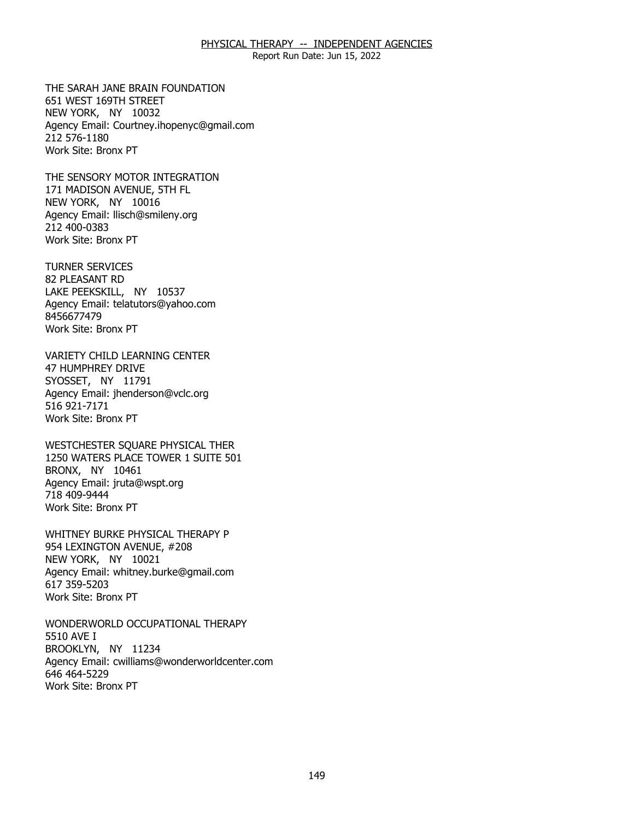Report Run Date: Jun 15, 2022

THE SARAH JANE BRAIN FOUNDATION<br>651 WEST 169TH STREET<br>NEW YORK, NY 10032 651 WEST 169TH STREET NEW YORK, NY 10032 Agency Email: [Courtney.ihopenyc@gmail.com](mailto:Courtney.ihopenyc@gmail.com)  212 576-1180 Work Site: Bronx PT

THE SENSORY MOTOR INTEGRATION<br>171 MADISON AVENUE, 5TH FL<br>NEW YORK, NY 10016 171 MADISON AVENUE, 5TH FL NEW YORK, NY 10016 Agency Email: [llisch@smileny.org](mailto:llisch@smileny.org)  212 400-0383 Work Site: Bronx PT

**TURNER SERVICES** 82 PLEASANT RD TURNER SERVICES<br>82 PLEASANT RD<br>LAKE PEEKSKILL, NY 10537 Agency Email: [telatutors@yahoo.com](mailto:telatutors@yahoo.com) 8456677479 Work Site: Bronx PT

VARIETY CHILD LEARNING CENTER<br>47 HUMPHREY DRIVE<br>SYOSSET, NY 11791 **47 HUMPHREY DRIVE** SYOSSET, NY 11791 Agency Email: [jhenderson@vclc.org](mailto:jhenderson@vclc.org)  516 921-7171 Work Site: Bronx PT

WESTCHESTER SOUARE PHYSICAL THER BRONX, NY 10461 WESTCHESTER SQUARE PHYSICAL THER<br>1250 WATERS PLACE TOWER 1 SUITE 501<br>BRONX, NY 10461 Agency Email: [jruta@wspt.org](mailto:jruta@wspt.org) 718 409-9444 Work Site: Bronx PT

WHITNEY BURKE PHYSICAL THERAPY P NEW YORK, NY 10021 WHITNEY BURKE PHYSICAL THERAPY P<br>954 LEXINGTON AVENUE, #208<br>NEW YORK, NY 10021 Agency Email: [whitney.burke@gmail.com](mailto:whitney.burke@gmail.com) 617 359-5203 Work Site: Bronx PT

WONDERWORLD OCCUPATIONAL THERAPY<br>5510 AVE I<br>BROOKLYN, NY 11234 5510 AVE I BROOKLYN, NY 11234 Agency Email: [cwilliams@wonderworldcenter.com](mailto:cwilliams@wonderworldcenter.com)  646 464-5229 Work Site: Bronx PT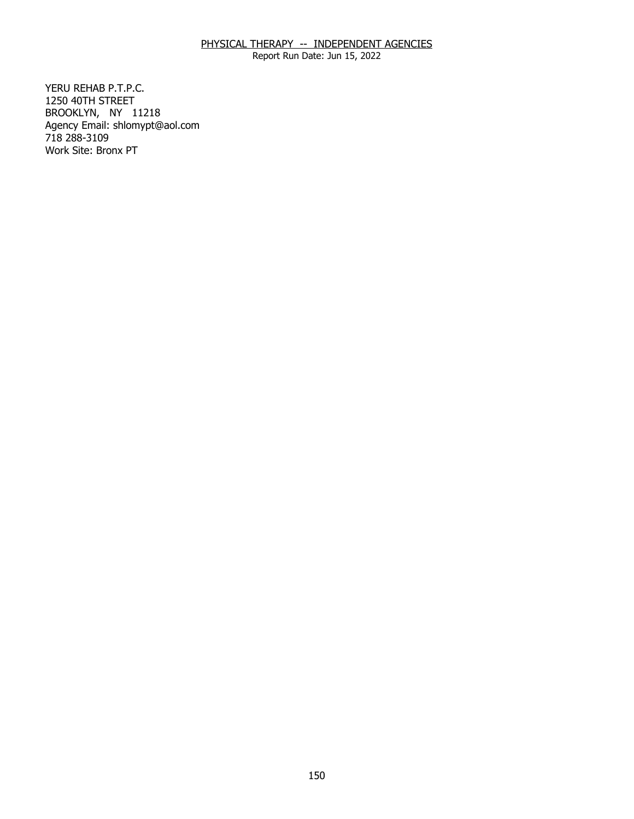Report Run Date: Jun 15, 2022

YERU REHAB P.T.P.C. 1250 40TH STREET YERU REHAB P.T.P.C.<br>1250 40TH STREET<br>BROOKLYN, NY 11218 Agency Email: [shlomypt@aol.com](mailto:shlomypt@aol.com)  718 288-3109 Work Site: Bronx PT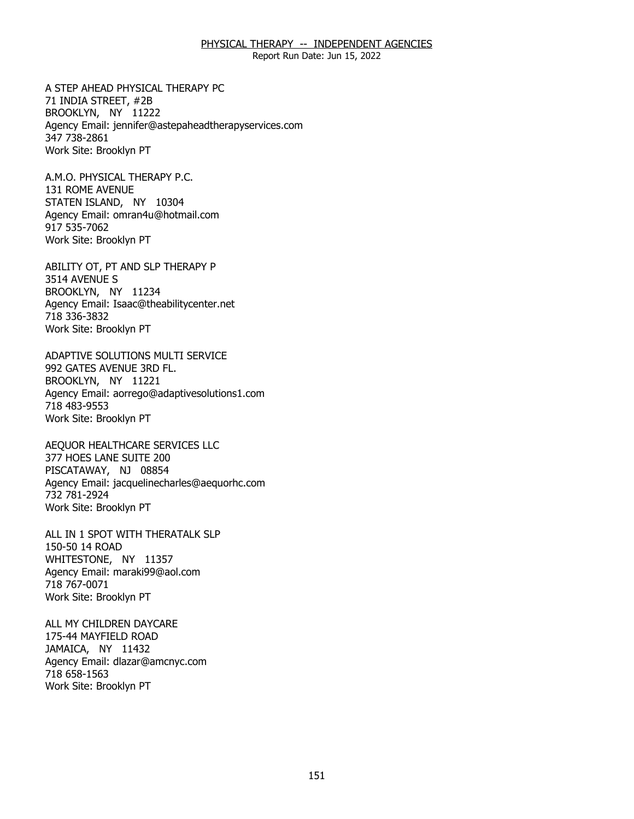Report Run Date: Jun 15, 2022

A STEP AHEAD PHYSICAL THERAPY PC<br>71 INDIA STREET, #2B<br>BROOKLYN, NY 11222 71 INDIA STREET, #2B BROOKLYN, NY 11222 Agency Email: [jennifer@astepaheadtherapyservices.com](mailto:jennifer@astepaheadtherapyservices.com)  347 738-2861 Work Site: Brooklyn PT

A.M.O. PHYSICAL THERAPY P.C. 131 ROME AVENUE A.M.O. PHYSICAL THERAPY P.C.<br>131 ROME AVENUE<br>STATEN ISLAND, NY 10304 Agency Email: [omran4u@hotmail.com](mailto:omran4u@hotmail.com)  917 535-7062 Work Site: Brooklyn PT

ABILITY OT, PT AND SLP THERAPY P<br>3514 AVENUE S<br>BROOKLYN, NY 11234 3514 AVENUE S BROOKLYN, NY 11234 Agency Email: [Isaac@theabilitycenter.net](mailto:Isaac@theabilitycenter.net)  718 336-3832 Work Site: Brooklyn PT

 ADAPTIVE SOLUTIONS MULTI SERVICE 992 GATES AVENUE 3RD FL. 992 GATES AVENUE 3RD FL.<br>BROOKLYN, NY 11221 Agency Email: [aorrego@adaptivesolutions1.com](mailto:aorrego@adaptivesolutions1.com)  718 483-9553 Work Site: Brooklyn PT

AEQUOR HEALTHCARE SERVICES LLC<br>377 HOES LANE SUITE 200<br>PISCATAWAY, NJ 08854 377 HOES LANE SUITE 200 PISCATAWAY, NJ 08854 Agency Email: [jacquelinecharles@aequorhc.com](mailto:jacquelinecharles@aequorhc.com) 732 781-2924 Work Site: Brooklyn PT

ALL IN 1 SPOT WITH THERATALK SLP<br>150-50 14 ROAD<br>WHITESTONE, NY 11357 150-50 14 ROAD WHITESTONE, NY 11357 Agency Email: [maraki99@aol.com](mailto:maraki99@aol.com)  718 767-0071 Work Site: Brooklyn PT

ALL MY CHILDREN DAYCARE<br>175-44 MAYFIELD ROAD<br>JAMAICA, NY 11432 175-44 MAYFIELD ROAD JAMAICA, NY 11432 Agency Email: [dlazar@amcnyc.com](mailto:dlazar@amcnyc.com)  718 658-1563 Work Site: Brooklyn PT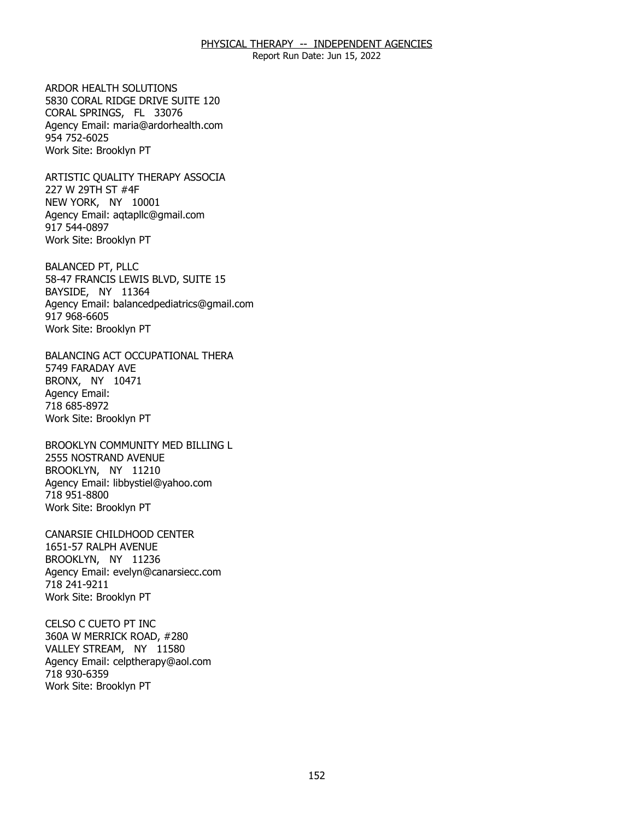Report Run Date: Jun 15, 2022

ARDOR HEALTH SOLUTIONS CORAL SPRINGS, FL 33076 ARDOR HEALTH SOLUTIONS<br>5830 CORAL RIDGE DRIVE SUITE 120<br>CORAL SPRINGS, FL 33076 Agency Email: [maria@ardorhealth.com](mailto:maria@ardorhealth.com) 954 752-6025 Work Site: Brooklyn PT

ARTISTIC QUALITY THERAPY ASSOCIA<br>227 W 29TH ST #4F<br>NEW YORK, NY 10001 227 W 29TH ST #4F NEW YORK, NY 10001 Agency Email: [aqtapllc@gmail.com](mailto:aqtapllc@gmail.com)  917 544-0897 Work Site: Brooklyn PT

**BALANCED PT, PLLC** BAYSIDE, NY 11364 BALANCED PT, PLLC<br>58-47 FRANCIS LEWIS BLVD, SUITE 15<br>BAYSIDE, NY 11364 Agency Email: [balancedpediatrics@gmail.com](mailto:balancedpediatrics@gmail.com) 917 968-6605 Work Site: Brooklyn PT

BALANCING ACT OCCUPATIONAL THERA<br>5749 FARADAY AVE<br>BRONX, NY 10471 5749 FARADAY AVE BRONX, NY 10471 Agency Email: 718 685-8972 Work Site: Brooklyn PT

BROOKLYN COMMUNITY MED BILLING L<br>2555 NOSTRAND AVENUE<br>BROOKLYN, NY 11210 2555 NOSTRAND AVENUE BROOKLYN, NY 11210 Agency Email: [libbystiel@yahoo.com](mailto:libbystiel@yahoo.com)  718 951-8800 Work Site: Brooklyn PT

CANARSIE CHILDHOOD CENTER<br>1651-57 RALPH AVENUE<br>BROOKLYN, NY 11236 1651-57 RALPH AVENUE BROOKLYN, NY 11236 Agency Email: [evelyn@canarsiecc.com](mailto:evelyn@canarsiecc.com)  718 241-9211 Work Site: Brooklyn PT

CELSO C CUETO PT INC 360A W MERRICK ROAD, #280 CELSO C CUETO PT INC<br>360A W MERRICK ROAD, #280<br>VALLEY STREAM, NY 11580 Agency Email: [celptherapy@aol.com](mailto:celptherapy@aol.com) 718 930-6359 Work Site: Brooklyn PT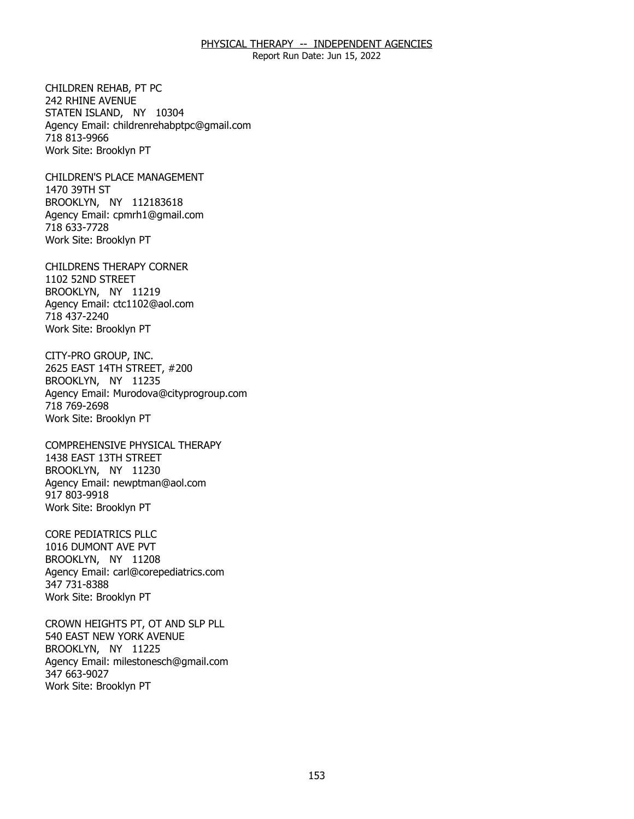Report Run Date: Jun 15, 2022

CHILDREN REHAB. PT PC 242 RHINE AVENUE CHILDREN REHAB, PT PC<br>242 RHINE AVENUE<br>STATEN ISLAND, NY 10304 Agency Email: [childrenrehabptpc@gmail.com](mailto:childrenrehabptpc@gmail.com)  718 813-9966 Work Site: Brooklyn PT

**CHILDREN'S PLACE MANAGEMENT** 1470 39TH ST CHILDREN'S PLACE MANAGEMENT<br>1470 39TH ST<br>BROOKLYN, NY 112183618 Agency Email: [cpmrh1@gmail.com](mailto:cpmrh1@gmail.com)  718 633-7728 Work Site: Brooklyn PT

CHILDRENS THERAPY CORNER<br>1102 52ND STREET<br>BROOKLYN, NY 11219 1102 52ND STREET BROOKLYN, NY 11219 Agency Email: [ctc1102@aol.com](mailto:ctc1102@aol.com) 718 437-2240 Work Site: Brooklyn PT

CITY-PRO GROUP, INC. BROOKLYN, NY 11235 CITY-PRO GROUP, INC.<br>2625 EAST 14TH STREET, #200<br>BROOKLYN, NY 11235 Agency Email: [Murodova@cityprogroup.com](mailto:Murodova@cityprogroup.com)  718 769-2698 Work Site: Brooklyn PT

COMPREHENSIVE PHYSICAL THERAPY<br>1438 EAST 13TH STREET<br>BROOKLYN, NY 11230 1438 EAST 13TH STREET BROOKLYN, NY 11230 Agency Email: [newptman@aol.com](mailto:newptman@aol.com) 917 803-9918 Work Site: Brooklyn PT

CORE PEDIATRICS PLLC BROOKLYN, NY 11208 CORE PEDIATRICS PLLC<br>1016 DUMONT AVE PVT<br>BROOKLYN, NY 11208 Agency Email: [carl@corepediatrics.com](mailto:carl@corepediatrics.com)  347 731-8388 Work Site: Brooklyn PT

CROWN HEIGHTS PT, OT AND SLP PLL<br>540 EAST NEW YORK AVENUE<br>BROOKLYN, NY 11225 540 EAST NEW YORK AVENUE BROOKLYN, NY 11225 Agency Email: [milestonesch@gmail.com](mailto:milestonesch@gmail.com)  347 663-9027 Work Site: Brooklyn PT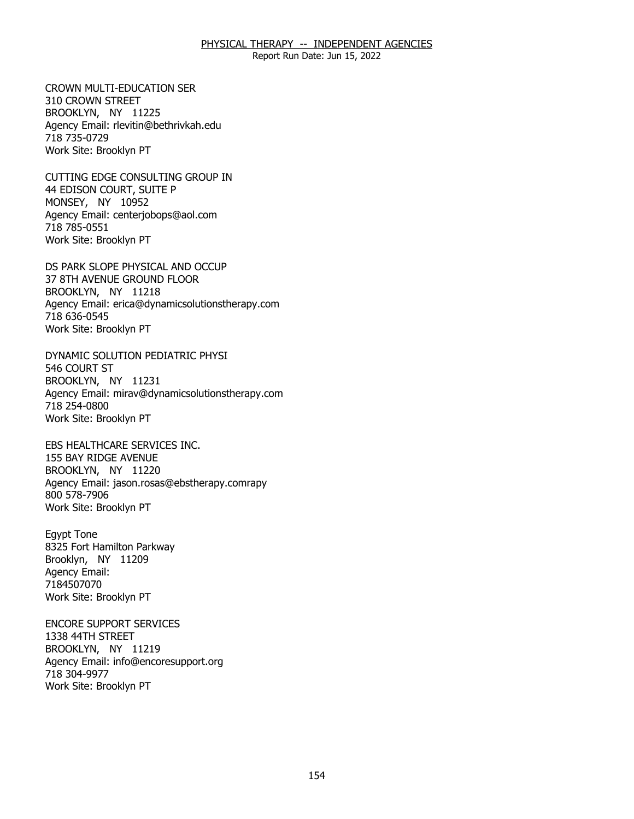Report Run Date: Jun 15, 2022

**CROWN MULTI-EDUCATION SER** 310 CROWN STREET CROWN MULTI-EDUCATION SER<br>310 CROWN STREET<br>BROOKLYN, NY 11225 Agency Email: [rlevitin@bethrivkah.edu](mailto:rlevitin@bethrivkah.edu)  718 735-0729 Work Site: Brooklyn PT

CUTTING EDGE CONSULTING GROUP IN<br>44 EDISON COURT, SUITE P<br>MONSEY, NY 10952 44 EDISON COURT, SUITE P MONSEY, NY 10952 Agency Email: [centerjobops@aol.com](mailto:centerjobops@aol.com)  718 785-0551 Work Site: Brooklyn PT

DS PARK SLOPE PHYSICAL AND OCCUP<br>37 8TH AVENUE GROUND FLOOR<br>BROOKLYN, NY 11218 37 8TH AVENUE GROUND FLOOR BROOKLYN, NY 11218 Agency Email: [erica@dynamicsolutionstherapy.com](mailto:erica@dynamicsolutionstherapy.com)  718 636-0545 Work Site: Brooklyn PT

DYNAMIC SOLUTION PEDIATRIC PHYSI<br>546 COURT ST<br>BROOKLYN, NY 11231 546 COURT ST BROOKLYN, NY 11231 Agency Email: [mirav@dynamicsolutionstherapy.com](mailto:mirav@dynamicsolutionstherapy.com) 718 254-0800 Work Site: Brooklyn PT

EBS HEALTHCARE SERVICES INC.<br>155 BAY RIDGE AVENUE<br>BROOKLYN, NY 11220 155 BAY RIDGE AVENUE BROOKLYN, NY 11220 Agency Email: jason.rosas@ebstherapy.comrapy 800 578-7906 Work Site: Brooklyn PT

Eqypt Tone Brooklyn, NY 11209 Egypt Tone<br>8325 Fort Hamilton Parkway<br>Brooklyn, NY 11209 Agency Email: 7184507070 Work Site: Brooklyn PT

**ENCORE SUPPORT SERVICES** 1338 44TH STREET ENCORE SUPPORT SERVICES<br>1338 44TH STREET<br>BROOKLYN, NY 11219 Agency Email: [info@encoresupport.org](mailto:info@encoresupport.org)  718 304-9977 Work Site: Brooklyn PT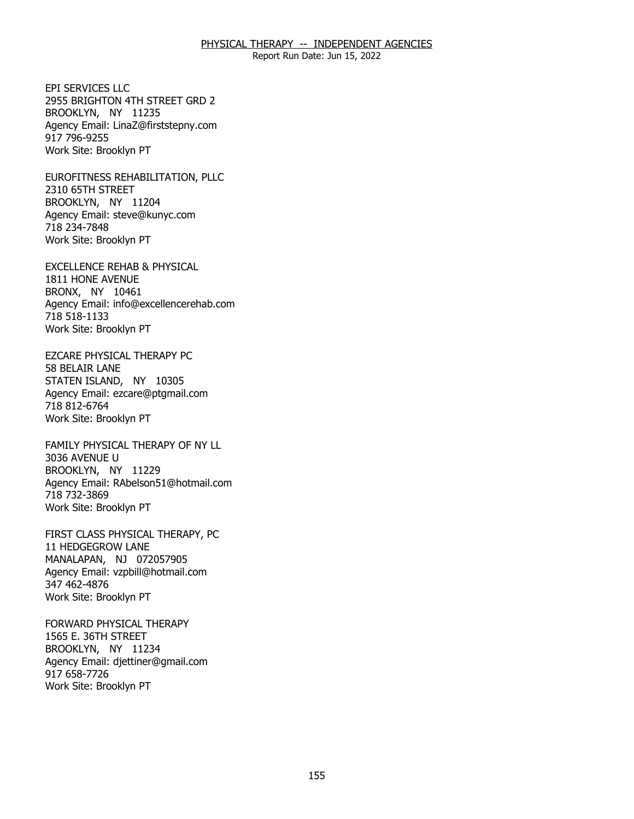Report Run Date: Jun 15, 2022

FPI SERVICES LLC BROOKLYN, NY 11235 EPI SERVICES LLC<br>2955 BRIGHTON 4TH STREET GRD 2<br>BROOKLYN, NY 11235 Agency Email: [LinaZ@firststepny.com](mailto:LinaZ@firststepny.com)  917 796-9255 Work Site: Brooklyn PT

EUROFITNESS REHABILITATION, PLLC<br>2310 65TH STREET<br>BROOKLYN, NY 11204 2310 65TH STREET BROOKLYN, NY 11204 Agency Email: [steve@kunyc.com](mailto:steve@kunyc.com)  718 234-7848 Work Site: Brooklyn PT

EXCELLENCE REHAB & PHYSICAL<br>1811 HONE AVENUE<br>BRONX, NY 10461 1811 HONE AVENUE BRONX, NY 10461 Agency Email: [info@excellencerehab.com](mailto:info@excellencerehab.com)  718 518-1133 Work Site: Brooklyn PT

EZCARE PHYSICAL THERAPY PC 58 BELAIR LANE EZCARE PHYSICAL THERAPY PC<br>58 BELAIR LANE<br>STATEN ISLAND, NY 10305 Agency Email: [ezcare@ptgmail.com](mailto:ezcare@ptgmail.com)  718 812-6764 Work Site: Brooklyn PT

FAMILY PHYSICAL THERAPY OF NY LL<br>3036 AVENUE U<br>BROOKLYN, NY 11229 3036 AVENUE U BROOKLYN, NY 11229 Agency Email: [RAbelson51@hotmail.com](mailto:RAbelson51@hotmail.com) 718 732-3869 Work Site: Brooklyn PT

FIRST CLASS PHYSICAL THERAPY, PC<br>11 HEDGEGROW LANE<br>MANALAPAN, NJ 072057905 11 HEDGEGROW LANE MANALAPAN, NJ 072057905 Agency Email: [vzpbill@hotmail.com](mailto:vzpbill@hotmail.com)  347 462-4876 Work Site: Brooklyn PT

FORWARD PHYSICAL THERAPY 1565 E. 36TH STREET FORWARD PHYSICAL THERAPY<br>1565 E. 36TH STREET<br>BROOKLYN, NY 11234 Agency Email: [djettiner@gmail.com](mailto:djettiner@gmail.com)  917 658-7726 Work Site: Brooklyn PT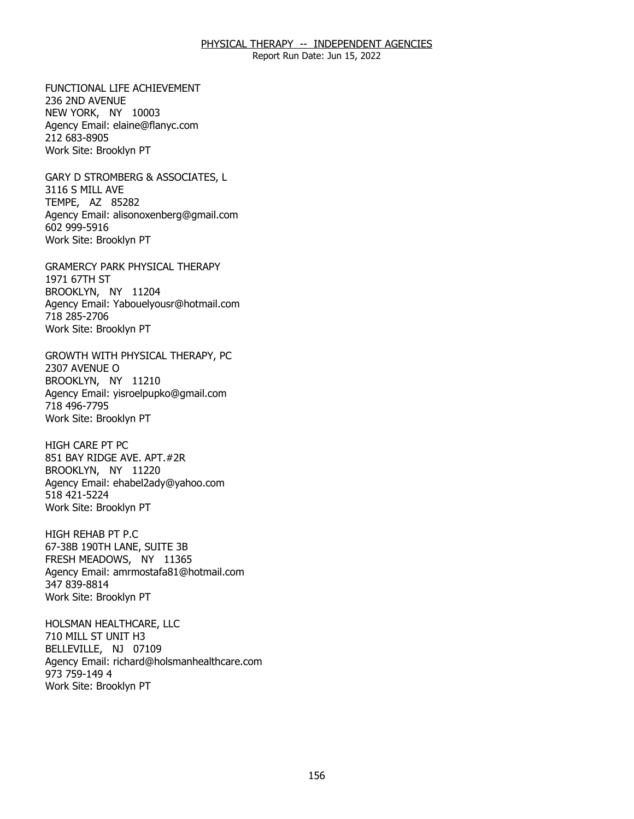Report Run Date: Jun 15, 2022

FUNCTIONAL LIFE ACHIEVEMENT 236 2ND AVENUE FUNCTIONAL LIFE ACHIEVEMENT<br>236 2ND AVENUE<br>NEW YORK, NY 10003 Agency Email: [elaine@flanyc.com](mailto:elaine@flanyc.com)  212 683-8905 Work Site: Brooklyn PT

GARY D STROMBERG & ASSOCIATES, L<br>3116 S MILL AVE<br>TEMPE, AZ 85282 3116 S MILL AVE TEMPE, AZ 85282 Agency Email: [alisonoxenberg@gmail.com](mailto:alisonoxenberg@gmail.com) 602 999-5916 Work Site: Brooklyn PT

GRAMERCY PARK PHYSICAL THERAPY<br>1971 67TH ST<br>BROOKLYN, NY 11204 1971 67TH ST BROOKLYN, NY 11204 Agency Email: [Yabouelyousr@hotmail.com](mailto:Yabouelyousr@hotmail.com)  718 285-2706 Work Site: Brooklyn PT

GROWTH WITH PHYSICAL THERAPY, PC<br>2307 AVENUE O<br>BROOKLYN, NY 11210 2307 AVENUE O BROOKLYN, NY 11210 Agency Email: [yisroelpupko@gmail.com](mailto:yisroelpupko@gmail.com) 718 496-7795 Work Site: Brooklyn PT

**HIGH CARE PT PC** BROOKLYN, NY 11220 HIGH CARE PT PC<br>851 BAY RIDGE AVE. APT.#2R<br>BROOKLYN, NY 11220 Agency Email: [ehabel2ady@yahoo.com](mailto:ehabel2ady@yahoo.com)  518 421-5224 Work Site: Brooklyn PT

HIGH REHAB PT P.C FRESH MEADOWS, NY 11365 HIGH REHAB PT P.C<br>67-38B 190TH LANE, SUITE 3B<br>FRESH MEADOWS, NY 11365 Agency Email: [amrmostafa81@hotmail.com](mailto:amrmostafa81@hotmail.com)  347 839-8814 Work Site: Brooklyn PT

HOLSMAN HEALTHCARE, LLC 710 MILL ST UNIT H3 HOLSMAN HEALTHCARE, LLC<br>710 MILL ST UNIT H3<br>BELLEVILLE, NJ 07109 Agency Email: [richard@holsmanhealthcare.com](mailto:richard@holsmanhealthcare.com) 973 759-149 4 Work Site: Brooklyn PT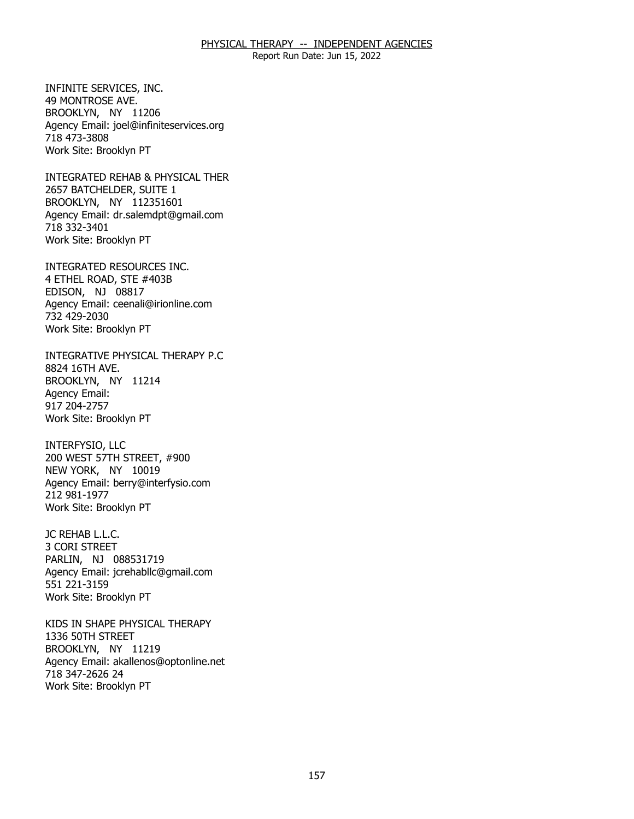Report Run Date: Jun 15, 2022

INFINITE SERVICES, INC. 49 MONTROSE AVE. INFINITE SERVICES, INC.<br>49 MONTROSE AVE.<br>BROOKLYN, NY 11206 Agency Email: [joel@infiniteservices.org](mailto:joel@infiniteservices.org)  718 473-3808 Work Site: Brooklyn PT

INTEGRATED REHAB & PHYSICAL THER<br>2657 BATCHELDER, SUITE 1<br>BROOKLYN, NY 112351601 2657 BATCHELDER, SUITE 1 BROOKLYN, NY 112351601 Agency Email: [dr.salemdpt@gmail.com](mailto:dr.salemdpt@gmail.com)  718 332-3401 Work Site: Brooklyn PT

INTEGRATED RESOURCES INC.<br>4 ETHEL ROAD, STE #403B<br>EDISON, NJ 08817 4 ETHEL ROAD, STE #403B EDISON, NJ 08817 Agency Email: [ceenali@irionline.com](mailto:ceenali@irionline.com) 732 429-2030 Work Site: Brooklyn PT

INTEGRATIVE PHYSICAL THERAPY P.C<br>8824 16TH AVE.<br>BROOKLYN, NY 11214 8824 16TH AVE. BROOKLYN, NY 11214 Agency Email: 917 204-2757 Work Site: Brooklyn PT

INTERFYSIO, LLC NEW YORK, NY 10019 INTERFYSIO, LLC<br>200 WEST 57TH STREET, #900<br>NEW YORK, NY 10019 Agency Email: [berry@interfysio.com](mailto:berry@interfysio.com) 212 981-1977 Work Site: Brooklyn PT

JC REHAB L.L.C. JC REHAB L.L.C.<br>3 CORI STREET PARLIN, NJ 088531719 Agency Email: [jcrehabllc@gmail.com](mailto:jcrehabllc@gmail.com)  551 221-3159 Work Site: Brooklyn PT

KIDS IN SHAPE PHYSICAL THERAPY<br>1336 50TH STREET<br>BROOKLYN, NY 11219 1336 50TH STREET BROOKLYN, NY 11219 Agency Email: [akallenos@optonline.net](mailto:akallenos@optonline.net) 718 347-2626 24 Work Site: Brooklyn PT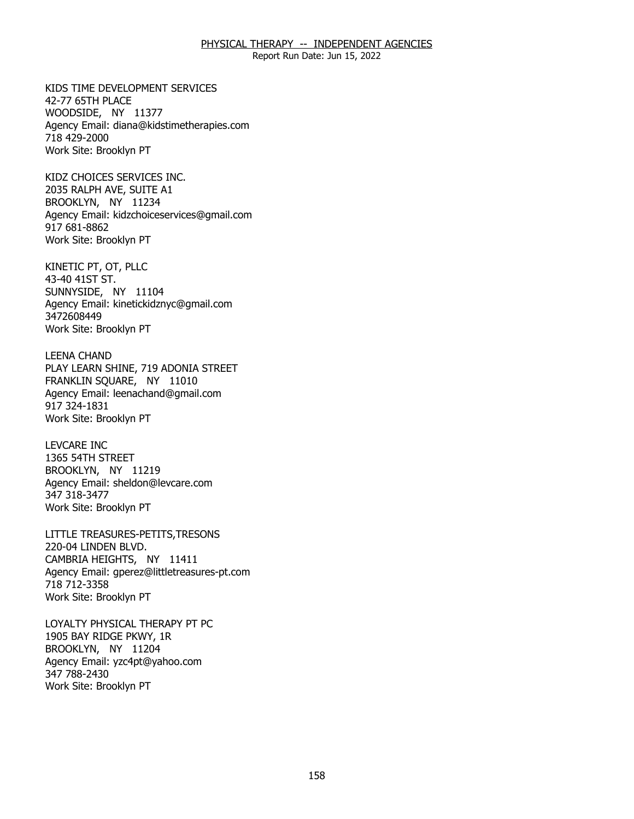Report Run Date: Jun 15, 2022

KIDS TIME DEVELOPMENT SERVICES 42-77 65TH PLACE KIDS TIME DEVELOPMENT SERVICES<br>42-77 65TH PLACE<br>WOODSIDE, NY 11377 Agency Email: [diana@kidstimetherapies.com](mailto:diana@kidstimetherapies.com)  718 429-2000 Work Site: Brooklyn PT

KIDZ CHOICES SERVICES INC. BROOKLYN, NY 11234 KIDZ CHOICES SERVICES INC.<br>2035 RALPH AVE, SUITE A1<br>BROOKLYN, NY 11234 Agency Email: [kidzchoiceservices@gmail.com](mailto:kidzchoiceservices@gmail.com)  917 681-8862 Work Site: Brooklyn PT

KINETIC PT, OT, PLLC 43-40 41ST ST. KINETIC PT, OT, PLLC<br>43-40 41ST ST.<br>SUNNYSIDE, NY 11104 Agency Email: [kinetickidznyc@gmail.com](mailto:kinetickidznyc@gmail.com) 3472608449 Work Site: Brooklyn PT

**LEENA CHAND** FRANKLIN SQUARE, NY 11010 LEENA CHAND<br>PLAY LEARN SHINE, 719 ADONIA STREET<br>FRANKLIN SQUARE, NY 11010 Agency Email: [leenachand@gmail.com](mailto:leenachand@gmail.com)  917 324-1831 Work Site: Brooklyn PT

**LEVCARE INC** 1365 54TH STREET LEVCARE INC<br>1365 54TH STREET<br>BROOKLYN, NY 11219 Agency Email: [sheldon@levcare.com](mailto:sheldon@levcare.com) 347 318-3477 Work Site: Brooklyn PT

LITTLE TREASURES-PETITS,TRESONS<br>220-04 LINDEN BLVD.<br>CAMBRIA HEIGHTS, NY 11411 220-04 LINDEN BLVD. CAMBRIA HEIGHTS. NY 11411 Agency Email: [gperez@littletreasures-pt.com](mailto:gperez@littletreasures-pt.com)  718 712-3358 Work Site: Brooklyn PT

LOYALTY PHYSICAL THERAPY PT PC<br>1905 BAY RIDGE PKWY, 1R<br>BROOKLYN, NY 11204 1905 BAY RIDGE PKWY, 1R BROOKLYN, NY 11204 Agency Email: [yzc4pt@yahoo.com](mailto:yzc4pt@yahoo.com)  347 788-2430 Work Site: Brooklyn PT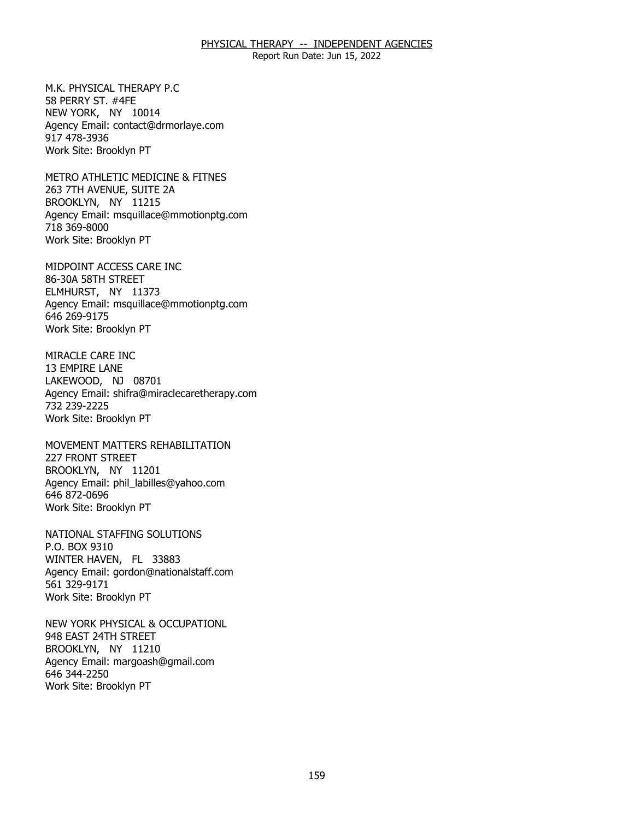Report Run Date: Jun 15, 2022

M.K. PHYSICAL THERAPY P.C. 58 PERRY ST. #4FE M.K. PHYSICAL THERAPY P.C<br>58 PERRY ST. #4FE<br>NEW YORK, NY 10014 Agency Email: [contact@drmorlaye.com](mailto:contact@drmorlaye.com) 917 478-3936 Work Site: Brooklyn PT

METRO ATHLETIC MEDICINE & FITNES<br>263 7TH AVENUE, SUITE 2A<br>BROOKLYN, NY 11215 263 7TH AVENUE, SUITE 2A BROOKLYN, NY 11215 Agency Email: [msquillace@mmotionptg.com](mailto:msquillace@mmotionptg.com) 718 369-8000 Work Site: Brooklyn PT

MIDPOINT ACCESS CARE INC<br>86-30A 58TH STREET<br>ELMHURST, NY 11373 86-30A 58TH STREET ELMHURST, NY 11373 Agency Email: [msquillace@mmotionptg.com](mailto:msquillace@mmotionptg.com) 646 269-9175 Work Site: Brooklyn PT

MIRACLE CARE INC 13 EMPIRE LANE MIRACLE CARE INC<br>13 EMPIRE LANE<br>LAKEWOOD, NJ 08701 Agency Email: [shifra@miraclecaretherapy.com](mailto:shifra@miraclecaretherapy.com) 732 239-2225 Work Site: Brooklyn PT

MOVEMENT MATTERS REHABILITATION<br>227 FRONT STREET<br>BROOKLYN, NY 11201 227 FRONT STREET BROOKLYN, NY 11201 Agency Email: [phil\\_labilles@yahoo.com](mailto:phil_labilles@yahoo.com) 646 872-0696 Work Site: Brooklyn PT

NATIONAL STAFFING SOLUTIONS<br>P.O. BOX 9310<br>WINTER HAVEN, FL 33883 P.O. BOX 9310 WINTER HAVEN, FL 33883 Agency Email: [gordon@nationalstaff.com](mailto:gordon@nationalstaff.com) 561 329-9171 Work Site: Brooklyn PT

NEW YORK PHYSICAL & OCCUPATIONL<br>948 EAST 24TH STREET<br>BROOKLYN, NY 11210 948 EAST 24TH STREET BROOKLYN, NY 11210 Agency Email: [margoash@gmail.com](mailto:margoash@gmail.com) 646 344-2250 Work Site: Brooklyn PT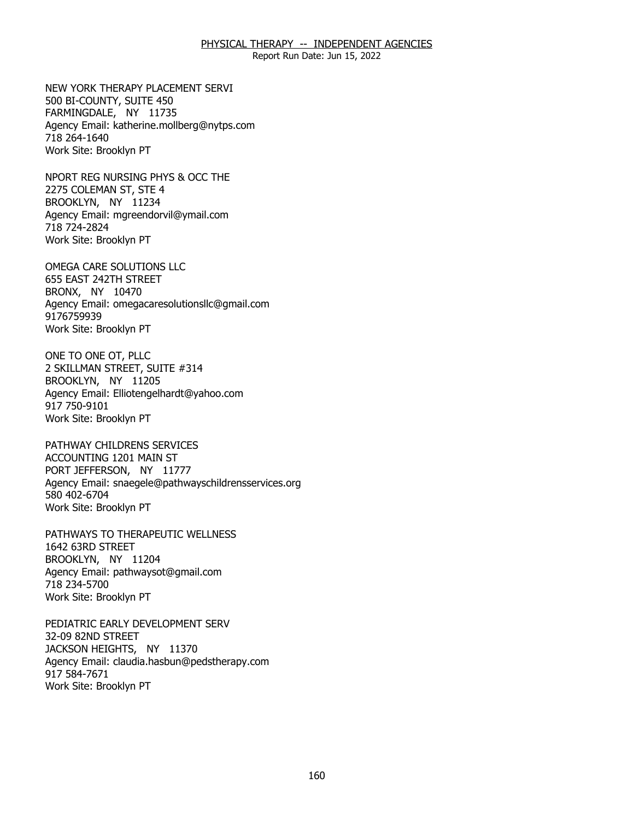Report Run Date: Jun 15, 2022

NEW YORK THERAPY PLACEMENT SERVI<br>500 BI-COUNTY, SUITE 450<br>FARMINGDALE, NY 11735 500 BI-COUNTY, SUITE 450 FARMINGDALE, NY 11735 Agency Email: [katherine.mollberg@nytps.com](mailto:katherine.mollberg@nytps.com) 718 264-1640 Work Site: Brooklyn PT

NPORT REG NURSING PHYS & OCC THE<br>2275 COLEMAN ST, STE 4<br>BROOKLYN, NY 11234 2275 COLEMAN ST, STE 4 BROOKLYN, NY 11234 Agency Email: [mgreendorvil@ymail.com](mailto:mgreendorvil@ymail.com)  718 724-2824 Work Site: Brooklyn PT

OMEGA CARE SOLUTIONS LLC<br>655 EAST 242TH STREET<br>BRONX, NY 10470 655 EAST 242TH STREET BRONX, NY 10470 Agency Email: [omegacaresolutionsllc@gmail.com](mailto:omegacaresolutionsllc@gmail.com) 9176759939 Work Site: Brooklyn PT

ONE TO ONE OT, PLLC BROOKLYN, NY 11205 ONE TO ONE OT, PLLC<br>2 SKILLMAN STREET, SUITE #314<br>BROOKLYN, NY 11205 Agency Email: [Elliotengelhardt@yahoo.com](mailto:Elliotengelhardt@yahoo.com) 917 750-9101 Work Site: Brooklyn PT

PATHWAY CHILDRENS SERVICES ACCOUNTING 1201 MAIN ST PATHWAY CHILDRENS SERVICES<br>ACCOUNTING 1201 MAIN ST<br>PORT JEFFERSON, NY 11777 Agency Email: [snaegele@pathwayschildrensservices.org](mailto:snaegele@pathwayschildrensservices.org)  580 402-6704 Work Site: Brooklyn PT

PATHWAYS TO THERAPEUTIC WELLNESS<br>1642 63RD STREET<br>BROOKLYN, NY 11204 1642 63RD STREET BROOKLYN, NY 11204 Agency Email: [pathwaysot@gmail.com](mailto:pathwaysot@gmail.com) 718 234-5700 Work Site: Brooklyn PT

PEDIATRIC EARLY DEVELOPMENT SERV 32-09 82ND STREET PEDIATRIC EARLY DEVELOPMENT SERV<br>32-09 82ND STREET<br>JACKSON HEIGHTS, NY 11370 Agency Email: [claudia.hasbun@pedstherapy.com](mailto:claudia.hasbun@pedstherapy.com) 917 584-7671 Work Site: Brooklyn PT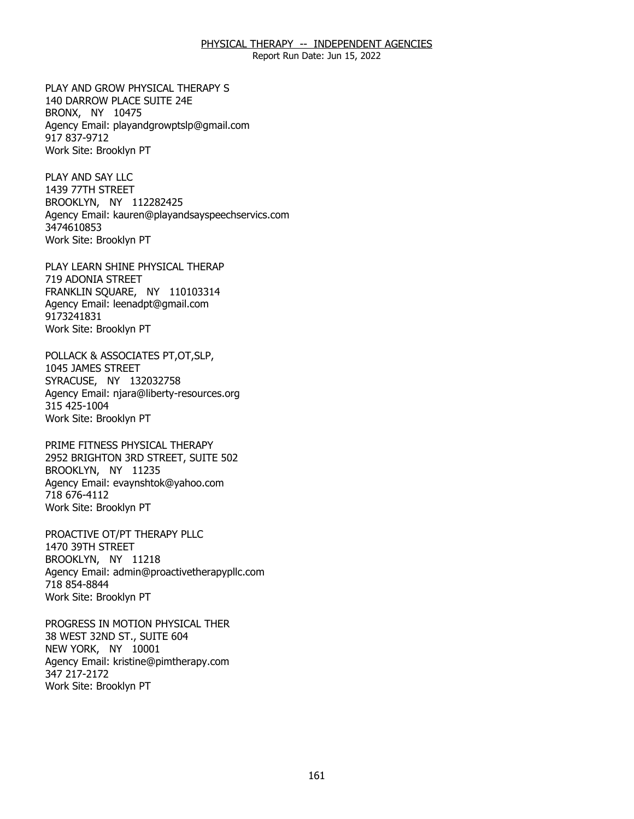Report Run Date: Jun 15, 2022

PLAY AND GROW PHYSICAL THERAPY S<br>140 DARROW PLACE SUITE 24E<br>BRONX, NY 10475 140 DARROW PLACE SUITE 24E BRONX, NY 10475 Agency Email: [playandgrowptslp@gmail.com](mailto:playandgrowptslp@gmail.com) 917 837-9712 Work Site: Brooklyn PT

PLAY AND SAY LLC 1439 77TH STREET PLAY AND SAY LLC<br>1439 77TH STREET<br>BROOKLYN, NY 112282425 Agency Email: [kauren@playandsayspeechservics.com](mailto:kauren@playandsayspeechservics.com)  3474610853 Work Site: Brooklyn PT

PLAY LEARN SHINE PHYSICAL THERAP 719 ADONIA STREET PLAY LEARN SHINE PHYSICAL THERAP<br>719 ADONIA STREET<br>FRANKLIN SQUARE, NY 110103314 Agency Email: [leenadpt@gmail.com](mailto:leenadpt@gmail.com)  9173241831 Work Site: Brooklyn PT

POLLACK & ASSOCIATES PT,OT,SLP,<br>1045 JAMES STREET<br>SYRACUSE, NY 132032758 1045 JAMES STREET SYRACUSE, NY 132032758 Agency Email: [njara@liberty-resources.org](mailto:njara@liberty-resources.org)  315 425-1004 Work Site: Brooklyn PT

PRIME FITNESS PHYSICAL THERAPY BROOKLYN, NY 11235 PRIME FITNESS PHYSICAL THERAPY<br>2952 BRIGHTON 3RD STREET, SUITE 502<br>BROOKLYN, NY 11235 Agency Email: [evaynshtok@yahoo.com](mailto:evaynshtok@yahoo.com) 718 676-4112 Work Site: Brooklyn PT

PROACTIVE OT/PT THERAPY PLLC<br>1470 39TH STREET<br>BROOKLYN, NY 11218 1470 39TH STREET BROOKLYN, NY 11218 Agency Email: [admin@proactivetherapypllc.com](mailto:admin@proactivetherapypllc.com) 718 854-8844 Work Site: Brooklyn PT

PROGRESS IN MOTION PHYSICAL THER<br>38 WEST 32ND ST., SUITE 604<br>NEW YORK, NY 10001 38 WEST 32ND ST., SUITE 604 NEW YORK, NY 10001 Agency Email: [kristine@pimtherapy.com](mailto:kristine@pimtherapy.com)  347 217-2172 Work Site: Brooklyn PT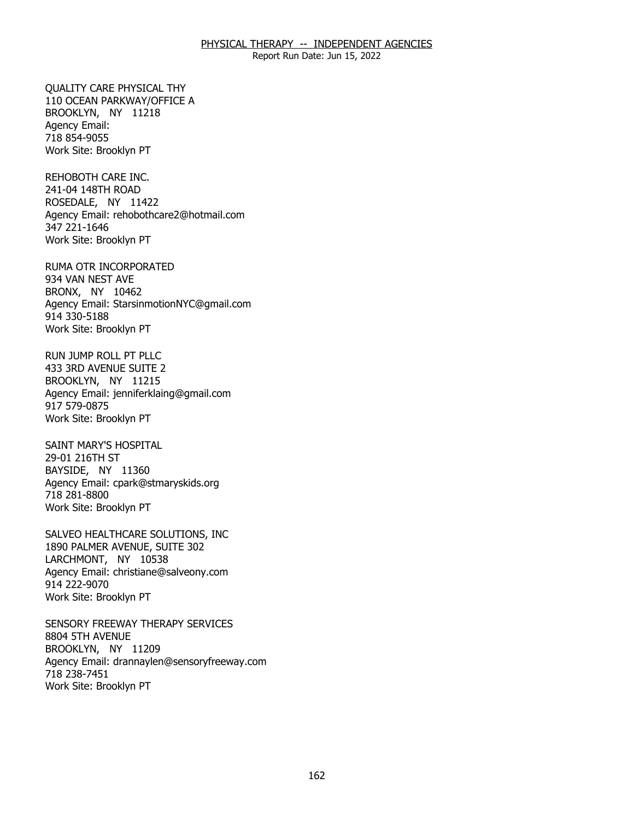Report Run Date: Jun 15, 2022

**OUALITY CARE PHYSICAL THY** BROOKLYN, NY 11218 QUALITY CARE PHYSICAL THY<br>110 OCEAN PARKWAY/OFFICE A<br>BROOKLYN, NY 11218 Agency Email: 718 854-9055 Work Site: Brooklyn PT

REHOBOTH CARE INC. 241-04 148TH ROAD REHOBOTH CARE INC.<br>241-04 148TH ROAD<br>ROSEDALE, NY 11422 Agency Email: [rehobothcare2@hotmail.com](mailto:rehobothcare2@hotmail.com) 347 221-1646 Work Site: Brooklyn PT

RUMA OTR INCORPORATED<br>934 VAN NEST AVE<br>BRONX, NY 10462 934 VAN NEST AVE BRONX, NY 10462 Agency Email: [StarsinmotionNYC@gmail.com](mailto:StarsinmotionNYC@gmail.com)  914 330-5188 Work Site: Brooklyn PT

RUN JUMP ROLL PT PLLC 433 3RD AVENUE SUITE 2 RUN JUMP ROLL PT PLLC<br>433 3RD AVENUE SUITE 2<br>BROOKLYN, NY 11215 Agency Email: [jenniferklaing@gmail.com](mailto:jenniferklaing@gmail.com) 917 579-0875 Work Site: Brooklyn PT

SAINT MARY'S HOSPITAL 29-01 216TH ST SAINT MARY'S HOSPITAL<br>29-01 216TH ST<br>BAYSIDE, NY 11360 Agency Email: [cpark@stmaryskids.org](mailto:cpark@stmaryskids.org)  718 281-8800 Work Site: Brooklyn PT

SALVEO HEALTHCARE SOLUTIONS, INC LARCHMONT, NY 10538 SALVEO HEALTHCARE SOLUTIONS, INC<br>1890 PALMER AVENUE, SUITE 302<br>LARCHMONT, NY 10538 Agency Email: [christiane@salveony.com](mailto:christiane@salveony.com) 914 222-9070 Work Site: Brooklyn PT

SENSORY FREEWAY THERAPY SERVICES<br>8804 5TH AVENUE<br>BROOKLYN, NY 11209 8804 5TH AVENUE BROOKLYN, NY 11209 Agency Email: [drannaylen@sensoryfreeway.com](mailto:drannaylen@sensoryfreeway.com)  718 238-7451 Work Site: Brooklyn PT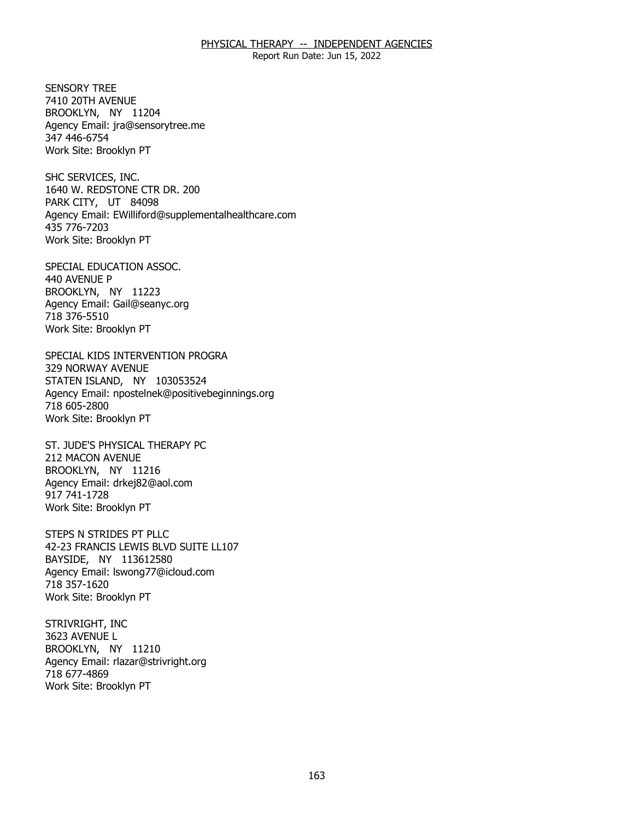Report Run Date: Jun 15, 2022

**SENSORY TREE** 7410 20TH AVENUE SENSORY TREE<br>7410 20TH AVENUE<br>BROOKLYN, NY 11204 Agency Email: [jra@sensorytree.me](mailto:jra@sensorytree.me) 347 446-6754 Work Site: Brooklyn PT

SHC SERVICES, INC. PARK CITY, UT 84098 SHC SERVICES, INC.<br>1640 W. REDSTONE CTR DR. 200<br>PARK CITY, UT 84098 Agency Email: [EWilliford@supplementalhealthcare.com](mailto:EWilliford@supplementalhealthcare.com) 435 776-7203 Work Site: Brooklyn PT

SPECIAL EDUCATION ASSOC.<br>440 AVENUE P<br>BROOKLYN, NY 11223 440 AVENUE P BROOKLYN, NY 11223 Agency Email: [Gail@seanyc.org](mailto:Gail@seanyc.org)  718 376-5510 Work Site: Brooklyn PT

SPECIAL KIDS INTERVENTION PROGRA 329 NORWAY AVENUE SPECIAL KIDS INTERVENTION PROGRA<br>329 NORWAY AVENUE<br>STATEN ISLAND, NY 103053524 Agency Email: [npostelnek@positivebeginnings.org](mailto:npostelnek@positivebeginnings.org)  718 605-2800 Work Site: Brooklyn PT

ST. JUDE'S PHYSICAL THERAPY PC<br>212 MACON AVENUE<br>BROOKLYN, NY 11216 212 MACON AVENUE BROOKLYN, NY 11216 Agency Email: [drkej82@aol.com](mailto:drkej82@aol.com)  917 741-1728 Work Site: Brooklyn PT

 STEPS N STRIDES PT PLLC 42-23 FRANCIS LEWIS BLVD SUITE LL107<br>BAYSIDE, NY 113612580 BAYSIDE, NY 113612580 Agency Email: [lswong77@icloud.com](mailto:lswong77@icloud.com) 718 357-1620 Work Site: Brooklyn PT

STRIVRIGHT, INC 3623 AVENUE L STRIVRIGHT, INC<br>3623 AVENUE L<br>BROOKLYN, NY 11210 Agency Email: [rlazar@strivright.org](mailto:rlazar@strivright.org) 718 677-4869 Work Site: Brooklyn PT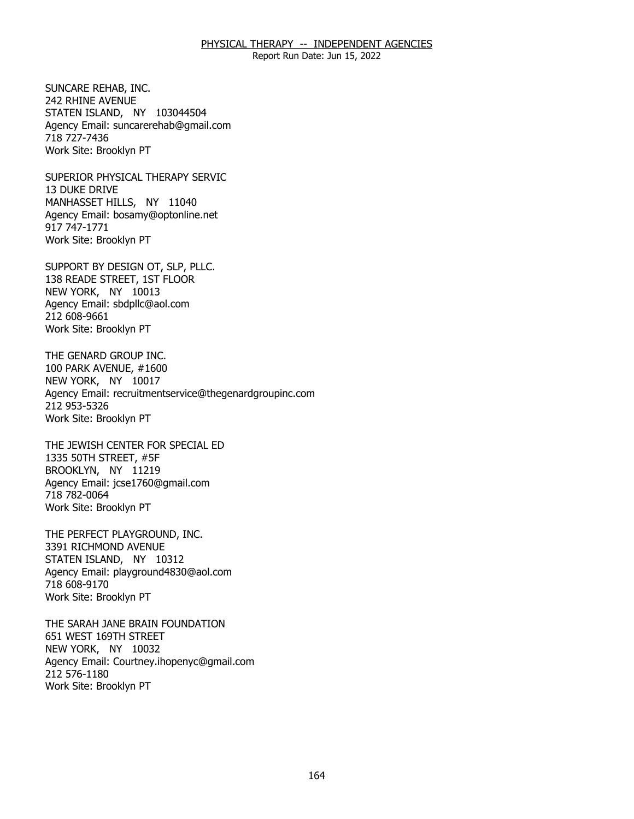Report Run Date: Jun 15, 2022

SUNCARE REHAB. INC. 242 RHINE AVENUE SUNCARE REHAB, INC.<br>242 RHINE AVENUE<br>STATEN ISLAND, NY 103044504 Agency Email: [suncarerehab@gmail.com](mailto:suncarerehab@gmail.com) 718 727-7436 Work Site: Brooklyn PT

SUPERIOR PHYSICAL THERAPY SERVIC 13 DUKE DRIVE SUPERIOR PHYSICAL THERAPY SERVIC<br>13 DUKE DRIVE<br>MANHASSET HILLS, NY 11040 Agency Email: [bosamy@optonline.net](mailto:bosamy@optonline.net) 917 747-1771 Work Site: Brooklyn PT

SUPPORT BY DESIGN OT, SLP, PLLC. NEW YORK, NY 10013 SUPPORT BY DESIGN OT, SLP, PLLC.<br>138 READE STREET, 1ST FLOOR<br>NEW YORK, NY 10013 Agency Email: [sbdpllc@aol.com](mailto:sbdpllc@aol.com) 212 608-9661 Work Site: Brooklyn PT

THE GENARD GROUP INC. 100 PARK AVENUE, #1600 THE GENARD GROUP INC.<br>100 PARK AVENUE, #1600<br>NEW YORK, NY 10017 Agency Email: [recruitmentservice@thegenardgroupinc.com](mailto:recruitmentservice@thegenardgroupinc.com) 212 953-5326 Work Site: Brooklyn PT

THE JEWISH CENTER FOR SPECIAL ED<br>1335 50TH STREET, #5F<br>BROOKLYN, NY 11219 1335 50TH STREET, #5F BROOKLYN, NY 11219 Agency Email: [jcse1760@gmail.com](mailto:jcse1760@gmail.com)  718 782-0064 Work Site: Brooklyn PT

THE PERFECT PLAYGROUND, INC.<br>3391 RICHMOND AVENUE<br>STATEN ISLAND, NY 10312 3391 RICHMOND AVENUE STATEN ISLAND. NY 10312 Agency Email: [playground4830@aol.com](mailto:playground4830@aol.com) 718 608-9170 Work Site: Brooklyn PT

THE SARAH JANE BRAIN FOUNDATION<br>651 WEST 169TH STREET<br>NEW YORK, NY 10032 651 WEST 169TH STREET NEW YORK, NY 10032 Agency Email: [Courtney.ihopenyc@gmail.com](mailto:Courtney.ihopenyc@gmail.com)  212 576-1180 Work Site: Brooklyn PT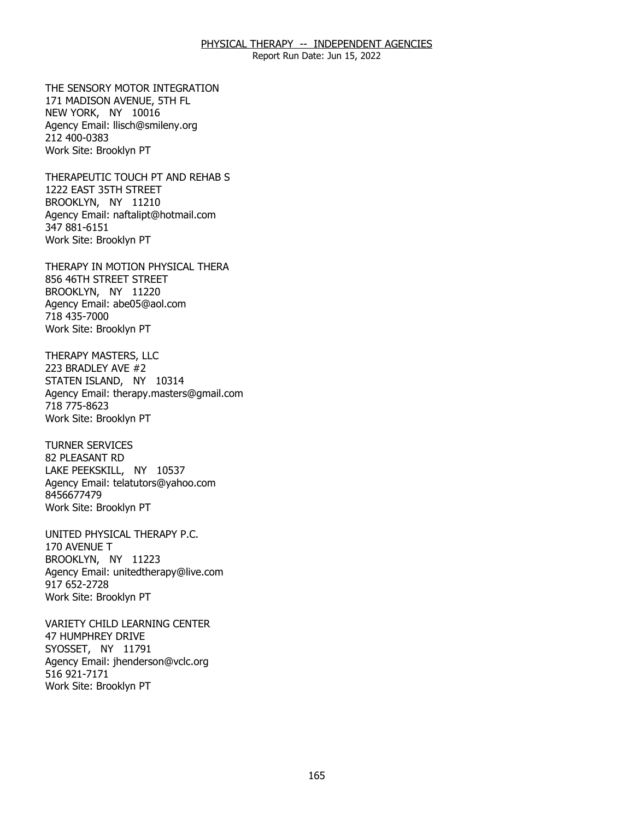Report Run Date: Jun 15, 2022

THE SENSORY MOTOR INTEGRATION<br>171 MADISON AVENUE, 5TH FL<br>NEW YORK, NY 10016 171 MADISON AVENUE, 5TH FL NEW YORK, NY 10016 Agency Email: [llisch@smileny.org](mailto:llisch@smileny.org)  212 400-0383 Work Site: Brooklyn PT

THERAPEUTIC TOUCH PT AND REHAB S<br>1222 EAST 35TH STREET<br>BROOKLYN, NY 11210 1222 EAST 35TH STREET BROOKLYN, NY 11210 Agency Email: [naftalipt@hotmail.com](mailto:naftalipt@hotmail.com)  347 881-6151 Work Site: Brooklyn PT

THERAPY IN MOTION PHYSICAL THERA<br>856 46TH STREET STREET<br>BROOKLYN, NY 11220 856 46TH STREET STREET BROOKLYN, NY 11220 Agency Email: [abe05@aol.com](mailto:abe05@aol.com)  718 435-7000 Work Site: Brooklyn PT

THERAPY MASTERS, LLC 223 BRADLEY AVE #2 THERAPY MASTERS, LLC<br>223 BRADLEY AVE #2<br>STATEN ISLAND, NY 10314 Agency Email: [therapy.masters@gmail.com](mailto:therapy.masters@gmail.com) 718 775-8623 Work Site: Brooklyn PT

**TURNER SERVICES** 82 PLEASANT RD TURNER SERVICES<br>82 PLEASANT RD<br>LAKE PEEKSKILL, NY 10537 Agency Email: [telatutors@yahoo.com](mailto:telatutors@yahoo.com) 8456677479 Work Site: Brooklyn PT

UNITED PHYSICAL THERAPY P.C.<br>170 AVENUE T<br>BROOKLYN, NY 11223 170 AVENUE T BROOKLYN, NY 11223 Agency Email: [unitedtherapy@live.com](mailto:unitedtherapy@live.com)  917 652-2728 Work Site: Brooklyn PT

VARIETY CHILD LEARNING CENTER<br>47 HUMPHREY DRIVE<br>SYOSSET, NY 11791 **47 HUMPHREY DRIVE** SYOSSET, NY 11791 Agency Email: [jhenderson@vclc.org](mailto:jhenderson@vclc.org)  516 921-7171 Work Site: Brooklyn PT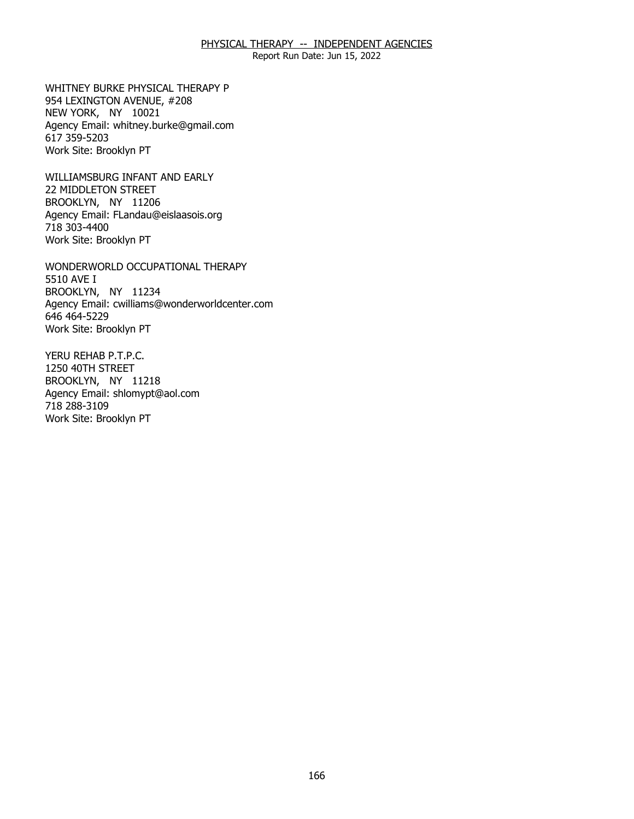Report Run Date: Jun 15, 2022

WHITNEY BURKE PHYSICAL THERAPY P NEW YORK, NY 10021 WHITNEY BURKE PHYSICAL THERAPY P<br>954 LEXINGTON AVENUE, #208<br>NEW YORK, NY 10021 Agency Email: [whitney.burke@gmail.com](mailto:whitney.burke@gmail.com) 617 359-5203 Work Site: Brooklyn PT

WILLIAMSBURG INFANT AND EARLY<br>22 MIDDLETON STREET<br>BROOKLYN, NY 11206 22 MIDDLETON STREET BROOKLYN, NY 11206 Agency Email: [FLandau@eislaasois.org](mailto:FLandau@eislaasois.org)  718 303-4400 Work Site: Brooklyn PT

WONDERWORLD OCCUPATIONAL THERAPY<br>5510 AVE I<br>BROOKLYN, NY 11234 5510 AVE I BROOKLYN, NY 11234 Agency Email: [cwilliams@wonderworldcenter.com](mailto:cwilliams@wonderworldcenter.com)  646 464-5229 Work Site: Brooklyn PT

YERU REHAB P.T.P.C. 1250 40TH STREET YERU REHAB P.T.P.C.<br>1250 40TH STREET<br>BROOKLYN, NY 11218 Agency Email: [shlomypt@aol.com](mailto:shlomypt@aol.com)  718 288-3109 Work Site: Brooklyn PT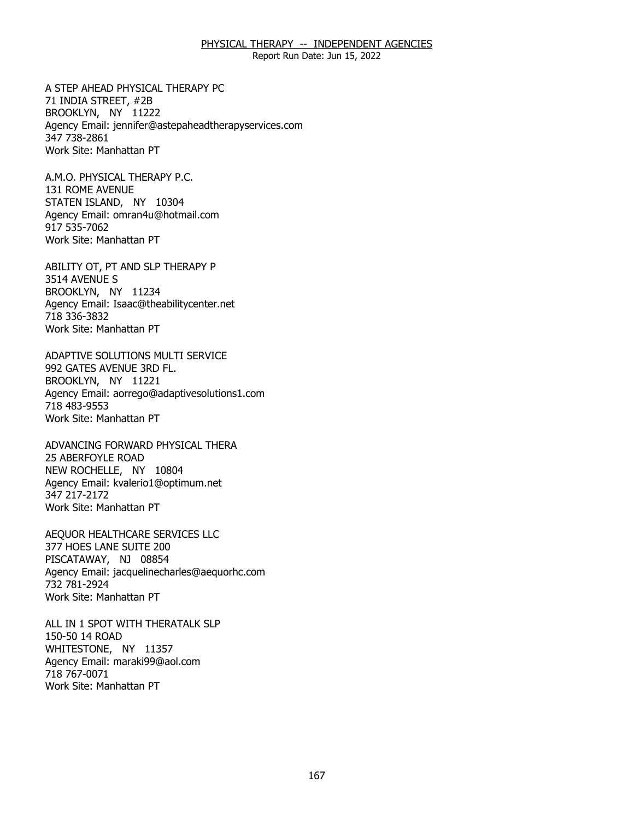Report Run Date: Jun 15, 2022

A STEP AHEAD PHYSICAL THERAPY PC<br>71 INDIA STREET, #2B<br>BROOKLYN, NY 11222 71 INDIA STREET, #2B BROOKLYN, NY 11222 Agency Email: [jennifer@astepaheadtherapyservices.com](mailto:jennifer@astepaheadtherapyservices.com)  347 738-2861 Work Site: Manhattan PT

A.M.O. PHYSICAL THERAPY P.C. 131 ROME AVENUE A.M.O. PHYSICAL THERAPY P.C.<br>131 ROME AVENUE<br>STATEN ISLAND, NY 10304 Agency Email: [omran4u@hotmail.com](mailto:omran4u@hotmail.com)  917 535-7062 Work Site: Manhattan PT

ABILITY OT, PT AND SLP THERAPY P<br>3514 AVENUE S<br>BROOKLYN, NY 11234 3514 AVENUE S BROOKLYN, NY 11234 Agency Email: [Isaac@theabilitycenter.net](mailto:Isaac@theabilitycenter.net)  718 336-3832 Work Site: Manhattan PT

 ADAPTIVE SOLUTIONS MULTI SERVICE 992 GATES AVENUE 3RD FL. 992 GATES AVENUE 3RD FL.<br>BROOKLYN, NY 11221 Agency Email: [aorrego@adaptivesolutions1.com](mailto:aorrego@adaptivesolutions1.com)  718 483-9553 Work Site: Manhattan PT

ADVANCING FORWARD PHYSICAL THERA<br>25 ABERFOYLE ROAD<br>NEW ROCHELLE, NY 10804 **25 ABERFOYLE ROAD** NEW ROCHELLE, NY 10804 Agency Email: [kvalerio1@optimum.net](mailto:kvalerio1@optimum.net) 347 217-2172 Work Site: Manhattan PT

AEQUOR HEALTHCARE SERVICES LLC<br>377 HOES LANE SUITE 200<br>PISCATAWAY, NJ 08854 377 HOES LANE SUITE 200 PISCATAWAY, NJ 08854 Agency Email: [jacquelinecharles@aequorhc.com](mailto:jacquelinecharles@aequorhc.com) 732 781-2924 Work Site: Manhattan PT

ALL IN 1 SPOT WITH THERATALK SLP 150-50 14 ROAD ALL IN 1 SPOT WITH THERATALK SLP<br>150-50 14 ROAD<br>WHITESTONE, NY 11357 Agency Email: [maraki99@aol.com](mailto:maraki99@aol.com)  718 767-0071 Work Site: Manhattan PT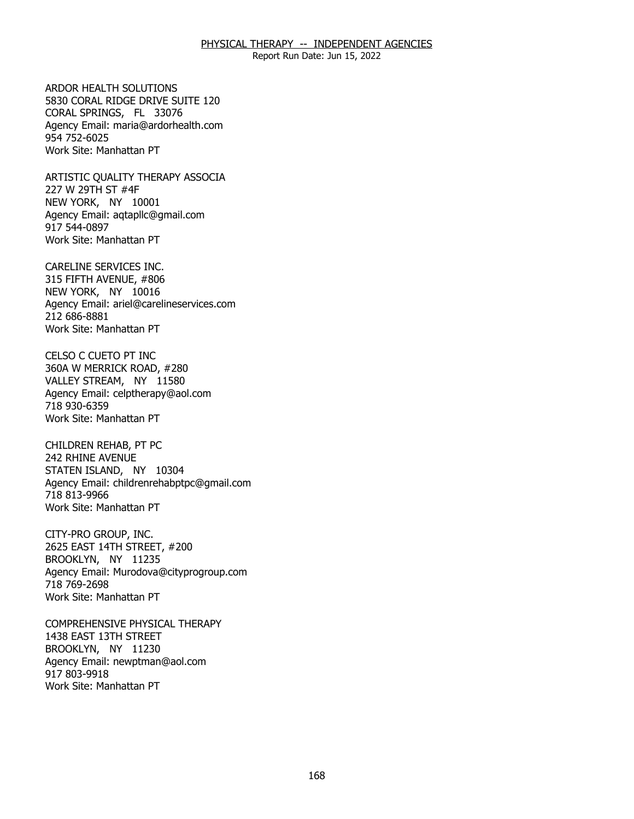Report Run Date: Jun 15, 2022

ARDOR HEALTH SOLUTIONS CORAL SPRINGS, FL 33076 ARDOR HEALTH SOLUTIONS<br>5830 CORAL RIDGE DRIVE SUITE 120<br>CORAL SPRINGS, FL 33076 Agency Email: [maria@ardorhealth.com](mailto:maria@ardorhealth.com) 954 752-6025 Work Site: Manhattan PT

ARTISTIC QUALITY THERAPY ASSOCIA<br>227 W 29TH ST #4F<br>NEW YORK, NY 10001 227 W 29TH ST #4F NEW YORK, NY 10001 Agency Email: [aqtapllc@gmail.com](mailto:aqtapllc@gmail.com)  917 544-0897 Work Site: Manhattan PT

CARELINE SERVICES INC. NEW YORK, NY 10016 CARELINE SERVICES INC.<br>315 FIFTH AVENUE, #806<br>NEW YORK, NY 10016 Agency Email: [ariel@carelineservices.com](mailto:ariel@carelineservices.com)  212 686-8881 Work Site: Manhattan PT

CELSO C CUETO PT INC 360A W MERRICK ROAD, #280 CELSO C CUETO PT INC<br>360A W MERRICK ROAD, #280<br>VALLEY STREAM, NY 11580 Agency Email: [celptherapy@aol.com](mailto:celptherapy@aol.com) 718 930-6359 Work Site: Manhattan PT

CHILDREN REHAB, PT PC 242 RHINE AVENUE CHILDREN REHAB, PT PC<br>242 RHINE AVENUE<br>STATEN ISLAND, NY 10304 Agency Email: [childrenrehabptpc@gmail.com](mailto:childrenrehabptpc@gmail.com)  718 813-9966 Work Site: Manhattan PT

CITY-PRO GROUP, INC. BROOKLYN, NY 11235 CITY-PRO GROUP, INC.<br>2625 EAST 14TH STREET, #200<br>BROOKLYN, NY 11235 Agency Email: [Murodova@cityprogroup.com](mailto:Murodova@cityprogroup.com)  718 769-2698 Work Site: Manhattan PT

COMPREHENSIVE PHYSICAL THERAPY<br>1438 EAST 13TH STREET<br>BROOKLYN, NY 11230 1438 EAST 13TH STREET BROOKLYN, NY 11230 Agency Email: [newptman@aol.com](mailto:newptman@aol.com) 917 803-9918 Work Site: Manhattan PT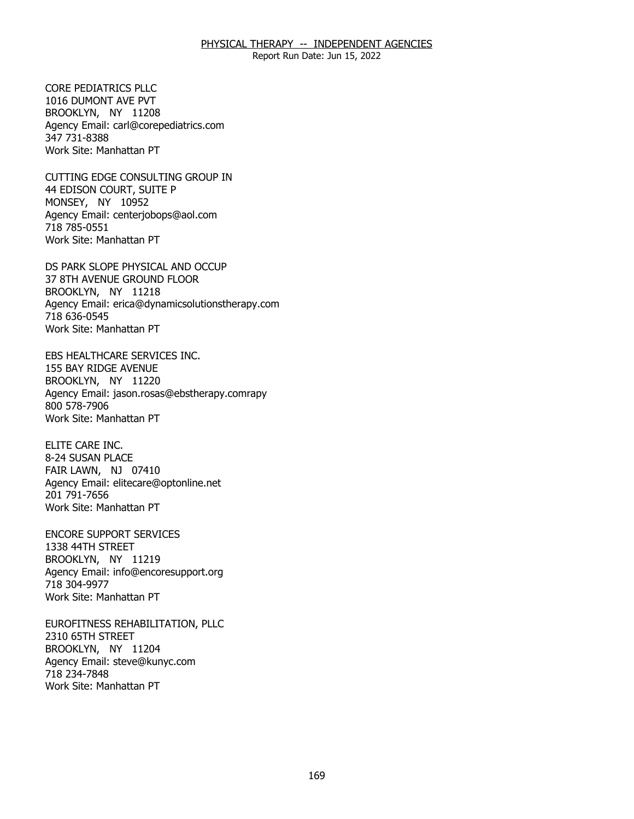Report Run Date: Jun 15, 2022

CORE PEDIATRICS PLLC. 1016 DUMONT AVE PVT CORE PEDIATRICS PLLC<br>1016 DUMONT AVE PVT<br>BROOKLYN, NY 11208 Agency Email: [carl@corepediatrics.com](mailto:carl@corepediatrics.com)  347 731-8388 Work Site: Manhattan PT

CUTTING EDGE CONSULTING GROUP IN<br>44 EDISON COURT, SUITE P<br>MONSEY, NY 10952 44 EDISON COURT, SUITE P MONSEY, NY 10952 Agency Email: [centerjobops@aol.com](mailto:centerjobops@aol.com)  718 785-0551 Work Site: Manhattan PT

DS PARK SLOPE PHYSICAL AND OCCUP BROOKLYN, NY 11218 DS PARK SLOPE PHYSICAL AND OCCUP<br>37 8TH AVENUE GROUND FLOOR<br>BROOKLYN, NY 11218 Agency Email: [erica@dynamicsolutionstherapy.com](mailto:erica@dynamicsolutionstherapy.com)  718 636-0545 Work Site: Manhattan PT

EBS HEALTHCARE SERVICES INC.<br>155 BAY RIDGE AVENUE<br>BROOKLYN, NY 11220 155 BAY RIDGE AVENUE BROOKLYN, NY 11220 Agency Email: jason.rosas@ebstherapy.comrapy 800 578-7906 Work Site: Manhattan PT

ELITE CARE INC. 8-24 SUSAN PLACE ELITE CARE INC.<br>8-24 SUSAN PLACE<br>FAIR LAWN, NJ 07410 Agency Email: [elitecare@optonline.net](mailto:elitecare@optonline.net) 201 791-7656 Work Site: Manhattan PT

**ENCORE SUPPORT SERVICES** 1338 44TH STREET ENCORE SUPPORT SERVICES<br>1338 44TH STREET<br>BROOKLYN, NY 11219 Agency Email: [info@encoresupport.org](mailto:info@encoresupport.org)  718 304-9977 Work Site: Manhattan PT

EUROFITNESS REHABILITATION, PLLC<br>2310 65TH STREET<br>BROOKLYN, NY 11204 2310 65TH STREET BROOKLYN, NY 11204 Agency Email: [steve@kunyc.com](mailto:steve@kunyc.com)  718 234-7848 Work Site: Manhattan PT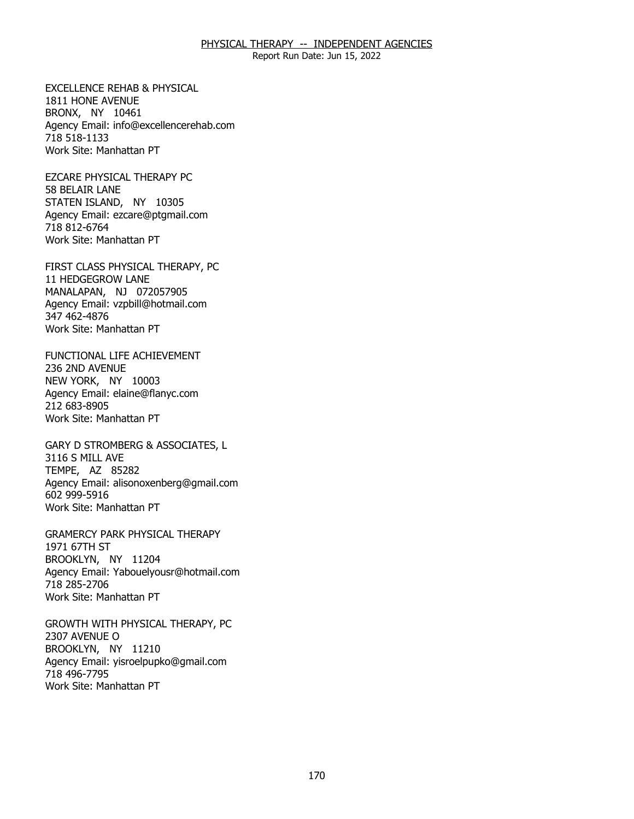Report Run Date: Jun 15, 2022

EXCELLENCE REHAB & PHYSICAL<br>1811 HONE AVENUE<br>BRONX, NY 10461 1811 HONE AVENUE BRONX, NY 10461 Agency Email: [info@excellencerehab.com](mailto:info@excellencerehab.com)  718 518-1133 Work Site: Manhattan PT

EZCARE PHYSICAL THERAPY PC 58 BELAIR LANE EZCARE PHYSICAL THERAPY PC<br>58 BELAIR LANE<br>STATEN ISLAND, NY 10305 Agency Email: [ezcare@ptgmail.com](mailto:ezcare@ptgmail.com)  718 812-6764 Work Site: Manhattan PT

FIRST CLASS PHYSICAL THERAPY, PC<br>11 HEDGEGROW LANE<br>MANALAPAN, NJ 072057905 11 HEDGEGROW LANE MANALAPAN, NJ 072057905 Agency Email: [vzpbill@hotmail.com](mailto:vzpbill@hotmail.com)  347 462-4876 Work Site: Manhattan PT

FUNCTIONAL LIFE ACHIEVEMENT<br>236 2ND AVENUE<br>NEW YORK, NY 10003 236 2ND AVENUE NEW YORK, NY 10003 Agency Email: [elaine@flanyc.com](mailto:elaine@flanyc.com)  212 683-8905 Work Site: Manhattan PT

GARY D STROMBERG & ASSOCIATES, L<br>3116 S MILL AVE<br>TEMPE, AZ 85282 3116 S MILL AVE TEMPE, AZ 85282 Agency Email: [alisonoxenberg@gmail.com](mailto:alisonoxenberg@gmail.com) 602 999-5916 Work Site: Manhattan PT

GRAMERCY PARK PHYSICAL THERAPY<br>1971 67TH ST<br>BROOKLYN, NY 11204 1971 67TH ST BROOKLYN, NY 11204 Agency Email: [Yabouelyousr@hotmail.com](mailto:Yabouelyousr@hotmail.com)  718 285-2706 Work Site: Manhattan PT

GROWTH WITH PHYSICAL THERAPY, PC<br>2307 AVENUE O<br>BROOKLYN, NY 11210 2307 AVENUE O BROOKLYN, NY 11210 Agency Email: [yisroelpupko@gmail.com](mailto:yisroelpupko@gmail.com) 718 496-7795 Work Site: Manhattan PT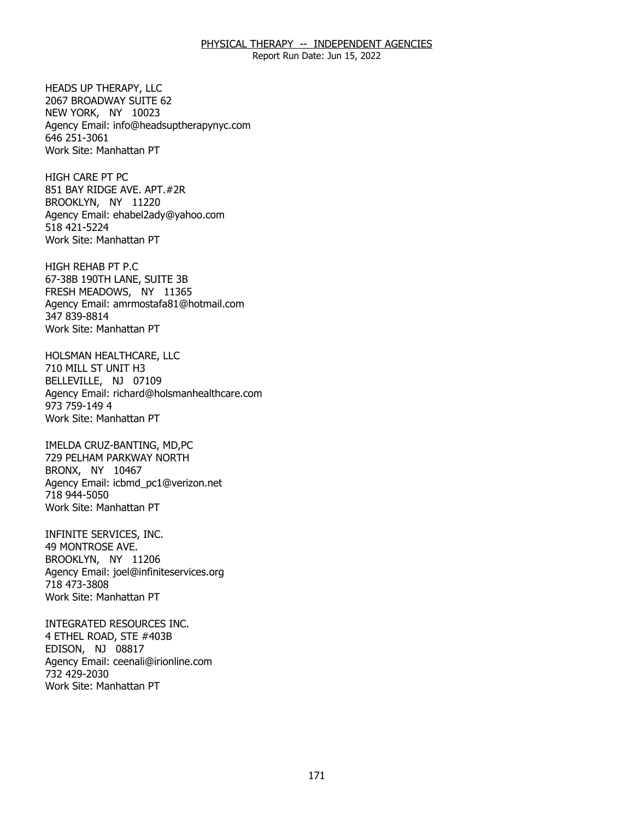Report Run Date: Jun 15, 2022

HEADS UP THERAPY, LLC 2067 BROADWAY SUITE 62 HEADS UP THERAPY, LLC<br>2067 BROADWAY SUITE 62<br>NEW YORK, NY 10023 Agency Email: [info@headsuptherapynyc.com](mailto:info@headsuptherapynyc.com) 646 251-3061 Work Site: Manhattan PT

**HIGH CARE PT PC** BROOKLYN, NY 11220 HIGH CARE PT PC<br>851 BAY RIDGE AVE. APT.#2R<br>BROOKLYN, NY 11220 Agency Email: [ehabel2ady@yahoo.com](mailto:ehabel2ady@yahoo.com)  518 421-5224 Work Site: Manhattan PT

HIGH REHAB PT P.C FRESH MEADOWS, NY 11365 HIGH REHAB PT P.C<br>67-38B 190TH LANE, SUITE 3B<br>FRESH MEADOWS, NY 11365 Agency Email: [amrmostafa81@hotmail.com](mailto:amrmostafa81@hotmail.com)  347 839-8814 Work Site: Manhattan PT

HOLSMAN HEALTHCARE, LLC<br>710 MILL ST UNIT H3<br>BELLEVILLE, NJ 07109 710 MILL ST UNIT H3 BELLEVILLE, NJ 07109 Agency Email: [richard@holsmanhealthcare.com](mailto:richard@holsmanhealthcare.com) 973 759-149 4 Work Site: Manhattan PT

IMELDA CRUZ-BANTING, MD, PC BRONX, NY 10467 IMELDA CRUZ-BANTING, MD,PC<br>729 PELHAM PARKWAY NORTH<br>BRONX, NY 10467 Agency Email: [icbmd\\_pc1@verizon.net](mailto:icbmd_pc1@verizon.net)  718 944-5050 Work Site: Manhattan PT

INFINITE SERVICES, INC. 49 MONTROSE AVE. INFINITE SERVICES, INC.<br>49 MONTROSE AVE.<br>BROOKLYN, NY 11206 Agency Email: [joel@infiniteservices.org](mailto:joel@infiniteservices.org)  718 473-3808 Work Site: Manhattan PT

INTEGRATED RESOURCES INC. EDISON, NJ 08817 INTEGRATED RESOURCES INC.<br>4 ETHEL ROAD, STE #403B<br>EDISON, NJ 08817 Agency Email: [ceenali@irionline.com](mailto:ceenali@irionline.com) 732 429-2030 Work Site: Manhattan PT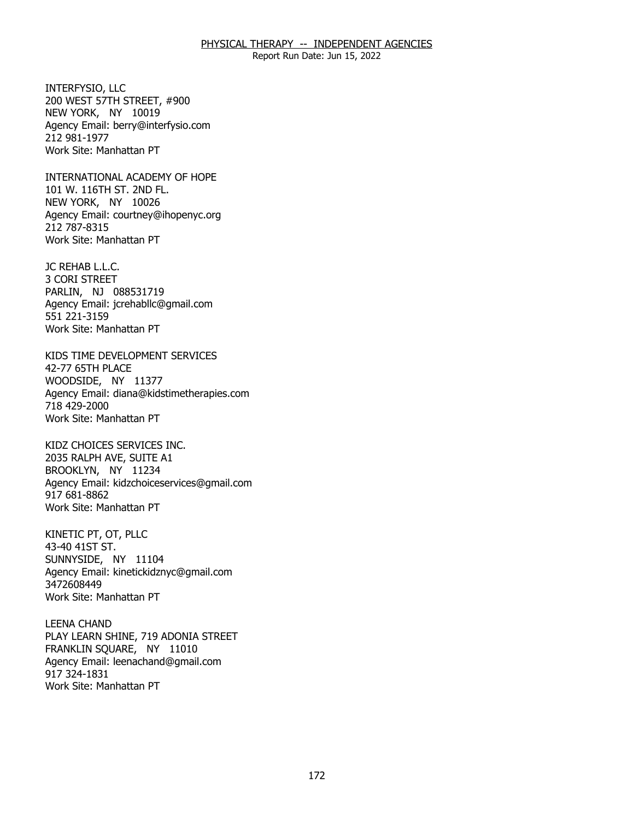Report Run Date: Jun 15, 2022

INTERFYSIO, LLC NEW YORK, NY 10019 INTERFYSIO, LLC<br>200 WEST 57TH STREET, #900<br>NEW YORK, NY 10019 Agency Email: [berry@interfysio.com](mailto:berry@interfysio.com) 212 981-1977 Work Site: Manhattan PT

INTERNATIONAL ACADEMY OF HOPE<br>101 W. 116TH ST. 2ND FL.<br>NEW YORK, NY 10026 101 W. 116TH ST. 2ND FL. NEW YORK, NY 10026 Agency Email: [courtney@ihopenyc.org](mailto:courtney@ihopenyc.org)  212 787-8315 Work Site: Manhattan PT

JC REHAB L.L.C. JC REHAB L.L.C.<br>3 CORI STREET PARLIN, NJ 088531719 Agency Email: [jcrehabllc@gmail.com](mailto:jcrehabllc@gmail.com)  551 221-3159 Work Site: Manhattan PT

KIDS TIME DEVELOPMENT SERVICES<br>42-77 65TH PLACE<br>WOODSIDE, NY 11377 42-77 65TH PLACE WOODSIDE, NY 11377 Agency Email: [diana@kidstimetherapies.com](mailto:diana@kidstimetherapies.com)  718 429-2000 Work Site: Manhattan PT

KIDZ CHOICES SERVICES INC. BROOKLYN, NY 11234 KIDZ CHOICES SERVICES INC.<br>2035 RALPH AVE, SUITE A1<br>BROOKLYN, NY 11234 Agency Email: [kidzchoiceservices@gmail.com](mailto:kidzchoiceservices@gmail.com)  917 681-8862 Work Site: Manhattan PT

KINETIC PT, OT, PLLC 43-40 41ST ST. KINETIC PT, OT, PLLC<br>43-40 41ST ST.<br>SUNNYSIDE, NY 11104 Agency Email: [kinetickidznyc@gmail.com](mailto:kinetickidznyc@gmail.com) 3472608449 Work Site: Manhattan PT

**LEENA CHAND** FRANKLIN SQUARE, NY 11010 LEENA CHAND<br>PLAY LEARN SHINE, 719 ADONIA STREET<br>FRANKLIN SQUARE, NY 11010 Agency Email: [leenachand@gmail.com](mailto:leenachand@gmail.com)  917 324-1831 Work Site: Manhattan PT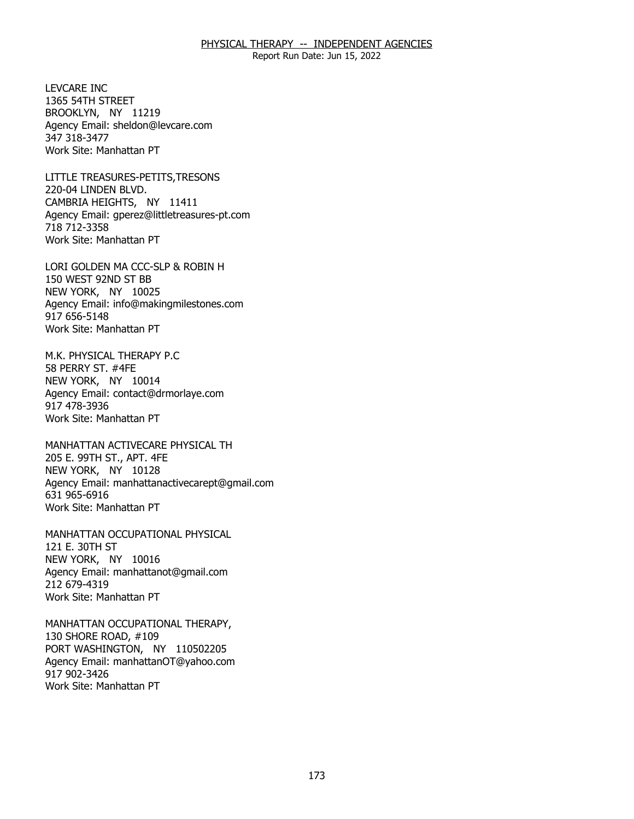Report Run Date: Jun 15, 2022

**I FVCARE INC.** 1365 54TH STREET LEVCARE INC<br>1365 54TH STREET<br>BROOKLYN, NY 11219 Agency Email: [sheldon@levcare.com](mailto:sheldon@levcare.com) 347 318-3477 Work Site: Manhattan PT

LITTLE TREASURES-PETITS, TRESONS 220-04 LINDEN BLVD. LITTLE TREASURES-PETITS,TRESONS<br>220-04 LINDEN BLVD.<br>CAMBRIA HEIGHTS, NY 11411 Agency Email: [gperez@littletreasures-pt.com](mailto:gperez@littletreasures-pt.com)  718 712-3358 Work Site: Manhattan PT

LORI GOLDEN MA CCC-SLP & ROBIN H<br>150 WEST 92ND ST BB<br>NEW YORK, NY 10025 150 WEST 92ND ST BB NEW YORK, NY 10025 Agency Email: [info@makingmilestones.com](mailto:info@makingmilestones.com) 917 656-5148 Work Site: Manhattan PT

M.K. PHYSICAL THERAPY P.C 58 PERRY ST. #4FE M.K. PHYSICAL THERAPY P.C<br>58 PERRY ST. #4FE<br>NEW YORK, NY 10014 Agency Email: [contact@drmorlaye.com](mailto:contact@drmorlaye.com) 917 478-3936 Work Site: Manhattan PT

MANHATTAN ACTIVECARE PHYSICAL TH<br>205 E. 99TH ST., APT. 4FE<br>NEW YORK, NY 10128 205 E. 99TH ST., APT. 4FE NEW YORK, NY 10128 Agency Email: [manhattanactivecarept@gmail.com](mailto:manhattanactivecarept@gmail.com)  631 965-6916 Work Site: Manhattan PT

MANHATTAN OCCUPATIONAL PHYSICAL<br>121 E. 30TH ST<br>NEW YORK, NY 10016 121 E. 30TH ST NEW YORK, NY 10016 Agency Email: [manhattanot@gmail.com](mailto:manhattanot@gmail.com) 212 679-4319 Work Site: Manhattan PT

MANHATTAN OCCUPATIONAL THERAPY, 130 SHORE ROAD, #109 MANHATTAN OCCUPATIONAL THERAPY,<br>130 SHORE ROAD, #109<br>PORT WASHINGTON, NY 110502205 Agency Email: [manhattanOT@yahoo.com](mailto:manhattanOT@yahoo.com) 917 902-3426 Work Site: Manhattan PT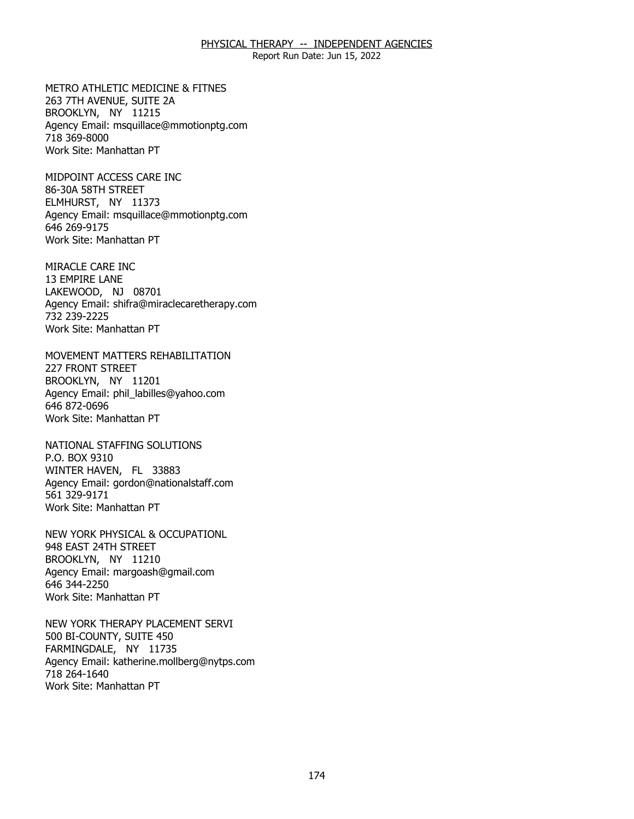Report Run Date: Jun 15, 2022

METRO ATHLETIC MEDICINE & FITNES<br>263 7TH AVENUE, SUITE 2A<br>BROOKLYN, NY 11215 263 7TH AVENUE, SUITE 2A BROOKLYN, NY 11215 Agency Email: [msquillace@mmotionptg.com](mailto:msquillace@mmotionptg.com) 718 369-8000 Work Site: Manhattan PT

MIDPOINT ACCESS CARE INC 86-30A 58TH STREET MIDPOINT ACCESS CARE INC<br>86-30A 58TH STREET<br>ELMHURST, NY 11373 Agency Email: [msquillace@mmotionptg.com](mailto:msquillace@mmotionptg.com) 646 269-9175 Work Site: Manhattan PT

MIRACLE CARE INC 13 EMPIRE LANE MIRACLE CARE INC<br>13 EMPIRE LANE<br>LAKEWOOD, NJ 08701 Agency Email: [shifra@miraclecaretherapy.com](mailto:shifra@miraclecaretherapy.com) 732 239-2225 Work Site: Manhattan PT

MOVEMENT MATTERS REHABILITATION<br>227 FRONT STREET<br>BROOKLYN, NY 11201 **227 FRONT STREET** BROOKLYN, NY 11201 Agency Email: [phil\\_labilles@yahoo.com](mailto:phil_labilles@yahoo.com) 646 872-0696 Work Site: Manhattan PT

NATIONAL STAFFING SOLUTIONS P.O. BOX 9310 NATIONAL STAFFING SOLUTIONS<br>P.O. BOX 9310<br>WINTER HAVEN, FL 33883 Agency Email: [gordon@nationalstaff.com](mailto:gordon@nationalstaff.com) 561 329-9171 Work Site: Manhattan PT

NEW YORK PHYSICAL & OCCUPATIONL<br>948 EAST 24TH STREET<br>BROOKLYN, NY 11210 948 EAST 24TH STREET BROOKLYN, NY 11210 Agency Email: [margoash@gmail.com](mailto:margoash@gmail.com) 646 344-2250 Work Site: Manhattan PT

NEW YORK THERAPY PLACEMENT SERVI<br>500 BI-COUNTY, SUITE 450<br>FARMINGDALE, NY 11735 500 BI-COUNTY, SUITE 450 FARMINGDALE, NY 11735 Agency Email: [katherine.mollberg@nytps.com](mailto:katherine.mollberg@nytps.com) 718 264-1640 Work Site: Manhattan PT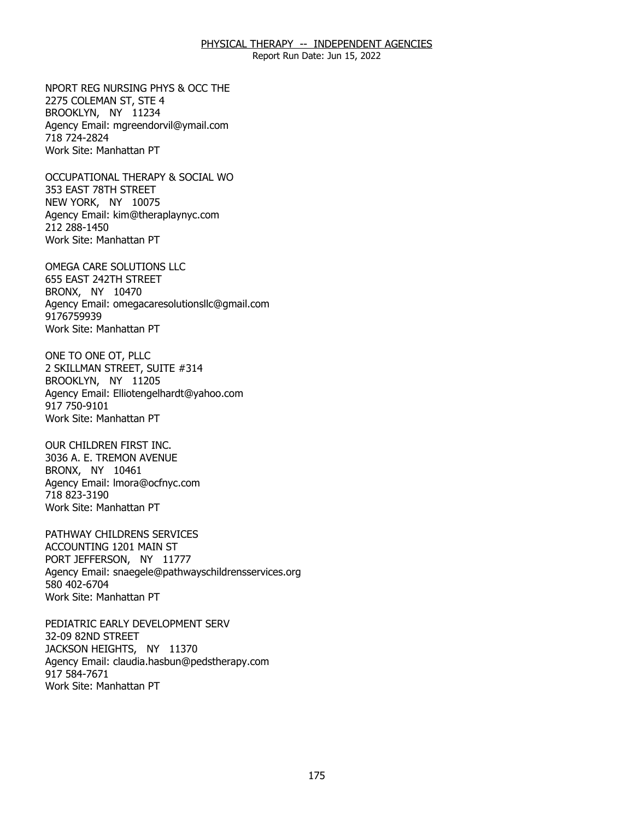Report Run Date: Jun 15, 2022

NPORT REG NURSING PHYS & OCC THE<br>2275 COLEMAN ST, STE 4<br>BROOKLYN, NY 11234 2275 COLEMAN ST, STE 4 BROOKLYN, NY 11234 Agency Email: [mgreendorvil@ymail.com](mailto:mgreendorvil@ymail.com)  718 724-2824 Work Site: Manhattan PT

OCCUPATIONAL THERAPY & SOCIAL WO<br>353 EAST 78TH STREET<br>NEW YORK, NY 10075 353 EAST 78TH STREET NEW YORK, NY 10075 Agency Email: [kim@theraplaynyc.com](mailto:kim@theraplaynyc.com)  212 288-1450 Work Site: Manhattan PT

OMEGA CARE SOLUTIONS LLC BRONX, NY 10470 OMEGA CARE SOLUTIONS LLC<br>655 EAST 242TH STREET<br>BRONX, NY 10470 Agency Email: [omegacaresolutionsllc@gmail.com](mailto:omegacaresolutionsllc@gmail.com) 9176759939 Work Site: Manhattan PT

ONE TO ONE OT, PLLC BROOKLYN, NY 11205 ONE TO ONE OT, PLLC<br>2 SKILLMAN STREET, SUITE #314<br>BROOKLYN, NY 11205 Agency Email: [Elliotengelhardt@yahoo.com](mailto:Elliotengelhardt@yahoo.com) 917 750-9101 Work Site: Manhattan PT

OUR CHILDREN FIRST INC. BRONX, NY 10461 OUR CHILDREN FIRST INC.<br>3036 A. E. TREMON AVENUE<br>BRONX, NY 10461 Agency Email: [lmora@ocfnyc.com](mailto:lmora@ocfnyc.com) 718 823-3190 Work Site: Manhattan PT

PATHWAY CHILDRENS SERVICES ACCOUNTING 1201 MAIN ST PATHWAY CHILDRENS SERVICES<br>ACCOUNTING 1201 MAIN ST<br>PORT JEFFERSON, NY 11777 Agency Email: [snaegele@pathwayschildrensservices.org](mailto:snaegele@pathwayschildrensservices.org)  580 402-6704 Work Site: Manhattan PT

PEDIATRIC EARLY DEVELOPMENT SERV 32-09 82ND STREET PEDIATRIC EARLY DEVELOPMENT SERV<br>32-09 82ND STREET<br>JACKSON HEIGHTS, NY 11370 Agency Email: [claudia.hasbun@pedstherapy.com](mailto:claudia.hasbun@pedstherapy.com) 917 584-7671 Work Site: Manhattan PT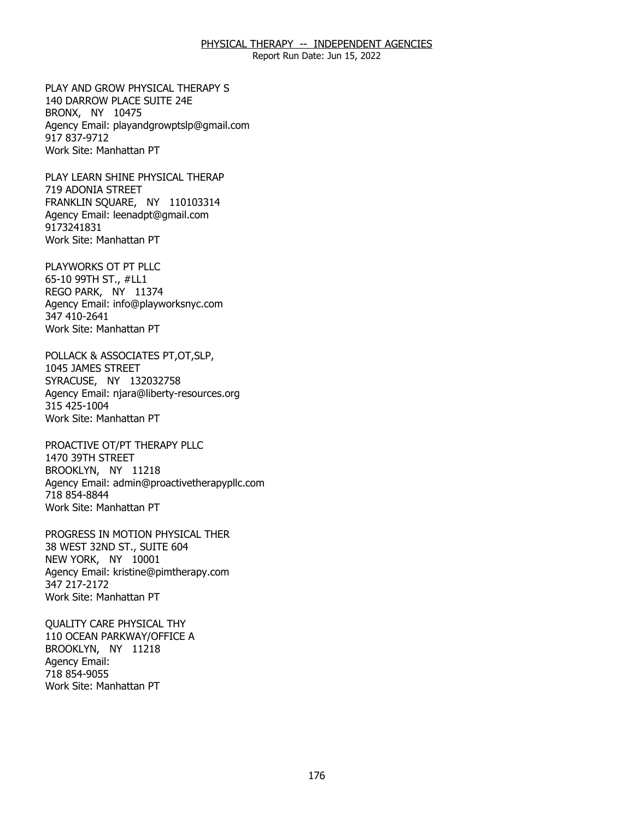Report Run Date: Jun 15, 2022

PLAY AND GROW PHYSICAL THERAPY S BRONX, NY 10475 PLAY AND GROW PHYSICAL THERAPY S<br>140 DARROW PLACE SUITE 24E<br>BRONX, NY 10475 Agency Email: [playandgrowptslp@gmail.com](mailto:playandgrowptslp@gmail.com) 917 837-9712 Work Site: Manhattan PT

PLAY LEARN SHINE PHYSICAL THERAP 719 ADONIA STREET PLAY LEARN SHINE PHYSICAL THERAP<br>719 ADONIA STREET<br>FRANKLIN SQUARE, NY 110103314 Agency Email: [leenadpt@gmail.com](mailto:leenadpt@gmail.com)  9173241831 Work Site: Manhattan PT

PLAYWORKS OT PT PLLC 65-10 99TH ST., #LL1 PLAYWORKS OT PT PLLC<br>65-10 99TH ST., #LL1<br>REGO PARK, NY 11374 Agency Email: [info@playworksnyc.com](mailto:info@playworksnyc.com)  347 410-2641 Work Site: Manhattan PT

POLLACK & ASSOCIATES PT,OT,SLP,<br>1045 JAMES STREET<br>SYRACUSE, NY 132032758 1045 JAMES STREET SYRACUSE, NY 132032758 Agency Email: [njara@liberty-resources.org](mailto:njara@liberty-resources.org)  315 425-1004 Work Site: Manhattan PT

PROACTIVE OT/PT THERAPY PLLC<br>1470 39TH STREET<br>BROOKLYN, NY 11218 1470 39TH STREET BROOKLYN, NY 11218 Agency Email: [admin@proactivetherapypllc.com](mailto:admin@proactivetherapypllc.com) 718 854-8844 Work Site: Manhattan PT

PROGRESS IN MOTION PHYSICAL THER<br>38 WEST 32ND ST., SUITE 604<br>NEW YORK, NY 10001 38 WEST 32ND ST., SUITE 604 NEW YORK, NY 10001 Agency Email: [kristine@pimtherapy.com](mailto:kristine@pimtherapy.com)  347 217-2172 Work Site: Manhattan PT

**QUALITY CARE PHYSICAL THY** BROOKLYN, NY 11218 QUALITY CARE PHYSICAL THY<br>110 OCEAN PARKWAY/OFFICE A<br>BROOKLYN, NY 11218 Agency Email: 718 854-9055 Work Site: Manhattan PT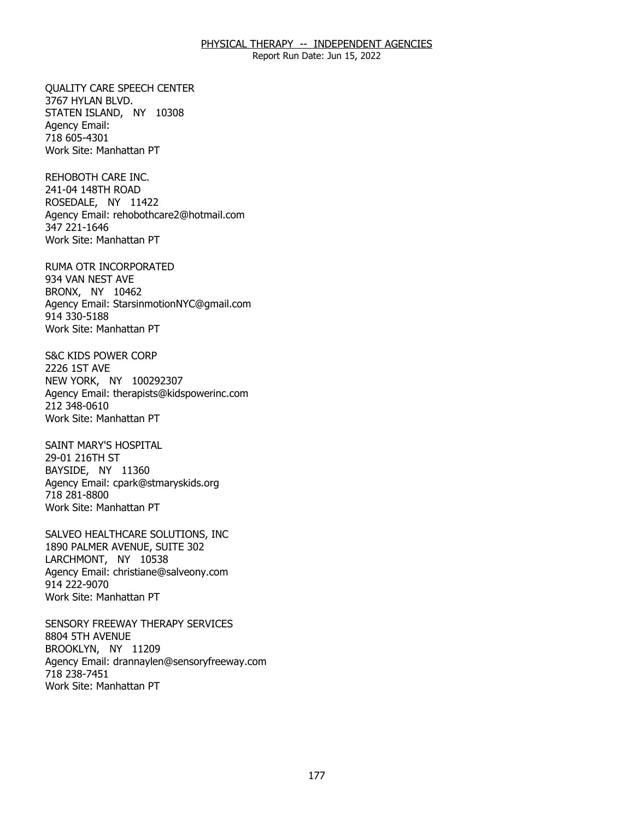Report Run Date: Jun 15, 2022

**OUALITY CARE SPEECH CENTER** 3767 HYLAN BLVD. QUALITY CARE SPEECH CENTER<br>3767 HYLAN BLVD.<br>STATEN ISLAND, NY 10308 Agency Email: 718 605-4301 Work Site: Manhattan PT

REHOBOTH CARE INC. 241-04 148TH ROAD REHOBOTH CARE INC.<br>241-04 148TH ROAD<br>ROSEDALE, NY 11422 Agency Email: [rehobothcare2@hotmail.com](mailto:rehobothcare2@hotmail.com) 347 221-1646 Work Site: Manhattan PT

RUMA OTR INCORPORATED<br>934 VAN NEST AVE<br>BRONX, NY 10462 934 VAN NEST AVE BRONX, NY 10462 Agency Email: [StarsinmotionNYC@gmail.com](mailto:StarsinmotionNYC@gmail.com)  914 330-5188 Work Site: Manhattan PT

S&C KIDS POWER CORP 2226 1ST AVE S&C KIDS POWER CORP<br>2226 1ST AVE<br>NEW YORK, NY 100292307 Agency Email: [therapists@kidspowerinc.com](mailto:therapists@kidspowerinc.com) 212 348-0610 Work Site: Manhattan PT

SAINT MARY'S HOSPITAL 29-01 216TH ST SAINT MARY'S HOSPITAL<br>29-01 216TH ST<br>BAYSIDE, NY 11360 Agency Email: [cpark@stmaryskids.org](mailto:cpark@stmaryskids.org)  718 281-8800 Work Site: Manhattan PT

SALVEO HEALTHCARE SOLUTIONS, INC LARCHMONT, NY 10538 SALVEO HEALTHCARE SOLUTIONS, INC<br>1890 PALMER AVENUE, SUITE 302<br>LARCHMONT, NY 10538 Agency Email: [christiane@salveony.com](mailto:christiane@salveony.com) 914 222-9070 Work Site: Manhattan PT

SENSORY FREEWAY THERAPY SERVICES<br>8804 5TH AVENUE<br>BROOKLYN, NY 11209 8804 5TH AVENUE BROOKLYN, NY 11209 Agency Email: [drannaylen@sensoryfreeway.com](mailto:drannaylen@sensoryfreeway.com)  718 238-7451 Work Site: Manhattan PT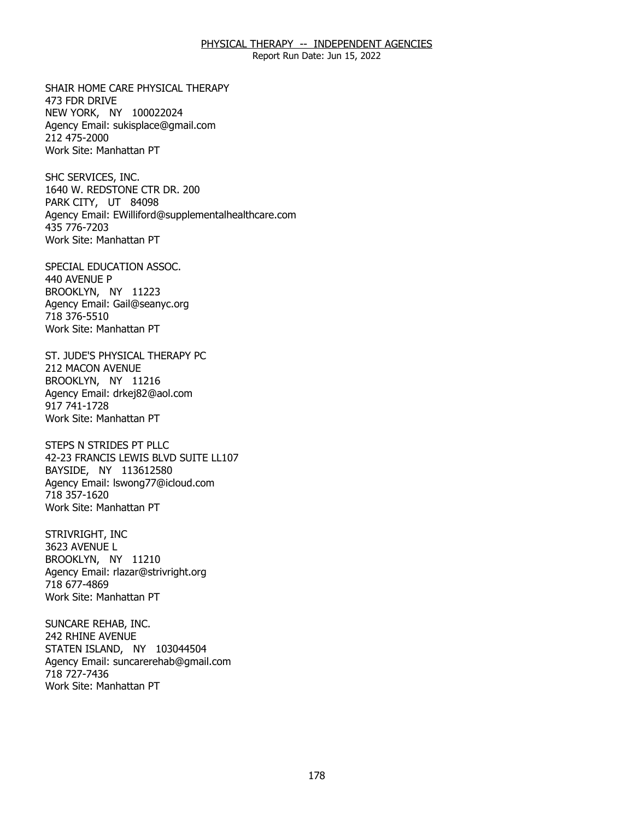Report Run Date: Jun 15, 2022

SHAIR HOME CARE PHYSICAL THERAPY 473 FDR DRIVE SHAIR HOME CARE PHYSICAL THERAPY<br>473 FDR DRIVE<br>NEW YORK, NY 100022024 Agency Email: [sukisplace@gmail.com](mailto:sukisplace@gmail.com) 212 475-2000 Work Site: Manhattan PT

SHC SERVICES, INC. PARK CITY, UT 84098 SHC SERVICES, INC.<br>1640 W. REDSTONE CTR DR. 200<br>PARK CITY, UT 84098 Agency Email: [EWilliford@supplementalhealthcare.com](mailto:EWilliford@supplementalhealthcare.com) 435 776-7203 Work Site: Manhattan PT

SPECIAL EDUCATION ASSOC. 440 AVENUE P SPECIAL EDUCATION ASSOC.<br>440 AVENUE P<br>BROOKLYN, NY 11223 Agency Email: [Gail@seanyc.org](mailto:Gail@seanyc.org)  718 376-5510 Work Site: Manhattan PT

ST. JUDE'S PHYSICAL THERAPY PC<br>212 MACON AVENUE<br>BROOKLYN, NY 11216 **212 MACON AVENUE** BROOKLYN, NY 11216 Agency Email: [drkej82@aol.com](mailto:drkej82@aol.com)  917 741-1728 Work Site: Manhattan PT

 STEPS N STRIDES PT PLLC 42-23 FRANCIS LEWIS BLVD SUITE LL107<br>BAYSIDE, NY 113612580 BAYSIDE, NY 113612580 Agency Email: [lswong77@icloud.com](mailto:lswong77@icloud.com) 718 357-1620 Work Site: Manhattan PT

STRIVRIGHT, INC 3623 AVENUE L STRIVRIGHT, INC<br>3623 AVENUE L<br>BROOKLYN, NY 11210 Agency Email: [rlazar@strivright.org](mailto:rlazar@strivright.org) 718 677-4869 Work Site: Manhattan PT

SUNCARE REHAB, INC. 242 RHINE AVENUE SUNCARE REHAB, INC.<br>242 RHINE AVENUE<br>STATEN ISLAND, NY 103044504 Agency Email: [suncarerehab@gmail.com](mailto:suncarerehab@gmail.com) 718 727-7436 Work Site: Manhattan PT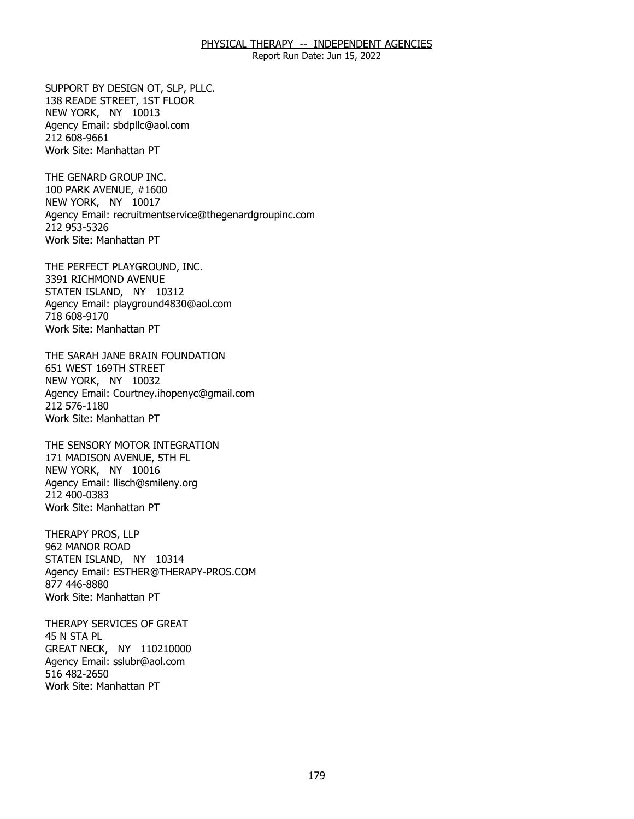Report Run Date: Jun 15, 2022

SUPPORT BY DESIGN OT, SLP, PLLC.<br>138 READE STREET, 1ST FLOOR<br>NEW YORK, NY 10013 138 READE STREET, 1ST FLOOR NEW YORK, NY 10013 Agency Email: [sbdpllc@aol.com](mailto:sbdpllc@aol.com) 212 608-9661 Work Site: Manhattan PT

THE GENARD GROUP INC. NEW YORK, NY 10017 THE GENARD GROUP INC.<br>100 PARK AVENUE, #1600<br>NEW YORK, NY 10017 Agency Email: [recruitmentservice@thegenardgroupinc.com](mailto:recruitmentservice@thegenardgroupinc.com) 212 953-5326 Work Site: Manhattan PT

THE PERFECT PLAYGROUND, INC.<br>3391 RICHMOND AVENUE<br>STATEN ISLAND, NY 10312 3391 RICHMOND AVENUE STATEN ISLAND, NY 10312 Agency Email: [playground4830@aol.com](mailto:playground4830@aol.com) 718 608-9170 Work Site: Manhattan PT

THE SARAH JANE BRAIN FOUNDATION<br>651 WEST 169TH STREET<br>NEW YORK, NY 10032 651 WEST 169TH STREET NEW YORK, NY 10032 Agency Email: [Courtney.ihopenyc@gmail.com](mailto:Courtney.ihopenyc@gmail.com)  212 576-1180 Work Site: Manhattan PT

THE SENSORY MOTOR INTEGRATION NEW YORK, NY 10016 THE SENSORY MOTOR INTEGRATION<br>171 MADISON AVENUE, 5TH FL<br>NEW YORK, NY 10016 Agency Email: [llisch@smileny.org](mailto:llisch@smileny.org)  212 400-0383 Work Site: Manhattan PT

THERAPY PROS, LLP 962 MANOR ROAD THERAPY PROS, LLP<br>962 MANOR ROAD<br>STATEN ISLAND, NY 10314 Agency Email: [ESTHER@THERAPY-PROS.COM](mailto:ESTHER@THERAPY-PROS.COM)  877 446-8880 Work Site: Manhattan PT

THERAPY SERVICES OF GREAT 45 N STA PL THERAPY SERVICES OF GREAT<br>45 N STA PL<br>GREAT NECK, NY 110210000 Agency Email: [sslubr@aol.com](mailto:sslubr@aol.com)  516 482-2650 Work Site: Manhattan PT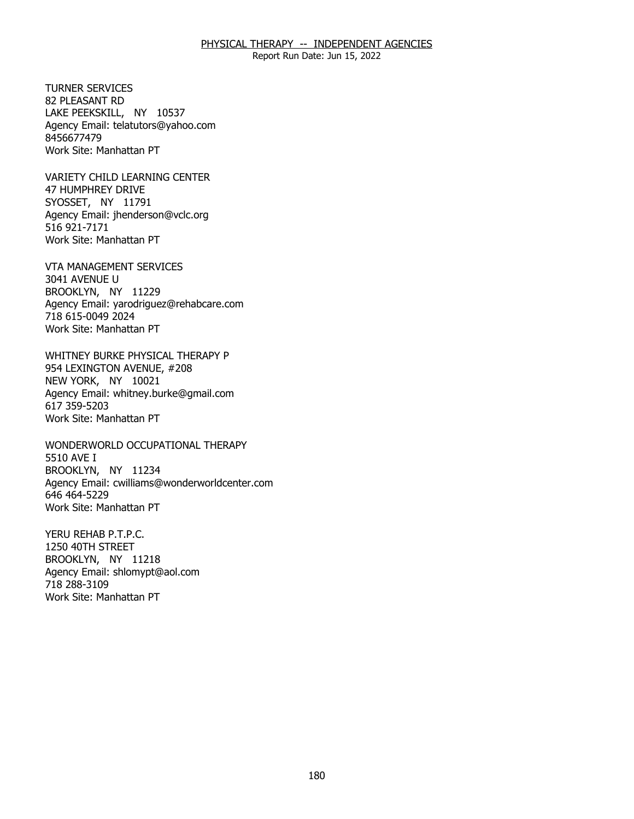Report Run Date: Jun 15, 2022

**TURNER SERVICES** 82 PLEASANT RD TURNER SERVICES<br>82 PLEASANT RD<br>LAKE PEEKSKILL, NY 10537 Agency Email: [telatutors@yahoo.com](mailto:telatutors@yahoo.com) 8456677479 Work Site: Manhattan PT

VARIETY CHILD LEARNING CENTER<br>47 HUMPHREY DRIVE<br>SYOSSET, NY 11791 47 HUMPHREY DRIVE SYOSSET, NY 11791 Agency Email: [jhenderson@vclc.org](mailto:jhenderson@vclc.org)  516 921-7171 Work Site: Manhattan PT

VTA MANAGEMENT SERVICES<br>3041 AVENUE U<br>BROOKLYN, NY 11229 3041 AVENUE U BROOKLYN, NY 11229 Agency Email: [yarodriguez@rehabcare.com](mailto:yarodriguez@rehabcare.com) 718 615-0049 2024 Work Site: Manhattan PT

WHITNEY BURKE PHYSICAL THERAPY P<br>954 LEXINGTON AVENUE, #208<br>NEW YORK, NY 10021 954 LEXINGTON AVENUE, #208 NEW YORK, NY 10021 Agency Email: [whitney.burke@gmail.com](mailto:whitney.burke@gmail.com) 617 359-5203 Work Site: Manhattan PT

WONDERWORLD OCCUPATIONAL THERAPY<br>5510 AVE I<br>BROOKLYN, NY 11234 5510 AVE I BROOKLYN, NY 11234 Agency Email: [cwilliams@wonderworldcenter.com](mailto:cwilliams@wonderworldcenter.com)  646 464-5229 Work Site: Manhattan PT

YERU REHAB P.T.P.C. 1250 40TH STREET YERU REHAB P.T.P.C.<br>1250 40TH STREET<br>BROOKLYN, NY 11218 Agency Email: [shlomypt@aol.com](mailto:shlomypt@aol.com)  718 288-3109 Work Site: Manhattan PT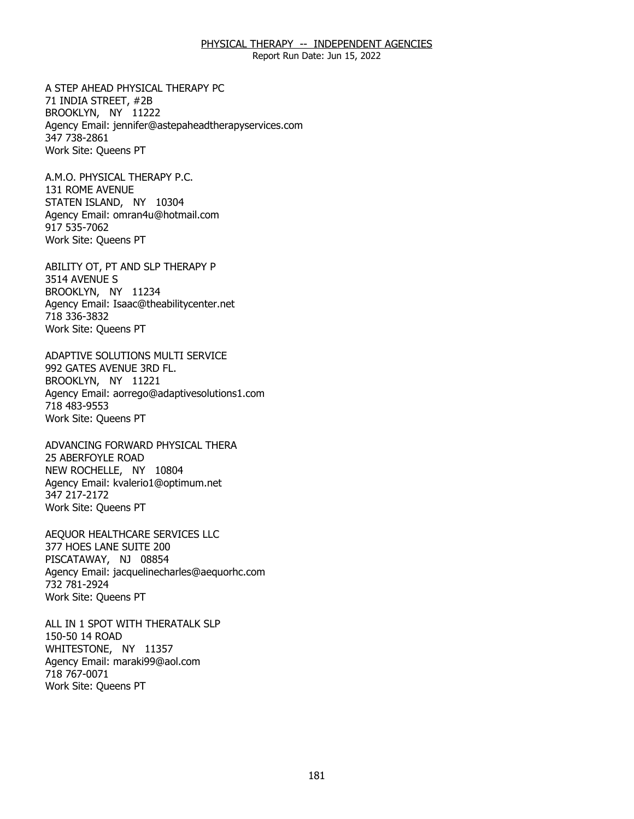Report Run Date: Jun 15, 2022

A STEP AHEAD PHYSICAL THERAPY PC<br>71 INDIA STREET, #2B<br>BROOKLYN, NY 11222 71 INDIA STREET, #2B BROOKLYN, NY 11222 Agency Email: [jennifer@astepaheadtherapyservices.com](mailto:jennifer@astepaheadtherapyservices.com)  347 738-2861 Work Site: Queens PT

A.M.O. PHYSICAL THERAPY P.C. 131 ROME AVENUE A.M.O. PHYSICAL THERAPY P.C.<br>131 ROME AVENUE<br>STATEN ISLAND, NY 10304 Agency Email: [omran4u@hotmail.com](mailto:omran4u@hotmail.com)  917 535-7062 Work Site: Queens PT

ABILITY OT, PT AND SLP THERAPY P<br>3514 AVENUE S<br>BROOKLYN, NY 11234 3514 AVENUE S BROOKLYN, NY 11234 Agency Email: [Isaac@theabilitycenter.net](mailto:Isaac@theabilitycenter.net)  718 336-3832 Work Site: Queens PT

 ADAPTIVE SOLUTIONS MULTI SERVICE 992 GATES AVENUE 3RD FL. 992 GATES AVENUE 3RD FL.<br>BROOKLYN, NY 11221 Agency Email: [aorrego@adaptivesolutions1.com](mailto:aorrego@adaptivesolutions1.com)  718 483-9553 Work Site: Queens PT

ADVANCING FORWARD PHYSICAL THERA<br>25 ABERFOYLE ROAD<br>NEW ROCHELLE, NY 10804 **25 ABERFOYLE ROAD** NEW ROCHELLE, NY 10804 Agency Email: [kvalerio1@optimum.net](mailto:kvalerio1@optimum.net) 347 217-2172 Work Site: Queens PT

AEQUOR HEALTHCARE SERVICES LLC<br>377 HOES LANE SUITE 200<br>PISCATAWAY, NJ 08854 377 HOES LANE SUITE 200 PISCATAWAY, NJ 08854 Agency Email: [jacquelinecharles@aequorhc.com](mailto:jacquelinecharles@aequorhc.com) 732 781-2924 Work Site: Queens PT

ALL IN 1 SPOT WITH THERATALK SLP<br>150-50 14 ROAD<br>WHITESTONE, NY 11357 150-50 14 ROAD WHITESTONE, NY 11357 Agency Email: [maraki99@aol.com](mailto:maraki99@aol.com)  718 767-0071 Work Site: Queens PT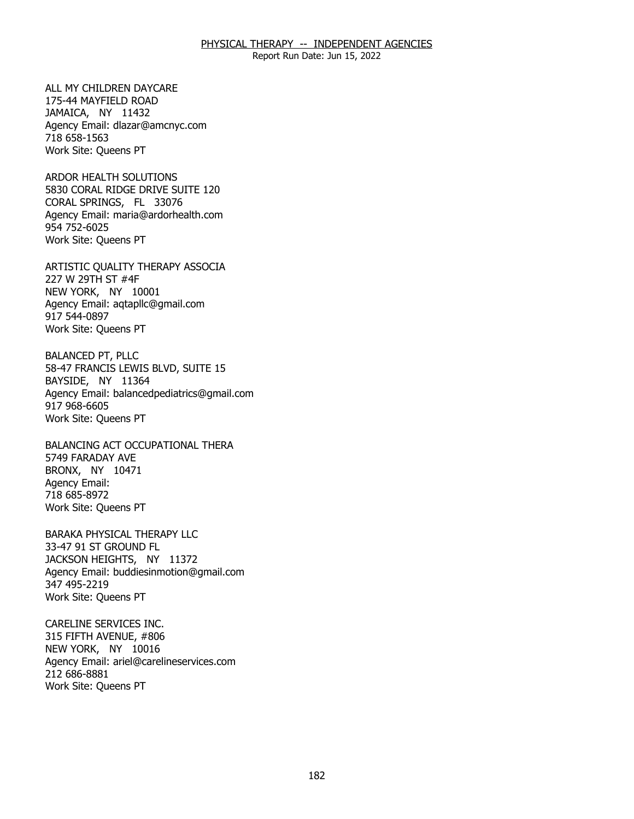Report Run Date: Jun 15, 2022

ALL MY CHILDREN DAYCARE 175-44 MAYFIELD ROAD ALL MY CHILDREN DAYCARE<br>175-44 MAYFIELD ROAD<br>JAMAICA, NY 11432 Agency Email: [dlazar@amcnyc.com](mailto:dlazar@amcnyc.com)  718 658-1563 Work Site: Queens PT

ARDOR HEALTH SOLUTIONS CORAL SPRINGS, FL 33076 ARDOR HEALTH SOLUTIONS<br>5830 CORAL RIDGE DRIVE SUITE 120<br>CORAL SPRINGS, FL 33076 Agency Email: [maria@ardorhealth.com](mailto:maria@ardorhealth.com) 954 752-6025 Work Site: Queens PT

ARTISTIC QUALITY THERAPY ASSOCIA<br>227 W 29TH ST #4F<br>NEW YORK, NY 10001 227 W 29TH ST #4F NEW YORK, NY 10001 Agency Email: [aqtapllc@gmail.com](mailto:aqtapllc@gmail.com)  917 544-0897 Work Site: Queens PT

**BALANCED PT, PLLC** BAYSIDE, NY 11364 BALANCED PT, PLLC<br>58-47 FRANCIS LEWIS BLVD, SUITE 15<br>BAYSIDE, NY 11364 Agency Email: [balancedpediatrics@gmail.com](mailto:balancedpediatrics@gmail.com) 917 968-6605 Work Site: Queens PT

BALANCING ACT OCCUPATIONAL THERA<br>5749 FARADAY AVE<br>BRONX, NY 10471 5749 FARADAY AVE BRONX, NY 10471 Agency Email: 718 685-8972 Work Site: Queens PT

BARAKA PHYSICAL THERAPY LLC<br>33-47 91 ST GROUND FL<br>JACKSON HEIGHTS, NY 11372 33-47 91 ST GROUND FL JACKSON HEIGHTS, NY 11372 Agency Email: [buddiesinmotion@gmail.com](mailto:buddiesinmotion@gmail.com) 347 495-2219 Work Site: Queens PT

CARELINE SERVICES INC. 315 FIFTH AVENUE, #806 CARELINE SERVICES INC.<br>315 FIFTH AVENUE, #806<br>NEW YORK, NY 10016 Agency Email: [ariel@carelineservices.com](mailto:ariel@carelineservices.com)  212 686-8881 Work Site: Queens PT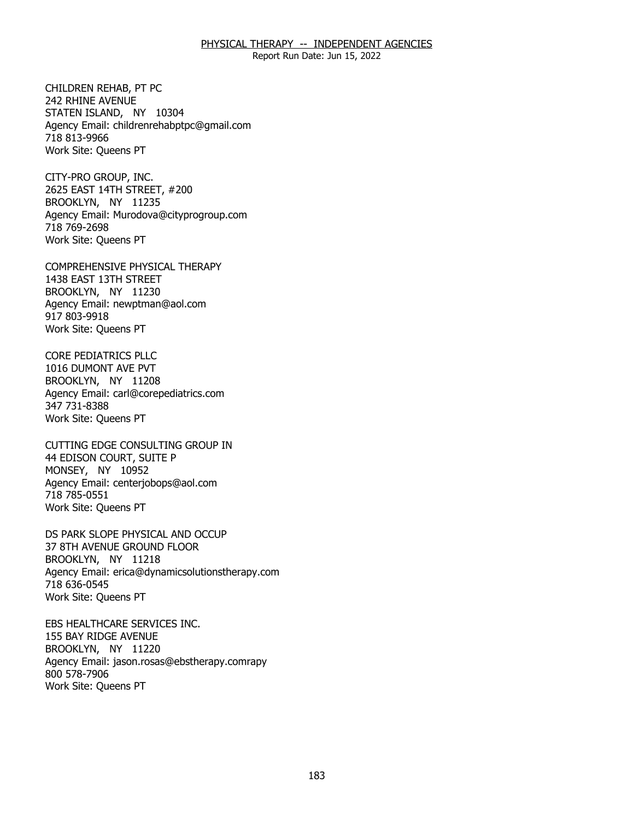Report Run Date: Jun 15, 2022

CHILDREN REHAB. PT PC 242 RHINE AVENUE CHILDREN REHAB, PT PC<br>242 RHINE AVENUE<br>STATEN ISLAND, NY 10304 Agency Email: [childrenrehabptpc@gmail.com](mailto:childrenrehabptpc@gmail.com)  718 813-9966 Work Site: Queens PT

CITY-PRO GROUP, INC. BROOKLYN, NY 11235 CITY-PRO GROUP, INC.<br>2625 EAST 14TH STREET, #200<br>BROOKLYN, NY 11235 Agency Email: [Murodova@cityprogroup.com](mailto:Murodova@cityprogroup.com)  718 769-2698 Work Site: Queens PT

COMPREHENSIVE PHYSICAL THERAPY<br>1438 EAST 13TH STREET<br>BROOKLYN, NY 11230 1438 EAST 13TH STREET BROOKLYN, NY 11230 Agency Email: [newptman@aol.com](mailto:newptman@aol.com) 917 803-9918 Work Site: Queens PT

CORE PEDIATRICS PLLC 1016 DUMONT AVE PVT CORE PEDIATRICS PLLC<br>1016 DUMONT AVE PVT<br>BROOKLYN, NY 11208 Agency Email: [carl@corepediatrics.com](mailto:carl@corepediatrics.com)  347 731-8388 Work Site: Queens PT

CUTTING EDGE CONSULTING GROUP IN<br>44 EDISON COURT, SUITE P<br>MONSEY, NY 10952 44 EDISON COURT, SUITE P MONSEY, NY 10952 Agency Email: [centerjobops@aol.com](mailto:centerjobops@aol.com)  718 785-0551 Work Site: Queens PT

DS PARK SLOPE PHYSICAL AND OCCUP<br>37 8TH AVENUE GROUND FLOOR<br>BROOKLYN, NY 11218 37 8TH AVENUE GROUND FLOOR BROOKLYN, NY 11218 Agency Email: [erica@dynamicsolutionstherapy.com](mailto:erica@dynamicsolutionstherapy.com)  718 636-0545 Work Site: Queens PT

EBS HEALTHCARE SERVICES INC.<br>155 BAY RIDGE AVENUE<br>BROOKLYN, NY 11220 155 BAY RIDGE AVENUE BROOKLYN, NY 11220 Agency Email: jason.rosas@ebstherapy.comrapy 800 578-7906 Work Site: Queens PT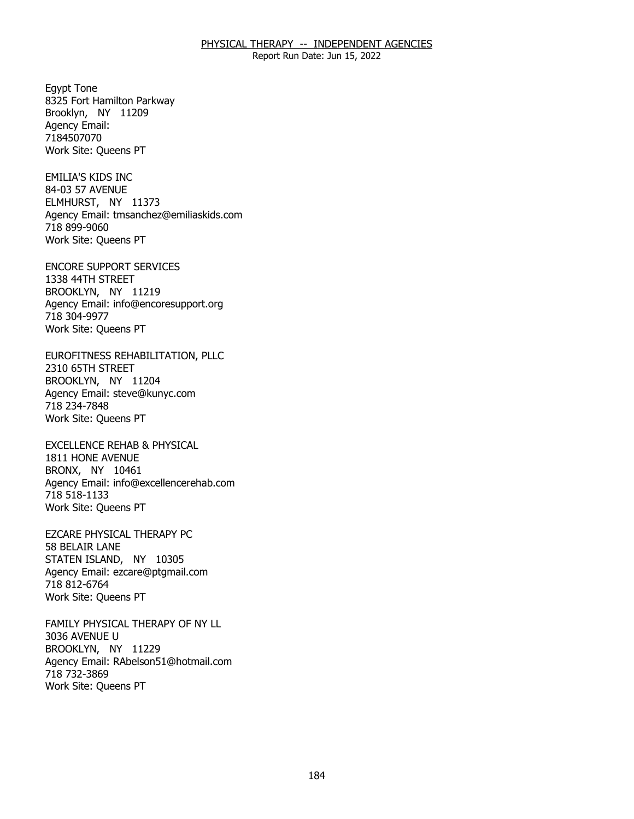Report Run Date: Jun 15, 2022

Eqypt Tone Brooklyn, NY 11209 Egypt Tone<br>8325 Fort Hamilton Parkway<br>Brooklyn, NY 11209 Agency Email: 7184507070 Work Site: Queens PT

**EMILIA'S KIDS INC** 84-03 57 AVENUE EMILIA'S KIDS INC<br>84-03 57 AVENUE<br>ELMHURST, NY 11373 Agency Email: [tmsanchez@emiliaskids.com](mailto:tmsanchez@emiliaskids.com) 718 899-9060 Work Site: Queens PT

ENCORE SUPPORT SERVICES<br>1338 44TH STREET<br>BROOKLYN, NY 11219 1338 44TH STREET BROOKLYN, NY 11219 Agency Email: [info@encoresupport.org](mailto:info@encoresupport.org)  718 304-9977 Work Site: Queens PT

EUROFITNESS REHABILITATION, PLLC<br>2310 65TH STREET<br>BROOKLYN, NY 11204 2310 65TH STREET BROOKLYN, NY 11204 Agency Email: [steve@kunyc.com](mailto:steve@kunyc.com)  718 234-7848 Work Site: Queens PT

EXCELLENCE REHAB & PHYSICAL<br>1811 HONE AVENUE<br>BRONX, NY 10461 1811 HONE AVENUE BRONX, NY 10461 Agency Email: [info@excellencerehab.com](mailto:info@excellencerehab.com)  718 518-1133 Work Site: Queens PT

EZCARE PHYSICAL THERAPY PC 58 BELAIR LANE EZCARE PHYSICAL THERAPY PC<br>58 BELAIR LANE<br>STATEN ISLAND, NY 10305 Agency Email: [ezcare@ptgmail.com](mailto:ezcare@ptgmail.com)  718 812-6764 Work Site: Queens PT

FAMILY PHYSICAL THERAPY OF NY LL<br>3036 AVENUE U<br>BROOKLYN, NY 11229 3036 AVENUE U BROOKLYN, NY 11229 Agency Email: [RAbelson51@hotmail.com](mailto:RAbelson51@hotmail.com) 718 732-3869 Work Site: Queens PT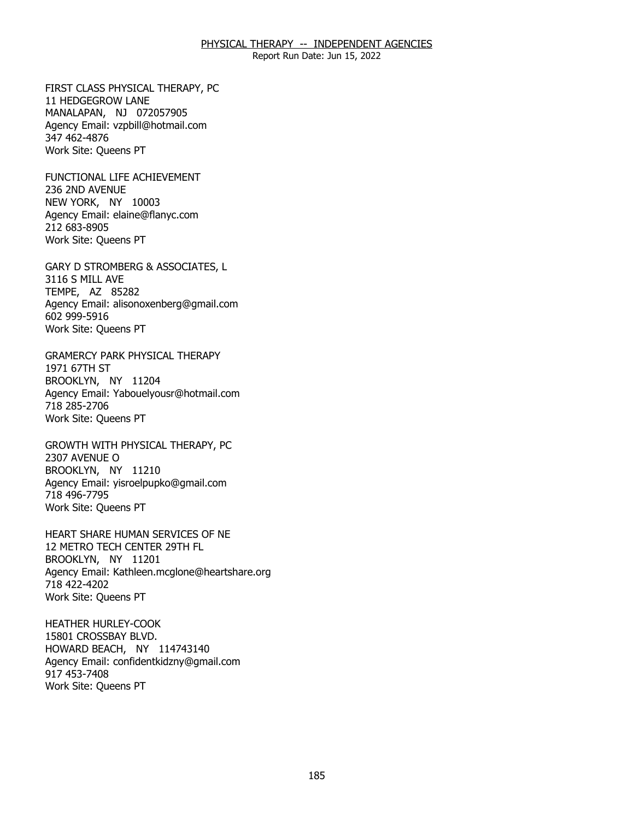Report Run Date: Jun 15, 2022

FIRST CLASS PHYSICAL THERAPY, PC 11 HEDGEGROW LANE FIRST CLASS PHYSICAL THERAPY, PC<br>11 HEDGEGROW LANE<br>MANALAPAN, NJ 072057905 Agency Email: [vzpbill@hotmail.com](mailto:vzpbill@hotmail.com)  347 462-4876 Work Site: Queens PT

FUNCTIONAL LIFE ACHIEVEMENT<br>236 2ND AVENUE<br>NEW YORK, NY 10003 236 2ND AVENUE NEW YORK, NY 10003 Agency Email: [elaine@flanyc.com](mailto:elaine@flanyc.com)  212 683-8905 Work Site: Queens PT

GARY D STROMBERG & ASSOCIATES, L<br>3116 S MILL AVE<br>TEMPE, AZ 85282 3116 S MILL AVE TEMPE, AZ 85282 Agency Email: [alisonoxenberg@gmail.com](mailto:alisonoxenberg@gmail.com) 602 999-5916 Work Site: Queens PT

GRAMERCY PARK PHYSICAL THERAPY<br>1971 67TH ST<br>BROOKLYN, NY 11204 1971 67TH ST BROOKLYN, NY 11204 Agency Email: [Yabouelyousr@hotmail.com](mailto:Yabouelyousr@hotmail.com)  718 285-2706 Work Site: Queens PT

GROWTH WITH PHYSICAL THERAPY, PC<br>2307 AVENUE O<br>BROOKLYN, NY 11210 2307 AVENUE O BROOKLYN, NY 11210 Agency Email: [yisroelpupko@gmail.com](mailto:yisroelpupko@gmail.com) 718 496-7795 Work Site: Queens PT

HEART SHARE HUMAN SERVICES OF NE<br>12 METRO TECH CENTER 29TH FL<br>BROOKLYN, NY 11201 12 METRO TECH CENTER 29TH FL BROOKLYN, NY 11201 Agency Email: [Kathleen.mcglone@heartshare.org](mailto:Kathleen.mcglone@heartshare.org)  718 422-4202 Work Site: Queens PT

**HEATHER HURLEY-COOK** 15801 CROSSBAY BLVD. HEATHER HURLEY-COOK<br>15801 CROSSBAY BLVD.<br>HOWARD BEACH, NY 114743140 Agency Email: [confidentkidzny@gmail.com](mailto:confidentkidzny@gmail.com) 917 453-7408 Work Site: Queens PT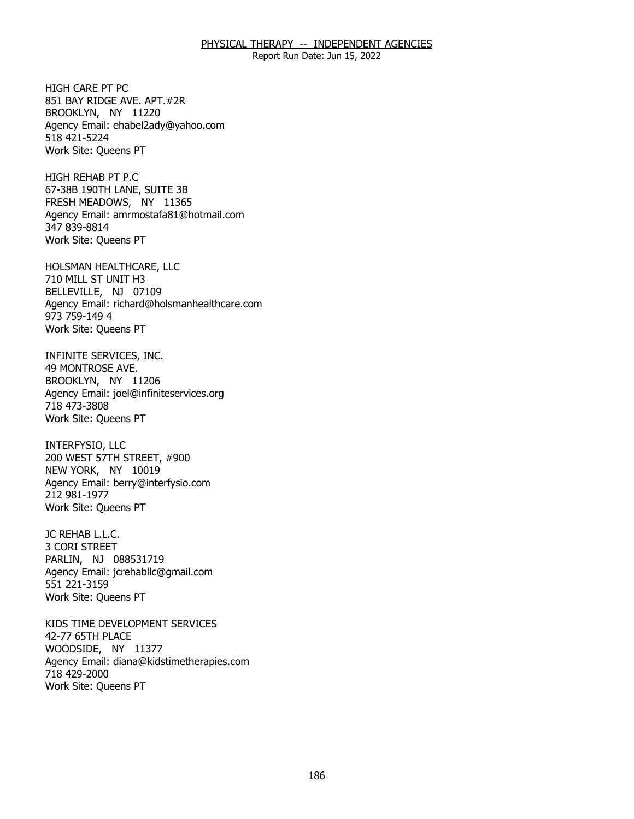Report Run Date: Jun 15, 2022

HIGH CARE PT PC BROOKLYN, NY 11220 HIGH CARE PT PC<br>851 BAY RIDGE AVE. APT.#2R<br>BROOKLYN, NY 11220 Agency Email: [ehabel2ady@yahoo.com](mailto:ehabel2ady@yahoo.com)  518 421-5224 Work Site: Queens PT

HIGH REHAB PT P.C 67-38B 190TH LANE, SUITE 3B HIGH REHAB PT P.C<br>67-38B 190TH LANE, SUITE 3B<br>FRESH MEADOWS, NY 11365 Agency Email: [amrmostafa81@hotmail.com](mailto:amrmostafa81@hotmail.com)  347 839-8814 Work Site: Queens PT

HOLSMAN HEALTHCARE, LLC<br>710 MILL ST UNIT H3<br>BELLEVILLE, NJ 07109 710 MILL ST UNIT H3 BELLEVILLE, NJ 07109 Agency Email: [richard@holsmanhealthcare.com](mailto:richard@holsmanhealthcare.com) 973 759-149 4 Work Site: Queens PT

INFINITE SERVICES, INC. 49 MONTROSE AVE. INFINITE SERVICES, INC.<br>49 MONTROSE AVE.<br>BROOKLYN, NY 11206 Agency Email: [joel@infiniteservices.org](mailto:joel@infiniteservices.org)  718 473-3808 Work Site: Queens PT

INTERFYSIO, LLC NEW YORK, NY 10019 INTERFYSIO, LLC<br>200 WEST 57TH STREET, #900<br>NEW YORK, NY 10019 Agency Email: [berry@interfysio.com](mailto:berry@interfysio.com) 212 981-1977 Work Site: Queens PT

JC REHAB L.L.C. JC REHAB L.L.C.<br>3 CORI STREET PARLIN, NJ 088531719 Agency Email: [jcrehabllc@gmail.com](mailto:jcrehabllc@gmail.com)  551 221-3159 Work Site: Queens PT

KIDS TIME DEVELOPMENT SERVICES<br>42-77 65TH PLACE<br>WOODSIDE, NY 11377 42-77 65TH PLACE WOODSIDE, NY 11377 Agency Email: [diana@kidstimetherapies.com](mailto:diana@kidstimetherapies.com)  718 429-2000 Work Site: Queens PT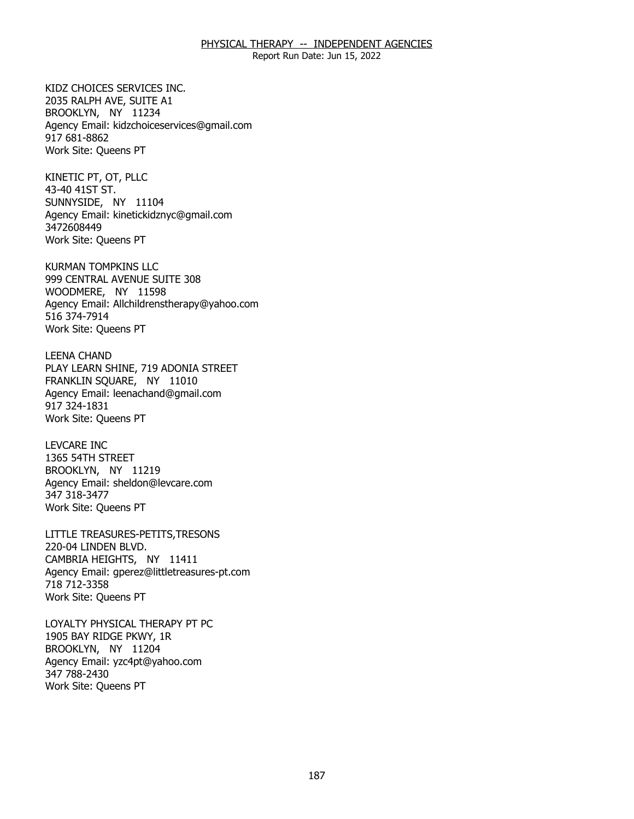Report Run Date: Jun 15, 2022

KIDZ CHOICES SERVICES INC. 2035 RALPH AVE, SUITE A1 KIDZ CHOICES SERVICES INC.<br>2035 RALPH AVE, SUITE A1<br>BROOKLYN, NY 11234 Agency Email: [kidzchoiceservices@gmail.com](mailto:kidzchoiceservices@gmail.com)  917 681-8862 Work Site: Queens PT

KINETIC PT, OT, PLLC 43-40 41ST ST. KINETIC PT, OT, PLLC<br>43-40 41ST ST.<br>SUNNYSIDE, NY 11104 Agency Email: [kinetickidznyc@gmail.com](mailto:kinetickidznyc@gmail.com) 3472608449 Work Site: Queens PT

KURMAN TOMPKINS LLC WOODMERE, NY 11598 KURMAN TOMPKINS LLC<br>999 CENTRAL AVENUE SUITE 308<br>WOODMERE, NY 11598 Agency Email: [Allchildrenstherapy@yahoo.com](mailto:Allchildrenstherapy@yahoo.com)  516 374-7914 Work Site: Queens PT

**LEENA CHAND** FRANKLIN SQUARE, NY 11010 LEENA CHAND<br>PLAY LEARN SHINE, 719 ADONIA STREET<br>FRANKLIN SQUARE, NY 11010 Agency Email: [leenachand@gmail.com](mailto:leenachand@gmail.com)  917 324-1831 Work Site: Queens PT

**LEVCARE INC** 1365 54TH STREET LEVCARE INC<br>1365 54TH STREET<br>BROOKLYN, NY 11219 Agency Email: [sheldon@levcare.com](mailto:sheldon@levcare.com) 347 318-3477 Work Site: Queens PT

LITTLE TREASURES-PETITS,TRESONS<br>220-04 LINDEN BLVD.<br>CAMBRIA HEIGHTS, NY 11411 220-04 LINDEN BLVD. CAMBRIA HEIGHTS. NY 11411 Agency Email: [gperez@littletreasures-pt.com](mailto:gperez@littletreasures-pt.com)  718 712-3358 Work Site: Queens PT

LOYALTY PHYSICAL THERAPY PT PC<br>1905 BAY RIDGE PKWY, 1R<br>BROOKLYN, NY 11204 1905 BAY RIDGE PKWY, 1R BROOKLYN, NY 11204 Agency Email: [yzc4pt@yahoo.com](mailto:yzc4pt@yahoo.com)  347 788-2430 Work Site: Queens PT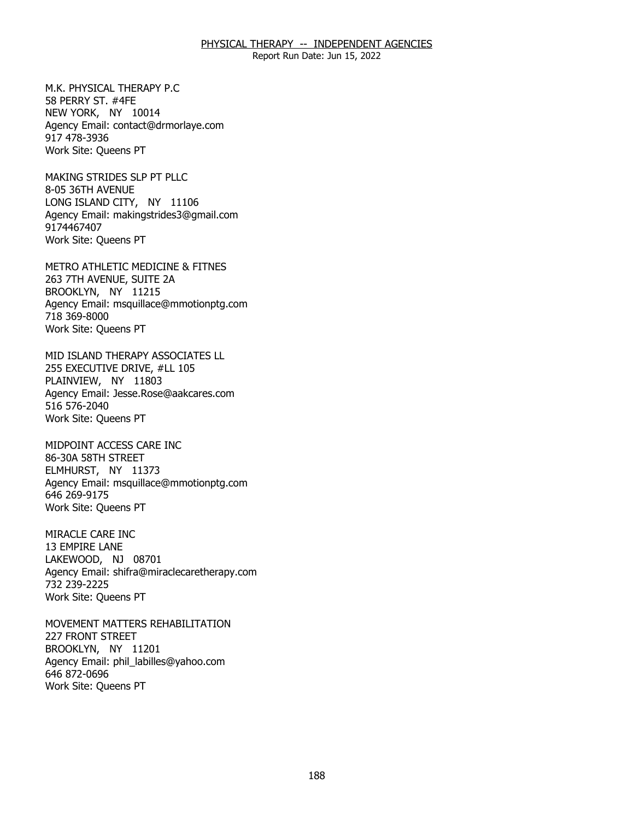Report Run Date: Jun 15, 2022

M.K. PHYSICAL THERAPY P.C. 58 PERRY ST. #4FE M.K. PHYSICAL THERAPY P.C<br>58 PERRY ST. #4FE<br>NEW YORK, NY 10014 Agency Email: [contact@drmorlaye.com](mailto:contact@drmorlaye.com) 917 478-3936 Work Site: Queens PT

MAKING STRIDES SLP PT PLLC 8-05 36TH AVENUE MAKING STRIDES SLP PT PLLC<br>8-05 36TH AVENUE<br>LONG ISLAND CITY, NY 11106 Agency Email: [makingstrides3@gmail.com](mailto:makingstrides3@gmail.com) 9174467407 Work Site: Queens PT

METRO ATHLETIC MEDICINE & FITNES<br>263 7TH AVENUE, SUITE 2A<br>BROOKLYN, NY 11215 263 7TH AVENUE, SUITE 2A BROOKLYN, NY 11215 Agency Email: [msquillace@mmotionptg.com](mailto:msquillace@mmotionptg.com) 718 369-8000 Work Site: Queens PT

MID ISLAND THERAPY ASSOCIATES LL<br>255 EXECUTIVE DRIVE, #LL 105<br>PLAINVIEW, NY 11803 255 EXECUTIVE DRIVE, #LL 105 PLAINVIEW, NY 11803 Agency Email: [Jesse.Rose@aakcares.com](mailto:Jesse.Rose@aakcares.com)  516 576-2040 Work Site: Queens PT

MIDPOINT ACCESS CARE INC 86-30A 58TH STREET MIDPOINT ACCESS CARE INC<br>86-30A 58TH STREET<br>ELMHURST, NY 11373 Agency Email: [msquillace@mmotionptg.com](mailto:msquillace@mmotionptg.com) 646 269-9175 Work Site: Queens PT

MIRACLE CARE INC 13 EMPIRE LANE MIRACLE CARE INC<br>13 EMPIRE LANE<br>LAKEWOOD, NJ 08701 Agency Email: [shifra@miraclecaretherapy.com](mailto:shifra@miraclecaretherapy.com) 732 239-2225 Work Site: Queens PT

MOVEMENT MATTERS REHABILITATION<br>227 FRONT STREET<br>BROOKLYN, NY 11201 **227 FRONT STREET** BROOKLYN, NY 11201 Agency Email: [phil\\_labilles@yahoo.com](mailto:phil_labilles@yahoo.com) 646 872-0696 Work Site: Queens PT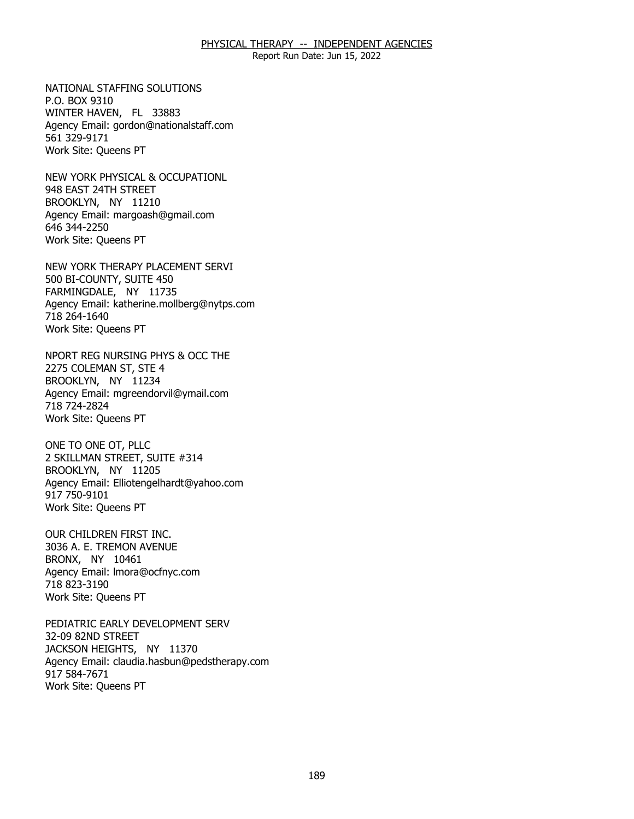Report Run Date: Jun 15, 2022

NATIONAL STAFFING SOLUTIONS P.O. BOX 9310 NATIONAL STAFFING SOLUTIONS<br>P.O. BOX 9310<br>WINTER HAVEN, FL 33883 Agency Email: [gordon@nationalstaff.com](mailto:gordon@nationalstaff.com) 561 329-9171 Work Site: Queens PT

NEW YORK PHYSICAL & OCCUPATIONL<br>948 EAST 24TH STREET<br>BROOKLYN, NY 11210 948 EAST 24TH STREET BROOKLYN, NY 11210 Agency Email: [margoash@gmail.com](mailto:margoash@gmail.com) 646 344-2250 Work Site: Queens PT

NEW YORK THERAPY PLACEMENT SERVI<br>500 BI-COUNTY, SUITE 450<br>FARMINGDALE, NY 11735 500 BI-COUNTY, SUITE 450 FARMINGDALE, NY 11735 Agency Email: [katherine.mollberg@nytps.com](mailto:katherine.mollberg@nytps.com) 718 264-1640 Work Site: Queens PT

NPORT REG NURSING PHYS & OCC THE<br>2275 COLEMAN ST, STE 4<br>BROOKLYN, NY 11234 2275 COLEMAN ST, STE 4 BROOKLYN, NY 11234 Agency Email: [mgreendorvil@ymail.com](mailto:mgreendorvil@ymail.com)  718 724-2824 Work Site: Queens PT

ONE TO ONE OT, PLLC BROOKLYN, NY 11205 ONE TO ONE OT, PLLC<br>2 SKILLMAN STREET, SUITE #314<br>BROOKLYN, NY 11205 Agency Email: [Elliotengelhardt@yahoo.com](mailto:Elliotengelhardt@yahoo.com) 917 750-9101 Work Site: Queens PT

OUR CHILDREN FIRST INC. BRONX, NY 10461 OUR CHILDREN FIRST INC.<br>3036 A. E. TREMON AVENUE<br>BRONX, NY 10461 Agency Email: [lmora@ocfnyc.com](mailto:lmora@ocfnyc.com) 718 823-3190 Work Site: Queens PT

PEDIATRIC EARLY DEVELOPMENT SERV 32-09 82ND STREET PEDIATRIC EARLY DEVELOPMENT SERV<br>32-09 82ND STREET<br>JACKSON HEIGHTS, NY 11370 Agency Email: [claudia.hasbun@pedstherapy.com](mailto:claudia.hasbun@pedstherapy.com) 917 584-7671 Work Site: Queens PT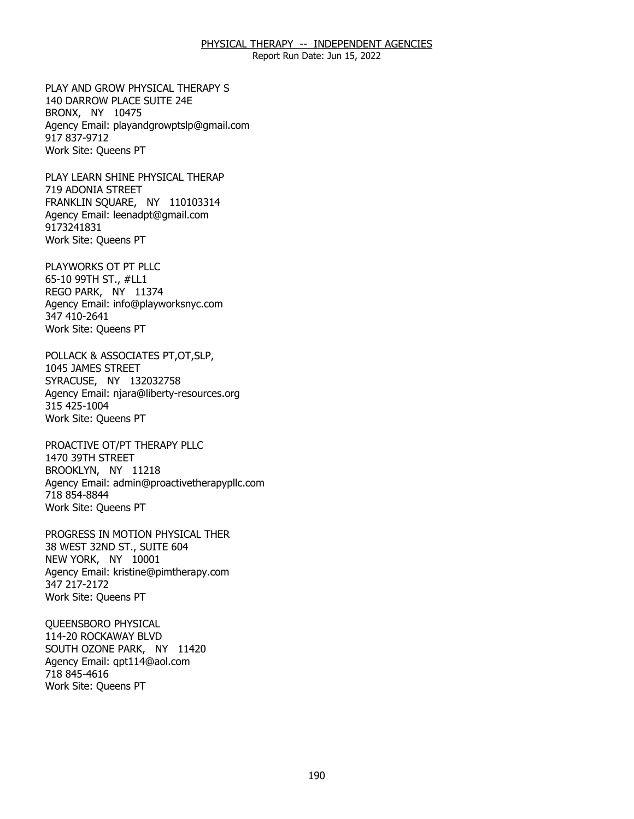Report Run Date: Jun 15, 2022

PLAY AND GROW PHYSICAL THERAPY S<br>140 DARROW PLACE SUITE 24E<br>BRONX, NY 10475 140 DARROW PLACE SUITE 24E BRONX, NY 10475 Agency Email: [playandgrowptslp@gmail.com](mailto:playandgrowptslp@gmail.com) 917 837-9712 Work Site: Queens PT

PLAY LEARN SHINE PHYSICAL THERAP 719 ADONIA STREET PLAY LEARN SHINE PHYSICAL THERAP<br>719 ADONIA STREET<br>FRANKLIN SQUARE, NY 110103314 Agency Email: [leenadpt@gmail.com](mailto:leenadpt@gmail.com)  9173241831 Work Site: Queens PT

PLAYWORKS OT PT PLLC REGO PARK, NY 11374 PLAYWORKS OT PT PLLC<br>65-10 99TH ST., #LL1<br>REGO PARK, NY 11374 Agency Email: [info@playworksnyc.com](mailto:info@playworksnyc.com)  347 410-2641 Work Site: Queens PT

POLLACK & ASSOCIATES PT,OT,SLP,<br>1045 JAMES STREET<br>SYRACUSE, NY 132032758 1045 JAMES STREET SYRACUSE, NY 132032758 Agency Email: [njara@liberty-resources.org](mailto:njara@liberty-resources.org)  315 425-1004 Work Site: Queens PT

PROACTIVE OT/PT THERAPY PLLC<br>1470 39TH STREET<br>BROOKLYN, NY 11218 1470 39TH STREET BROOKLYN, NY 11218 Agency Email: [admin@proactivetherapypllc.com](mailto:admin@proactivetherapypllc.com) 718 854-8844 Work Site: Queens PT

PROGRESS IN MOTION PHYSICAL THER<br>38 WEST 32ND ST., SUITE 604<br>NEW YORK, NY 10001 38 WEST 32ND ST., SUITE 604 NEW YORK, NY 10001 Agency Email: [kristine@pimtherapy.com](mailto:kristine@pimtherapy.com)  347 217-2172 Work Site: Queens PT

QUEENSBORO PHYSICAL 114-20 ROCKAWAY BLVD QUEENSBORO PHYSICAL<br>114-20 ROCKAWAY BLVD<br>SOUTH OZONE PARK, NY 11420 Agency Email: [qpt114@aol.com](mailto:qpt114@aol.com)  718 845-4616 Work Site: Queens PT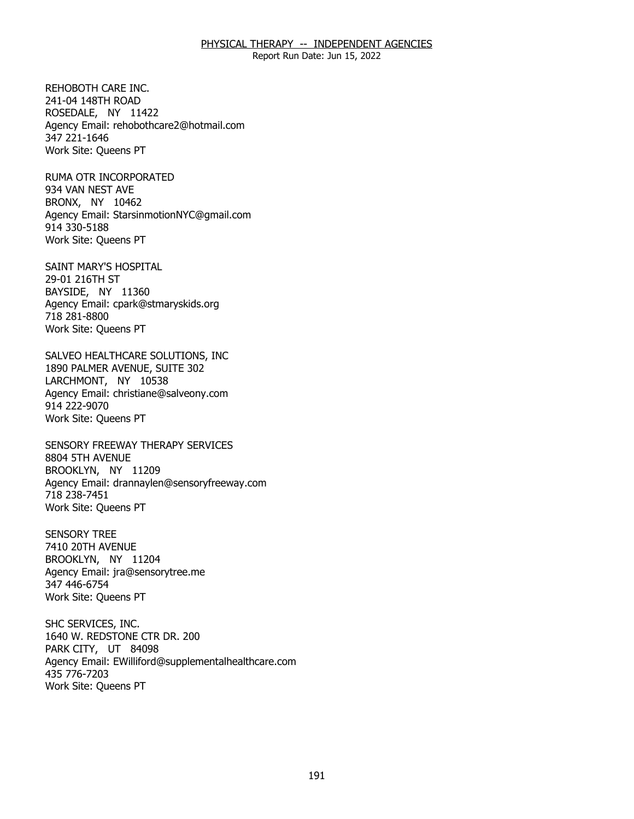Report Run Date: Jun 15, 2022

241-04 148TH ROAD REHOBOTH CARE INC.<br>241-04 148TH ROAD<br>ROSEDALE, NY 11422 Agency Email: [rehobothcare2@hotmail.com](mailto:rehobothcare2@hotmail.com) 347 221-1646 Work Site: Queens PT

RUMA OTR INCORPORATED<br>934 VAN NEST AVE<br>BRONX, NY 10462 934 VAN NEST AVE BRONX, NY 10462 Agency Email: [StarsinmotionNYC@gmail.com](mailto:StarsinmotionNYC@gmail.com)  914 330-5188 Work Site: Queens PT

SAINT MARY'S HOSPITAL<br>29-01 216TH ST<br>BAYSIDE, NY 11360 29-01 216TH ST BAYSIDE, NY 11360 Agency Email: [cpark@stmaryskids.org](mailto:cpark@stmaryskids.org)  718 281-8800 Work Site: Queens PT

SALVEO HEALTHCARE SOLUTIONS, INC<br>1890 PALMER AVENUE, SUITE 302<br>LARCHMONT, NY 10538 1890 PALMER AVENUE, SUITE 302 LARCHMONT, NY 10538 Agency Email: [christiane@salveony.com](mailto:christiane@salveony.com) 914 222-9070 Work Site: Queens PT

SENSORY FREEWAY THERAPY SERVICES<br>8804 5TH AVENUE<br>BROOKLYN, NY 11209 8804 5TH AVENUE BROOKLYN, NY 11209 Agency Email: [drannaylen@sensoryfreeway.com](mailto:drannaylen@sensoryfreeway.com)  718 238-7451 Work Site: Queens PT

**SENSORY TREE** 7410 20TH AVENUE SENSORY TREE<br>7410 20TH AVENUE<br>BROOKLYN, NY 11204 Agency Email: [jra@sensorytree.me](mailto:jra@sensorytree.me) 347 446-6754 Work Site: Queens PT

SHC SERVICES, INC. PARK CITY, UT 84098 SHC SERVICES, INC.<br>1640 W. REDSTONE CTR DR. 200<br>PARK CITY, UT 84098 Agency Email: [EWilliford@supplementalhealthcare.com](mailto:EWilliford@supplementalhealthcare.com) 435 776-7203 Work Site: Queens PT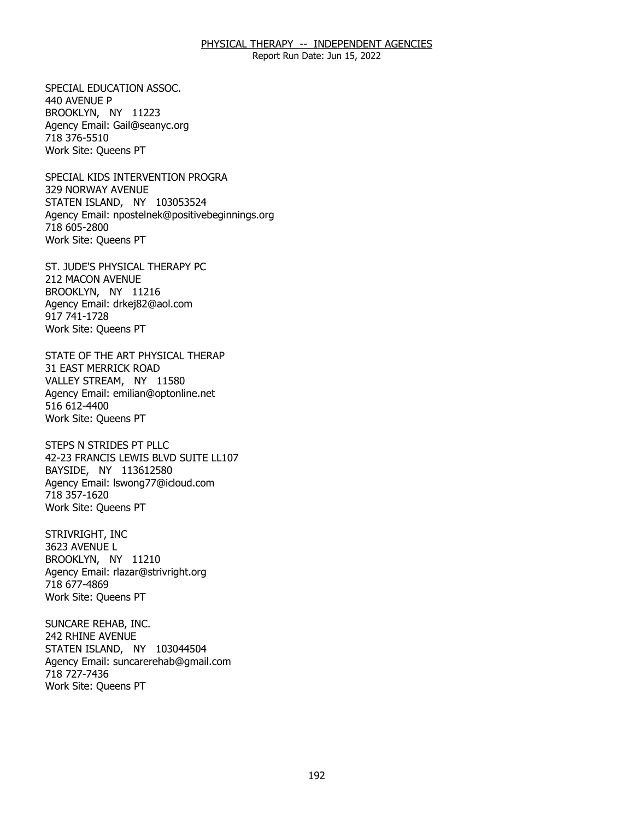Report Run Date: Jun 15, 2022

SPECIAL EDUCATION ASSOC. 440 AVENUE P SPECIAL EDUCATION ASSOC.<br>440 AVENUE P<br>BROOKLYN, NY 11223 Agency Email: [Gail@seanyc.org](mailto:Gail@seanyc.org)  718 376-5510 Work Site: Queens PT

SPECIAL KIDS INTERVENTION PROGRA 329 NORWAY AVENUE SPECIAL KIDS INTERVENTION PROGRA<br>329 NORWAY AVENUE<br>STATEN ISLAND, NY 103053524 Agency Email: [npostelnek@positivebeginnings.org](mailto:npostelnek@positivebeginnings.org)  718 605-2800 Work Site: Queens PT

ST. JUDE'S PHYSICAL THERAPY PC<br>212 MACON AVENUE<br>BROOKLYN, NY 11216 212 MACON AVENUE BROOKLYN, NY 11216 Agency Email: [drkej82@aol.com](mailto:drkej82@aol.com)  917 741-1728 Work Site: Queens PT

STATE OF THE ART PHYSICAL THERAP<br>31 EAST MERRICK ROAD<br>VALLEY STREAM, NY 11580 **31 EAST MERRICK ROAD** VALLEY STREAM, NY 11580 Agency Email: [emilian@optonline.net](mailto:emilian@optonline.net)  516 612-4400 Work Site: Queens PT

 STEPS N STRIDES PT PLLC 42-23 FRANCIS LEWIS BLVD SUITE LL107<br>BAYSIDE, NY 113612580 BAYSIDE, NY 113612580 Agency Email: [lswong77@icloud.com](mailto:lswong77@icloud.com) 718 357-1620 Work Site: Queens PT

STRIVRIGHT, INC 3623 AVENUE L STRIVRIGHT, INC<br>3623 AVENUE L<br>BROOKLYN, NY 11210 Agency Email: [rlazar@strivright.org](mailto:rlazar@strivright.org) 718 677-4869 Work Site: Queens PT

SUNCARE REHAB, INC. 242 RHINE AVENUE SUNCARE REHAB, INC.<br>242 RHINE AVENUE<br>STATEN ISLAND, NY 103044504 Agency Email: [suncarerehab@gmail.com](mailto:suncarerehab@gmail.com) 718 727-7436 Work Site: Queens PT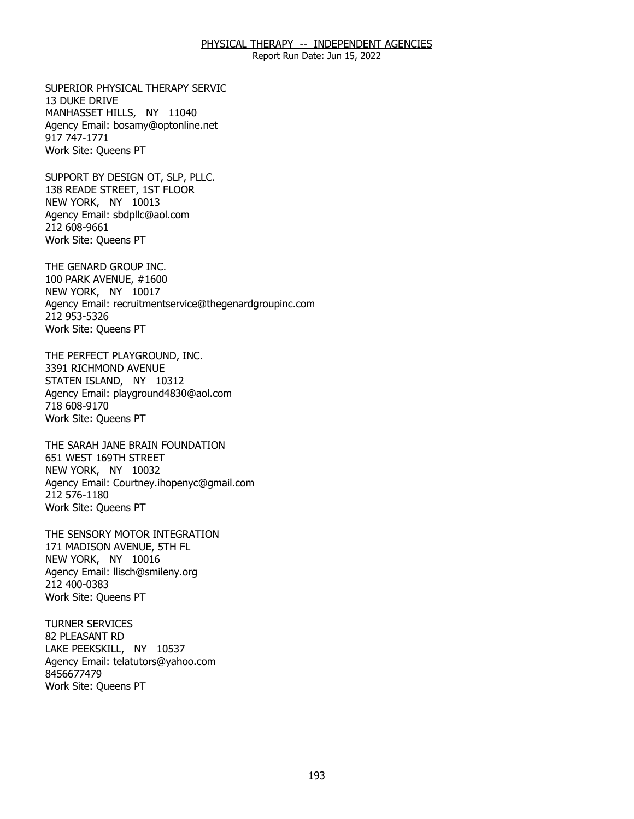Report Run Date: Jun 15, 2022

SUPERIOR PHYSICAL THERAPY SERVIC 13 DUKE DRIVE SUPERIOR PHYSICAL THERAPY SERVIC<br>13 DUKE DRIVE<br>MANHASSET HILLS, NY 11040 Agency Email: [bosamy@optonline.net](mailto:bosamy@optonline.net) 917 747-1771 Work Site: Queens PT

SUPPORT BY DESIGN OT, SLP, PLLC. NEW YORK, NY 10013 SUPPORT BY DESIGN OT, SLP, PLLC.<br>138 READE STREET, 1ST FLOOR<br>NEW YORK, NY 10013 Agency Email: [sbdpllc@aol.com](mailto:sbdpllc@aol.com) 212 608-9661 Work Site: Queens PT

THE GENARD GROUP INC. NEW YORK, NY 10017 THE GENARD GROUP INC.<br>100 PARK AVENUE, #1600<br>NEW YORK, NY 10017 Agency Email: [recruitmentservice@thegenardgroupinc.com](mailto:recruitmentservice@thegenardgroupinc.com) 212 953-5326 Work Site: Queens PT

THE PERFECT PLAYGROUND, INC. 3391 RICHMOND AVENUE THE PERFECT PLAYGROUND, INC.<br>3391 RICHMOND AVENUE<br>STATEN ISLAND, NY 10312 Agency Email: [playground4830@aol.com](mailto:playground4830@aol.com) 718 608-9170 Work Site: Queens PT

THE SARAH JANE BRAIN FOUNDATION<br>651 WEST 169TH STREET<br>NEW YORK, NY 10032 651 WEST 169TH STREET NEW YORK, NY 10032 Agency Email: [Courtney.ihopenyc@gmail.com](mailto:Courtney.ihopenyc@gmail.com)  212 576-1180 Work Site: Queens PT

THE SENSORY MOTOR INTEGRATION<br>171 MADISON AVENUE, 5TH FL<br>NEW YORK, NY 10016 171 MADISON AVENUE, 5TH FL NEW YORK, NY 10016 Agency Email: [llisch@smileny.org](mailto:llisch@smileny.org)  212 400-0383 Work Site: Queens PT

**TURNER SERVICES** 82 PLEASANT RD TURNER SERVICES<br>82 PLEASANT RD<br>LAKE PEEKSKILL, NY 10537 Agency Email: [telatutors@yahoo.com](mailto:telatutors@yahoo.com) 8456677479 Work Site: Queens PT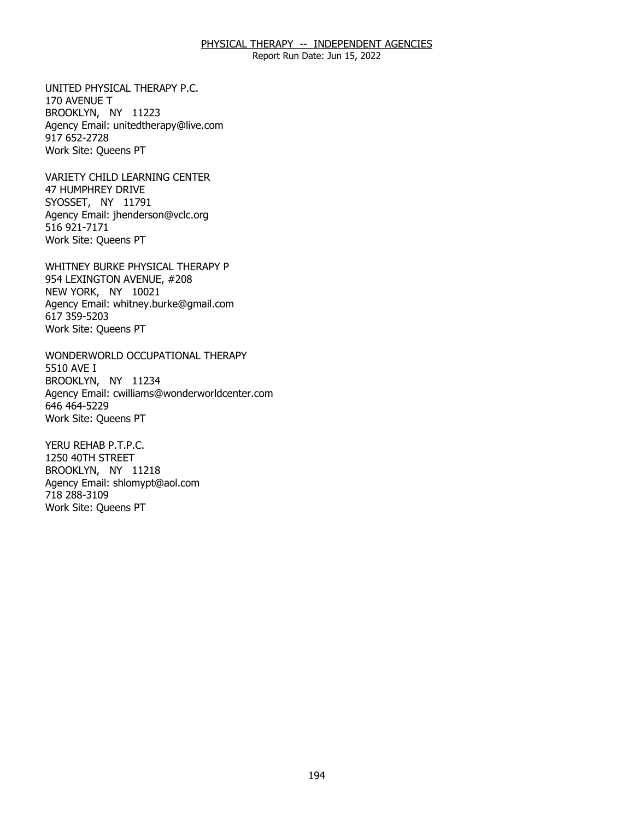Report Run Date: Jun 15, 2022

UNITED PHYSICAL THERAPY P.C. 170 AVENUE T UNITED PHYSICAL THERAPY P.C.<br>170 AVENUE T<br>BROOKLYN, NY 11223 Agency Email: [unitedtherapy@live.com](mailto:unitedtherapy@live.com)  917 652-2728 Work Site: Queens PT

VARIETY CHILD LEARNING CENTER<br>47 HUMPHREY DRIVE<br>SYOSSET, NY 11791 47 HUMPHREY DRIVE SYOSSET, NY 11791 Agency Email: [jhenderson@vclc.org](mailto:jhenderson@vclc.org)  516 921-7171 Work Site: Queens PT

WHITNEY BURKE PHYSICAL THERAPY P<br>954 LEXINGTON AVENUE, #208<br>NEW YORK, NY 10021 954 LEXINGTON AVENUE, #208 NEW YORK, NY 10021 Agency Email: [whitney.burke@gmail.com](mailto:whitney.burke@gmail.com) 617 359-5203 Work Site: Queens PT

WONDERWORLD OCCUPATIONAL THERAPY<br>5510 AVE I<br>BROOKLYN, NY 11234 5510 AVE I BROOKLYN, NY 11234 Agency Email: [cwilliams@wonderworldcenter.com](mailto:cwilliams@wonderworldcenter.com)  646 464-5229 Work Site: Queens PT

YERU REHAB P.T.P.C. 1250 40TH STREET YERU REHAB P.T.P.C.<br>1250 40TH STREET<br>BROOKLYN, NY 11218 Agency Email: [shlomypt@aol.com](mailto:shlomypt@aol.com)  718 288-3109 Work Site: Queens PT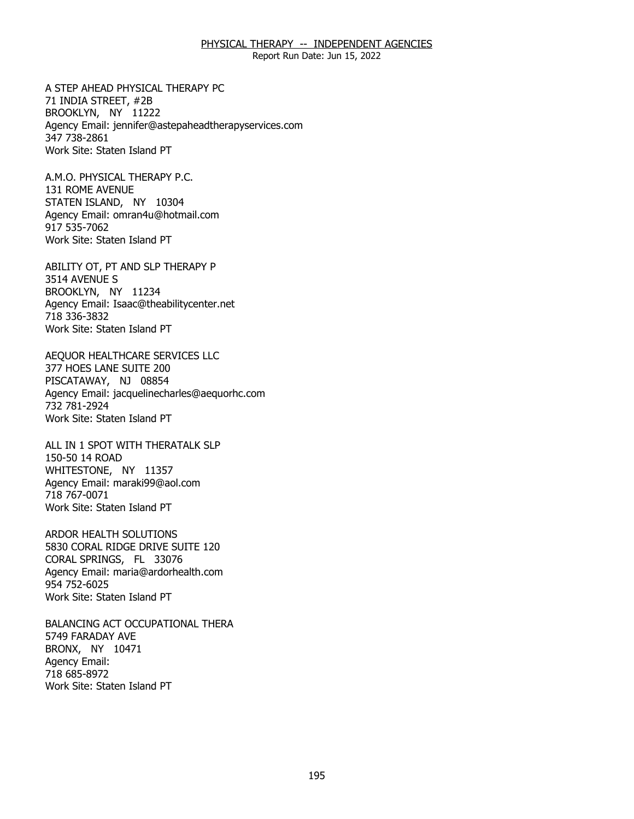Report Run Date: Jun 15, 2022

A STEP AHEAD PHYSICAL THERAPY PC<br>71 INDIA STREET, #2B<br>BROOKLYN, NY 11222 71 INDIA STREET, #2B BROOKLYN, NY 11222 Agency Email: [jennifer@astepaheadtherapyservices.com](mailto:jennifer@astepaheadtherapyservices.com)  347 738-2861 Work Site: Staten Island PT

A.M.O. PHYSICAL THERAPY P.C. 131 ROME AVENUE A.M.O. PHYSICAL THERAPY P.C.<br>131 ROME AVENUE<br>STATEN ISLAND, NY 10304 Agency Email: [omran4u@hotmail.com](mailto:omran4u@hotmail.com)  917 535-7062 Work Site: Staten Island PT

ABILITY OT, PT AND SLP THERAPY P<br>3514 AVENUE S<br>BROOKLYN, NY 11234 3514 AVENUE S BROOKLYN, NY 11234 Agency Email: [Isaac@theabilitycenter.net](mailto:Isaac@theabilitycenter.net)  718 336-3832 Work Site: Staten Island PT

AEQUOR HEALTHCARE SERVICES LLC<br>377 HOES LANE SUITE 200<br>PISCATAWAY, NJ 08854 377 HOES LANE SUITE 200 PISCATAWAY, NJ 08854 Agency Email: [jacquelinecharles@aequorhc.com](mailto:jacquelinecharles@aequorhc.com) 732 781-2924 Work Site: Staten Island PT

ALL IN 1 SPOT WITH THERATALK SLP<br>150-50 14 ROAD<br>WHITESTONE, NY 11357 150-50 14 ROAD WHITESTONE, NY 11357 Agency Email: [maraki99@aol.com](mailto:maraki99@aol.com)  718 767-0071 Work Site: Staten Island PT

ARDOR HEALTH SOLUTIONS CORAL SPRINGS, FL 33076 ARDOR HEALTH SOLUTIONS<br>5830 CORAL RIDGE DRIVE SUITE 120<br>CORAL SPRINGS, FL 33076 Agency Email: [maria@ardorhealth.com](mailto:maria@ardorhealth.com) 954 752-6025 Work Site: Staten Island PT

BALANCING ACT OCCUPATIONAL THERA<br>5749 FARADAY AVE<br>BRONX, NY 10471 5749 FARADAY AVE BRONX, NY 10471 Agency Email: 718 685-8972 Work Site: Staten Island PT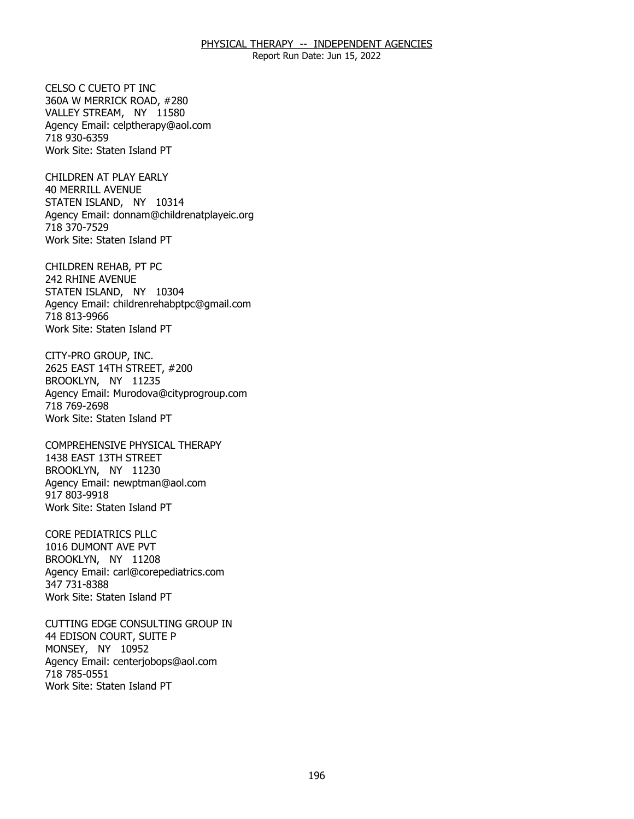Report Run Date: Jun 15, 2022

CELSO C CUETO PT INC. 360A W MERRICK ROAD, #280 CELSO C CUETO PT INC<br>360A W MERRICK ROAD, #280<br>VALLEY STREAM, NY 11580 Agency Email: [celptherapy@aol.com](mailto:celptherapy@aol.com) 718 930-6359 Work Site: Staten Island PT

CHILDREN AT PLAY EARLY **40 MERRILL AVENUE** CHILDREN AT PLAY EARLY<br>40 MERRILL AVENUE<br>STATEN ISLAND, NY 10314 Agency Email: [donnam@childrenatplayeic.org](mailto:donnam@childrenatplayeic.org) 718 370-7529 Work Site: Staten Island PT

CHILDREN REHAB, PT PC 242 RHINE AVENUE CHILDREN REHAB, PT PC<br>242 RHINE AVENUE<br>STATEN ISLAND, NY 10304 Agency Email: [childrenrehabptpc@gmail.com](mailto:childrenrehabptpc@gmail.com)  718 813-9966 Work Site: Staten Island PT

CITY-PRO GROUP, INC. BROOKLYN, NY 11235 CITY-PRO GROUP, INC.<br>2625 EAST 14TH STREET, #200<br>BROOKLYN, NY 11235 Agency Email: [Murodova@cityprogroup.com](mailto:Murodova@cityprogroup.com)  718 769-2698 Work Site: Staten Island PT

COMPREHENSIVE PHYSICAL THERAPY<br>1438 EAST 13TH STREET<br>BROOKLYN, NY 11230 1438 EAST 13TH STREET BROOKLYN, NY 11230 Agency Email: [newptman@aol.com](mailto:newptman@aol.com) 917 803-9918 Work Site: Staten Island PT

**CORE PEDIATRICS PLLC** BROOKLYN, NY 11208 CORE PEDIATRICS PLLC<br>1016 DUMONT AVE PVT<br>BROOKLYN, NY 11208 Agency Email: [carl@corepediatrics.com](mailto:carl@corepediatrics.com)  347 731-8388 Work Site: Staten Island PT

CUTTING EDGE CONSULTING GROUP IN<br>44 EDISON COURT, SUITE P<br>MONSEY, NY 10952 44 EDISON COURT, SUITE P MONSEY, NY 10952 Agency Email: [centerjobops@aol.com](mailto:centerjobops@aol.com)  718 785-0551 Work Site: Staten Island PT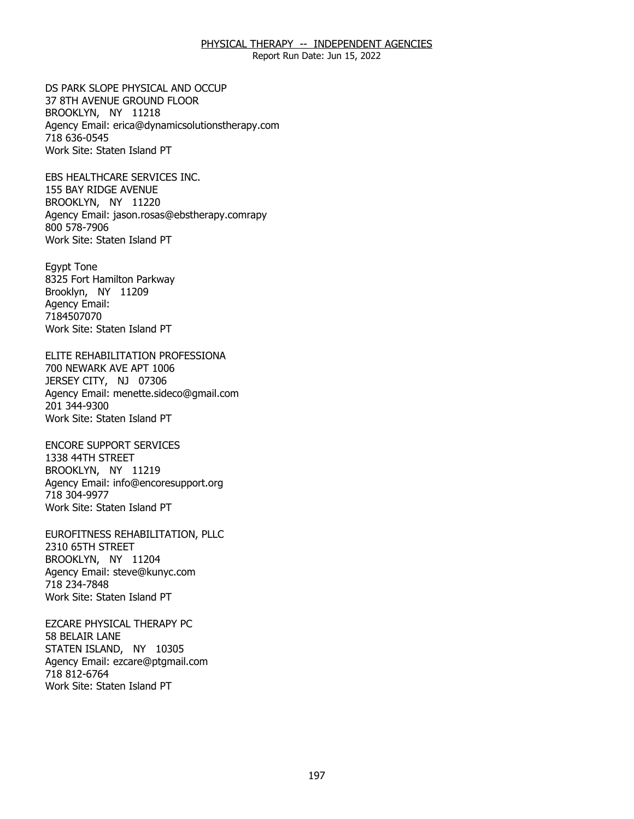Report Run Date: Jun 15, 2022

DS PARK SLOPE PHYSICAL AND OCCUP BROOKLYN, NY 11218 DS PARK SLOPE PHYSICAL AND OCCUP<br>37 8TH AVENUE GROUND FLOOR<br>BROOKLYN, NY 11218 Agency Email: [erica@dynamicsolutionstherapy.com](mailto:erica@dynamicsolutionstherapy.com)  718 636-0545 Work Site: Staten Island PT

EBS HEALTHCARE SERVICES INC.<br>155 BAY RIDGE AVENUE<br>BROOKLYN, NY 11220 155 BAY RIDGE AVENUE BROOKLYN, NY 11220 Agency Email: jason.rosas@ebstherapy.comrapy 800 578-7906 Work Site: Staten Island PT

**Egypt Tone** Brooklyn, NY 11209 Egypt Tone<br>8325 Fort Hamilton Parkway<br>Brooklyn, NY 11209 Agency Email: 7184507070 Work Site: Staten Island PT

ELITE REHABILITATION PROFESSIONA<br>700 NEWARK AVE APT 1006<br>JERSEY CITY, NJ 07306 700 NEWARK AVE APT 1006 JERSEY CITY, NJ 07306 Agency Email: [menette.sideco@gmail.com](mailto:menette.sideco@gmail.com)  201 344-9300 Work Site: Staten Island PT

**ENCORE SUPPORT SERVICES** 1338 44TH STREET ENCORE SUPPORT SERVICES<br>1338 44TH STREET<br>BROOKLYN, NY 11219 Agency Email: [info@encoresupport.org](mailto:info@encoresupport.org)  718 304-9977 Work Site: Staten Island PT

EUROFITNESS REHABILITATION, PLLC<br>2310 65TH STREET<br>BROOKLYN, NY 11204 2310 65TH STREET BROOKLYN, NY 11204 Agency Email: [steve@kunyc.com](mailto:steve@kunyc.com)  718 234-7848 Work Site: Staten Island PT

**EZCARE PHYSICAL THERAPY PC** 58 BELAIR LANE EZCARE PHYSICAL THERAPY PC<br>58 BELAIR LANE<br>STATEN ISLAND, NY 10305 Agency Email: [ezcare@ptgmail.com](mailto:ezcare@ptgmail.com)  718 812-6764 Work Site: Staten Island PT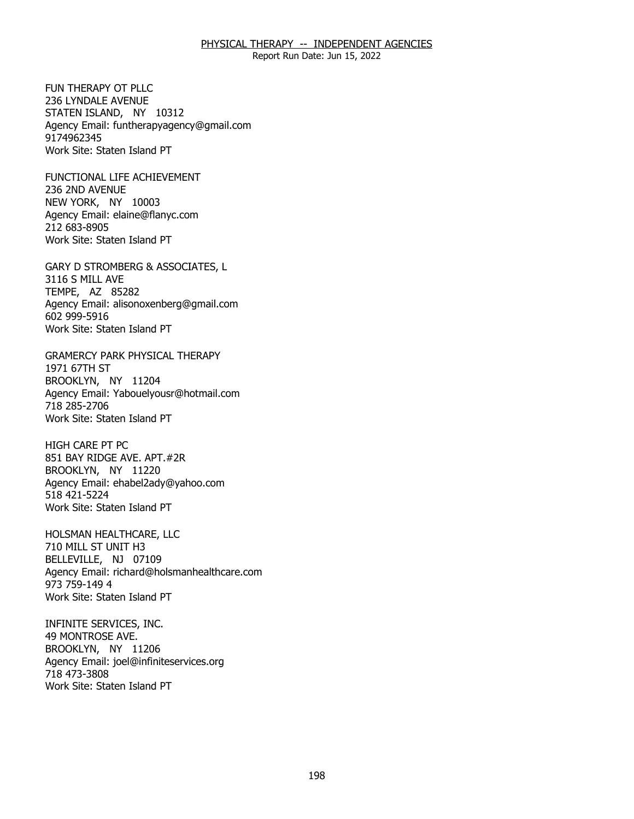Report Run Date: Jun 15, 2022

FUN THERAPY OT PLLC. 236 LYNDALE AVENUE FUN THERAPY OT PLLC<br>236 LYNDALE AVENUE<br>STATEN ISLAND, NY 10312 Agency Email: [funtherapyagency@gmail.com](mailto:funtherapyagency@gmail.com)  9174962345 Work Site: Staten Island PT

FUNCTIONAL LIFE ACHIEVEMENT<br>236 2ND AVENUE<br>NEW YORK, NY 10003 236 2ND AVENUE NEW YORK, NY 10003 Agency Email: [elaine@flanyc.com](mailto:elaine@flanyc.com)  212 683-8905 Work Site: Staten Island PT

GARY D STROMBERG & ASSOCIATES, L<br>3116 S MILL AVE<br>TEMPE, AZ 85282 3116 S MILL AVE TEMPE, AZ 85282 Agency Email: [alisonoxenberg@gmail.com](mailto:alisonoxenberg@gmail.com) 602 999-5916 Work Site: Staten Island PT

GRAMERCY PARK PHYSICAL THERAPY<br>1971 67TH ST<br>BROOKLYN, NY 11204 1971 67TH ST BROOKLYN, NY 11204 Agency Email: [Yabouelyousr@hotmail.com](mailto:Yabouelyousr@hotmail.com)  718 285-2706 Work Site: Staten Island PT

**HIGH CARE PT PC** BROOKLYN, NY 11220 HIGH CARE PT PC<br>851 BAY RIDGE AVE. APT.#2R<br>BROOKLYN, NY 11220 Agency Email: [ehabel2ady@yahoo.com](mailto:ehabel2ady@yahoo.com)  518 421-5224 Work Site: Staten Island PT

HOLSMAN HEALTHCARE, LLC 710 MILL ST UNIT H3 HOLSMAN HEALTHCARE, LLC<br>710 MILL ST UNIT H3<br>BELLEVILLE, NJ 07109 Agency Email: [richard@holsmanhealthcare.com](mailto:richard@holsmanhealthcare.com) 973 759-149 4 Work Site: Staten Island PT

INFINITE SERVICES, INC. 49 MONTROSE AVE. INFINITE SERVICES, INC.<br>49 MONTROSE AVE.<br>BROOKLYN, NY 11206 Agency Email: [joel@infiniteservices.org](mailto:joel@infiniteservices.org)  718 473-3808 Work Site: Staten Island PT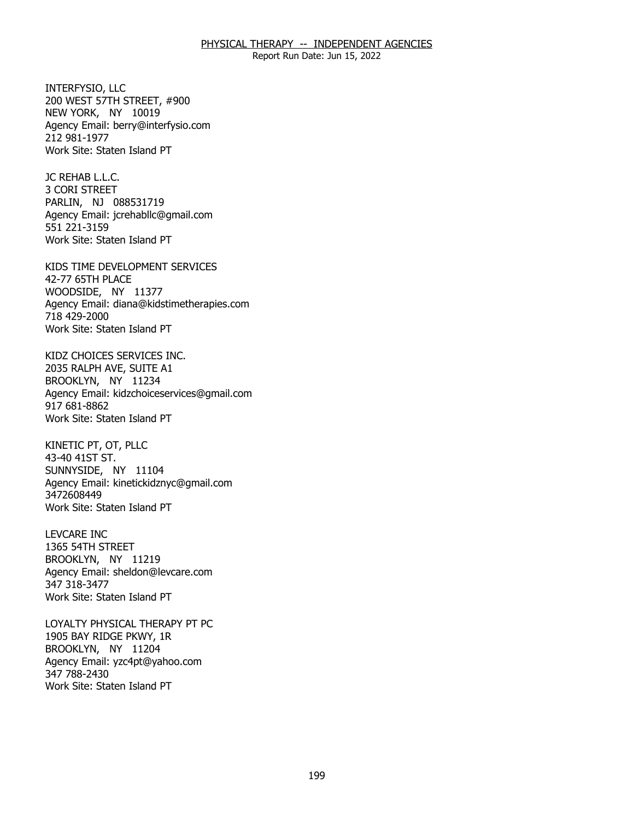Report Run Date: Jun 15, 2022

INTERFYSIO, LLC NEW YORK, NY 10019 INTERFYSIO, LLC<br>200 WEST 57TH STREET, #900<br>NEW YORK, NY 10019 Agency Email: [berry@interfysio.com](mailto:berry@interfysio.com) 212 981-1977 Work Site: Staten Island PT

JC REHAB L.L.C. JC REHAB L.L.C.<br>3 CORI STREET PARLIN, NJ 088531719 Agency Email: [jcrehabllc@gmail.com](mailto:jcrehabllc@gmail.com)  551 221-3159 Work Site: Staten Island PT

KIDS TIME DEVELOPMENT SERVICES<br>42-77 65TH PLACE<br>WOODSIDE, NY 11377 42-77 65TH PLACE WOODSIDE, NY 11377 Agency Email: [diana@kidstimetherapies.com](mailto:diana@kidstimetherapies.com)  718 429-2000 Work Site: Staten Island PT

KIDZ CHOICES SERVICES INC. 2035 RALPH AVE, SUITE A1 KIDZ CHOICES SERVICES INC.<br>2035 RALPH AVE, SUITE A1<br>BROOKLYN, NY 11234 Agency Email: [kidzchoiceservices@gmail.com](mailto:kidzchoiceservices@gmail.com)  917 681-8862 Work Site: Staten Island PT

KINETIC PT, OT, PLLC 43-40 41ST ST. KINETIC PT, OT, PLLC<br>43-40 41ST ST.<br>SUNNYSIDE, NY 11104 Agency Email: [kinetickidznyc@gmail.com](mailto:kinetickidznyc@gmail.com) 3472608449 Work Site: Staten Island PT

**LEVCARE INC** 1365 54TH STREET LEVCARE INC<br>1365 54TH STREET<br>BROOKLYN, NY 11219 Agency Email: [sheldon@levcare.com](mailto:sheldon@levcare.com) 347 318-3477 Work Site: Staten Island PT

LOYALTY PHYSICAL THERAPY PT PC<br>1905 BAY RIDGE PKWY, 1R<br>BROOKLYN, NY 11204 1905 BAY RIDGE PKWY, 1R BROOKLYN, NY 11204 Agency Email: [yzc4pt@yahoo.com](mailto:yzc4pt@yahoo.com)  347 788-2430 Work Site: Staten Island PT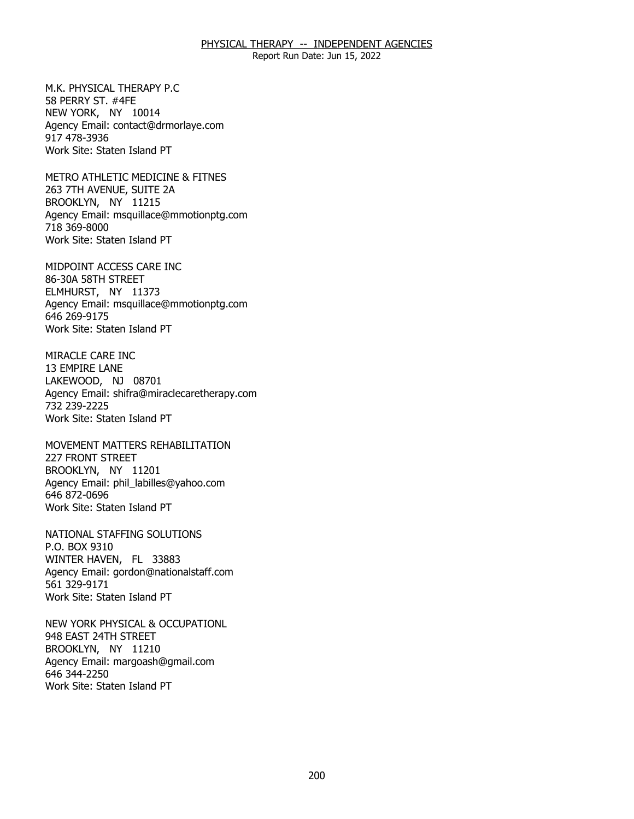Report Run Date: Jun 15, 2022

M.K. PHYSICAL THERAPY P.C. 58 PERRY ST. #4FE M.K. PHYSICAL THERAPY P.C<br>58 PERRY ST. #4FE<br>NEW YORK, NY 10014 Agency Email: [contact@drmorlaye.com](mailto:contact@drmorlaye.com) 917 478-3936 Work Site: Staten Island PT

METRO ATHLETIC MEDICINE & FITNES<br>263 7TH AVENUE, SUITE 2A<br>BROOKLYN, NY 11215 263 7TH AVENUE, SUITE 2A BROOKLYN, NY 11215 Agency Email: [msquillace@mmotionptg.com](mailto:msquillace@mmotionptg.com) 718 369-8000 Work Site: Staten Island PT

MIDPOINT ACCESS CARE INC<br>86-30A 58TH STREET<br>ELMHURST, NY 11373 86-30A 58TH STREET ELMHURST, NY 11373 Agency Email: [msquillace@mmotionptg.com](mailto:msquillace@mmotionptg.com) 646 269-9175 Work Site: Staten Island PT

MIRACLE CARE INC 13 EMPIRE LANE MIRACLE CARE INC<br>13 EMPIRE LANE<br>LAKEWOOD, NJ 08701 Agency Email: [shifra@miraclecaretherapy.com](mailto:shifra@miraclecaretherapy.com) 732 239-2225 Work Site: Staten Island PT

MOVEMENT MATTERS REHABILITATION<br>227 FRONT STREET<br>BROOKLYN, NY 11201 227 FRONT STREET BROOKLYN, NY 11201 Agency Email: [phil\\_labilles@yahoo.com](mailto:phil_labilles@yahoo.com) 646 872-0696 Work Site: Staten Island PT

NATIONAL STAFFING SOLUTIONS P.O. BOX 9310 NATIONAL STAFFING SOLUTIONS<br>P.O. BOX 9310<br>WINTER HAVEN, FL 33883 Agency Email: [gordon@nationalstaff.com](mailto:gordon@nationalstaff.com) 561 329-9171 Work Site: Staten Island PT

NEW YORK PHYSICAL & OCCUPATIONL<br>948 EAST 24TH STREET<br>BROOKLYN, NY 11210 948 EAST 24TH STREET BROOKLYN, NY 11210 Agency Email: [margoash@gmail.com](mailto:margoash@gmail.com) 646 344-2250 Work Site: Staten Island PT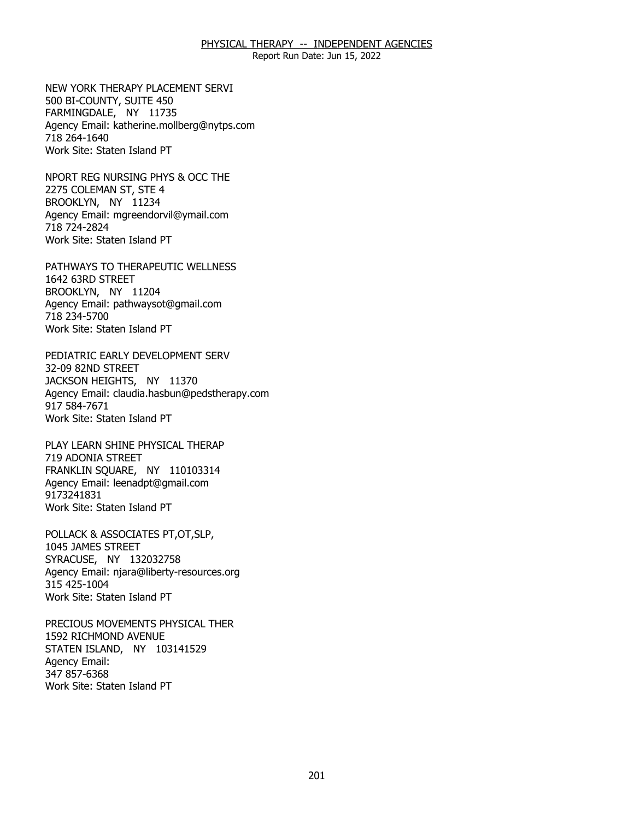Report Run Date: Jun 15, 2022

NEW YORK THERAPY PLACEMENT SERVI<br>500 BI-COUNTY, SUITE 450<br>FARMINGDALE, NY 11735 500 BI-COUNTY, SUITE 450 FARMINGDALE, NY 11735 Agency Email: [katherine.mollberg@nytps.com](mailto:katherine.mollberg@nytps.com) 718 264-1640 Work Site: Staten Island PT

NPORT REG NURSING PHYS & OCC THE<br>2275 COLEMAN ST, STE 4<br>BROOKLYN, NY 11234 2275 COLEMAN ST, STE 4 BROOKLYN, NY 11234 Agency Email: [mgreendorvil@ymail.com](mailto:mgreendorvil@ymail.com)  718 724-2824 Work Site: Staten Island PT

PATHWAYS TO THERAPEUTIC WELLNESS<br>1642 63RD STREET<br>BROOKLYN, NY 11204 1642 63RD STREET BROOKLYN, NY 11204 Agency Email: [pathwaysot@gmail.com](mailto:pathwaysot@gmail.com) 718 234-5700 Work Site: Staten Island PT

PEDIATRIC EARLY DEVELOPMENT SERV 32-09 82ND STREET PEDIATRIC EARLY DEVELOPMENT SERV<br>32-09 82ND STREET<br>JACKSON HEIGHTS, NY 11370 Agency Email: [claudia.hasbun@pedstherapy.com](mailto:claudia.hasbun@pedstherapy.com) 917 584-7671 Work Site: Staten Island PT

PLAY LEARN SHINE PHYSICAL THERAP 719 ADONIA STREET PLAY LEARN SHINE PHYSICAL THERAP<br>719 ADONIA STREET<br>FRANKLIN SQUARE, NY 110103314 Agency Email: [leenadpt@gmail.com](mailto:leenadpt@gmail.com)  9173241831 Work Site: Staten Island PT

POLLACK & ASSOCIATES PT,OT,SLP,<br>1045 JAMES STREET<br>SYRACUSE, NY 132032758 1045 JAMES STREET SYRACUSE, NY 132032758 Agency Email: [njara@liberty-resources.org](mailto:njara@liberty-resources.org)  315 425-1004 Work Site: Staten Island PT

PRECIOUS MOVEMENTS PHYSICAL THER 1592 RICHMOND AVENUE PRECIOUS MOVEMENTS PHYSICAL THER<br>1592 RICHMOND AVENUE<br>STATEN ISLAND, NY 103141529 Agency Email: 347 857-6368 Work Site: Staten Island PT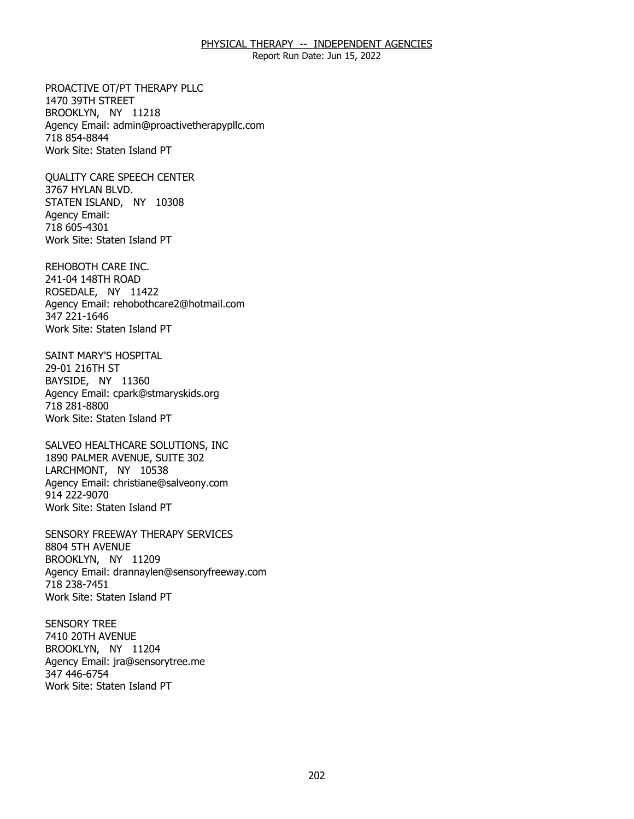Report Run Date: Jun 15, 2022

PROACTIVE OT/PT THERAPY PLLC 1470 39TH STREET PROACTIVE OT/PT THERAPY PLLC<br>1470 39TH STREET<br>BROOKLYN, NY 11218 Agency Email: [admin@proactivetherapypllc.com](mailto:admin@proactivetherapypllc.com) 718 854-8844 Work Site: Staten Island PT

**OUALITY CARE SPEECH CENTER** 3767 HYLAN BLVD. QUALITY CARE SPEECH CENTER<br>3767 HYLAN BLVD.<br>STATEN ISLAND, NY 10308 Agency Email: 718 605-4301 Work Site: Staten Island PT

REHOBOTH CARE INC. 241-04 148TH ROAD REHOBOTH CARE INC.<br>241-04 148TH ROAD<br>ROSEDALE, NY 11422 Agency Email: [rehobothcare2@hotmail.com](mailto:rehobothcare2@hotmail.com) 347 221-1646 Work Site: Staten Island PT

SAINT MARY'S HOSPITAL 29-01 216TH ST SAINT MARY'S HOSPITAL<br>29-01 216TH ST<br>BAYSIDE, NY 11360 Agency Email: [cpark@stmaryskids.org](mailto:cpark@stmaryskids.org)  718 281-8800 Work Site: Staten Island PT

SALVEO HEALTHCARE SOLUTIONS, INC LARCHMONT, NY 10538 SALVEO HEALTHCARE SOLUTIONS, INC<br>1890 PALMER AVENUE, SUITE 302<br>LARCHMONT, NY 10538 Agency Email: [christiane@salveony.com](mailto:christiane@salveony.com) 914 222-9070 Work Site: Staten Island PT

SENSORY FREEWAY THERAPY SERVICES<br>8804 5TH AVENUE<br>BROOKLYN, NY 11209 8804 5TH AVENUE BROOKLYN, NY 11209 Agency Email: [drannaylen@sensoryfreeway.com](mailto:drannaylen@sensoryfreeway.com)  718 238-7451 Work Site: Staten Island PT

**SENSORY TREE 7410 20TH AVENUE** SENSORY TREE<br>7410 20TH AVENUE<br>BROOKLYN, NY 11204 Agency Email: [jra@sensorytree.me](mailto:jra@sensorytree.me) 347 446-6754 Work Site: Staten Island PT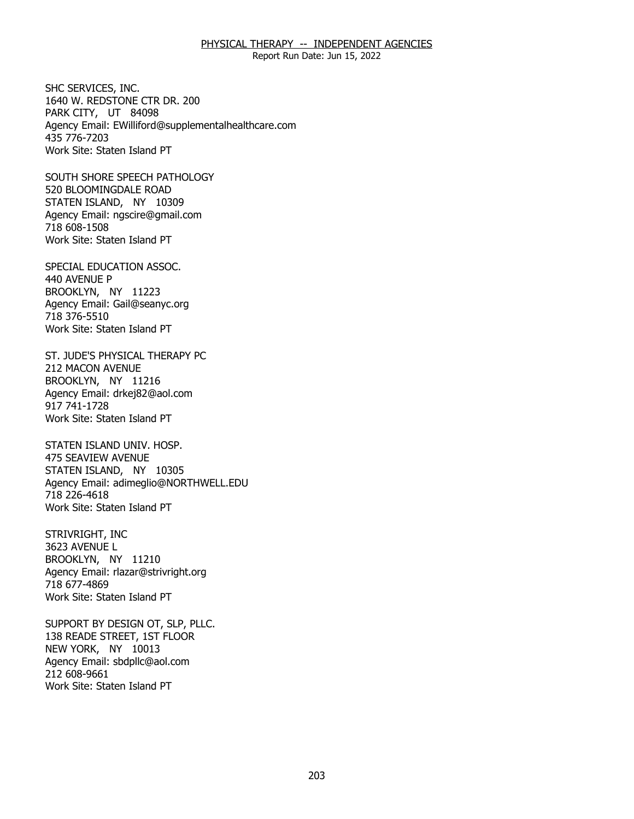Report Run Date: Jun 15, 2022

SHC SERVICES, INC. PARK CITY, UT 84098 SHC SERVICES, INC.<br>1640 W. REDSTONE CTR DR. 200<br>PARK CITY, UT 84098 Agency Email: [EWilliford@supplementalhealthcare.com](mailto:EWilliford@supplementalhealthcare.com) 435 776-7203 Work Site: Staten Island PT

SOUTH SHORE SPEECH PATHOLOGY<br>520 BLOOMINGDALE ROAD<br>STATEN ISLAND, NY 10309 520 BLOOMINGDALE ROAD STATEN ISLAND, NY 10309 Agency Email: [ngscire@gmail.com](mailto:ngscire@gmail.com) 718 608-1508 Work Site: Staten Island PT

SPECIAL EDUCATION ASSOC.<br>440 AVENUE P<br>BROOKLYN, NY 11223 440 AVENUE P BROOKLYN, NY 11223 Agency Email: [Gail@seanyc.org](mailto:Gail@seanyc.org)  718 376-5510 Work Site: Staten Island PT

ST. JUDE'S PHYSICAL THERAPY PC<br>212 MACON AVENUE<br>BROOKLYN, NY 11216 **212 MACON AVENUE** BROOKLYN, NY 11216 Agency Email: [drkej82@aol.com](mailto:drkej82@aol.com)  917 741-1728 Work Site: Staten Island PT

STATEN ISLAND UNIV. HOSP. 475 SEAVIEW AVENUE STATEN ISLAND UNIV. HOSP.<br>475 SEAVIEW AVENUE<br>STATEN ISLAND, NY 10305 Agency Email: [adimeglio@NORTHWELL.EDU](mailto:adimeglio@NORTHWELL.EDU)  718 226-4618 Work Site: Staten Island PT

STRIVRIGHT, INC 3623 AVENUE L STRIVRIGHT, INC<br>3623 AVENUE L<br>BROOKLYN, NY 11210 Agency Email: [rlazar@strivright.org](mailto:rlazar@strivright.org) 718 677-4869 Work Site: Staten Island PT

SUPPORT BY DESIGN OT, SLP, PLLC.<br>138 READE STREET, 1ST FLOOR<br>NEW YORK, NY 10013 138 READE STREET, 1ST FLOOR NEW YORK, NY 10013 Agency Email: [sbdpllc@aol.com](mailto:sbdpllc@aol.com) 212 608-9661 Work Site: Staten Island PT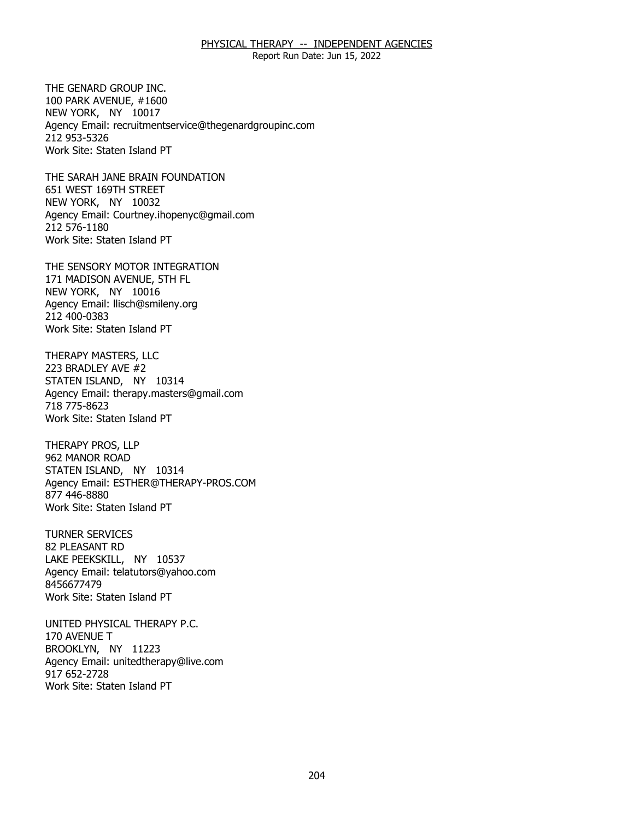Report Run Date: Jun 15, 2022

THE GENARD GROUP INC. 100 PARK AVENUE, #1600 THE GENARD GROUP INC.<br>100 PARK AVENUE, #1600<br>NEW YORK, NY 10017 Agency Email: [recruitmentservice@thegenardgroupinc.com](mailto:recruitmentservice@thegenardgroupinc.com) 212 953-5326 Work Site: Staten Island PT

THE SARAH JANE BRAIN FOUNDATION<br>651 WEST 169TH STREET<br>NEW YORK, NY 10032 651 WEST 169TH STREET NEW YORK, NY 10032 Agency Email: [Courtney.ihopenyc@gmail.com](mailto:Courtney.ihopenyc@gmail.com)  212 576-1180 Work Site: Staten Island PT

THE SENSORY MOTOR INTEGRATION<br>171 MADISON AVENUE, 5TH FL<br>NEW YORK, NY 10016 171 MADISON AVENUE, 5TH FL NEW YORK, NY 10016 Agency Email: [llisch@smileny.org](mailto:llisch@smileny.org)  212 400-0383 Work Site: Staten Island PT

THERAPY MASTERS, LLC 223 BRADLEY AVE #2 THERAPY MASTERS, LLC<br>223 BRADLEY AVE #2<br>STATEN ISLAND, NY 10314 Agency Email: [therapy.masters@gmail.com](mailto:therapy.masters@gmail.com) 718 775-8623 Work Site: Staten Island PT

**THERAPY PROS, LLP** 962 MANOR ROAD THERAPY PROS, LLP<br>962 MANOR ROAD<br>STATEN ISLAND, NY 10314 Agency Email: [ESTHER@THERAPY-PROS.COM](mailto:ESTHER@THERAPY-PROS.COM)  877 446-8880 Work Site: Staten Island PT

**TURNER SERVICES** 82 PLEASANT RD TURNER SERVICES<br>82 PLEASANT RD<br>LAKE PEEKSKILL, NY 10537 Agency Email: [telatutors@yahoo.com](mailto:telatutors@yahoo.com) 8456677479 Work Site: Staten Island PT

170 AVENUE T UNITED PHYSICAL THERAPY P.C.<br>170 AVENUE T<br>BROOKLYN, NY 11223 Agency Email: [unitedtherapy@live.com](mailto:unitedtherapy@live.com)  917 652-2728 Work Site: Staten Island PT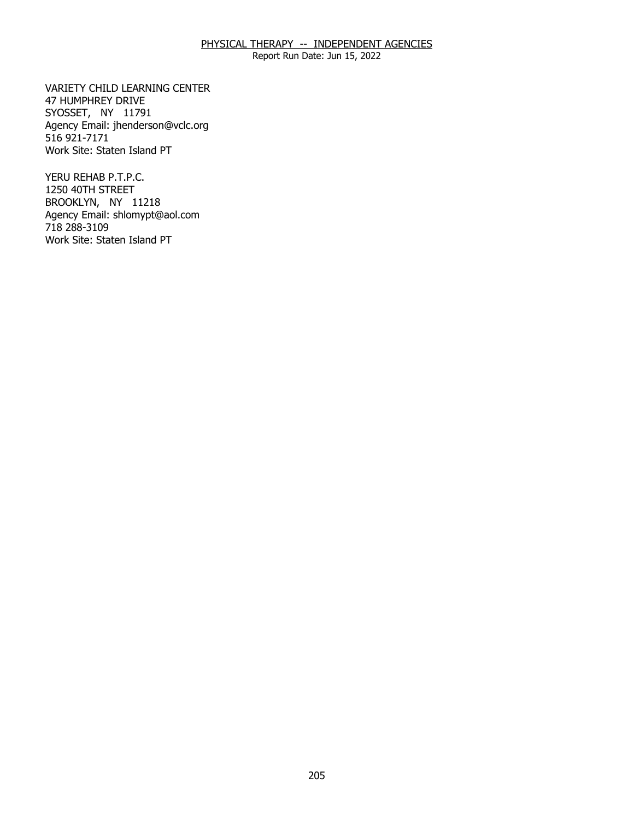Report Run Date: Jun 15, 2022

VARIETY CHILD LEARNING CENTER<br>47 HUMPHREY DRIVE<br>SYOSSET, NY 11791 47 HUMPHREY DRIVE SYOSSET, NY 11791 Agency Email: [jhenderson@vclc.org](mailto:jhenderson@vclc.org)  516 921-7171 Work Site: Staten Island PT

YERU REHAB P.T.P.C. 1250 40TH STREET YERU REHAB P.T.P.C.<br>1250 40TH STREET<br>BROOKLYN, NY 11218 Agency Email: [shlomypt@aol.com](mailto:shlomypt@aol.com)  718 288-3109 Work Site: Staten Island PT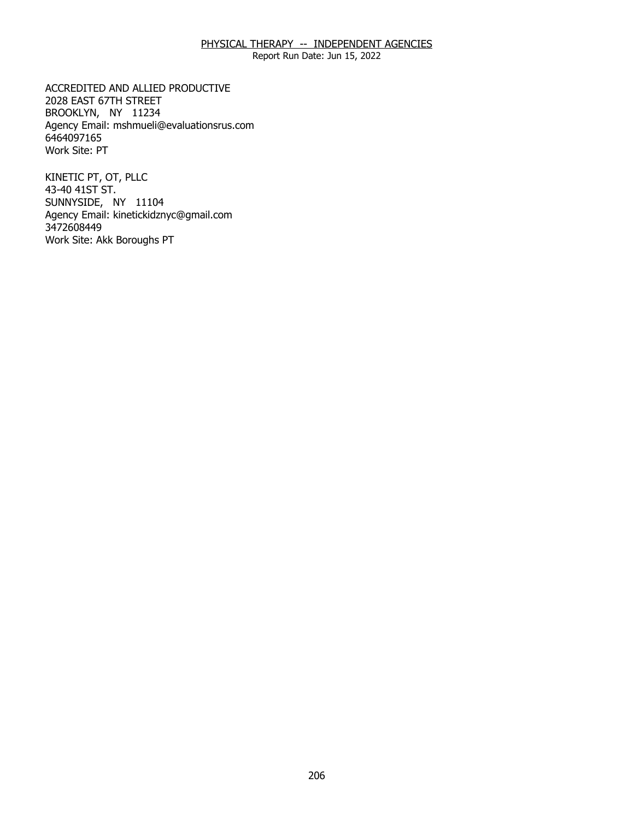Report Run Date: Jun 15, 2022

ACCREDITED AND ALLIED PRODUCTIVE<br>2028 EAST 67TH STREET<br>BROOKLYN, NY 11234 2028 EAST 67TH STREET BROOKLYN, NY 11234 Agency Email: [mshmueli@evaluationsrus.com](mailto:mshmueli@evaluationsrus.com)  6464097165 Work Site: PT

KINETIC PT, OT, PLLC 43-40 41ST ST. KINETIC PT, OT, PLLC<br>43-40 41ST ST.<br>SUNNYSIDE, NY 11104 Agency Email: [kinetickidznyc@gmail.com](mailto:kinetickidznyc@gmail.com) 3472608449 Work Site: Akk Boroughs PT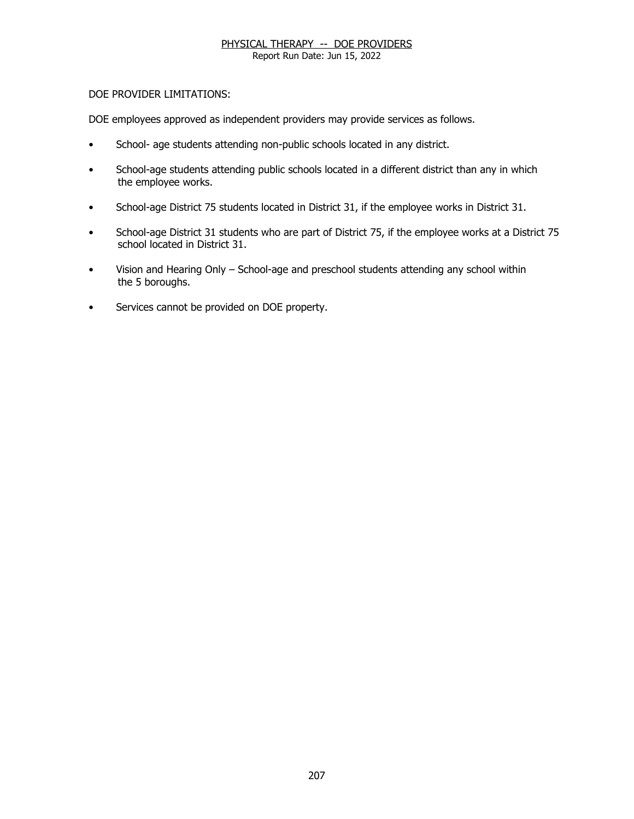Report Run Date: Jun 15, 2022

# DOE PROVIDER LIMITATIONS:

DOE employees approved as independent providers may provide services as follows.

- School- age students attending non-public schools located in any district.
- School-age students attending public schools located in a different district than any in which the employee works.
- School-age District 75 students located in District 31, if the employee works in District 31.
- School-age District 31 students who are part of District 75, if the employee works at a District 75 school located in District 31.
- Vision and Hearing Only School-age and preschool students attending any school within the 5 boroughs.
- Services cannot be provided on DOE property.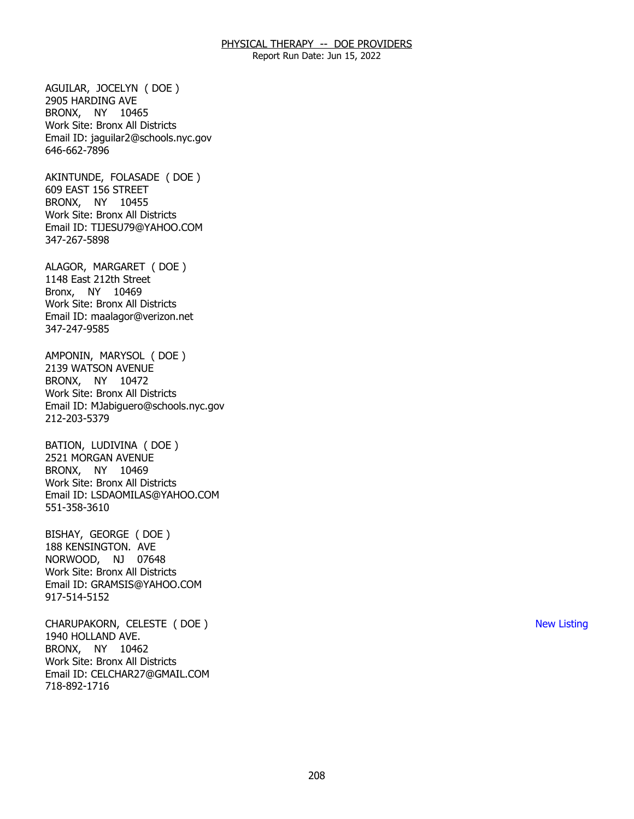Report Run Date: Jun 15, 2022

 BRONX, NY 10465 AGUILAR, JOCELYN ( DOE ) 2905 HARDING AVE Work Site: Bronx All Districts Email ID: [jaguilar2@schools.nyc.gov](mailto:jaguilar2@schools.nyc.gov) 646-662-7896

 BRONX, NY 10455 AKINTUNDE, FOLASADE ( DOE ) 609 EAST 156 STREET Work Site: Bronx All Districts Email ID: [TIJESU79@YAHOO.COM](mailto:TIJESU79@YAHOO.COM)  347-267-5898

 Bronx, NY 10469 ALAGOR, MARGARET ( DOE ) 1148 East 212th Street Work Site: Bronx All Districts Email ID: [maalagor@verizon.net](mailto:maalagor@verizon.net)  347-247-9585

 BRONX, NY 10472 AMPONIN, MARYSOL ( DOE ) 2139 WATSON AVENUE Work Site: Bronx All Districts Email ID: [MJabiguero@schools.nyc.gov](mailto:MJabiguero@schools.nyc.gov)  212-203-5379

 BRONX, NY 10469 BATION, LUDIVINA ( DOE ) 2521 MORGAN AVENUE Work Site: Bronx All Districts Email ID: [LSDAOMILAS@YAHOO.COM](mailto:LSDAOMILAS@YAHOO.COM)  551-358-3610

 NORWOOD, NJ 07648 BISHAY, GEORGE ( DOE ) 188 KENSINGTON. AVE Work Site: Bronx All Districts Email ID: [GRAMSIS@YAHOO.COM](mailto:GRAMSIS@YAHOO.COM)  917-514-5152

 BRONX, NY 10462 CHARUPAKORN, CELESTE ( DOE ) 1940 HOLLAND AVE. Work Site: Bronx All Districts Email ID: [CELCHAR27@GMAIL.COM](mailto:CELCHAR27@GMAIL.COM) 718-892-1716

New Listing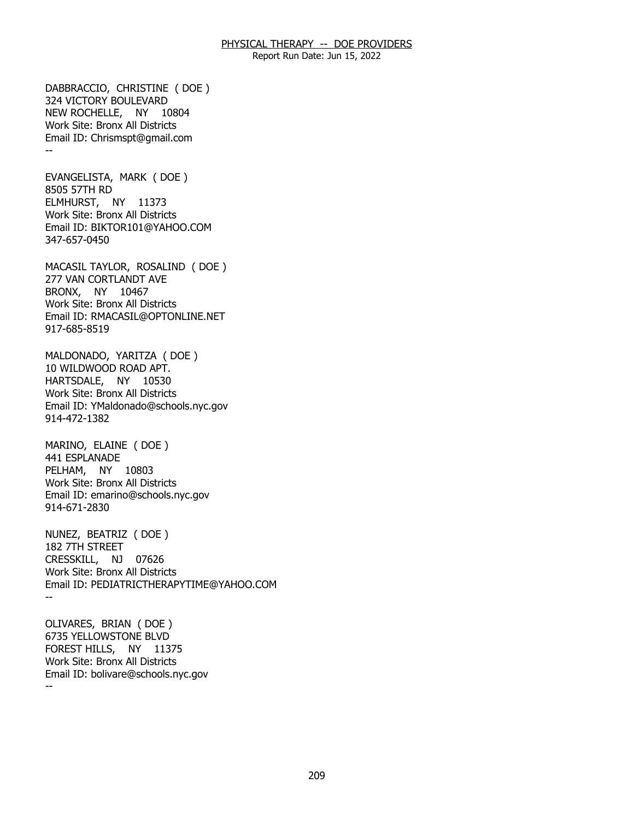Report Run Date: Jun 15, 2022

 NEW ROCHELLE, NY 10804 -- DABBRACCIO, CHRISTINE ( DOE ) 324 VICTORY BOULEVARD Work Site: Bronx All Districts Email ID: [Chrismspt@gmail.com](mailto:Chrismspt@gmail.com) 

 ELMHURST, NY 11373 EVANGELISTA, MARK ( DOE ) 8505 57TH RD Work Site: Bronx All Districts Email ID: [BIKTOR101@YAHOO.COM](mailto:BIKTOR101@YAHOO.COM) 347-657-0450

 BRONX, NY 10467 MACASIL TAYLOR, ROSALIND ( DOE ) 277 VAN CORTLANDT AVE Work Site: Bronx All Districts Email ID: [RMACASIL@OPTONLINE.NET](mailto:RMACASIL@OPTONLINE.NET)  917-685-8519

 HARTSDALE, NY 10530 MALDONADO, YARITZA ( DOE ) 10 WILDWOOD ROAD APT. Work Site: Bronx All Districts Email ID: [YMaldonado@schools.nyc.gov](mailto:YMaldonado@schools.nyc.gov) 914-472-1382

 PELHAM, NY 10803 MARINO, ELAINE ( DOE ) 441 ESPLANADE Work Site: Bronx All Districts Email ID: [emarino@schools.nyc.gov](mailto:emarino@schools.nyc.gov) 914-671-2830

 CRESSKILL, NJ 07626 -- NUNEZ, BEATRIZ ( DOE ) 182 7TH STREET Work Site: Bronx All Districts Email ID: [PEDIATRICTHERAPYTIME@YAHOO.COM](mailto:PEDIATRICTHERAPYTIME@YAHOO.COM)

 FOREST HILLS, NY 11375 -- OLIVARES, BRIAN ( DOE ) 6735 YELLOWSTONE BLVD Work Site: Bronx All Districts Email ID: [bolivare@schools.nyc.gov](mailto:bolivare@schools.nyc.gov)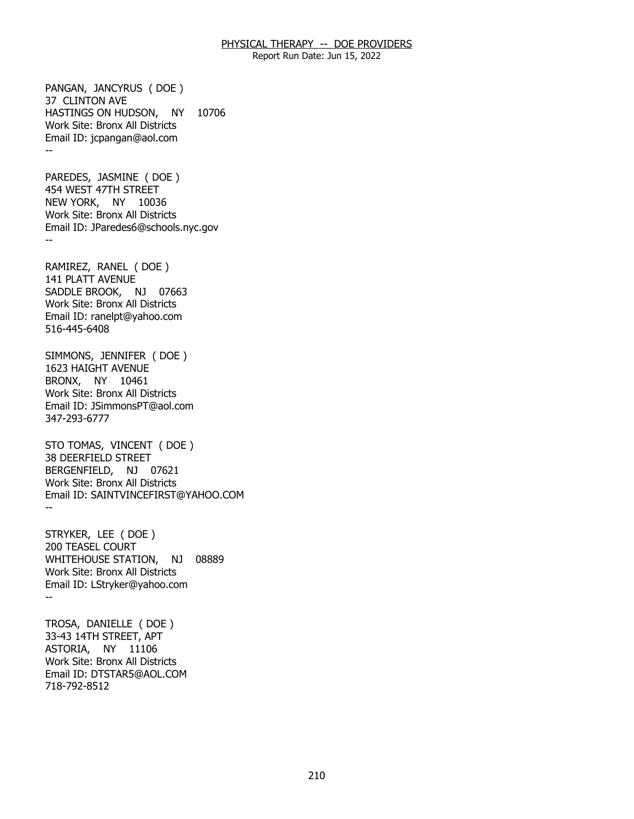Report Run Date: Jun 15, 2022

 HASTINGS ON HUDSON, NY 10706 -- PANGAN, JANCYRUS ( DOE ) 37 CLINTON AVE Work Site: Bronx All Districts Email ID: [jcpangan@aol.com](mailto:jcpangan@aol.com) 

 NEW YORK, NY 10036 -- PAREDES, JASMINE ( DOE ) 454 WEST 47TH STREET Work Site: Bronx All Districts Email ID: [JParedes6@schools.nyc.gov](mailto:JParedes6@schools.nyc.gov) 

 SADDLE BROOK, NJ 07663 RAMIREZ, RANEL ( DOE ) 141 PLATT AVENUE Work Site: Bronx All Districts Email ID: [ranelpt@yahoo.com](mailto:ranelpt@yahoo.com)  516-445-6408

 BRONX, NY 10461 SIMMONS, JENNIFER ( DOE ) 1623 HAIGHT AVENUE Work Site: Bronx All Districts Email ID: [JSimmonsPT@aol.com](mailto:JSimmonsPT@aol.com) 347-293-6777

 BERGENFIELD, NJ 07621 -- STO TOMAS, VINCENT ( DOE ) 38 DEERFIELD STREET Work Site: Bronx All Districts Email ID: [SAINTVINCEFIRST@YAHOO.COM](mailto:SAINTVINCEFIRST@YAHOO.COM) 

 WHITEHOUSE STATION, NJ 08889 -- STRYKER, LEE ( DOE ) 200 TEASEL COURT Work Site: Bronx All Districts Email ID: [LStryker@yahoo.com](mailto:LStryker@yahoo.com)

 ASTORIA, NY 11106 TROSA, DANIELLE ( DOE ) 33-43 14TH STREET, APT Work Site: Bronx All Districts Email ID: [DTSTAR5@AOL.COM](mailto:DTSTAR5@AOL.COM)  718-792-8512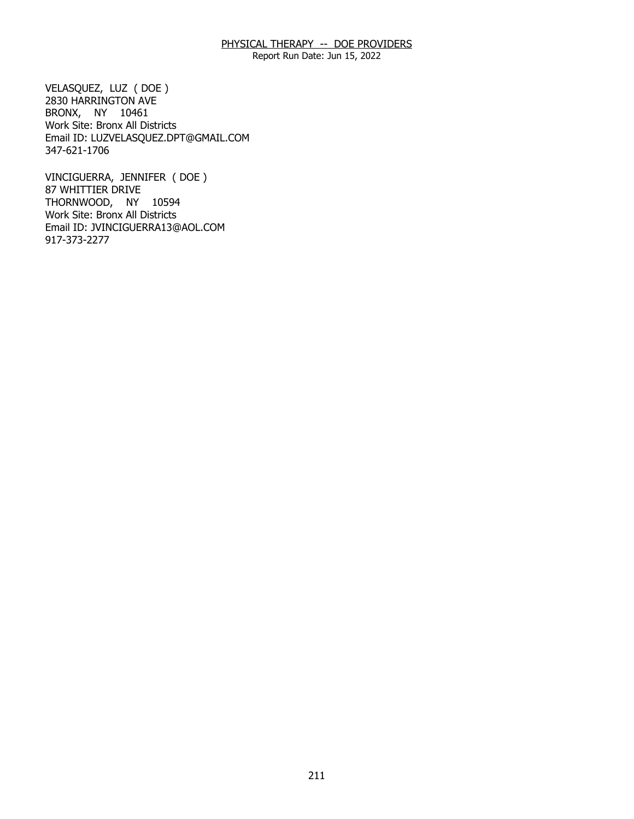Report Run Date: Jun 15, 2022

 BRONX, NY 10461 VELASQUEZ, LUZ ( DOE ) 2830 HARRINGTON AVE Work Site: Bronx All Districts Email ID: [LUZVELASQUEZ.DPT@GMAIL.COM](mailto:LUZVELASQUEZ.DPT@GMAIL.COM) 347-621-1706

 THORNWOOD, NY 10594 VINCIGUERRA, JENNIFER ( DOE ) 87 WHITTIER DRIVE Work Site: Bronx All Districts Email ID: [JVINCIGUERRA13@AOL.COM](mailto:JVINCIGUERRA13@AOL.COM) 917-373-2277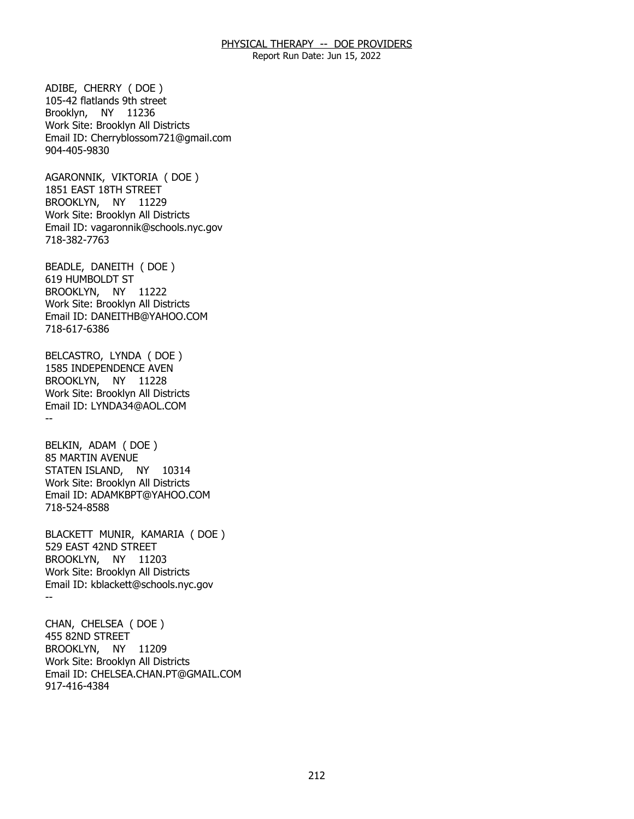Report Run Date: Jun 15, 2022

 Brooklyn, NY 11236 ADIBE, CHERRY ( DOE ) 105-42 flatlands 9th street Work Site: Brooklyn All Districts Email ID: [Cherryblossom721@gmail.com](mailto:Cherryblossom721@gmail.com)  904-405-9830

 BROOKLYN, NY 11229 AGARONNIK, VIKTORIA ( DOE ) 1851 EAST 18TH STREET Work Site: Brooklyn All Districts Email ID: [vagaronnik@schools.nyc.gov](mailto:vagaronnik@schools.nyc.gov)  718-382-7763

 BROOKLYN, NY 11222 BEADLE, DANEITH ( DOE ) 619 HUMBOLDT ST Work Site: Brooklyn All Districts Email ID: [DANEITHB@YAHOO.COM](mailto:DANEITHB@YAHOO.COM)  718-617-6386

 BROOKLYN, NY 11228 -- BELCASTRO, LYNDA ( DOE ) 1585 INDEPENDENCE AVEN Work Site: Brooklyn All Districts Email ID: [LYNDA34@AOL.COM](mailto:LYNDA34@AOL.COM) 

 STATEN ISLAND, NY 10314 BELKIN, ADAM ( DOE ) 85 MARTIN AVENUE Work Site: Brooklyn All Districts Email ID: [ADAMKBPT@YAHOO.COM](mailto:ADAMKBPT@YAHOO.COM) 718-524-8588

 BROOKLYN, NY 11203 -- BLACKETT MUNIR, KAMARIA ( DOE ) 529 EAST 42ND STREET Work Site: Brooklyn All Districts Email ID: [kblackett@schools.nyc.gov](mailto:kblackett@schools.nyc.gov)

 BROOKLYN, NY 11209 CHAN, CHELSEA ( DOE ) 455 82ND STREET Work Site: Brooklyn All Districts Email ID: [CHELSEA.CHAN.PT@GMAIL.COM](mailto:CHELSEA.CHAN.PT@GMAIL.COM) 917-416-4384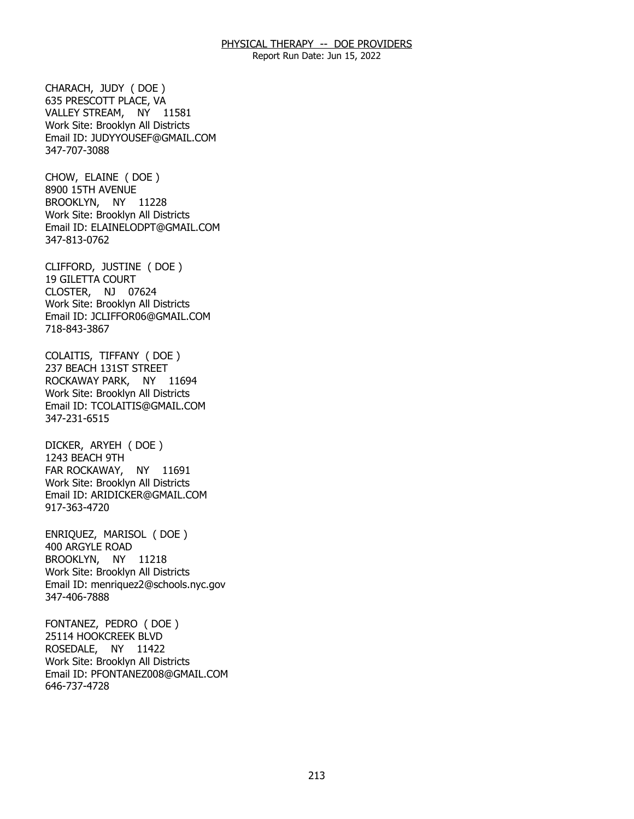Report Run Date: Jun 15, 2022

 VALLEY STREAM, NY 11581 CHARACH, JUDY ( DOE ) 635 PRESCOTT PLACE, VA Work Site: Brooklyn All Districts Email ID: [JUDYYOUSEF@GMAIL.COM](mailto:JUDYYOUSEF@GMAIL.COM)  347-707-3088

 BROOKLYN, NY 11228 CHOW, ELAINE ( DOE ) 8900 15TH AVENUE Work Site: Brooklyn All Districts Email ID: [ELAINELODPT@GMAIL.COM](mailto:ELAINELODPT@GMAIL.COM)  347-813-0762

 CLOSTER, NJ 07624 CLIFFORD, JUSTINE ( DOE ) 19 GILETTA COURT Work Site: Brooklyn All Districts Email ID: [JCLIFFOR06@GMAIL.COM](mailto:JCLIFFOR06@GMAIL.COM) 718-843-3867

 ROCKAWAY PARK, NY 11694 COLAITIS, TIFFANY ( DOE ) 237 BEACH 131ST STREET Work Site: Brooklyn All Districts Email ID: [TCOLAITIS@GMAIL.COM](mailto:TCOLAITIS@GMAIL.COM)  347-231-6515

 FAR ROCKAWAY, NY 11691 DICKER, ARYEH ( DOE ) 1243 BEACH 9TH Work Site: Brooklyn All Districts Email ID: [ARIDICKER@GMAIL.COM](mailto:ARIDICKER@GMAIL.COM) 917-363-4720

 BROOKLYN, NY 11218 ENRIQUEZ, MARISOL ( DOE ) 400 ARGYLE ROAD Work Site: Brooklyn All Districts Email ID: [menriquez2@schools.nyc.gov](mailto:menriquez2@schools.nyc.gov)  347-406-7888

 ROSEDALE, NY 11422 FONTANEZ, PEDRO ( DOE ) 25114 HOOKCREEK BLVD Work Site: Brooklyn All Districts Email ID: [PFONTANEZ008@GMAIL.COM](mailto:PFONTANEZ008@GMAIL.COM) 646-737-4728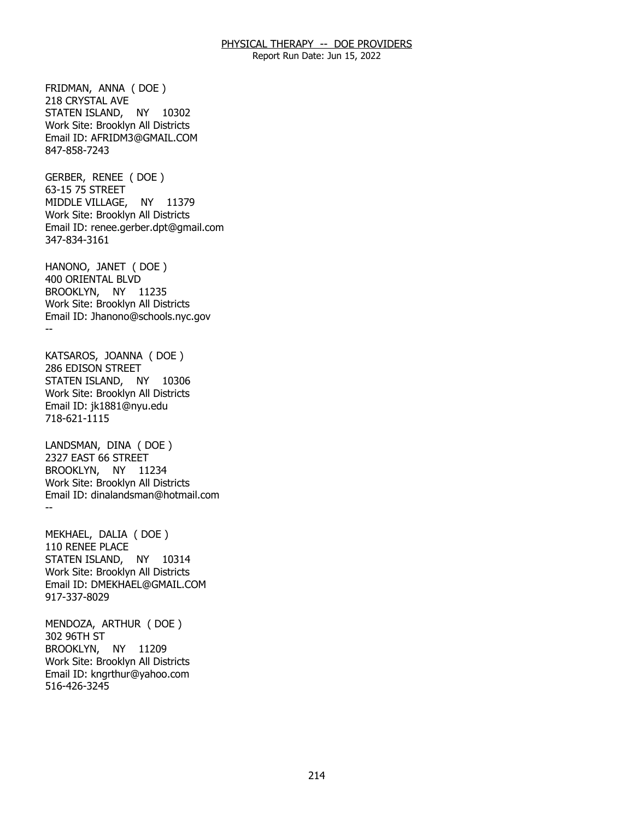Report Run Date: Jun 15, 2022

 STATEN ISLAND, NY 10302 FRIDMAN, ANNA ( DOE ) 218 CRYSTAL AVE Work Site: Brooklyn All Districts Email ID: [AFRIDM3@GMAIL.COM](mailto:AFRIDM3@GMAIL.COM) 847-858-7243

 MIDDLE VILLAGE, NY 11379 GERBER, RENEE ( DOE ) 63-15 75 STREET Work Site: Brooklyn All Districts Email ID: [renee.gerber.dpt@gmail.com](mailto:renee.gerber.dpt@gmail.com) 347-834-3161

 BROOKLYN, NY 11235 -- HANONO, JANET ( DOE ) 400 ORIENTAL BLVD Work Site: Brooklyn All Districts Email ID: [Jhanono@schools.nyc.gov](mailto:Jhanono@schools.nyc.gov)

 STATEN ISLAND, NY 10306 KATSAROS, JOANNA ( DOE ) 286 EDISON STREET Work Site: Brooklyn All Districts Email ID: [jk1881@nyu.edu](mailto:jk1881@nyu.edu) 718-621-1115

 BROOKLYN, NY 11234 -- LANDSMAN, DINA ( DOE ) 2327 EAST 66 STREET Work Site: Brooklyn All Districts Email ID: [dinalandsman@hotmail.com](mailto:dinalandsman@hotmail.com)

 STATEN ISLAND, NY 10314 MEKHAEL, DALIA ( DOE ) 110 RENEE PLACE Work Site: Brooklyn All Districts Email ID: [DMEKHAEL@GMAIL.COM](mailto:DMEKHAEL@GMAIL.COM) 917-337-8029

 BROOKLYN, NY 11209 MENDOZA, ARTHUR ( DOE ) 302 96TH ST Work Site: Brooklyn All Districts Email ID: [kngrthur@yahoo.com](mailto:kngrthur@yahoo.com)  516-426-3245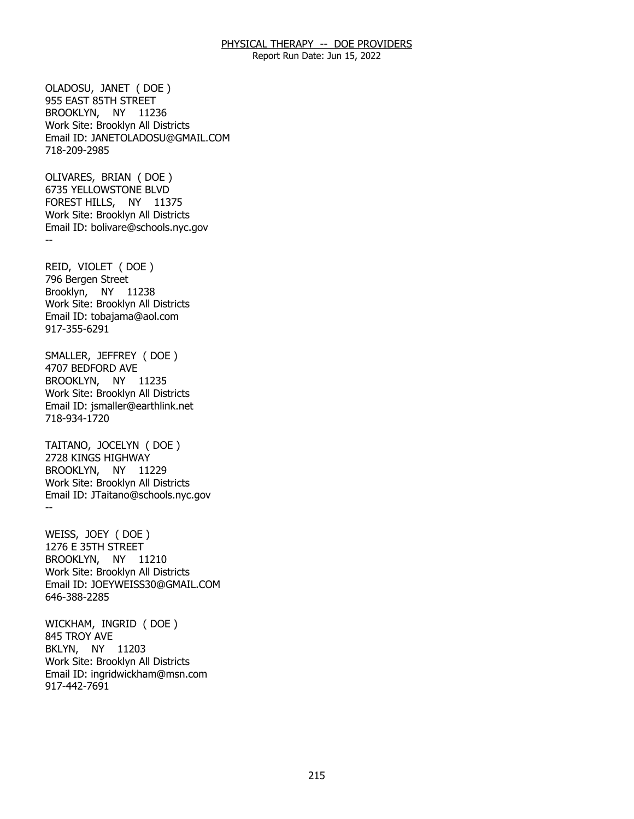Report Run Date: Jun 15, 2022

 BROOKLYN, NY 11236 OLADOSU, JANET ( DOE ) 955 EAST 85TH STREET Work Site: Brooklyn All Districts Email ID: [JANETOLADOSU@GMAIL.COM](mailto:JANETOLADOSU@GMAIL.COM) 718-209-2985

 FOREST HILLS, NY 11375 -- OLIVARES, BRIAN ( DOE ) 6735 YELLOWSTONE BLVD Work Site: Brooklyn All Districts Email ID: [bolivare@schools.nyc.gov](mailto:bolivare@schools.nyc.gov)

 Brooklyn, NY 11238 REID, VIOLET ( DOE ) 796 Bergen Street Work Site: Brooklyn All Districts Email ID: [tobajama@aol.com](mailto:tobajama@aol.com)  917-355-6291

 BROOKLYN, NY 11235 SMALLER, JEFFREY ( DOE ) 4707 BEDFORD AVE Work Site: Brooklyn All Districts Email ID: [jsmaller@earthlink.net](mailto:jsmaller@earthlink.net)  718-934-1720

 BROOKLYN, NY 11229 -- TAITANO, JOCELYN ( DOE ) 2728 KINGS HIGHWAY Work Site: Brooklyn All Districts Email ID: [JTaitano@schools.nyc.gov](mailto:JTaitano@schools.nyc.gov) 

 BROOKLYN, NY 11210 WEISS, JOEY ( DOE ) 1276 E 35TH STREET Work Site: Brooklyn All Districts Email ID: [JOEYWEISS30@GMAIL.COM](mailto:JOEYWEISS30@GMAIL.COM)  646-388-2285

 BKLYN, NY 11203 WICKHAM, INGRID ( DOE ) 845 TROY AVE Work Site: Brooklyn All Districts Email ID: [ingridwickham@msn.com](mailto:ingridwickham@msn.com) 917-442-7691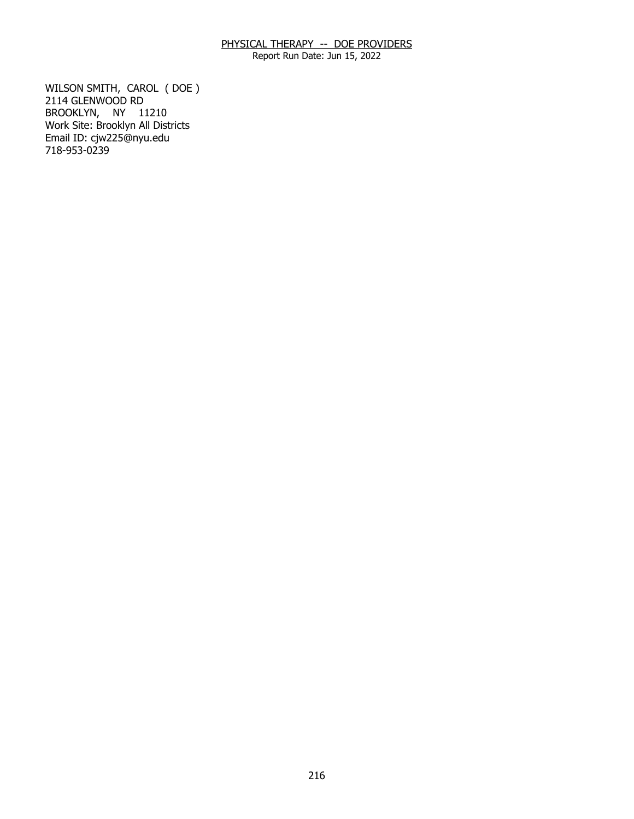Report Run Date: Jun 15, 2022

 BROOKLYN, NY 11210 WILSON SMITH, CAROL ( DOE ) 2114 GLENWOOD RD Work Site: Brooklyn All Districts Email ID: [cjw225@nyu.edu](mailto:cjw225@nyu.edu)  718-953-0239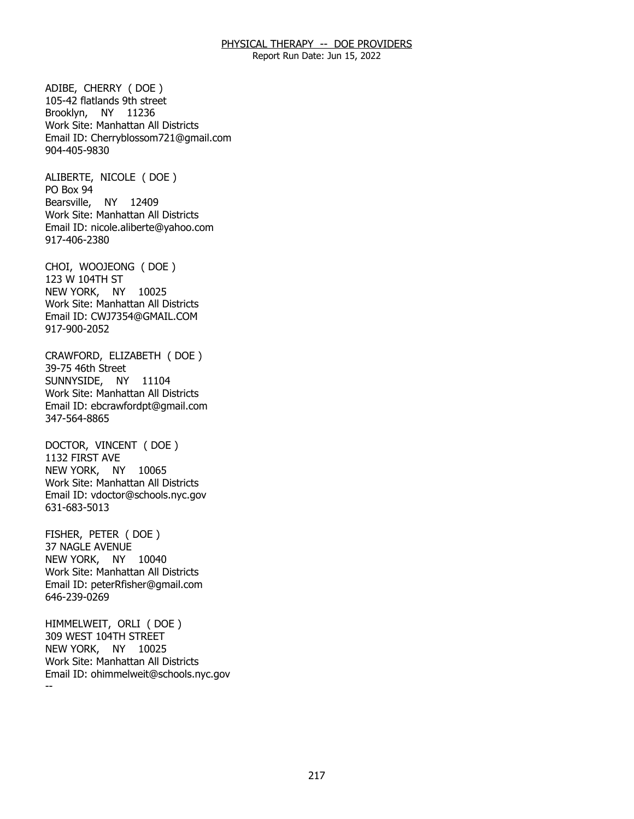Report Run Date: Jun 15, 2022

 Brooklyn, NY 11236 ADIBE, CHERRY ( DOE ) 105-42 flatlands 9th street Work Site: Manhattan All Districts Email ID: [Cherryblossom721@gmail.com](mailto:Cherryblossom721@gmail.com)  904-405-9830

 Bearsville, NY 12409 ALIBERTE, NICOLE ( DOE ) PO Box 94 Work Site: Manhattan All Districts Email ID: [nicole.aliberte@yahoo.com](mailto:nicole.aliberte@yahoo.com) 917-406-2380

 NEW YORK, NY 10025 CHOI, WOOJEONG ( DOE ) 123 W 104TH ST Work Site: Manhattan All Districts Email ID: [CWJ7354@GMAIL.COM](mailto:CWJ7354@GMAIL.COM)  917-900-2052

 SUNNYSIDE, NY 11104 CRAWFORD, ELIZABETH ( DOE ) 39-75 46th Street Work Site: Manhattan All Districts Email ID: [ebcrawfordpt@gmail.com](mailto:ebcrawfordpt@gmail.com)  347-564-8865

 NEW YORK, NY 10065 DOCTOR, VINCENT ( DOE ) 1132 FIRST AVE Work Site: Manhattan All Districts Email ID: [vdoctor@schools.nyc.gov](mailto:vdoctor@schools.nyc.gov) 631-683-5013

 NEW YORK, NY 10040 FISHER, PETER ( DOE ) 37 NAGLE AVENUE Work Site: Manhattan All Districts Email ID: [peterRfisher@gmail.com](mailto:peterRfisher@gmail.com)  646-239-0269

 NEW YORK, NY 10025 -- HIMMELWEIT, ORLI ( DOE ) 309 WEST 104TH STREET Work Site: Manhattan All Districts Email ID: [ohimmelweit@schools.nyc.gov](mailto:ohimmelweit@schools.nyc.gov)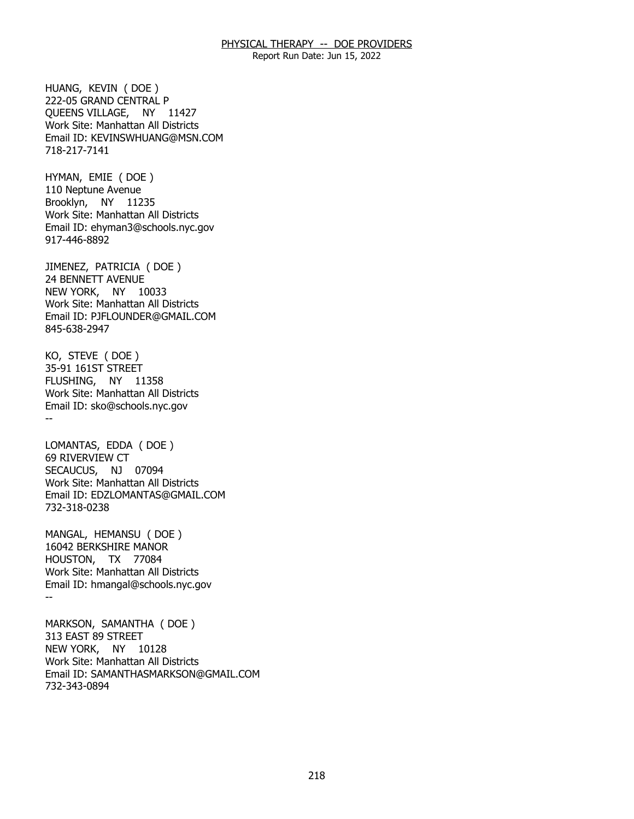Report Run Date: Jun 15, 2022

 QUEENS VILLAGE, NY 11427 HUANG, KEVIN ( DOE ) 222-05 GRAND CENTRAL P Work Site: Manhattan All Districts Email ID: [KEVINSWHUANG@MSN.COM](mailto:KEVINSWHUANG@MSN.COM)  718-217-7141

 Brooklyn, NY 11235 HYMAN, EMIE ( DOE ) 110 Neptune Avenue Work Site: Manhattan All Districts Email ID: [ehyman3@schools.nyc.gov](mailto:ehyman3@schools.nyc.gov)  917-446-8892

 NEW YORK, NY 10033 JIMENEZ, PATRICIA ( DOE ) 24 BENNETT AVENUE Work Site: Manhattan All Districts Email ID: [PJFLOUNDER@GMAIL.COM](mailto:PJFLOUNDER@GMAIL.COM)  845-638-2947

 FLUSHING, NY 11358 -- KO, STEVE ( DOE ) 35-91 161ST STREET Work Site: Manhattan All Districts Email ID: [sko@schools.nyc.gov](mailto:sko@schools.nyc.gov)

 SECAUCUS, NJ 07094 LOMANTAS, EDDA ( DOE ) 69 RIVERVIEW CT Work Site: Manhattan All Districts Email ID: [EDZLOMANTAS@GMAIL.COM](mailto:EDZLOMANTAS@GMAIL.COM)  732-318-0238

 HOUSTON, TX 77084 -- MANGAL, HEMANSU ( DOE ) 16042 BERKSHIRE MANOR Work Site: Manhattan All Districts Email ID: [hmangal@schools.nyc.gov](mailto:hmangal@schools.nyc.gov)

 NEW YORK, NY 10128 MARKSON, SAMANTHA ( DOE ) 313 EAST 89 STREET Work Site: Manhattan All Districts Email ID: [SAMANTHASMARKSON@GMAIL.COM](mailto:SAMANTHASMARKSON@GMAIL.COM) 732-343-0894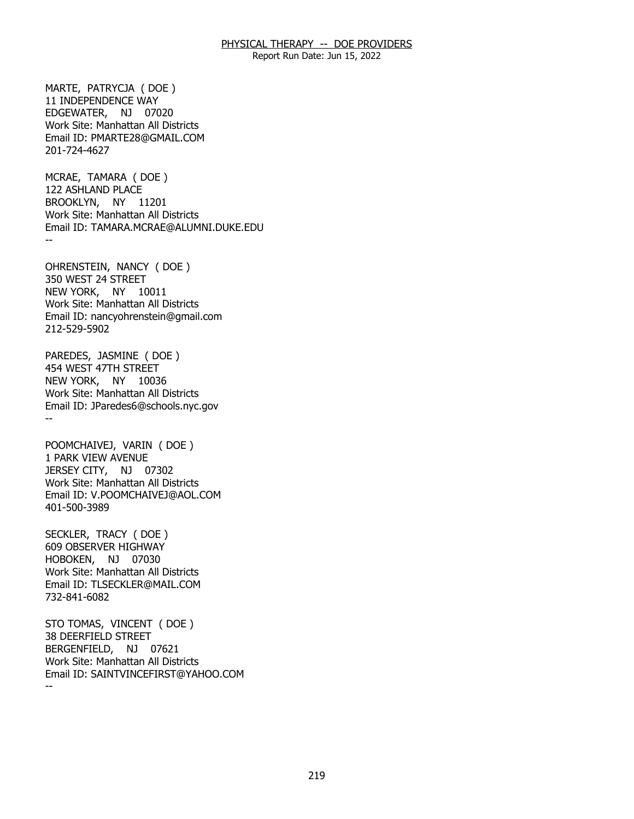Report Run Date: Jun 15, 2022

 EDGEWATER, NJ 07020 MARTE, PATRYCJA ( DOE ) 11 INDEPENDENCE WAY Work Site: Manhattan All Districts Email ID: [PMARTE28@GMAIL.COM](mailto:PMARTE28@GMAIL.COM)  201-724-4627

 BROOKLYN, NY 11201 -- MCRAE, TAMARA ( DOE ) 122 ASHLAND PLACE Work Site: Manhattan All Districts Email ID: [TAMARA.MCRAE@ALUMNI.DUKE.EDU](mailto:TAMARA.MCRAE@ALUMNI.DUKE.EDU) 

 NEW YORK, NY 10011 OHRENSTEIN, NANCY ( DOE ) 350 WEST 24 STREET Work Site: Manhattan All Districts Email ID: [nancyohrenstein@gmail.com](mailto:nancyohrenstein@gmail.com)  212-529-5902

 NEW YORK, NY 10036 -- PAREDES, JASMINE ( DOE ) 454 WEST 47TH STREET Work Site: Manhattan All Districts Email ID: [JParedes6@schools.nyc.gov](mailto:JParedes6@schools.nyc.gov) 

 JERSEY CITY, NJ 07302 POOMCHAIVEJ, VARIN ( DOE ) 1 PARK VIEW AVENUE Work Site: Manhattan All Districts Email ID: [V.POOMCHAIVEJ@AOL.COM](mailto:V.POOMCHAIVEJ@AOL.COM) 401-500-3989

 HOBOKEN, NJ 07030 SECKLER, TRACY ( DOE ) 609 OBSERVER HIGHWAY Work Site: Manhattan All Districts Email ID: [TLSECKLER@MAIL.COM](mailto:TLSECKLER@MAIL.COM)  732-841-6082

 BERGENFIELD, NJ 07621 -- STO TOMAS, VINCENT ( DOE ) 38 DEERFIELD STREET Work Site: Manhattan All Districts Email ID: [SAINTVINCEFIRST@YAHOO.COM](mailto:SAINTVINCEFIRST@YAHOO.COM)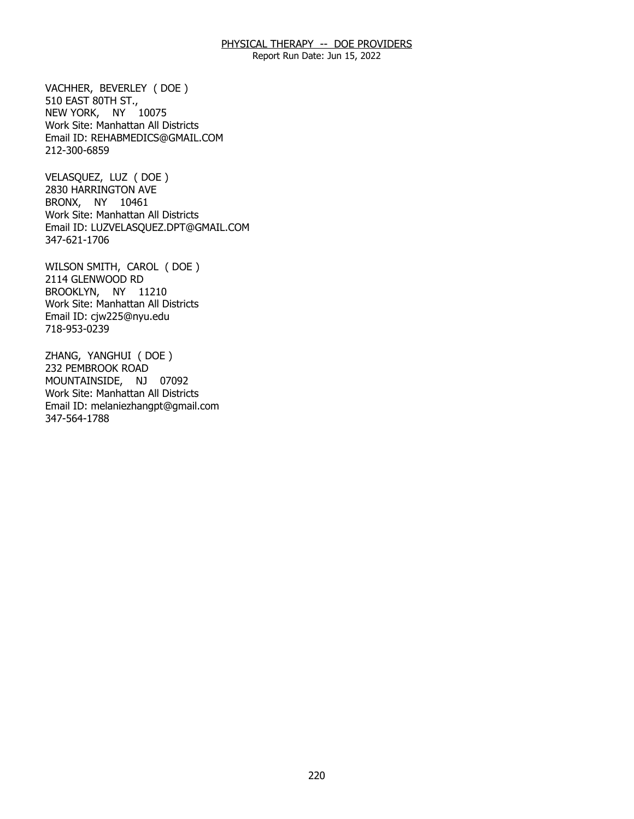Report Run Date: Jun 15, 2022

 NEW YORK, NY 10075 VACHHER, BEVERLEY ( DOE ) 510 EAST 80TH ST., Work Site: Manhattan All Districts Email ID: [REHABMEDICS@GMAIL.COM](mailto:REHABMEDICS@GMAIL.COM)  212-300-6859

 BRONX, NY 10461 VELASQUEZ, LUZ ( DOE ) 2830 HARRINGTON AVE Work Site: Manhattan All Districts Email ID: [LUZVELASQUEZ.DPT@GMAIL.COM](mailto:LUZVELASQUEZ.DPT@GMAIL.COM) 347-621-1706

 BROOKLYN, NY 11210 WILSON SMITH, CAROL ( DOE ) 2114 GLENWOOD RD Work Site: Manhattan All Districts Email ID: [cjw225@nyu.edu](mailto:cjw225@nyu.edu)  718-953-0239

 MOUNTAINSIDE, NJ 07092 ZHANG, YANGHUI ( DOE ) 232 PEMBROOK ROAD Work Site: Manhattan All Districts Email ID: [melaniezhangpt@gmail.com](mailto:melaniezhangpt@gmail.com)  347-564-1788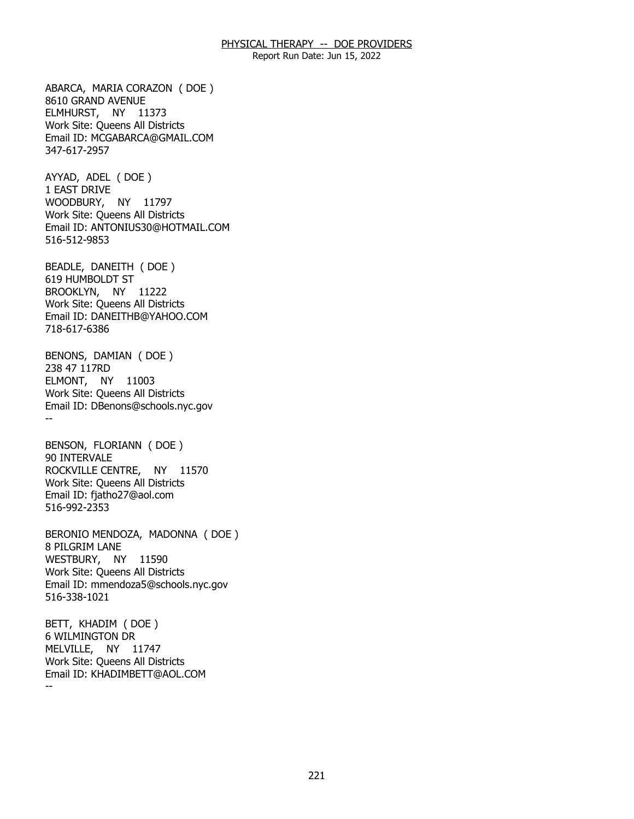Report Run Date: Jun 15, 2022

 ELMHURST, NY 11373 ABARCA, MARIA CORAZON ( DOE ) 8610 GRAND AVENUE Work Site: Queens All Districts Email ID: [MCGABARCA@GMAIL.COM](mailto:MCGABARCA@GMAIL.COM) 347-617-2957

 WOODBURY, NY 11797 AYYAD, ADEL ( DOE ) 1 EAST DRIVE Work Site: Queens All Districts Email ID: [ANTONIUS30@HOTMAIL.COM](mailto:ANTONIUS30@HOTMAIL.COM)  516-512-9853

 BROOKLYN, NY 11222 BEADLE, DANEITH ( DOE ) 619 HUMBOLDT ST Work Site: Queens All Districts Email ID: [DANEITHB@YAHOO.COM](mailto:DANEITHB@YAHOO.COM)  718-617-6386

 ELMONT, NY 11003 -- BENONS, DAMIAN ( DOE ) 238 47 117RD Work Site: Queens All Districts Email ID: [DBenons@schools.nyc.gov](mailto:DBenons@schools.nyc.gov)

 ROCKVILLE CENTRE, NY 11570 BENSON, FLORIANN ( DOE ) 90 INTERVALE Work Site: Queens All Districts Email ID: [fjatho27@aol.com](mailto:fjatho27@aol.com)  516-992-2353

 WESTBURY, NY 11590 BERONIO MENDOZA, MADONNA ( DOE ) 8 PILGRIM LANE Work Site: Queens All Districts Email ID: [mmendoza5@schools.nyc.gov](mailto:mmendoza5@schools.nyc.gov) 516-338-1021

 MELVILLE, NY 11747 -- BETT, KHADIM ( DOE ) 6 WILMINGTON DR Work Site: Queens All Districts Email ID: [KHADIMBETT@AOL.COM](mailto:KHADIMBETT@AOL.COM)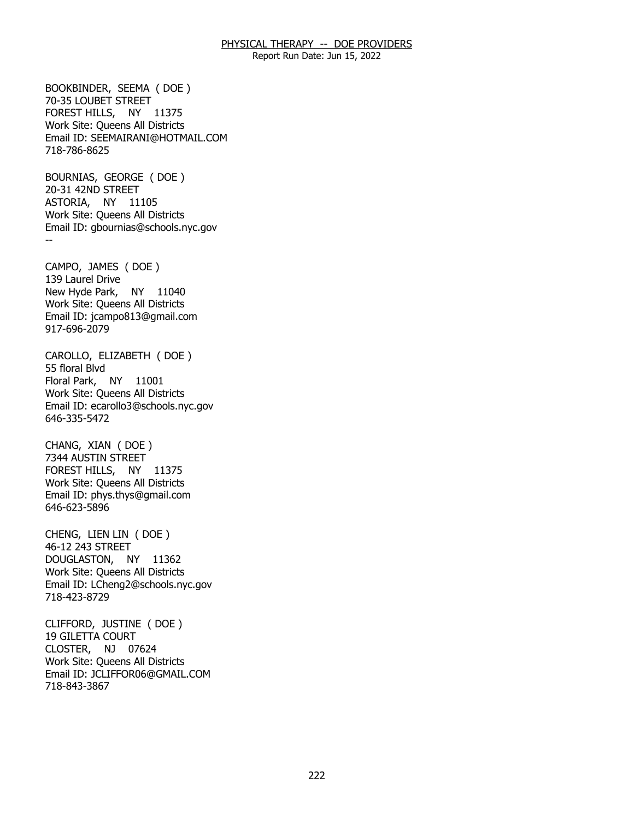Report Run Date: Jun 15, 2022

 FOREST HILLS, NY 11375 BOOKBINDER, SEEMA ( DOE ) 70-35 LOUBET STREET Work Site: Queens All Districts Email ID: [SEEMAIRANI@HOTMAIL.COM](mailto:SEEMAIRANI@HOTMAIL.COM)  718-786-8625

 ASTORIA, NY 11105 -- BOURNIAS, GEORGE ( DOE ) 20-31 42ND STREET Work Site: Queens All Districts Email ID: [gbournias@schools.nyc.gov](mailto:gbournias@schools.nyc.gov) 

 New Hyde Park, NY 11040 CAMPO, JAMES ( DOE ) 139 Laurel Drive Work Site: Queens All Districts Email ID: [jcampo813@gmail.com](mailto:jcampo813@gmail.com)  917-696-2079

 Floral Park, NY 11001 CAROLLO, ELIZABETH ( DOE ) 55 floral Blvd Work Site: Queens All Districts Email ID: [ecarollo3@schools.nyc.gov](mailto:ecarollo3@schools.nyc.gov) 646-335-5472

 FOREST HILLS, NY 11375 CHANG, XIAN ( DOE ) 7344 AUSTIN STREET Work Site: Queens All Districts Email ID: [phys.thys@gmail.com](mailto:phys.thys@gmail.com) 646-623-5896

 DOUGLASTON, NY 11362 CHENG, LIEN LIN ( DOE ) 46-12 243 STREET Work Site: Queens All Districts Email ID: [LCheng2@schools.nyc.gov](mailto:LCheng2@schools.nyc.gov)  718-423-8729

 CLOSTER, NJ 07624 CLIFFORD, JUSTINE ( DOE ) 19 GILETTA COURT Work Site: Queens All Districts Email ID: [JCLIFFOR06@GMAIL.COM](mailto:JCLIFFOR06@GMAIL.COM) 718-843-3867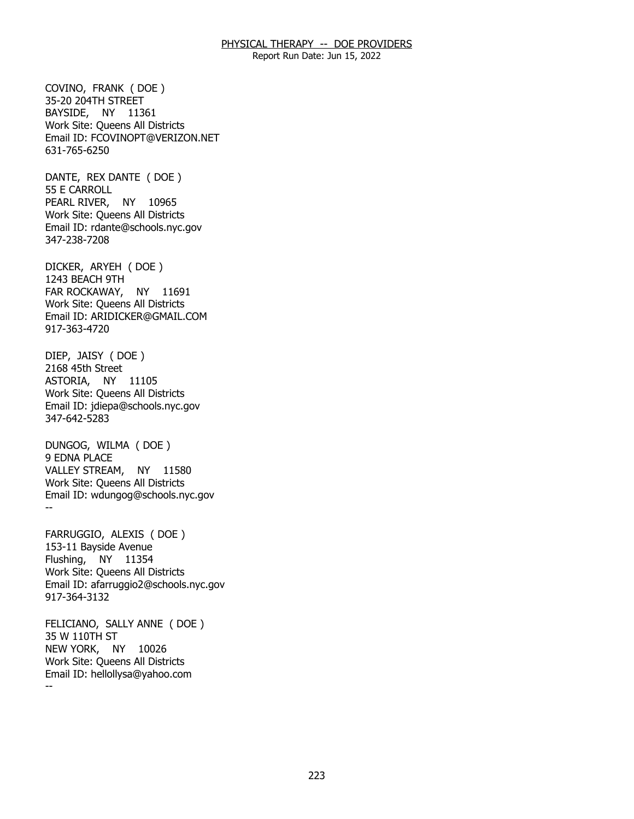Report Run Date: Jun 15, 2022

 BAYSIDE, NY 11361 COVINO, FRANK ( DOE ) 35-20 204TH STREET Work Site: Queens All Districts Email ID: [FCOVINOPT@VERIZON.NET](mailto:FCOVINOPT@VERIZON.NET) 631-765-6250

 PEARL RIVER, NY 10965 DANTE, REX DANTE ( DOE ) 55 E CARROLL Work Site: Queens All Districts Email ID: [rdante@schools.nyc.gov](mailto:rdante@schools.nyc.gov)  347-238-7208

 FAR ROCKAWAY, NY 11691 DICKER, ARYEH ( DOE ) 1243 BEACH 9TH Work Site: Queens All Districts Email ID: [ARIDICKER@GMAIL.COM](mailto:ARIDICKER@GMAIL.COM) 917-363-4720

 ASTORIA, NY 11105 DIEP, JAISY ( DOE ) 2168 45th Street Work Site: Queens All Districts Email ID: [jdiepa@schools.nyc.gov](mailto:jdiepa@schools.nyc.gov) 347-642-5283

 VALLEY STREAM, NY 11580 -- DUNGOG, WILMA ( DOE ) 9 EDNA PLACE Work Site: Queens All Districts Email ID: [wdungog@schools.nyc.gov](mailto:wdungog@schools.nyc.gov)

 Flushing, NY 11354 FARRUGGIO, ALEXIS ( DOE ) 153-11 Bayside Avenue Work Site: Queens All Districts Email ID: [afarruggio2@schools.nyc.gov](mailto:afarruggio2@schools.nyc.gov) 917-364-3132

 NEW YORK, NY 10026 -- FELICIANO, SALLY ANNE ( DOE ) 35 W 110TH ST Work Site: Queens All Districts Email ID: [hellollysa@yahoo.com](mailto:hellollysa@yahoo.com)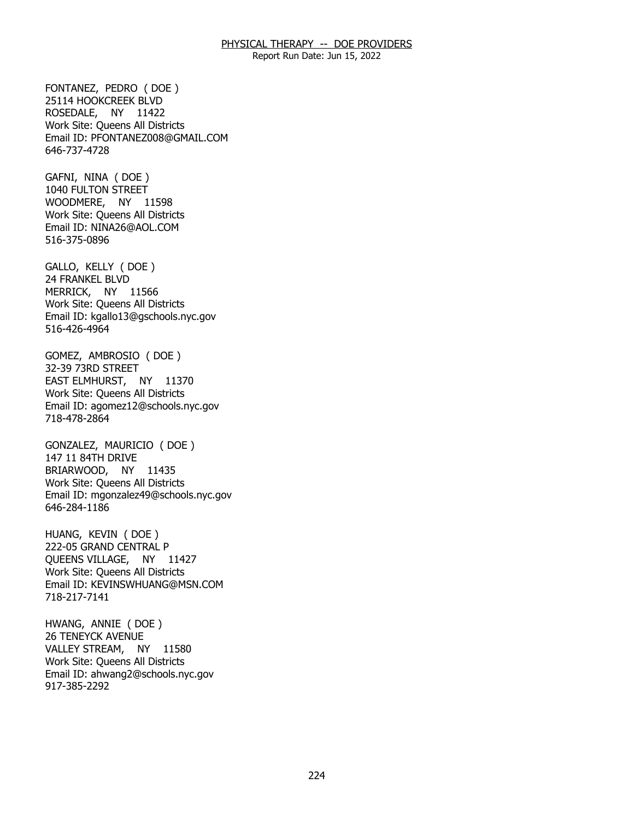Report Run Date: Jun 15, 2022

 ROSEDALE, NY 11422 FONTANEZ, PEDRO ( DOE ) 25114 HOOKCREEK BLVD Work Site: Queens All Districts Email ID: [PFONTANEZ008@GMAIL.COM](mailto:PFONTANEZ008@GMAIL.COM) 646-737-4728

 WOODMERE, NY 11598 GAFNI, NINA ( DOE ) 1040 FULTON STREET Work Site: Queens All Districts Email ID: [NINA26@AOL.COM](mailto:NINA26@AOL.COM)  516-375-0896

 MERRICK, NY 11566 GALLO, KELLY ( DOE ) 24 FRANKEL BLVD Work Site: Queens All Districts Email ID: [kgallo13@gschools.nyc.gov](mailto:kgallo13@gschools.nyc.gov)  516-426-4964

 EAST ELMHURST, NY 11370 GOMEZ, AMBROSIO ( DOE ) 32-39 73RD STREET Work Site: Queens All Districts Email ID: [agomez12@schools.nyc.gov](mailto:agomez12@schools.nyc.gov)  718-478-2864

 BRIARWOOD, NY 11435 GONZALEZ, MAURICIO ( DOE ) 147 11 84TH DRIVE Work Site: Queens All Districts Email ID: [mgonzalez49@schools.nyc.gov](mailto:mgonzalez49@schools.nyc.gov)  646-284-1186

 QUEENS VILLAGE, NY 11427 HUANG, KEVIN ( DOE ) 222-05 GRAND CENTRAL P Work Site: Queens All Districts Email ID: [KEVINSWHUANG@MSN.COM](mailto:KEVINSWHUANG@MSN.COM)  718-217-7141

 VALLEY STREAM, NY 11580 HWANG, ANNIE ( DOE ) 26 TENEYCK AVENUE Work Site: Queens All Districts Email ID: [ahwang2@schools.nyc.gov](mailto:ahwang2@schools.nyc.gov)  917-385-2292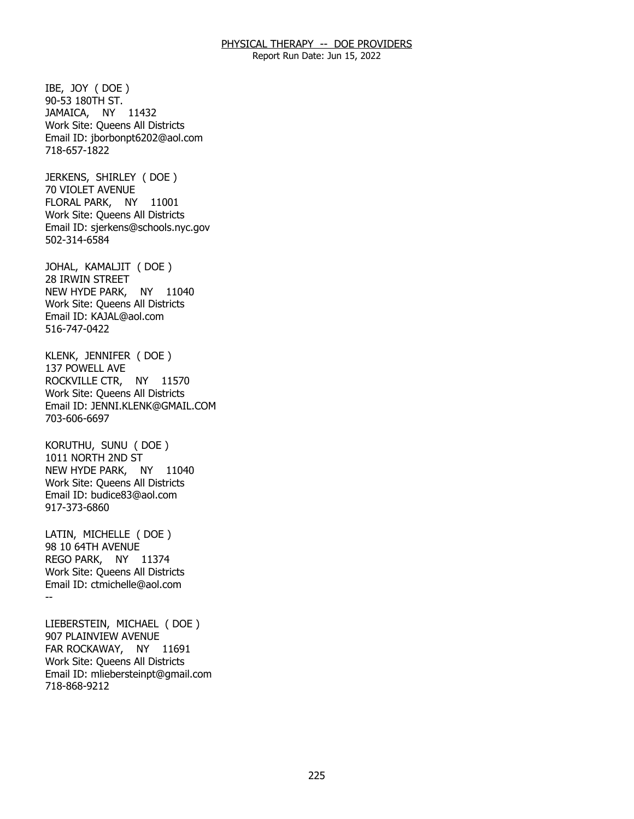Report Run Date: Jun 15, 2022

 JAMAICA, NY 11432 IBE, JOY ( DOE ) 90-53 180TH ST. Work Site: Queens All Districts Email ID: [jborbonpt6202@aol.com](mailto:jborbonpt6202@aol.com) 718-657-1822

 FLORAL PARK, NY 11001 JERKENS, SHIRLEY ( DOE ) 70 VIOLET AVENUE Work Site: Queens All Districts Email ID: [sjerkens@schools.nyc.gov](mailto:sjerkens@schools.nyc.gov)  502-314-6584

 NEW HYDE PARK, NY 11040 JOHAL, KAMALJIT ( DOE ) 28 IRWIN STREET Work Site: Queens All Districts Email ID: [KAJAL@aol.com](mailto:KAJAL@aol.com) 516-747-0422

 ROCKVILLE CTR, NY 11570 KLENK, JENNIFER ( DOE ) 137 POWELL AVE Work Site: Queens All Districts Email ID: [JENNI.KLENK@GMAIL.COM](mailto:JENNI.KLENK@GMAIL.COM)  703-606-6697

 NEW HYDE PARK, NY 11040 KORUTHU, SUNU ( DOE ) 1011 NORTH 2ND ST Work Site: Queens All Districts Email ID: [budice83@aol.com](mailto:budice83@aol.com) 917-373-6860

 REGO PARK, NY 11374 -- LATIN, MICHELLE ( DOE ) 98 10 64TH AVENUE Work Site: Queens All Districts Email ID: [ctmichelle@aol.com](mailto:ctmichelle@aol.com)

 FAR ROCKAWAY, NY 11691 LIEBERSTEIN, MICHAEL ( DOE ) 907 PLAINVIEW AVENUE Work Site: Queens All Districts Email ID: [mliebersteinpt@gmail.com](mailto:mliebersteinpt@gmail.com)  718-868-9212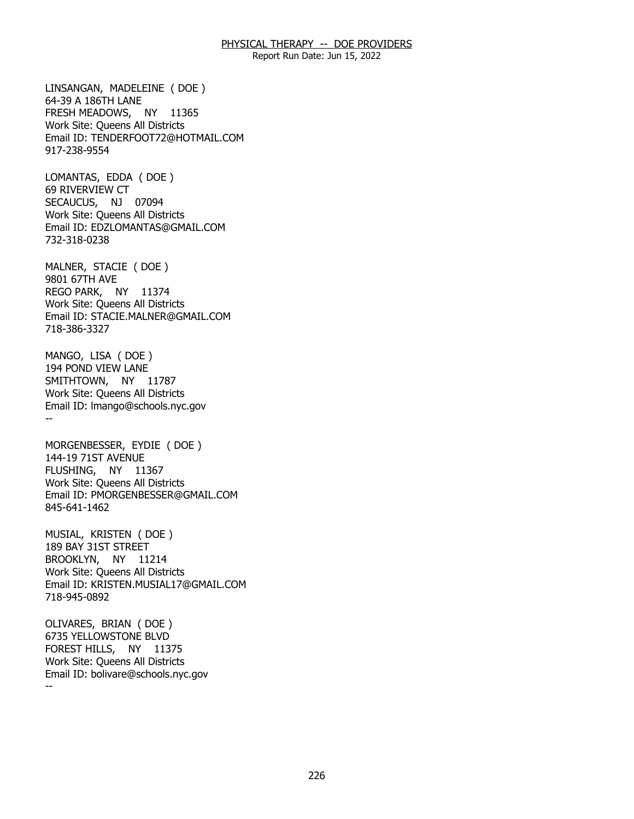Report Run Date: Jun 15, 2022

 FRESH MEADOWS, NY 11365 LINSANGAN, MADELEINE ( DOE ) 64-39 A 186TH LANE Work Site: Queens All Districts Email ID: [TENDERFOOT72@HOTMAIL.COM](mailto:TENDERFOOT72@HOTMAIL.COM)  917-238-9554

 SECAUCUS, NJ 07094 LOMANTAS, EDDA ( DOE ) 69 RIVERVIEW CT Work Site: Queens All Districts Email ID: [EDZLOMANTAS@GMAIL.COM](mailto:EDZLOMANTAS@GMAIL.COM)  732-318-0238

 REGO PARK, NY 11374 MALNER, STACIE ( DOE ) 9801 67TH AVE Work Site: Queens All Districts Email ID: [STACIE.MALNER@GMAIL.COM](mailto:STACIE.MALNER@GMAIL.COM)  718-386-3327

 SMITHTOWN, NY 11787 -- MANGO, LISA ( DOE ) 194 POND VIEW LANE Work Site: Queens All Districts Email ID: [lmango@schools.nyc.gov](mailto:lmango@schools.nyc.gov) 

FLUSHING, MORGENBESSER, EYDIE ( DOE ) 144-19 71ST AVENUE NY 11367 Work Site: Queens All Districts Email ID: [PMORGENBESSER@GMAIL.COM](mailto:PMORGENBESSER@GMAIL.COM)  845-641-1462

 BROOKLYN, NY 11214 MUSIAL, KRISTEN ( DOE ) 189 BAY 31ST STREET Work Site: Queens All Districts Email ID: [KRISTEN.MUSIAL17@GMAIL.COM](mailto:KRISTEN.MUSIAL17@GMAIL.COM)  718-945-0892

 FOREST HILLS, NY 11375 -- OLIVARES, BRIAN ( DOE ) 6735 YELLOWSTONE BLVD Work Site: Queens All Districts Email ID: [bolivare@schools.nyc.gov](mailto:bolivare@schools.nyc.gov)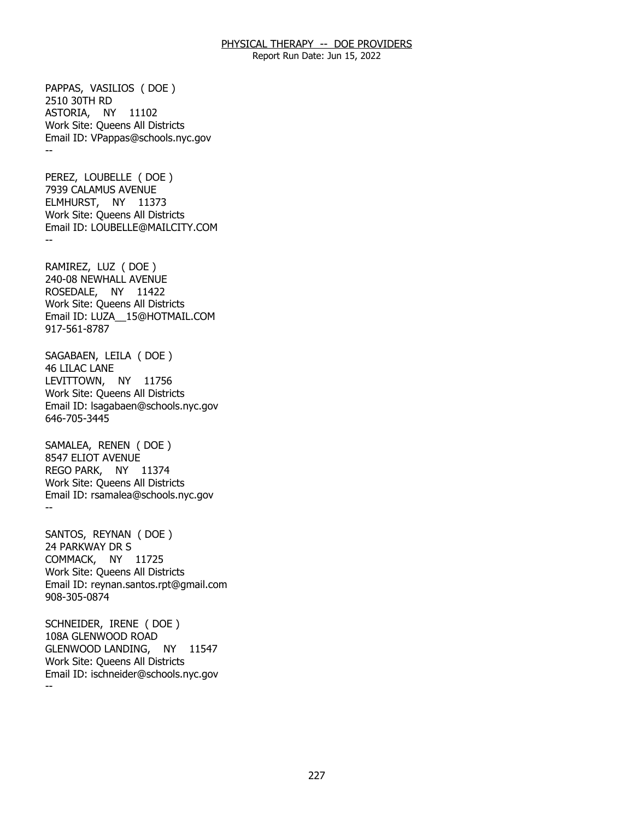Report Run Date: Jun 15, 2022

 ASTORIA, NY 11102 -- PAPPAS, VASILIOS ( DOE ) 2510 30TH RD Work Site: Queens All Districts Email ID: [VPappas@schools.nyc.gov](mailto:VPappas@schools.nyc.gov) 

 ELMHURST, NY 11373 -- PEREZ, LOUBELLE ( DOE ) 7939 CALAMUS AVENUE Work Site: Queens All Districts Email ID: [LOUBELLE@MAILCITY.COM](mailto:LOUBELLE@MAILCITY.COM)

 ROSEDALE, NY 11422 RAMIREZ, LUZ ( DOE ) 240-08 NEWHALL AVENUE Work Site: Queens All Districts Email ID: [LUZA\\_\\_15@HOTMAIL.COM](mailto:LUZA__15@HOTMAIL.COM)  917-561-8787

 LEVITTOWN, NY 11756 SAGABAEN, LEILA ( DOE ) 46 LILAC LANE Work Site: Queens All Districts Email ID: [lsagabaen@schools.nyc.gov](mailto:lsagabaen@schools.nyc.gov)  646-705-3445

 REGO PARK, NY 11374 -- SAMALEA, RENEN ( DOE ) 8547 ELIOT AVENUE Work Site: Queens All Districts Email ID: [rsamalea@schools.nyc.gov](mailto:rsamalea@schools.nyc.gov)

 COMMACK, NY 11725 SANTOS, REYNAN ( DOE ) 24 PARKWAY DR S Work Site: Queens All Districts Email ID: [reynan.santos.rpt@gmail.com](mailto:reynan.santos.rpt@gmail.com) 908-305-0874

 GLENWOOD LANDING, NY 11547 -- SCHNEIDER, IRENE ( DOE ) 108A GLENWOOD ROAD Work Site: Queens All Districts Email ID: [ischneider@schools.nyc.gov](mailto:ischneider@schools.nyc.gov)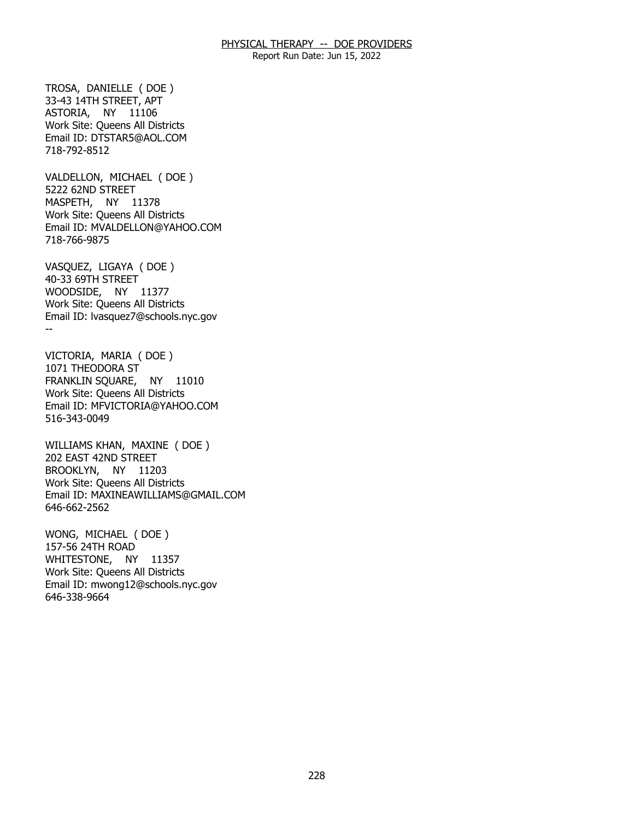Report Run Date: Jun 15, 2022

 ASTORIA, NY 11106 TROSA, DANIELLE ( DOE ) 33-43 14TH STREET, APT Work Site: Queens All Districts Email ID: [DTSTAR5@AOL.COM](mailto:DTSTAR5@AOL.COM)  718-792-8512

 MASPETH, NY 11378 VALDELLON, MICHAEL ( DOE ) 5222 62ND STREET Work Site: Queens All Districts Email ID: [MVALDELLON@YAHOO.COM](mailto:MVALDELLON@YAHOO.COM) 718-766-9875

 WOODSIDE, NY 11377 -- VASQUEZ, LIGAYA ( DOE ) 40-33 69TH STREET Work Site: Queens All Districts Email ID: [lvasquez7@schools.nyc.gov](mailto:lvasquez7@schools.nyc.gov) 

 FRANKLIN SQUARE, NY 11010 VICTORIA, MARIA ( DOE ) 1071 THEODORA ST Work Site: Queens All Districts Email ID: [MFVICTORIA@YAHOO.COM](mailto:MFVICTORIA@YAHOO.COM)  516-343-0049

 BROOKLYN, NY 11203 WILLIAMS KHAN, MAXINE ( DOE ) 202 EAST 42ND STREET Work Site: Queens All Districts Email ID: [MAXINEAWILLIAMS@GMAIL.COM](mailto:MAXINEAWILLIAMS@GMAIL.COM) 646-662-2562

 WHITESTONE, NY 11357 WONG, MICHAEL ( DOE ) 157-56 24TH ROAD Work Site: Queens All Districts Email ID: [mwong12@schools.nyc.gov](mailto:mwong12@schools.nyc.gov)  646-338-9664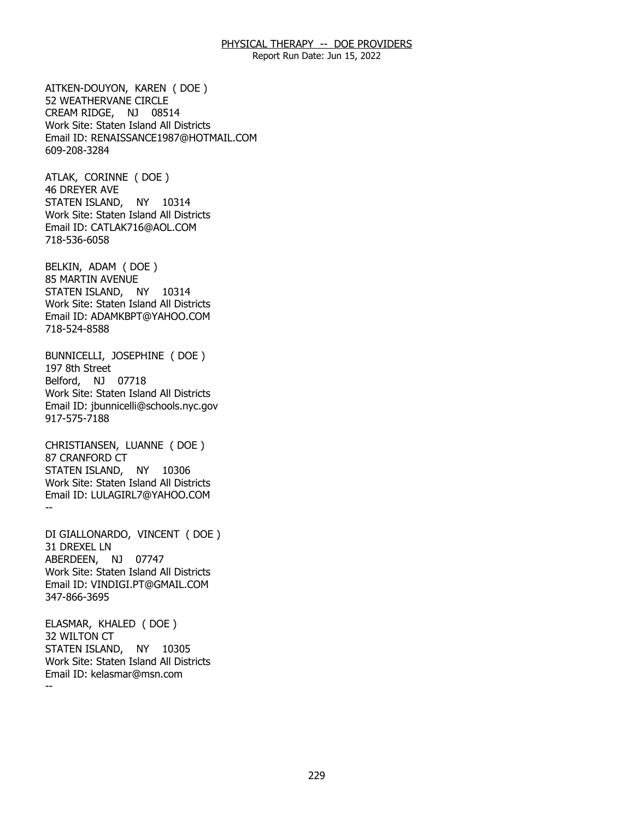Report Run Date: Jun 15, 2022

 CREAM RIDGE, NJ 08514 AITKEN-DOUYON, KAREN ( DOE ) 52 WEATHERVANE CIRCLE Work Site: Staten Island All Districts Email ID: [RENAISSANCE1987@HOTMAIL.COM](mailto:RENAISSANCE1987@HOTMAIL.COM) 609-208-3284

 STATEN ISLAND, NY 10314 ATLAK, CORINNE ( DOE ) 46 DREYER AVE Work Site: Staten Island All Districts Email ID: [CATLAK716@AOL.COM](mailto:CATLAK716@AOL.COM)  718-536-6058

 STATEN ISLAND, NY 10314 BELKIN, ADAM ( DOE ) 85 MARTIN AVENUE Work Site: Staten Island All Districts Email ID: [ADAMKBPT@YAHOO.COM](mailto:ADAMKBPT@YAHOO.COM) 718-524-8588

 Belford, NJ 07718 BUNNICELLI, JOSEPHINE ( DOE ) 197 8th Street Work Site: Staten Island All Districts Email ID: [jbunnicelli@schools.nyc.gov](mailto:jbunnicelli@schools.nyc.gov) 917-575-7188

 STATEN ISLAND, NY 10306 -- CHRISTIANSEN, LUANNE ( DOE ) 87 CRANFORD CT Work Site: Staten Island All Districts Email ID: [LULAGIRL7@YAHOO.COM](mailto:LULAGIRL7@YAHOO.COM)

 ABERDEEN, NJ 07747 DI GIALLONARDO, VINCENT ( DOE ) 31 DREXEL LN Work Site: Staten Island All Districts Email ID: [VINDIGI.PT@GMAIL.COM](mailto:VINDIGI.PT@GMAIL.COM)  347-866-3695

 STATEN ISLAND, NY 10305 -- ELASMAR, KHALED ( DOE ) 32 WILTON CT Work Site: Staten Island All Districts Email ID: [kelasmar@msn.com](mailto:kelasmar@msn.com)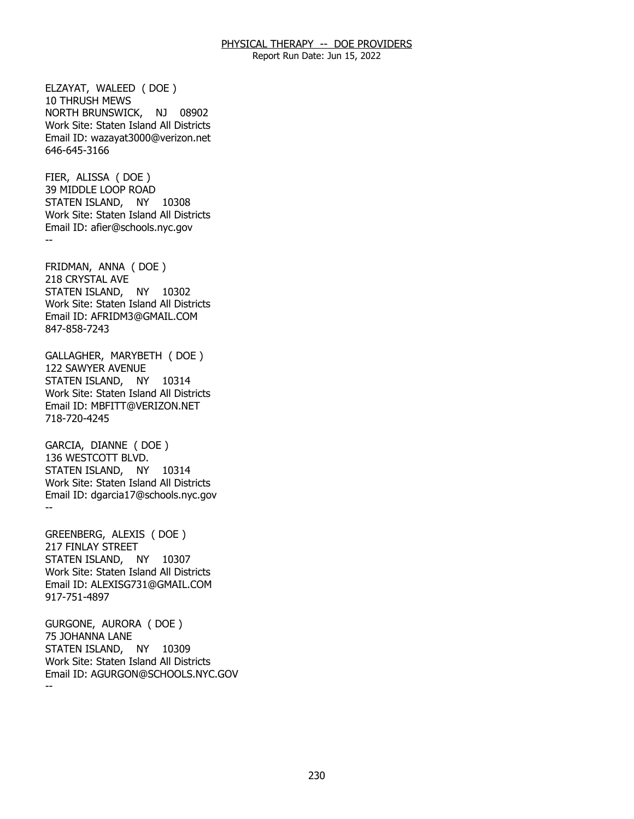Report Run Date: Jun 15, 2022

 NORTH BRUNSWICK, NJ 08902 ELZAYAT, WALEED ( DOE ) 10 THRUSH MEWS Work Site: Staten Island All Districts Email ID: [wazayat3000@verizon.net](mailto:wazayat3000@verizon.net)  646-645-3166

 STATEN ISLAND, NY 10308 -- FIER, ALISSA ( DOE ) 39 MIDDLE LOOP ROAD Work Site: Staten Island All Districts Email ID: [afier@schools.nyc.gov](mailto:afier@schools.nyc.gov)

 STATEN ISLAND, NY 10302 FRIDMAN, ANNA ( DOE ) 218 CRYSTAL AVE Work Site: Staten Island All Districts Email ID: [AFRIDM3@GMAIL.COM](mailto:AFRIDM3@GMAIL.COM) 847-858-7243

 STATEN ISLAND, NY 10314 GALLAGHER, MARYBETH ( DOE ) 122 SAWYER AVENUE Work Site: Staten Island All Districts Email ID: [MBFITT@VERIZON.NET](mailto:MBFITT@VERIZON.NET) 718-720-4245

 STATEN ISLAND, NY 10314 -- GARCIA, DIANNE ( DOE ) 136 WESTCOTT BLVD. Work Site: Staten Island All Districts Email ID: [dgarcia17@schools.nyc.gov](mailto:dgarcia17@schools.nyc.gov)

 STATEN ISLAND, NY 10307 GREENBERG, ALEXIS ( DOE ) 217 FINLAY STREET Work Site: Staten Island All Districts Email ID: [ALEXISG731@GMAIL.COM](mailto:ALEXISG731@GMAIL.COM)  917-751-4897

 STATEN ISLAND, NY 10309 -- GURGONE, AURORA ( DOE ) 75 JOHANNA LANE Work Site: Staten Island All Districts Email ID: [AGURGON@SCHOOLS.NYC.GOV](mailto:AGURGON@SCHOOLS.NYC.GOV)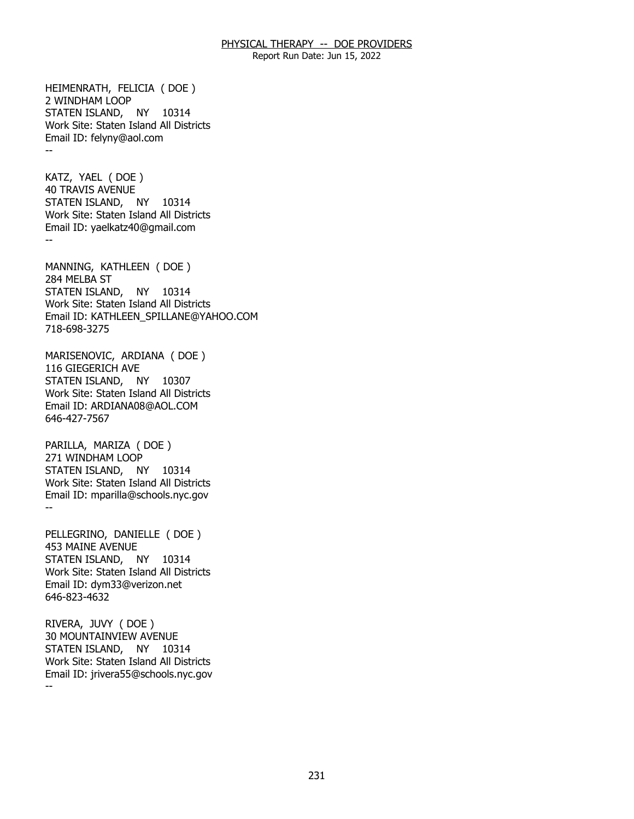Report Run Date: Jun 15, 2022

 STATEN ISLAND, NY 10314 -- HEIMENRATH, FELICIA ( DOE ) 2 WINDHAM LOOP Work Site: Staten Island All Districts Email ID: [felyny@aol.com](mailto:felyny@aol.com) 

 STATEN ISLAND, NY 10314 -- KATZ, YAEL ( DOE ) 40 TRAVIS AVENUE Work Site: Staten Island All Districts Email ID: [yaelkatz40@gmail.com](mailto:yaelkatz40@gmail.com) 

 STATEN ISLAND, NY 10314 MANNING, KATHLEEN ( DOE ) 284 MELBA ST Work Site: Staten Island All Districts Email ID: [KATHLEEN\\_SPILLANE@YAHOO.COM](mailto:KATHLEEN_SPILLANE@YAHOO.COM) 718-698-3275

 STATEN ISLAND, NY 10307 MARISENOVIC, ARDIANA ( DOE ) 116 GIEGERICH AVE Work Site: Staten Island All Districts Email ID: [ARDIANA08@AOL.COM](mailto:ARDIANA08@AOL.COM) 646-427-7567

 STATEN ISLAND, NY 10314 -- PARILLA, MARIZA ( DOE ) 271 WINDHAM LOOP Work Site: Staten Island All Districts Email ID: [mparilla@schools.nyc.gov](mailto:mparilla@schools.nyc.gov)

 STATEN ISLAND, NY 10314 PELLEGRINO, DANIELLE ( DOE ) 453 MAINE AVENUE Work Site: Staten Island All Districts Email ID: [dym33@verizon.net](mailto:dym33@verizon.net)  646-823-4632

 STATEN ISLAND, NY 10314 -- RIVERA, JUVY ( DOE ) 30 MOUNTAINVIEW AVENUE Work Site: Staten Island All Districts Email ID: [jrivera55@schools.nyc.gov](mailto:jrivera55@schools.nyc.gov)